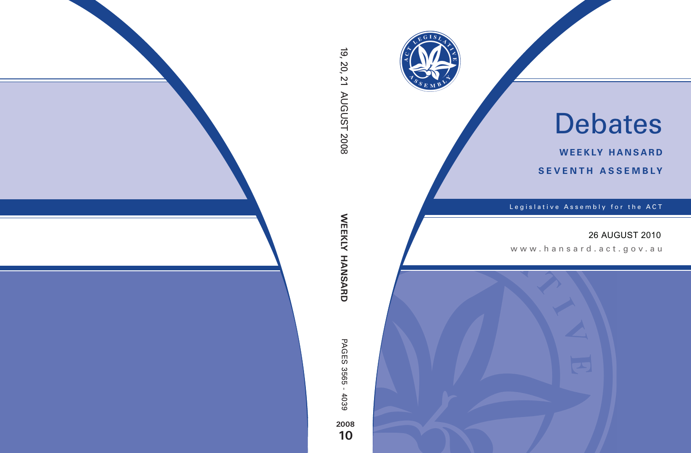

# Debates

**weekly hansard seventh asseMBly**

Legislative Assembly for the ACT

## 26 AUGUST 2010

www .hansard.act.go v.au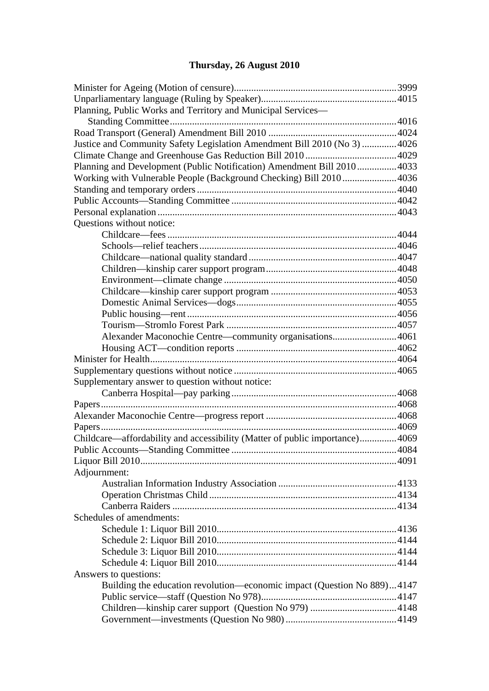# **[Thursday, 26 August 2010](#page-3-0)**

| Planning, Public Works and Territory and Municipal Services-                |      |  |  |
|-----------------------------------------------------------------------------|------|--|--|
|                                                                             |      |  |  |
|                                                                             |      |  |  |
| Justice and Community Safety Legislation Amendment Bill 2010 (No 3)  4026   |      |  |  |
|                                                                             |      |  |  |
| Planning and Development (Public Notification) Amendment Bill 20104033      |      |  |  |
| Working with Vulnerable People (Background Checking) Bill 20104036          |      |  |  |
|                                                                             |      |  |  |
|                                                                             |      |  |  |
|                                                                             |      |  |  |
| Questions without notice:                                                   |      |  |  |
|                                                                             |      |  |  |
|                                                                             |      |  |  |
|                                                                             |      |  |  |
|                                                                             |      |  |  |
|                                                                             |      |  |  |
|                                                                             |      |  |  |
|                                                                             |      |  |  |
|                                                                             |      |  |  |
|                                                                             |      |  |  |
|                                                                             |      |  |  |
| Alexander Maconochie Centre—community organisations4061                     |      |  |  |
|                                                                             |      |  |  |
|                                                                             |      |  |  |
|                                                                             |      |  |  |
| Supplementary answer to question without notice:                            |      |  |  |
|                                                                             |      |  |  |
|                                                                             |      |  |  |
|                                                                             |      |  |  |
|                                                                             |      |  |  |
| Childcare—affordability and accessibility (Matter of public importance)4069 |      |  |  |
|                                                                             | 4084 |  |  |
|                                                                             |      |  |  |
| Adjournment:                                                                |      |  |  |
|                                                                             |      |  |  |
|                                                                             |      |  |  |
|                                                                             |      |  |  |
| Schedules of amendments:                                                    |      |  |  |
|                                                                             |      |  |  |
|                                                                             |      |  |  |
|                                                                             |      |  |  |
|                                                                             |      |  |  |
| Answers to questions:                                                       |      |  |  |
| Building the education revolution—economic impact (Question No 889)4147     |      |  |  |
|                                                                             |      |  |  |
|                                                                             |      |  |  |
|                                                                             |      |  |  |
|                                                                             |      |  |  |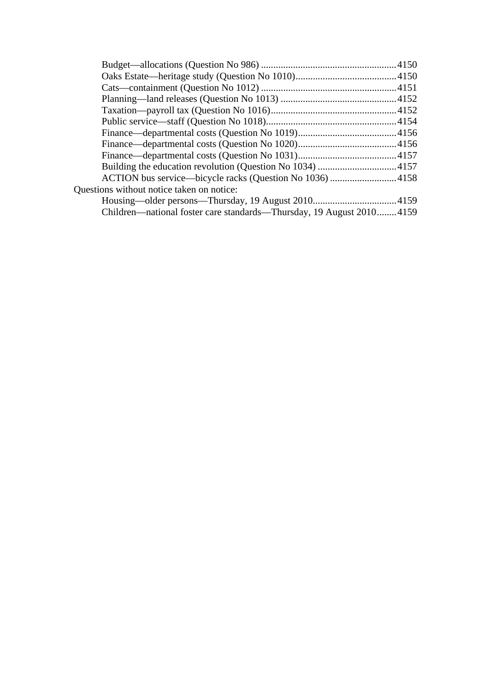| ACTION bus service—bicycle racks (Question No 1036) 4158             |  |
|----------------------------------------------------------------------|--|
| Questions without notice taken on notice:                            |  |
|                                                                      |  |
| Children—national foster care standards—Thursday, 19 August 20104159 |  |
|                                                                      |  |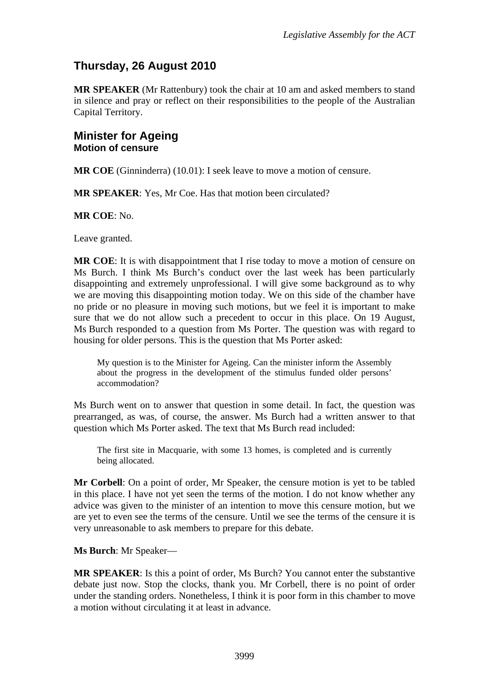# <span id="page-3-0"></span>**Thursday, 26 August 2010**

**MR SPEAKER** (Mr Rattenbury) took the chair at 10 am and asked members to stand in silence and pray or reflect on their responsibilities to the people of the Australian Capital Territory.

## <span id="page-3-1"></span>**Minister for Ageing Motion of censure**

**MR COE** (Ginninderra) (10.01): I seek leave to move a motion of censure.

**MR SPEAKER**: Yes, Mr Coe. Has that motion been circulated?

**MR COE**: No.

Leave granted.

**MR COE**: It is with disappointment that I rise today to move a motion of censure on Ms Burch. I think Ms Burch's conduct over the last week has been particularly disappointing and extremely unprofessional. I will give some background as to why we are moving this disappointing motion today. We on this side of the chamber have no pride or no pleasure in moving such motions, but we feel it is important to make sure that we do not allow such a precedent to occur in this place. On 19 August, Ms Burch responded to a question from Ms Porter. The question was with regard to housing for older persons. This is the question that Ms Porter asked:

My question is to the Minister for Ageing. Can the minister inform the Assembly about the progress in the development of the stimulus funded older persons' accommodation?

Ms Burch went on to answer that question in some detail. In fact, the question was prearranged, as was, of course, the answer. Ms Burch had a written answer to that question which Ms Porter asked. The text that Ms Burch read included:

The first site in Macquarie, with some 13 homes, is completed and is currently being allocated.

**Mr Corbell**: On a point of order, Mr Speaker, the censure motion is yet to be tabled in this place. I have not yet seen the terms of the motion. I do not know whether any advice was given to the minister of an intention to move this censure motion, but we are yet to even see the terms of the censure. Until we see the terms of the censure it is very unreasonable to ask members to prepare for this debate.

**Ms Burch**: Mr Speaker—

**MR SPEAKER**: Is this a point of order, Ms Burch? You cannot enter the substantive debate just now. Stop the clocks, thank you. Mr Corbell, there is no point of order under the standing orders. Nonetheless, I think it is poor form in this chamber to move a motion without circulating it at least in advance.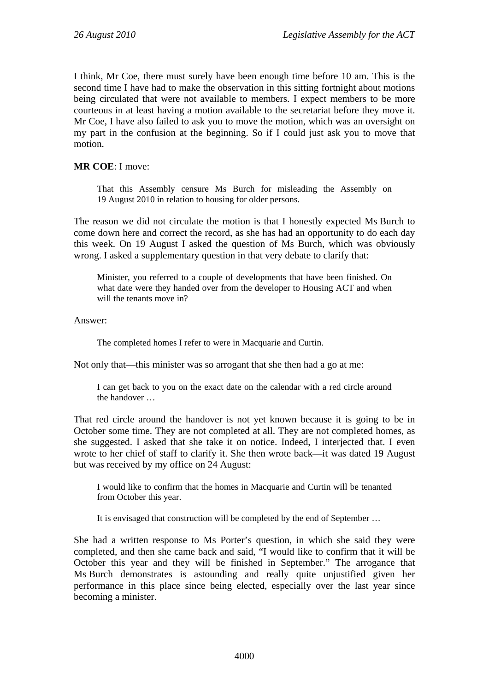I think, Mr Coe, there must surely have been enough time before 10 am. This is the second time I have had to make the observation in this sitting fortnight about motions being circulated that were not available to members. I expect members to be more courteous in at least having a motion available to the secretariat before they move it. Mr Coe, I have also failed to ask you to move the motion, which was an oversight on my part in the confusion at the beginning. So if I could just ask you to move that motion.

#### **MR COE**: I move:

That this Assembly censure Ms Burch for misleading the Assembly on 19 August 2010 in relation to housing for older persons.

The reason we did not circulate the motion is that I honestly expected Ms Burch to come down here and correct the record, as she has had an opportunity to do each day this week. On 19 August I asked the question of Ms Burch, which was obviously wrong. I asked a supplementary question in that very debate to clarify that:

Minister, you referred to a couple of developments that have been finished. On what date were they handed over from the developer to Housing ACT and when will the tenants move in?

#### Answer:

The completed homes I refer to were in Macquarie and Curtin.

Not only that—this minister was so arrogant that she then had a go at me:

I can get back to you on the exact date on the calendar with a red circle around the handover …

That red circle around the handover is not yet known because it is going to be in October some time. They are not completed at all. They are not completed homes, as she suggested. I asked that she take it on notice. Indeed, I interjected that. I even wrote to her chief of staff to clarify it. She then wrote back—it was dated 19 August but was received by my office on 24 August:

I would like to confirm that the homes in Macquarie and Curtin will be tenanted from October this year.

It is envisaged that construction will be completed by the end of September …

She had a written response to Ms Porter's question, in which she said they were completed, and then she came back and said, "I would like to confirm that it will be October this year and they will be finished in September." The arrogance that Ms Burch demonstrates is astounding and really quite unjustified given her performance in this place since being elected, especially over the last year since becoming a minister.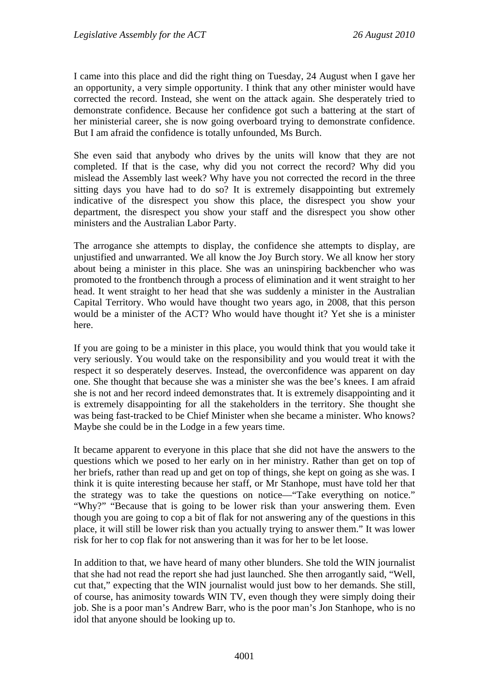I came into this place and did the right thing on Tuesday, 24 August when I gave her an opportunity, a very simple opportunity. I think that any other minister would have corrected the record. Instead, she went on the attack again. She desperately tried to demonstrate confidence. Because her confidence got such a battering at the start of her ministerial career, she is now going overboard trying to demonstrate confidence. But I am afraid the confidence is totally unfounded, Ms Burch.

She even said that anybody who drives by the units will know that they are not completed. If that is the case, why did you not correct the record? Why did you mislead the Assembly last week? Why have you not corrected the record in the three sitting days you have had to do so? It is extremely disappointing but extremely indicative of the disrespect you show this place, the disrespect you show your department, the disrespect you show your staff and the disrespect you show other ministers and the Australian Labor Party.

The arrogance she attempts to display, the confidence she attempts to display, are unjustified and unwarranted. We all know the Joy Burch story. We all know her story about being a minister in this place. She was an uninspiring backbencher who was promoted to the frontbench through a process of elimination and it went straight to her head. It went straight to her head that she was suddenly a minister in the Australian Capital Territory. Who would have thought two years ago, in 2008, that this person would be a minister of the ACT? Who would have thought it? Yet she is a minister here.

If you are going to be a minister in this place, you would think that you would take it very seriously. You would take on the responsibility and you would treat it with the respect it so desperately deserves. Instead, the overconfidence was apparent on day one. She thought that because she was a minister she was the bee's knees. I am afraid she is not and her record indeed demonstrates that. It is extremely disappointing and it is extremely disappointing for all the stakeholders in the territory. She thought she was being fast-tracked to be Chief Minister when she became a minister. Who knows? Maybe she could be in the Lodge in a few years time.

It became apparent to everyone in this place that she did not have the answers to the questions which we posed to her early on in her ministry. Rather than get on top of her briefs, rather than read up and get on top of things, she kept on going as she was. I think it is quite interesting because her staff, or Mr Stanhope, must have told her that the strategy was to take the questions on notice—"Take everything on notice." "Why?" "Because that is going to be lower risk than your answering them. Even though you are going to cop a bit of flak for not answering any of the questions in this place, it will still be lower risk than you actually trying to answer them." It was lower risk for her to cop flak for not answering than it was for her to be let loose.

In addition to that, we have heard of many other blunders. She told the WIN journalist that she had not read the report she had just launched. She then arrogantly said, "Well, cut that," expecting that the WIN journalist would just bow to her demands. She still, of course, has animosity towards WIN TV, even though they were simply doing their job. She is a poor man's Andrew Barr, who is the poor man's Jon Stanhope, who is no idol that anyone should be looking up to.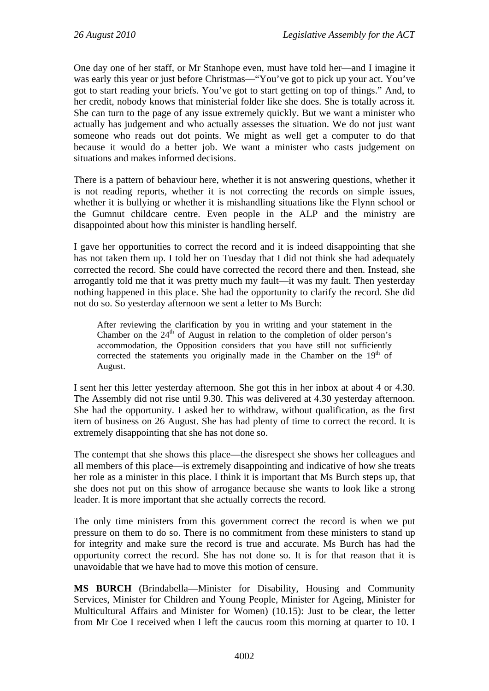One day one of her staff, or Mr Stanhope even, must have told her—and I imagine it was early this year or just before Christmas—"You've got to pick up your act. You've got to start reading your briefs. You've got to start getting on top of things." And, to her credit, nobody knows that ministerial folder like she does. She is totally across it. She can turn to the page of any issue extremely quickly. But we want a minister who actually has judgement and who actually assesses the situation. We do not just want someone who reads out dot points. We might as well get a computer to do that because it would do a better job. We want a minister who casts judgement on situations and makes informed decisions.

There is a pattern of behaviour here, whether it is not answering questions, whether it is not reading reports, whether it is not correcting the records on simple issues, whether it is bullying or whether it is mishandling situations like the Flynn school or the Gumnut childcare centre. Even people in the ALP and the ministry are disappointed about how this minister is handling herself.

I gave her opportunities to correct the record and it is indeed disappointing that she has not taken them up. I told her on Tuesday that I did not think she had adequately corrected the record. She could have corrected the record there and then. Instead, she arrogantly told me that it was pretty much my fault—it was my fault. Then yesterday nothing happened in this place. She had the opportunity to clarify the record. She did not do so. So yesterday afternoon we sent a letter to Ms Burch:

After reviewing the clarification by you in writing and your statement in the Chamber on the  $24<sup>th</sup>$  of August in relation to the completion of older person's accommodation, the Opposition considers that you have still not sufficiently corrected the statements you originally made in the Chamber on the  $19<sup>th</sup>$  of August.

I sent her this letter yesterday afternoon. She got this in her inbox at about 4 or 4.30. The Assembly did not rise until 9.30. This was delivered at 4.30 yesterday afternoon. She had the opportunity. I asked her to withdraw, without qualification, as the first item of business on 26 August. She has had plenty of time to correct the record. It is extremely disappointing that she has not done so.

The contempt that she shows this place—the disrespect she shows her colleagues and all members of this place—is extremely disappointing and indicative of how she treats her role as a minister in this place. I think it is important that Ms Burch steps up, that she does not put on this show of arrogance because she wants to look like a strong leader. It is more important that she actually corrects the record.

The only time ministers from this government correct the record is when we put pressure on them to do so. There is no commitment from these ministers to stand up for integrity and make sure the record is true and accurate. Ms Burch has had the opportunity correct the record. She has not done so. It is for that reason that it is unavoidable that we have had to move this motion of censure.

**MS BURCH** (Brindabella—Minister for Disability, Housing and Community Services, Minister for Children and Young People, Minister for Ageing, Minister for Multicultural Affairs and Minister for Women) (10.15): Just to be clear, the letter from Mr Coe I received when I left the caucus room this morning at quarter to 10. I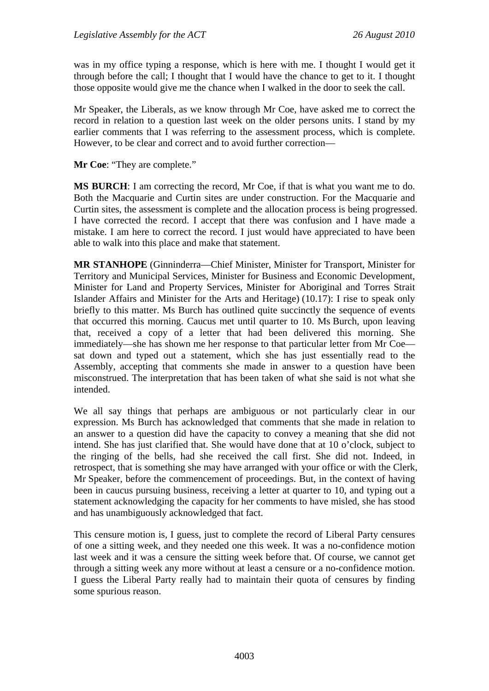was in my office typing a response, which is here with me. I thought I would get it through before the call; I thought that I would have the chance to get to it. I thought those opposite would give me the chance when I walked in the door to seek the call.

Mr Speaker, the Liberals, as we know through Mr Coe, have asked me to correct the record in relation to a question last week on the older persons units. I stand by my earlier comments that I was referring to the assessment process, which is complete. However, to be clear and correct and to avoid further correction—

**Mr Coe**: "They are complete."

**MS BURCH**: I am correcting the record, Mr Coe, if that is what you want me to do. Both the Macquarie and Curtin sites are under construction. For the Macquarie and Curtin sites, the assessment is complete and the allocation process is being progressed. I have corrected the record. I accept that there was confusion and I have made a mistake. I am here to correct the record. I just would have appreciated to have been able to walk into this place and make that statement.

**MR STANHOPE** (Ginninderra—Chief Minister, Minister for Transport, Minister for Territory and Municipal Services, Minister for Business and Economic Development, Minister for Land and Property Services, Minister for Aboriginal and Torres Strait Islander Affairs and Minister for the Arts and Heritage) (10.17): I rise to speak only briefly to this matter. Ms Burch has outlined quite succinctly the sequence of events that occurred this morning. Caucus met until quarter to 10. Ms Burch, upon leaving that, received a copy of a letter that had been delivered this morning. She immediately—she has shown me her response to that particular letter from Mr Coe sat down and typed out a statement, which she has just essentially read to the Assembly, accepting that comments she made in answer to a question have been misconstrued. The interpretation that has been taken of what she said is not what she intended.

We all say things that perhaps are ambiguous or not particularly clear in our expression. Ms Burch has acknowledged that comments that she made in relation to an answer to a question did have the capacity to convey a meaning that she did not intend. She has just clarified that. She would have done that at 10 o'clock, subject to the ringing of the bells, had she received the call first. She did not. Indeed, in retrospect, that is something she may have arranged with your office or with the Clerk, Mr Speaker, before the commencement of proceedings. But, in the context of having been in caucus pursuing business, receiving a letter at quarter to 10, and typing out a statement acknowledging the capacity for her comments to have misled, she has stood and has unambiguously acknowledged that fact.

This censure motion is, I guess, just to complete the record of Liberal Party censures of one a sitting week, and they needed one this week. It was a no-confidence motion last week and it was a censure the sitting week before that. Of course, we cannot get through a sitting week any more without at least a censure or a no-confidence motion. I guess the Liberal Party really had to maintain their quota of censures by finding some spurious reason.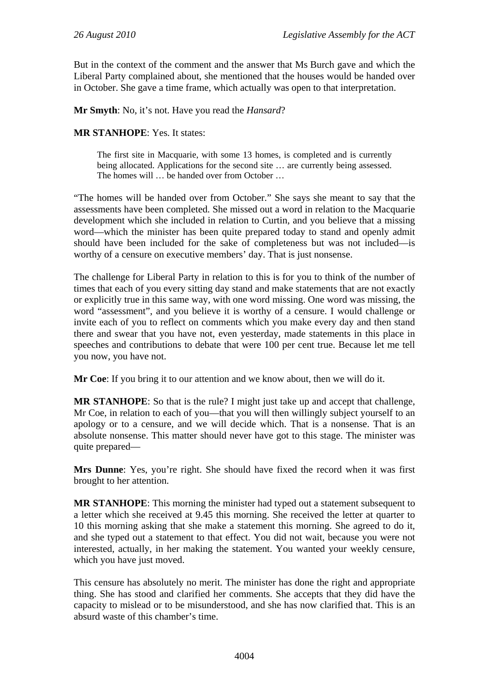But in the context of the comment and the answer that Ms Burch gave and which the Liberal Party complained about, she mentioned that the houses would be handed over in October. She gave a time frame, which actually was open to that interpretation.

**Mr Smyth**: No, it's not. Have you read the *Hansard*?

#### **MR STANHOPE**: Yes. It states:

The first site in Macquarie, with some 13 homes, is completed and is currently being allocated. Applications for the second site … are currently being assessed. The homes will … be handed over from October …

"The homes will be handed over from October." She says she meant to say that the assessments have been completed. She missed out a word in relation to the Macquarie development which she included in relation to Curtin, and you believe that a missing word—which the minister has been quite prepared today to stand and openly admit should have been included for the sake of completeness but was not included—is worthy of a censure on executive members' day. That is just nonsense.

The challenge for Liberal Party in relation to this is for you to think of the number of times that each of you every sitting day stand and make statements that are not exactly or explicitly true in this same way, with one word missing. One word was missing, the word "assessment", and you believe it is worthy of a censure. I would challenge or invite each of you to reflect on comments which you make every day and then stand there and swear that you have not, even yesterday, made statements in this place in speeches and contributions to debate that were 100 per cent true. Because let me tell you now, you have not.

**Mr Coe**: If you bring it to our attention and we know about, then we will do it.

**MR STANHOPE**: So that is the rule? I might just take up and accept that challenge, Mr Coe, in relation to each of you—that you will then willingly subject yourself to an apology or to a censure, and we will decide which. That is a nonsense. That is an absolute nonsense. This matter should never have got to this stage. The minister was quite prepared—

**Mrs Dunne**: Yes, you're right. She should have fixed the record when it was first brought to her attention.

**MR STANHOPE**: This morning the minister had typed out a statement subsequent to a letter which she received at 9.45 this morning. She received the letter at quarter to 10 this morning asking that she make a statement this morning. She agreed to do it, and she typed out a statement to that effect. You did not wait, because you were not interested, actually, in her making the statement. You wanted your weekly censure, which you have just moved.

This censure has absolutely no merit. The minister has done the right and appropriate thing. She has stood and clarified her comments. She accepts that they did have the capacity to mislead or to be misunderstood, and she has now clarified that. This is an absurd waste of this chamber's time.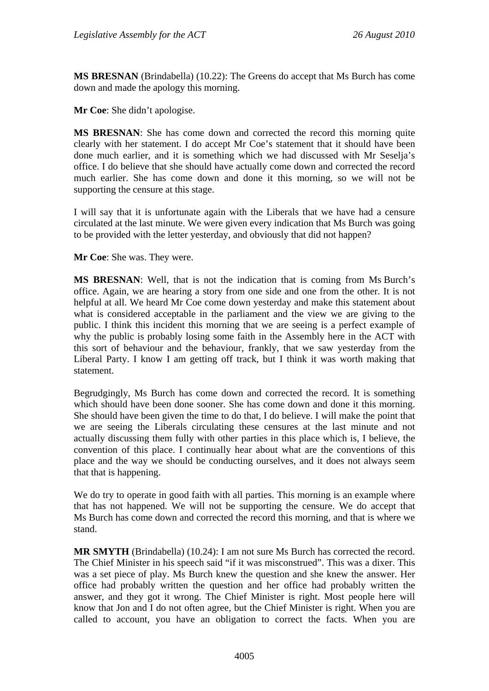**MS BRESNAN** (Brindabella) (10.22): The Greens do accept that Ms Burch has come down and made the apology this morning.

**Mr Coe**: She didn't apologise.

**MS BRESNAN**: She has come down and corrected the record this morning quite clearly with her statement. I do accept Mr Coe's statement that it should have been done much earlier, and it is something which we had discussed with Mr Seselja's office. I do believe that she should have actually come down and corrected the record much earlier. She has come down and done it this morning, so we will not be supporting the censure at this stage.

I will say that it is unfortunate again with the Liberals that we have had a censure circulated at the last minute. We were given every indication that Ms Burch was going to be provided with the letter yesterday, and obviously that did not happen?

**Mr Coe**: She was. They were.

**MS BRESNAN**: Well, that is not the indication that is coming from Ms Burch's office. Again, we are hearing a story from one side and one from the other. It is not helpful at all. We heard Mr Coe come down yesterday and make this statement about what is considered acceptable in the parliament and the view we are giving to the public. I think this incident this morning that we are seeing is a perfect example of why the public is probably losing some faith in the Assembly here in the ACT with this sort of behaviour and the behaviour, frankly, that we saw yesterday from the Liberal Party. I know I am getting off track, but I think it was worth making that statement.

Begrudgingly, Ms Burch has come down and corrected the record. It is something which should have been done sooner. She has come down and done it this morning. She should have been given the time to do that, I do believe. I will make the point that we are seeing the Liberals circulating these censures at the last minute and not actually discussing them fully with other parties in this place which is, I believe, the convention of this place. I continually hear about what are the conventions of this place and the way we should be conducting ourselves, and it does not always seem that that is happening.

We do try to operate in good faith with all parties. This morning is an example where that has not happened. We will not be supporting the censure. We do accept that Ms Burch has come down and corrected the record this morning, and that is where we stand.

**MR SMYTH** (Brindabella) (10.24): I am not sure Ms Burch has corrected the record. The Chief Minister in his speech said "if it was misconstrued". This was a dixer. This was a set piece of play. Ms Burch knew the question and she knew the answer. Her office had probably written the question and her office had probably written the answer, and they got it wrong. The Chief Minister is right. Most people here will know that Jon and I do not often agree, but the Chief Minister is right. When you are called to account, you have an obligation to correct the facts. When you are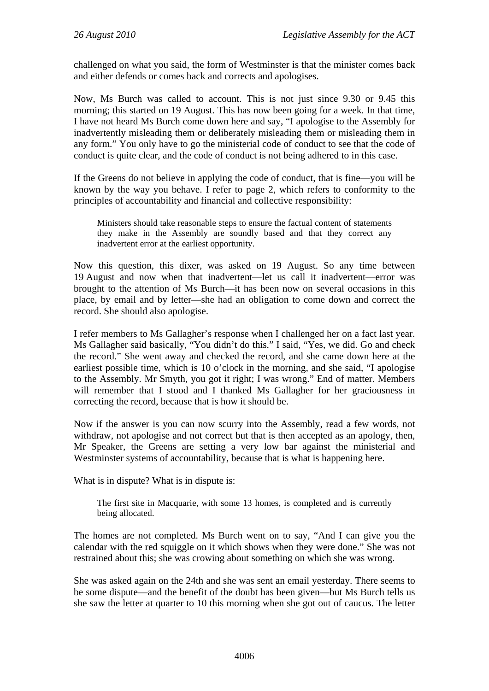challenged on what you said, the form of Westminster is that the minister comes back and either defends or comes back and corrects and apologises.

Now, Ms Burch was called to account. This is not just since 9.30 or 9.45 this morning; this started on 19 August. This has now been going for a week. In that time, I have not heard Ms Burch come down here and say, "I apologise to the Assembly for inadvertently misleading them or deliberately misleading them or misleading them in any form." You only have to go the ministerial code of conduct to see that the code of conduct is quite clear, and the code of conduct is not being adhered to in this case.

If the Greens do not believe in applying the code of conduct, that is fine—you will be known by the way you behave. I refer to page 2, which refers to conformity to the principles of accountability and financial and collective responsibility:

Ministers should take reasonable steps to ensure the factual content of statements they make in the Assembly are soundly based and that they correct any inadvertent error at the earliest opportunity.

Now this question, this dixer, was asked on 19 August. So any time between 19 August and now when that inadvertent—let us call it inadvertent—error was brought to the attention of Ms Burch—it has been now on several occasions in this place, by email and by letter—she had an obligation to come down and correct the record. She should also apologise.

I refer members to Ms Gallagher's response when I challenged her on a fact last year. Ms Gallagher said basically, "You didn't do this." I said, "Yes, we did. Go and check the record." She went away and checked the record, and she came down here at the earliest possible time, which is 10 o'clock in the morning, and she said, "I apologise to the Assembly. Mr Smyth, you got it right; I was wrong." End of matter. Members will remember that I stood and I thanked Ms Gallagher for her graciousness in correcting the record, because that is how it should be.

Now if the answer is you can now scurry into the Assembly, read a few words, not withdraw, not apologise and not correct but that is then accepted as an apology, then, Mr Speaker, the Greens are setting a very low bar against the ministerial and Westminster systems of accountability, because that is what is happening here.

What is in dispute? What is in dispute is:

The first site in Macquarie, with some 13 homes, is completed and is currently being allocated.

The homes are not completed. Ms Burch went on to say, "And I can give you the calendar with the red squiggle on it which shows when they were done." She was not restrained about this; she was crowing about something on which she was wrong.

She was asked again on the 24th and she was sent an email yesterday. There seems to be some dispute—and the benefit of the doubt has been given—but Ms Burch tells us she saw the letter at quarter to 10 this morning when she got out of caucus. The letter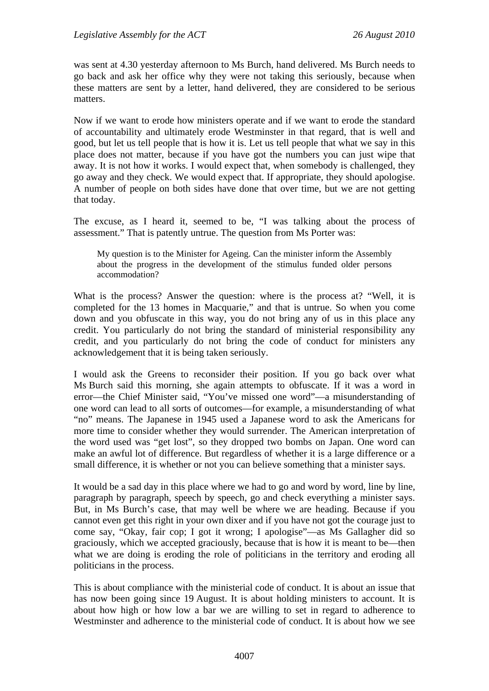was sent at 4.30 yesterday afternoon to Ms Burch, hand delivered. Ms Burch needs to go back and ask her office why they were not taking this seriously, because when these matters are sent by a letter, hand delivered, they are considered to be serious matters.

Now if we want to erode how ministers operate and if we want to erode the standard of accountability and ultimately erode Westminster in that regard, that is well and good, but let us tell people that is how it is. Let us tell people that what we say in this place does not matter, because if you have got the numbers you can just wipe that away. It is not how it works. I would expect that, when somebody is challenged, they go away and they check. We would expect that. If appropriate, they should apologise. A number of people on both sides have done that over time, but we are not getting that today.

The excuse, as I heard it, seemed to be, "I was talking about the process of assessment." That is patently untrue. The question from Ms Porter was:

My question is to the Minister for Ageing. Can the minister inform the Assembly about the progress in the development of the stimulus funded older persons accommodation?

What is the process? Answer the question: where is the process at? "Well, it is completed for the 13 homes in Macquarie," and that is untrue. So when you come down and you obfuscate in this way, you do not bring any of us in this place any credit. You particularly do not bring the standard of ministerial responsibility any credit, and you particularly do not bring the code of conduct for ministers any acknowledgement that it is being taken seriously.

I would ask the Greens to reconsider their position. If you go back over what Ms Burch said this morning, she again attempts to obfuscate. If it was a word in error—the Chief Minister said, "You've missed one word"—a misunderstanding of one word can lead to all sorts of outcomes—for example, a misunderstanding of what "no" means. The Japanese in 1945 used a Japanese word to ask the Americans for more time to consider whether they would surrender. The American interpretation of the word used was "get lost", so they dropped two bombs on Japan. One word can make an awful lot of difference. But regardless of whether it is a large difference or a small difference, it is whether or not you can believe something that a minister says.

It would be a sad day in this place where we had to go and word by word, line by line, paragraph by paragraph, speech by speech, go and check everything a minister says. But, in Ms Burch's case, that may well be where we are heading. Because if you cannot even get this right in your own dixer and if you have not got the courage just to come say, "Okay, fair cop; I got it wrong; I apologise"—as Ms Gallagher did so graciously, which we accepted graciously, because that is how it is meant to be—then what we are doing is eroding the role of politicians in the territory and eroding all politicians in the process.

This is about compliance with the ministerial code of conduct. It is about an issue that has now been going since 19 August. It is about holding ministers to account. It is about how high or how low a bar we are willing to set in regard to adherence to Westminster and adherence to the ministerial code of conduct. It is about how we see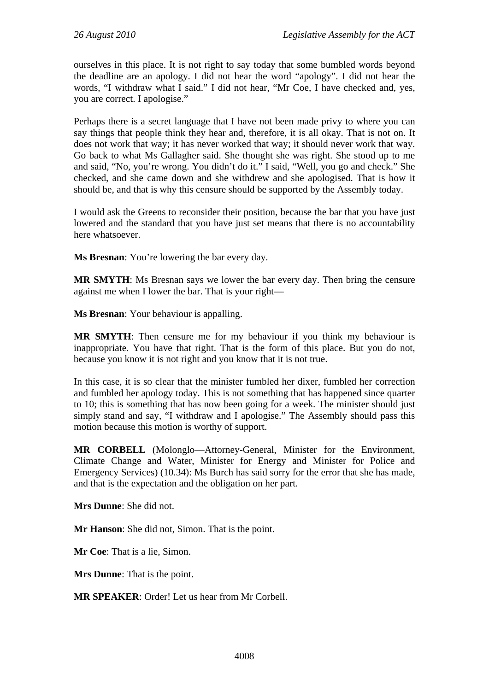ourselves in this place. It is not right to say today that some bumbled words beyond the deadline are an apology. I did not hear the word "apology". I did not hear the words, "I withdraw what I said." I did not hear, "Mr Coe, I have checked and, yes, you are correct. I apologise."

Perhaps there is a secret language that I have not been made privy to where you can say things that people think they hear and, therefore, it is all okay. That is not on. It does not work that way; it has never worked that way; it should never work that way. Go back to what Ms Gallagher said. She thought she was right. She stood up to me and said, "No, you're wrong. You didn't do it." I said, "Well, you go and check." She checked, and she came down and she withdrew and she apologised. That is how it should be, and that is why this censure should be supported by the Assembly today.

I would ask the Greens to reconsider their position, because the bar that you have just lowered and the standard that you have just set means that there is no accountability here whatsoever.

**Ms Bresnan**: You're lowering the bar every day.

**MR SMYTH**: Ms Bresnan says we lower the bar every day. Then bring the censure against me when I lower the bar. That is your right—

**Ms Bresnan**: Your behaviour is appalling.

**MR SMYTH**: Then censure me for my behaviour if you think my behaviour is inappropriate. You have that right. That is the form of this place. But you do not, because you know it is not right and you know that it is not true.

In this case, it is so clear that the minister fumbled her dixer, fumbled her correction and fumbled her apology today. This is not something that has happened since quarter to 10; this is something that has now been going for a week. The minister should just simply stand and say, "I withdraw and I apologise." The Assembly should pass this motion because this motion is worthy of support.

**MR CORBELL** (Molonglo—Attorney-General, Minister for the Environment, Climate Change and Water, Minister for Energy and Minister for Police and Emergency Services) (10.34): Ms Burch has said sorry for the error that she has made, and that is the expectation and the obligation on her part.

**Mrs Dunne**: She did not.

**Mr Hanson**: She did not, Simon. That is the point.

**Mr Coe**: That is a lie, Simon.

**Mrs Dunne**: That is the point.

**MR SPEAKER**: Order! Let us hear from Mr Corbell.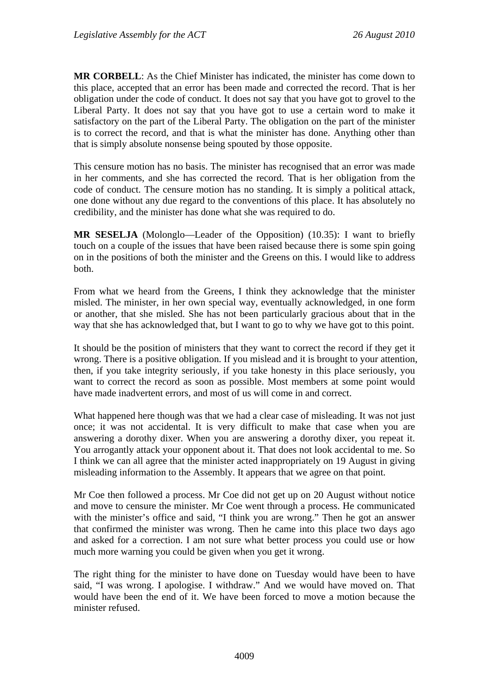**MR CORBELL**: As the Chief Minister has indicated, the minister has come down to this place, accepted that an error has been made and corrected the record. That is her obligation under the code of conduct. It does not say that you have got to grovel to the Liberal Party. It does not say that you have got to use a certain word to make it satisfactory on the part of the Liberal Party. The obligation on the part of the minister is to correct the record, and that is what the minister has done. Anything other than that is simply absolute nonsense being spouted by those opposite.

This censure motion has no basis. The minister has recognised that an error was made in her comments, and she has corrected the record. That is her obligation from the code of conduct. The censure motion has no standing. It is simply a political attack, one done without any due regard to the conventions of this place. It has absolutely no credibility, and the minister has done what she was required to do.

**MR SESELJA** (Molonglo—Leader of the Opposition) (10.35): I want to briefly touch on a couple of the issues that have been raised because there is some spin going on in the positions of both the minister and the Greens on this. I would like to address both.

From what we heard from the Greens, I think they acknowledge that the minister misled. The minister, in her own special way, eventually acknowledged, in one form or another, that she misled. She has not been particularly gracious about that in the way that she has acknowledged that, but I want to go to why we have got to this point.

It should be the position of ministers that they want to correct the record if they get it wrong. There is a positive obligation. If you mislead and it is brought to your attention, then, if you take integrity seriously, if you take honesty in this place seriously, you want to correct the record as soon as possible. Most members at some point would have made inadvertent errors, and most of us will come in and correct.

What happened here though was that we had a clear case of misleading. It was not just once; it was not accidental. It is very difficult to make that case when you are answering a dorothy dixer. When you are answering a dorothy dixer, you repeat it. You arrogantly attack your opponent about it. That does not look accidental to me. So I think we can all agree that the minister acted inappropriately on 19 August in giving misleading information to the Assembly. It appears that we agree on that point.

Mr Coe then followed a process. Mr Coe did not get up on 20 August without notice and move to censure the minister. Mr Coe went through a process. He communicated with the minister's office and said, "I think you are wrong." Then he got an answer that confirmed the minister was wrong. Then he came into this place two days ago and asked for a correction. I am not sure what better process you could use or how much more warning you could be given when you get it wrong.

The right thing for the minister to have done on Tuesday would have been to have said, "I was wrong. I apologise. I withdraw." And we would have moved on. That would have been the end of it. We have been forced to move a motion because the minister refused.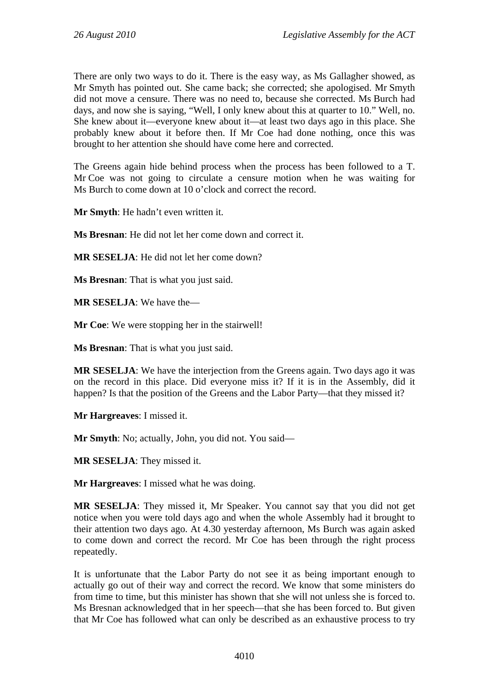There are only two ways to do it. There is the easy way, as Ms Gallagher showed, as Mr Smyth has pointed out. She came back; she corrected; she apologised. Mr Smyth did not move a censure. There was no need to, because she corrected. Ms Burch had days, and now she is saying, "Well, I only knew about this at quarter to 10." Well, no. She knew about it—everyone knew about it—at least two days ago in this place. She probably knew about it before then. If Mr Coe had done nothing, once this was brought to her attention she should have come here and corrected.

The Greens again hide behind process when the process has been followed to a T. Mr Coe was not going to circulate a censure motion when he was waiting for Ms Burch to come down at 10 o'clock and correct the record.

**Mr Smyth**: He hadn't even written it.

**Ms Bresnan**: He did not let her come down and correct it.

**MR SESELJA**: He did not let her come down?

**Ms Bresnan**: That is what you just said.

**MR SESELJA**: We have the—

**Mr Coe**: We were stopping her in the stairwell!

**Ms Bresnan**: That is what you just said.

**MR SESELJA**: We have the interjection from the Greens again. Two days ago it was on the record in this place. Did everyone miss it? If it is in the Assembly, did it happen? Is that the position of the Greens and the Labor Party—that they missed it?

**Mr Hargreaves**: I missed it.

**Mr Smyth**: No; actually, John, you did not. You said—

**MR SESELJA**: They missed it.

**Mr Hargreaves**: I missed what he was doing.

**MR SESELJA**: They missed it, Mr Speaker. You cannot say that you did not get notice when you were told days ago and when the whole Assembly had it brought to their attention two days ago. At 4.30 yesterday afternoon, Ms Burch was again asked to come down and correct the record. Mr Coe has been through the right process repeatedly.

It is unfortunate that the Labor Party do not see it as being important enough to actually go out of their way and correct the record. We know that some ministers do from time to time, but this minister has shown that she will not unless she is forced to. Ms Bresnan acknowledged that in her speech—that she has been forced to. But given that Mr Coe has followed what can only be described as an exhaustive process to try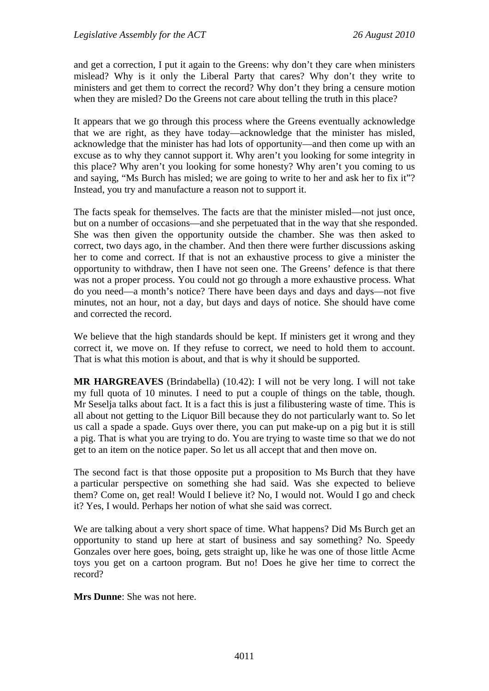and get a correction, I put it again to the Greens: why don't they care when ministers mislead? Why is it only the Liberal Party that cares? Why don't they write to ministers and get them to correct the record? Why don't they bring a censure motion when they are misled? Do the Greens not care about telling the truth in this place?

It appears that we go through this process where the Greens eventually acknowledge that we are right, as they have today—acknowledge that the minister has misled, acknowledge that the minister has had lots of opportunity—and then come up with an excuse as to why they cannot support it. Why aren't you looking for some integrity in this place? Why aren't you looking for some honesty? Why aren't you coming to us and saying, "Ms Burch has misled; we are going to write to her and ask her to fix it"? Instead, you try and manufacture a reason not to support it.

The facts speak for themselves. The facts are that the minister misled—not just once, but on a number of occasions—and she perpetuated that in the way that she responded. She was then given the opportunity outside the chamber. She was then asked to correct, two days ago, in the chamber. And then there were further discussions asking her to come and correct. If that is not an exhaustive process to give a minister the opportunity to withdraw, then I have not seen one. The Greens' defence is that there was not a proper process. You could not go through a more exhaustive process. What do you need—a month's notice? There have been days and days and days—not five minutes, not an hour, not a day, but days and days of notice. She should have come and corrected the record.

We believe that the high standards should be kept. If ministers get it wrong and they correct it, we move on. If they refuse to correct, we need to hold them to account. That is what this motion is about, and that is why it should be supported.

**MR HARGREAVES** (Brindabella) (10.42): I will not be very long. I will not take my full quota of 10 minutes. I need to put a couple of things on the table, though. Mr Seselja talks about fact. It is a fact this is just a filibustering waste of time. This is all about not getting to the Liquor Bill because they do not particularly want to. So let us call a spade a spade. Guys over there, you can put make-up on a pig but it is still a pig. That is what you are trying to do. You are trying to waste time so that we do not get to an item on the notice paper. So let us all accept that and then move on.

The second fact is that those opposite put a proposition to Ms Burch that they have a particular perspective on something she had said. Was she expected to believe them? Come on, get real! Would I believe it? No, I would not. Would I go and check it? Yes, I would. Perhaps her notion of what she said was correct.

We are talking about a very short space of time. What happens? Did Ms Burch get an opportunity to stand up here at start of business and say something? No. Speedy Gonzales over here goes, boing, gets straight up, like he was one of those little Acme toys you get on a cartoon program. But no! Does he give her time to correct the record?

**Mrs Dunne**: She was not here.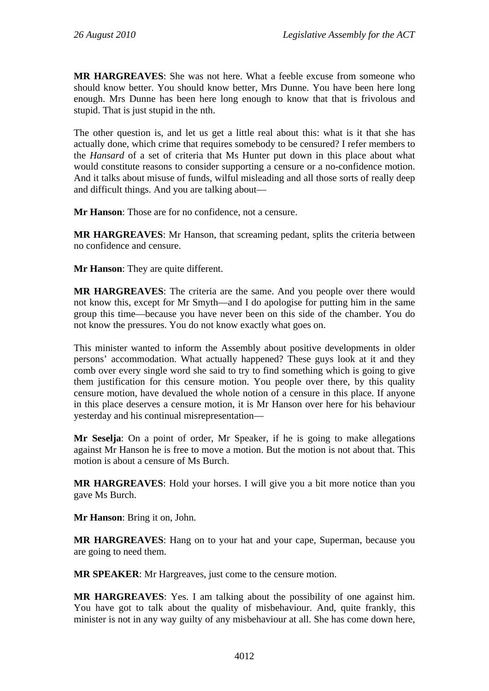**MR HARGREAVES**: She was not here. What a feeble excuse from someone who should know better. You should know better, Mrs Dunne. You have been here long enough. Mrs Dunne has been here long enough to know that that is frivolous and stupid. That is just stupid in the nth.

The other question is, and let us get a little real about this: what is it that she has actually done, which crime that requires somebody to be censured? I refer members to the *Hansard* of a set of criteria that Ms Hunter put down in this place about what would constitute reasons to consider supporting a censure or a no-confidence motion. And it talks about misuse of funds, wilful misleading and all those sorts of really deep and difficult things. And you are talking about—

**Mr Hanson**: Those are for no confidence, not a censure.

**MR HARGREAVES**: Mr Hanson, that screaming pedant, splits the criteria between no confidence and censure.

**Mr Hanson**: They are quite different.

**MR HARGREAVES**: The criteria are the same. And you people over there would not know this, except for Mr Smyth—and I do apologise for putting him in the same group this time—because you have never been on this side of the chamber. You do not know the pressures. You do not know exactly what goes on.

This minister wanted to inform the Assembly about positive developments in older persons' accommodation. What actually happened? These guys look at it and they comb over every single word she said to try to find something which is going to give them justification for this censure motion. You people over there, by this quality censure motion, have devalued the whole notion of a censure in this place. If anyone in this place deserves a censure motion, it is Mr Hanson over here for his behaviour yesterday and his continual misrepresentation—

**Mr Seselja**: On a point of order, Mr Speaker, if he is going to make allegations against Mr Hanson he is free to move a motion. But the motion is not about that. This motion is about a censure of Ms Burch.

**MR HARGREAVES**: Hold your horses. I will give you a bit more notice than you gave Ms Burch.

**Mr Hanson**: Bring it on, John.

**MR HARGREAVES**: Hang on to your hat and your cape, Superman, because you are going to need them.

**MR SPEAKER**: Mr Hargreaves, just come to the censure motion.

**MR HARGREAVES**: Yes. I am talking about the possibility of one against him. You have got to talk about the quality of misbehaviour. And, quite frankly, this minister is not in any way guilty of any misbehaviour at all. She has come down here,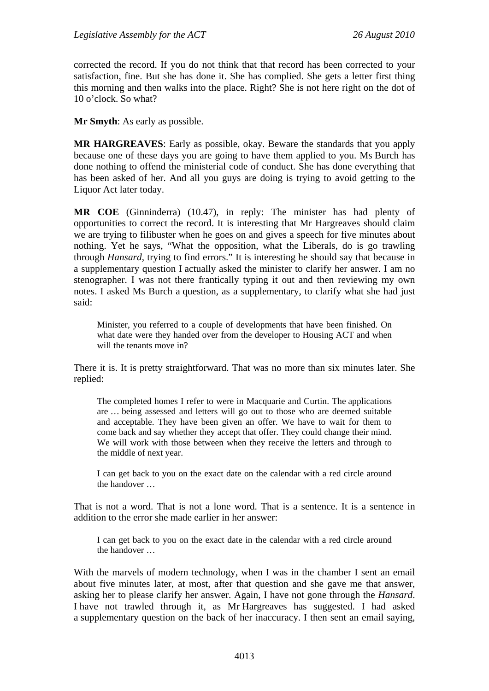corrected the record. If you do not think that that record has been corrected to your satisfaction, fine. But she has done it. She has complied. She gets a letter first thing this morning and then walks into the place. Right? She is not here right on the dot of 10 o'clock. So what?

**Mr Smyth**: As early as possible.

**MR HARGREAVES**: Early as possible, okay. Beware the standards that you apply because one of these days you are going to have them applied to you. Ms Burch has done nothing to offend the ministerial code of conduct. She has done everything that has been asked of her. And all you guys are doing is trying to avoid getting to the Liquor Act later today.

**MR COE** (Ginninderra) (10.47), in reply: The minister has had plenty of opportunities to correct the record. It is interesting that Mr Hargreaves should claim we are trying to filibuster when he goes on and gives a speech for five minutes about nothing. Yet he says, "What the opposition, what the Liberals, do is go trawling through *Hansard*, trying to find errors." It is interesting he should say that because in a supplementary question I actually asked the minister to clarify her answer. I am no stenographer. I was not there frantically typing it out and then reviewing my own notes. I asked Ms Burch a question, as a supplementary, to clarify what she had just said:

Minister, you referred to a couple of developments that have been finished. On what date were they handed over from the developer to Housing ACT and when will the tenants move in?

There it is. It is pretty straightforward. That was no more than six minutes later. She replied:

The completed homes I refer to were in Macquarie and Curtin. The applications are … being assessed and letters will go out to those who are deemed suitable and acceptable. They have been given an offer. We have to wait for them to come back and say whether they accept that offer. They could change their mind. We will work with those between when they receive the letters and through to the middle of next year.

I can get back to you on the exact date on the calendar with a red circle around the handover …

That is not a word. That is not a lone word. That is a sentence. It is a sentence in addition to the error she made earlier in her answer:

I can get back to you on the exact date in the calendar with a red circle around the handover …

With the marvels of modern technology, when I was in the chamber I sent an email about five minutes later, at most, after that question and she gave me that answer, asking her to please clarify her answer. Again, I have not gone through the *Hansard*. I have not trawled through it, as Mr Hargreaves has suggested. I had asked a supplementary question on the back of her inaccuracy. I then sent an email saying,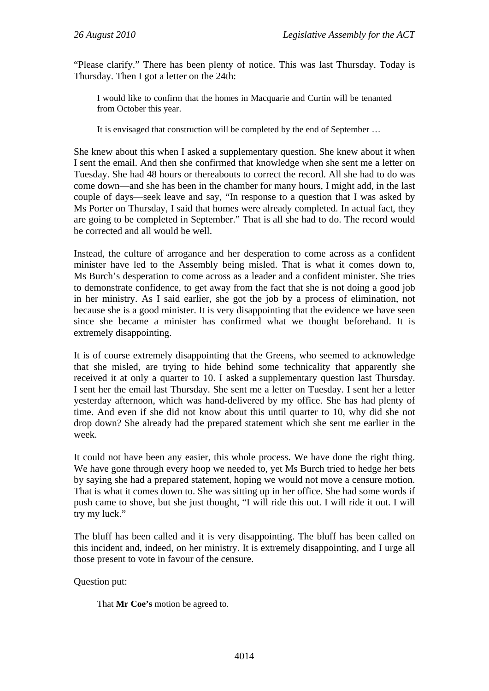"Please clarify." There has been plenty of notice. This was last Thursday. Today is Thursday. Then I got a letter on the 24th:

I would like to confirm that the homes in Macquarie and Curtin will be tenanted from October this year.

It is envisaged that construction will be completed by the end of September …

She knew about this when I asked a supplementary question. She knew about it when I sent the email. And then she confirmed that knowledge when she sent me a letter on Tuesday. She had 48 hours or thereabouts to correct the record. All she had to do was come down—and she has been in the chamber for many hours, I might add, in the last couple of days—seek leave and say, "In response to a question that I was asked by Ms Porter on Thursday, I said that homes were already completed. In actual fact, they are going to be completed in September." That is all she had to do. The record would be corrected and all would be well.

Instead, the culture of arrogance and her desperation to come across as a confident minister have led to the Assembly being misled. That is what it comes down to, Ms Burch's desperation to come across as a leader and a confident minister. She tries to demonstrate confidence, to get away from the fact that she is not doing a good job in her ministry. As I said earlier, she got the job by a process of elimination, not because she is a good minister. It is very disappointing that the evidence we have seen since she became a minister has confirmed what we thought beforehand. It is extremely disappointing.

It is of course extremely disappointing that the Greens, who seemed to acknowledge that she misled, are trying to hide behind some technicality that apparently she received it at only a quarter to 10. I asked a supplementary question last Thursday. I sent her the email last Thursday. She sent me a letter on Tuesday. I sent her a letter yesterday afternoon, which was hand-delivered by my office. She has had plenty of time. And even if she did not know about this until quarter to 10, why did she not drop down? She already had the prepared statement which she sent me earlier in the week.

It could not have been any easier, this whole process. We have done the right thing. We have gone through every hoop we needed to, yet Ms Burch tried to hedge her bets by saying she had a prepared statement, hoping we would not move a censure motion. That is what it comes down to. She was sitting up in her office. She had some words if push came to shove, but she just thought, "I will ride this out. I will ride it out. I will try my luck."

The bluff has been called and it is very disappointing. The bluff has been called on this incident and, indeed, on her ministry. It is extremely disappointing, and I urge all those present to vote in favour of the censure.

Question put:

That **Mr Coe's** motion be agreed to.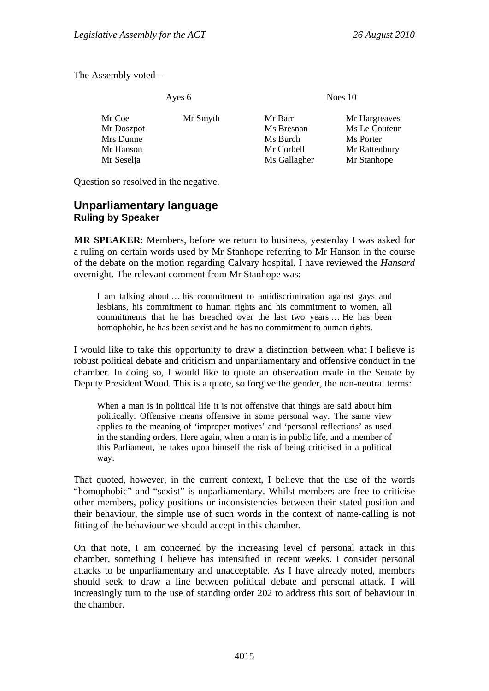The Assembly voted—

Ayes 6 Noes 10

| Mr Coe     | Mr Smyth | Mr Barr      | Mr Hargreaves |
|------------|----------|--------------|---------------|
| Mr Doszpot |          | Ms Bresnan   | Ms Le Couteur |
| Mrs Dunne  |          | Ms Burch     | Ms Porter     |
| Mr Hanson  |          | Mr Corbell   | Mr Rattenbury |
| Mr Seselja |          | Ms Gallagher | Mr Stanhope   |

Question so resolved in the negative.

## <span id="page-19-0"></span>**Unparliamentary language Ruling by Speaker**

**MR SPEAKER**: Members, before we return to business, yesterday I was asked for a ruling on certain words used by Mr Stanhope referring to Mr Hanson in the course of the debate on the motion regarding Calvary hospital. I have reviewed the *Hansard* overnight. The relevant comment from Mr Stanhope was:

I am talking about … his commitment to antidiscrimination against gays and lesbians, his commitment to human rights and his commitment to women, all commitments that he has breached over the last two years … He has been homophobic, he has been sexist and he has no commitment to human rights.

I would like to take this opportunity to draw a distinction between what I believe is robust political debate and criticism and unparliamentary and offensive conduct in the chamber. In doing so, I would like to quote an observation made in the Senate by Deputy President Wood. This is a quote, so forgive the gender, the non-neutral terms:

When a man is in political life it is not offensive that things are said about him politically. Offensive means offensive in some personal way. The same view applies to the meaning of 'improper motives' and 'personal reflections' as used in the standing orders. Here again, when a man is in public life, and a member of this Parliament, he takes upon himself the risk of being criticised in a political way.

That quoted, however, in the current context, I believe that the use of the words "homophobic" and "sexist" is unparliamentary. Whilst members are free to criticise other members, policy positions or inconsistencies between their stated position and their behaviour, the simple use of such words in the context of name-calling is not fitting of the behaviour we should accept in this chamber.

On that note, I am concerned by the increasing level of personal attack in this chamber, something I believe has intensified in recent weeks. I consider personal attacks to be unparliamentary and unacceptable. As I have already noted, members should seek to draw a line between political debate and personal attack. I will increasingly turn to the use of standing order 202 to address this sort of behaviour in the chamber.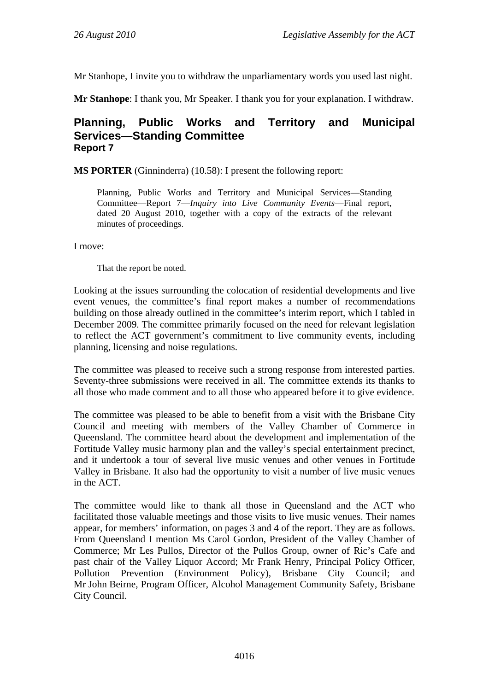Mr Stanhope, I invite you to withdraw the unparliamentary words you used last night.

**Mr Stanhope**: I thank you, Mr Speaker. I thank you for your explanation. I withdraw.

## <span id="page-20-0"></span>**Planning, Public Works and Territory and Municipal Services—Standing Committee Report 7**

**MS PORTER** (Ginninderra) (10.58): I present the following report:

Planning, Public Works and Territory and Municipal Services—Standing Committee—Report 7—*Inquiry into Live Community Events*—Final report, dated 20 August 2010, together with a copy of the extracts of the relevant minutes of proceedings.

I move:

That the report be noted.

Looking at the issues surrounding the colocation of residential developments and live event venues, the committee's final report makes a number of recommendations building on those already outlined in the committee's interim report, which I tabled in December 2009. The committee primarily focused on the need for relevant legislation to reflect the ACT government's commitment to live community events, including planning, licensing and noise regulations.

The committee was pleased to receive such a strong response from interested parties. Seventy-three submissions were received in all. The committee extends its thanks to all those who made comment and to all those who appeared before it to give evidence.

The committee was pleased to be able to benefit from a visit with the Brisbane City Council and meeting with members of the Valley Chamber of Commerce in Queensland. The committee heard about the development and implementation of the Fortitude Valley music harmony plan and the valley's special entertainment precinct, and it undertook a tour of several live music venues and other venues in Fortitude Valley in Brisbane. It also had the opportunity to visit a number of live music venues in the ACT.

The committee would like to thank all those in Queensland and the ACT who facilitated those valuable meetings and those visits to live music venues. Their names appear, for members' information, on pages 3 and 4 of the report. They are as follows. From Queensland I mention Ms Carol Gordon, President of the Valley Chamber of Commerce; Mr Les Pullos, Director of the Pullos Group, owner of Ric's Cafe and past chair of the Valley Liquor Accord; Mr Frank Henry, Principal Policy Officer, Pollution Prevention (Environment Policy), Brisbane City Council; and Mr John Beirne, Program Officer, Alcohol Management Community Safety, Brisbane City Council.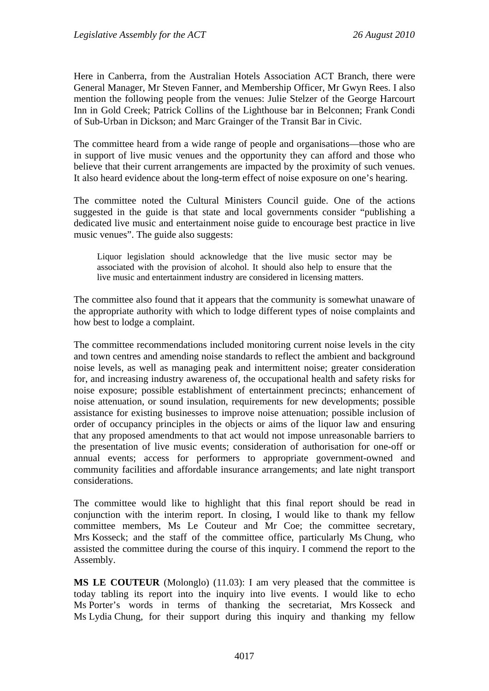Here in Canberra, from the Australian Hotels Association ACT Branch, there were General Manager, Mr Steven Fanner, and Membership Officer, Mr Gwyn Rees. I also mention the following people from the venues: Julie Stelzer of the George Harcourt Inn in Gold Creek; Patrick Collins of the Lighthouse bar in Belconnen; Frank Condi of Sub-Urban in Dickson; and Marc Grainger of the Transit Bar in Civic.

The committee heard from a wide range of people and organisations—those who are in support of live music venues and the opportunity they can afford and those who believe that their current arrangements are impacted by the proximity of such venues. It also heard evidence about the long-term effect of noise exposure on one's hearing.

The committee noted the Cultural Ministers Council guide. One of the actions suggested in the guide is that state and local governments consider "publishing a dedicated live music and entertainment noise guide to encourage best practice in live music venues". The guide also suggests:

Liquor legislation should acknowledge that the live music sector may be associated with the provision of alcohol. It should also help to ensure that the live music and entertainment industry are considered in licensing matters.

The committee also found that it appears that the community is somewhat unaware of the appropriate authority with which to lodge different types of noise complaints and how best to lodge a complaint.

The committee recommendations included monitoring current noise levels in the city and town centres and amending noise standards to reflect the ambient and background noise levels, as well as managing peak and intermittent noise; greater consideration for, and increasing industry awareness of, the occupational health and safety risks for noise exposure; possible establishment of entertainment precincts; enhancement of noise attenuation, or sound insulation, requirements for new developments; possible assistance for existing businesses to improve noise attenuation; possible inclusion of order of occupancy principles in the objects or aims of the liquor law and ensuring that any proposed amendments to that act would not impose unreasonable barriers to the presentation of live music events; consideration of authorisation for one-off or annual events; access for performers to appropriate government-owned and community facilities and affordable insurance arrangements; and late night transport considerations.

The committee would like to highlight that this final report should be read in conjunction with the interim report. In closing, I would like to thank my fellow committee members, Ms Le Couteur and Mr Coe; the committee secretary, Mrs Kosseck; and the staff of the committee office, particularly Ms Chung, who assisted the committee during the course of this inquiry. I commend the report to the Assembly.

**MS LE COUTEUR** (Molonglo) (11.03): I am very pleased that the committee is today tabling its report into the inquiry into live events. I would like to echo Ms Porter's words in terms of thanking the secretariat, Mrs Kosseck and Ms Lydia Chung, for their support during this inquiry and thanking my fellow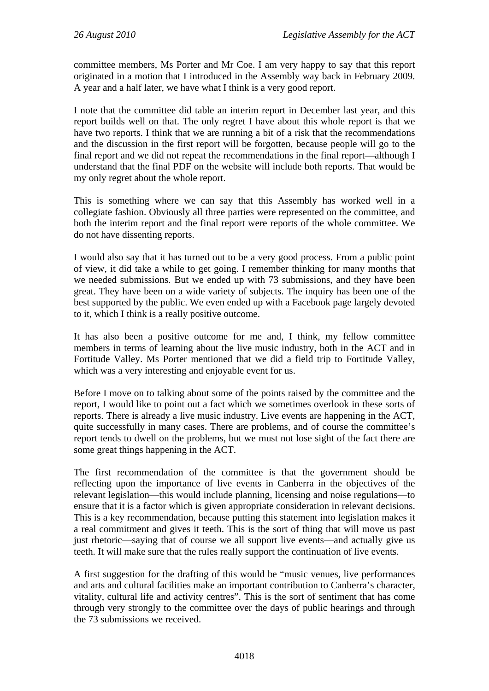committee members, Ms Porter and Mr Coe. I am very happy to say that this report originated in a motion that I introduced in the Assembly way back in February 2009. A year and a half later, we have what I think is a very good report.

I note that the committee did table an interim report in December last year, and this report builds well on that. The only regret I have about this whole report is that we have two reports. I think that we are running a bit of a risk that the recommendations and the discussion in the first report will be forgotten, because people will go to the final report and we did not repeat the recommendations in the final report—although I understand that the final PDF on the website will include both reports. That would be my only regret about the whole report.

This is something where we can say that this Assembly has worked well in a collegiate fashion. Obviously all three parties were represented on the committee, and both the interim report and the final report were reports of the whole committee. We do not have dissenting reports.

I would also say that it has turned out to be a very good process. From a public point of view, it did take a while to get going. I remember thinking for many months that we needed submissions. But we ended up with 73 submissions, and they have been great. They have been on a wide variety of subjects. The inquiry has been one of the best supported by the public. We even ended up with a Facebook page largely devoted to it, which I think is a really positive outcome.

It has also been a positive outcome for me and, I think, my fellow committee members in terms of learning about the live music industry, both in the ACT and in Fortitude Valley. Ms Porter mentioned that we did a field trip to Fortitude Valley, which was a very interesting and enjoyable event for us.

Before I move on to talking about some of the points raised by the committee and the report, I would like to point out a fact which we sometimes overlook in these sorts of reports. There is already a live music industry. Live events are happening in the ACT, quite successfully in many cases. There are problems, and of course the committee's report tends to dwell on the problems, but we must not lose sight of the fact there are some great things happening in the ACT.

The first recommendation of the committee is that the government should be reflecting upon the importance of live events in Canberra in the objectives of the relevant legislation—this would include planning, licensing and noise regulations—to ensure that it is a factor which is given appropriate consideration in relevant decisions. This is a key recommendation, because putting this statement into legislation makes it a real commitment and gives it teeth. This is the sort of thing that will move us past just rhetoric—saying that of course we all support live events—and actually give us teeth. It will make sure that the rules really support the continuation of live events.

A first suggestion for the drafting of this would be "music venues, live performances and arts and cultural facilities make an important contribution to Canberra's character, vitality, cultural life and activity centres". This is the sort of sentiment that has come through very strongly to the committee over the days of public hearings and through the 73 submissions we received.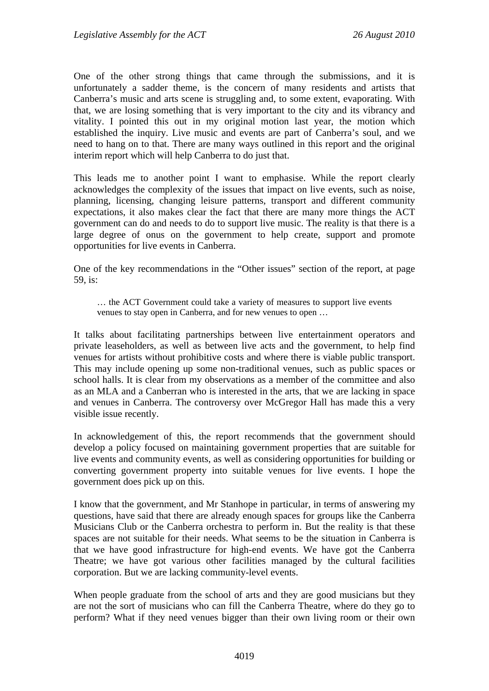One of the other strong things that came through the submissions, and it is unfortunately a sadder theme, is the concern of many residents and artists that Canberra's music and arts scene is struggling and, to some extent, evaporating. With that, we are losing something that is very important to the city and its vibrancy and vitality. I pointed this out in my original motion last year, the motion which established the inquiry. Live music and events are part of Canberra's soul, and we need to hang on to that. There are many ways outlined in this report and the original interim report which will help Canberra to do just that.

This leads me to another point I want to emphasise. While the report clearly acknowledges the complexity of the issues that impact on live events, such as noise, planning, licensing, changing leisure patterns, transport and different community expectations, it also makes clear the fact that there are many more things the ACT government can do and needs to do to support live music. The reality is that there is a large degree of onus on the government to help create, support and promote opportunities for live events in Canberra.

One of the key recommendations in the "Other issues" section of the report, at page 59, is:

… the ACT Government could take a variety of measures to support live events venues to stay open in Canberra, and for new venues to open …

It talks about facilitating partnerships between live entertainment operators and private leaseholders, as well as between live acts and the government, to help find venues for artists without prohibitive costs and where there is viable public transport. This may include opening up some non-traditional venues, such as public spaces or school halls. It is clear from my observations as a member of the committee and also as an MLA and a Canberran who is interested in the arts, that we are lacking in space and venues in Canberra. The controversy over McGregor Hall has made this a very visible issue recently.

In acknowledgement of this, the report recommends that the government should develop a policy focused on maintaining government properties that are suitable for live events and community events, as well as considering opportunities for building or converting government property into suitable venues for live events. I hope the government does pick up on this.

I know that the government, and Mr Stanhope in particular, in terms of answering my questions, have said that there are already enough spaces for groups like the Canberra Musicians Club or the Canberra orchestra to perform in. But the reality is that these spaces are not suitable for their needs. What seems to be the situation in Canberra is that we have good infrastructure for high-end events. We have got the Canberra Theatre; we have got various other facilities managed by the cultural facilities corporation. But we are lacking community-level events.

When people graduate from the school of arts and they are good musicians but they are not the sort of musicians who can fill the Canberra Theatre, where do they go to perform? What if they need venues bigger than their own living room or their own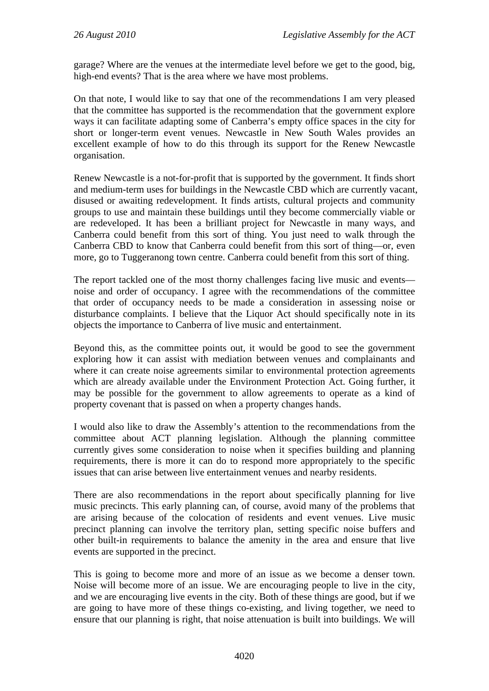garage? Where are the venues at the intermediate level before we get to the good, big, high-end events? That is the area where we have most problems.

On that note, I would like to say that one of the recommendations I am very pleased that the committee has supported is the recommendation that the government explore ways it can facilitate adapting some of Canberra's empty office spaces in the city for short or longer-term event venues. Newcastle in New South Wales provides an excellent example of how to do this through its support for the Renew Newcastle organisation.

Renew Newcastle is a not-for-profit that is supported by the government. It finds short and medium-term uses for buildings in the Newcastle CBD which are currently vacant, disused or awaiting redevelopment. It finds artists, cultural projects and community groups to use and maintain these buildings until they become commercially viable or are redeveloped. It has been a brilliant project for Newcastle in many ways, and Canberra could benefit from this sort of thing. You just need to walk through the Canberra CBD to know that Canberra could benefit from this sort of thing—or, even more, go to Tuggeranong town centre. Canberra could benefit from this sort of thing.

The report tackled one of the most thorny challenges facing live music and events noise and order of occupancy. I agree with the recommendations of the committee that order of occupancy needs to be made a consideration in assessing noise or disturbance complaints. I believe that the Liquor Act should specifically note in its objects the importance to Canberra of live music and entertainment.

Beyond this, as the committee points out, it would be good to see the government exploring how it can assist with mediation between venues and complainants and where it can create noise agreements similar to environmental protection agreements which are already available under the Environment Protection Act. Going further, it may be possible for the government to allow agreements to operate as a kind of property covenant that is passed on when a property changes hands.

I would also like to draw the Assembly's attention to the recommendations from the committee about ACT planning legislation. Although the planning committee currently gives some consideration to noise when it specifies building and planning requirements, there is more it can do to respond more appropriately to the specific issues that can arise between live entertainment venues and nearby residents.

There are also recommendations in the report about specifically planning for live music precincts. This early planning can, of course, avoid many of the problems that are arising because of the colocation of residents and event venues. Live music precinct planning can involve the territory plan, setting specific noise buffers and other built-in requirements to balance the amenity in the area and ensure that live events are supported in the precinct.

This is going to become more and more of an issue as we become a denser town. Noise will become more of an issue. We are encouraging people to live in the city, and we are encouraging live events in the city. Both of these things are good, but if we are going to have more of these things co-existing, and living together, we need to ensure that our planning is right, that noise attenuation is built into buildings. We will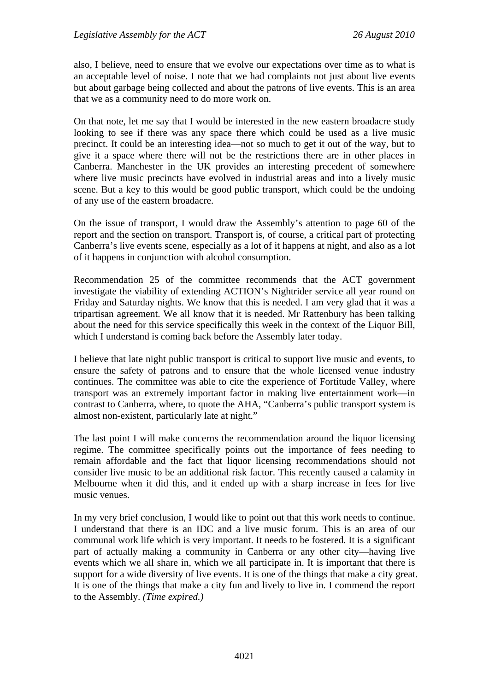also, I believe, need to ensure that we evolve our expectations over time as to what is an acceptable level of noise. I note that we had complaints not just about live events but about garbage being collected and about the patrons of live events. This is an area that we as a community need to do more work on.

On that note, let me say that I would be interested in the new eastern broadacre study looking to see if there was any space there which could be used as a live music precinct. It could be an interesting idea—not so much to get it out of the way, but to give it a space where there will not be the restrictions there are in other places in Canberra. Manchester in the UK provides an interesting precedent of somewhere where live music precincts have evolved in industrial areas and into a lively music scene. But a key to this would be good public transport, which could be the undoing of any use of the eastern broadacre.

On the issue of transport, I would draw the Assembly's attention to page 60 of the report and the section on transport. Transport is, of course, a critical part of protecting Canberra's live events scene, especially as a lot of it happens at night, and also as a lot of it happens in conjunction with alcohol consumption.

Recommendation 25 of the committee recommends that the ACT government investigate the viability of extending ACTION's Nightrider service all year round on Friday and Saturday nights. We know that this is needed. I am very glad that it was a tripartisan agreement. We all know that it is needed. Mr Rattenbury has been talking about the need for this service specifically this week in the context of the Liquor Bill, which I understand is coming back before the Assembly later today.

I believe that late night public transport is critical to support live music and events, to ensure the safety of patrons and to ensure that the whole licensed venue industry continues. The committee was able to cite the experience of Fortitude Valley, where transport was an extremely important factor in making live entertainment work—in contrast to Canberra, where, to quote the AHA, "Canberra's public transport system is almost non-existent, particularly late at night."

The last point I will make concerns the recommendation around the liquor licensing regime. The committee specifically points out the importance of fees needing to remain affordable and the fact that liquor licensing recommendations should not consider live music to be an additional risk factor. This recently caused a calamity in Melbourne when it did this, and it ended up with a sharp increase in fees for live music venues.

In my very brief conclusion, I would like to point out that this work needs to continue. I understand that there is an IDC and a live music forum. This is an area of our communal work life which is very important. It needs to be fostered. It is a significant part of actually making a community in Canberra or any other city—having live events which we all share in, which we all participate in. It is important that there is support for a wide diversity of live events. It is one of the things that make a city great. It is one of the things that make a city fun and lively to live in. I commend the report to the Assembly. *(Time expired.)*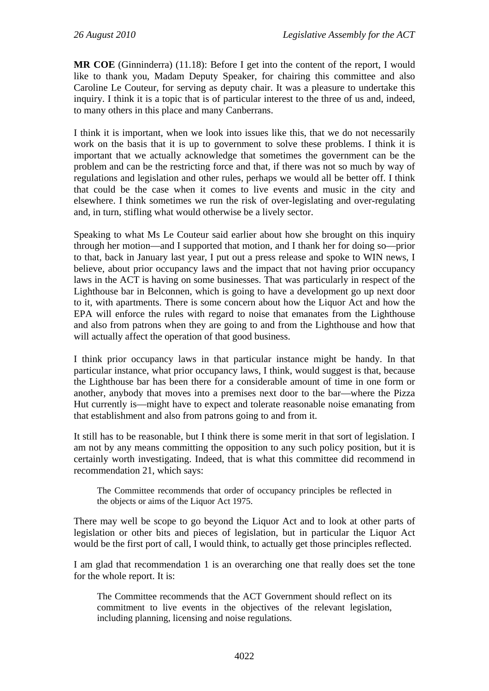**MR COE** (Ginninderra) (11.18): Before I get into the content of the report, I would like to thank you, Madam Deputy Speaker, for chairing this committee and also Caroline Le Couteur, for serving as deputy chair. It was a pleasure to undertake this inquiry. I think it is a topic that is of particular interest to the three of us and, indeed, to many others in this place and many Canberrans.

I think it is important, when we look into issues like this, that we do not necessarily work on the basis that it is up to government to solve these problems. I think it is important that we actually acknowledge that sometimes the government can be the problem and can be the restricting force and that, if there was not so much by way of regulations and legislation and other rules, perhaps we would all be better off. I think that could be the case when it comes to live events and music in the city and elsewhere. I think sometimes we run the risk of over-legislating and over-regulating and, in turn, stifling what would otherwise be a lively sector.

Speaking to what Ms Le Couteur said earlier about how she brought on this inquiry through her motion—and I supported that motion, and I thank her for doing so—prior to that, back in January last year, I put out a press release and spoke to WIN news, I believe, about prior occupancy laws and the impact that not having prior occupancy laws in the ACT is having on some businesses. That was particularly in respect of the Lighthouse bar in Belconnen, which is going to have a development go up next door to it, with apartments. There is some concern about how the Liquor Act and how the EPA will enforce the rules with regard to noise that emanates from the Lighthouse and also from patrons when they are going to and from the Lighthouse and how that will actually affect the operation of that good business.

I think prior occupancy laws in that particular instance might be handy. In that particular instance, what prior occupancy laws, I think, would suggest is that, because the Lighthouse bar has been there for a considerable amount of time in one form or another, anybody that moves into a premises next door to the bar—where the Pizza Hut currently is—might have to expect and tolerate reasonable noise emanating from that establishment and also from patrons going to and from it.

It still has to be reasonable, but I think there is some merit in that sort of legislation. I am not by any means committing the opposition to any such policy position, but it is certainly worth investigating. Indeed, that is what this committee did recommend in recommendation 21, which says:

The Committee recommends that order of occupancy principles be reflected in the objects or aims of the Liquor Act 1975.

There may well be scope to go beyond the Liquor Act and to look at other parts of legislation or other bits and pieces of legislation, but in particular the Liquor Act would be the first port of call, I would think, to actually get those principles reflected.

I am glad that recommendation 1 is an overarching one that really does set the tone for the whole report. It is:

The Committee recommends that the ACT Government should reflect on its commitment to live events in the objectives of the relevant legislation, including planning, licensing and noise regulations.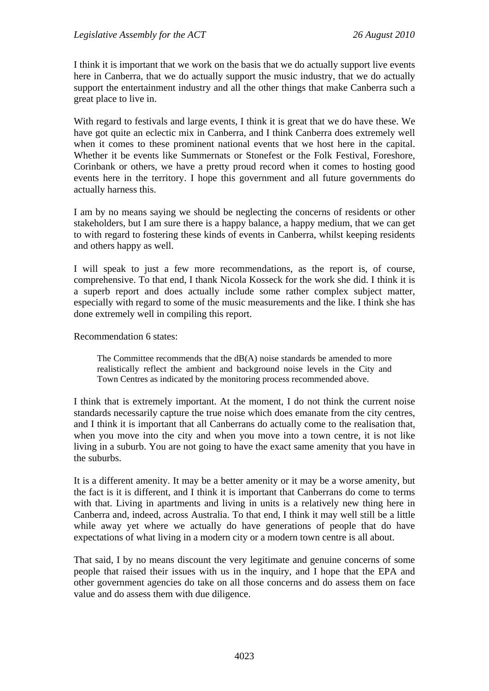I think it is important that we work on the basis that we do actually support live events here in Canberra, that we do actually support the music industry, that we do actually support the entertainment industry and all the other things that make Canberra such a great place to live in.

With regard to festivals and large events, I think it is great that we do have these. We have got quite an eclectic mix in Canberra, and I think Canberra does extremely well when it comes to these prominent national events that we host here in the capital. Whether it be events like Summernats or Stonefest or the Folk Festival, Foreshore, Corinbank or others, we have a pretty proud record when it comes to hosting good events here in the territory. I hope this government and all future governments do actually harness this.

I am by no means saying we should be neglecting the concerns of residents or other stakeholders, but I am sure there is a happy balance, a happy medium, that we can get to with regard to fostering these kinds of events in Canberra, whilst keeping residents and others happy as well.

I will speak to just a few more recommendations, as the report is, of course, comprehensive. To that end, I thank Nicola Kosseck for the work she did. I think it is a superb report and does actually include some rather complex subject matter, especially with regard to some of the music measurements and the like. I think she has done extremely well in compiling this report.

Recommendation 6 states:

The Committee recommends that the  $dB(A)$  noise standards be amended to more realistically reflect the ambient and background noise levels in the City and Town Centres as indicated by the monitoring process recommended above.

I think that is extremely important. At the moment, I do not think the current noise standards necessarily capture the true noise which does emanate from the city centres, and I think it is important that all Canberrans do actually come to the realisation that, when you move into the city and when you move into a town centre, it is not like living in a suburb. You are not going to have the exact same amenity that you have in the suburbs.

It is a different amenity. It may be a better amenity or it may be a worse amenity, but the fact is it is different, and I think it is important that Canberrans do come to terms with that. Living in apartments and living in units is a relatively new thing here in Canberra and, indeed, across Australia. To that end, I think it may well still be a little while away yet where we actually do have generations of people that do have expectations of what living in a modern city or a modern town centre is all about.

That said, I by no means discount the very legitimate and genuine concerns of some people that raised their issues with us in the inquiry, and I hope that the EPA and other government agencies do take on all those concerns and do assess them on face value and do assess them with due diligence.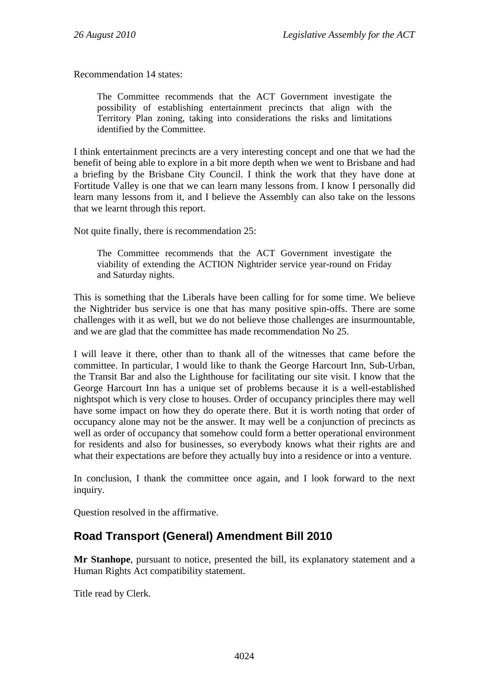Recommendation 14 states:

The Committee recommends that the ACT Government investigate the possibility of establishing entertainment precincts that align with the Territory Plan zoning, taking into considerations the risks and limitations identified by the Committee.

I think entertainment precincts are a very interesting concept and one that we had the benefit of being able to explore in a bit more depth when we went to Brisbane and had a briefing by the Brisbane City Council. I think the work that they have done at Fortitude Valley is one that we can learn many lessons from. I know I personally did learn many lessons from it, and I believe the Assembly can also take on the lessons that we learnt through this report.

Not quite finally, there is recommendation 25:

The Committee recommends that the ACT Government investigate the viability of extending the ACTION Nightrider service year-round on Friday and Saturday nights.

This is something that the Liberals have been calling for for some time. We believe the Nightrider bus service is one that has many positive spin-offs. There are some challenges with it as well, but we do not believe those challenges are insurmountable, and we are glad that the committee has made recommendation No 25.

I will leave it there, other than to thank all of the witnesses that came before the committee. In particular, I would like to thank the George Harcourt Inn, Sub-Urban, the Transit Bar and also the Lighthouse for facilitating our site visit. I know that the George Harcourt Inn has a unique set of problems because it is a well-established nightspot which is very close to houses. Order of occupancy principles there may well have some impact on how they do operate there. But it is worth noting that order of occupancy alone may not be the answer. It may well be a conjunction of precincts as well as order of occupancy that somehow could form a better operational environment for residents and also for businesses, so everybody knows what their rights are and what their expectations are before they actually buy into a residence or into a venture.

In conclusion, I thank the committee once again, and I look forward to the next inquiry.

Question resolved in the affirmative.

## <span id="page-28-0"></span>**Road Transport (General) Amendment Bill 2010**

**Mr Stanhope**, pursuant to notice, presented the bill, its explanatory statement and a Human Rights Act compatibility statement.

Title read by Clerk.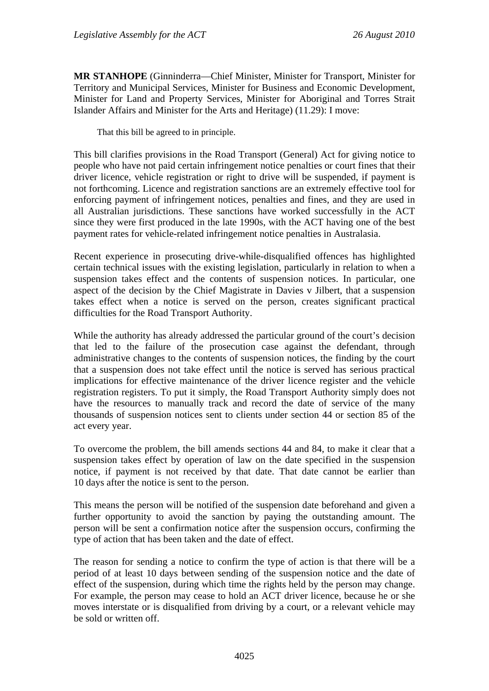**MR STANHOPE** (Ginninderra—Chief Minister, Minister for Transport, Minister for Territory and Municipal Services, Minister for Business and Economic Development, Minister for Land and Property Services, Minister for Aboriginal and Torres Strait Islander Affairs and Minister for the Arts and Heritage) (11.29): I move:

That this bill be agreed to in principle.

This bill clarifies provisions in the Road Transport (General) Act for giving notice to people who have not paid certain infringement notice penalties or court fines that their driver licence, vehicle registration or right to drive will be suspended, if payment is not forthcoming. Licence and registration sanctions are an extremely effective tool for enforcing payment of infringement notices, penalties and fines, and they are used in all Australian jurisdictions. These sanctions have worked successfully in the ACT since they were first produced in the late 1990s, with the ACT having one of the best payment rates for vehicle-related infringement notice penalties in Australasia.

Recent experience in prosecuting drive-while-disqualified offences has highlighted certain technical issues with the existing legislation, particularly in relation to when a suspension takes effect and the contents of suspension notices. In particular, one aspect of the decision by the Chief Magistrate in Davies v Jilbert, that a suspension takes effect when a notice is served on the person, creates significant practical difficulties for the Road Transport Authority.

While the authority has already addressed the particular ground of the court's decision that led to the failure of the prosecution case against the defendant, through administrative changes to the contents of suspension notices, the finding by the court that a suspension does not take effect until the notice is served has serious practical implications for effective maintenance of the driver licence register and the vehicle registration registers. To put it simply, the Road Transport Authority simply does not have the resources to manually track and record the date of service of the many thousands of suspension notices sent to clients under section 44 or section 85 of the act every year.

To overcome the problem, the bill amends sections 44 and 84, to make it clear that a suspension takes effect by operation of law on the date specified in the suspension notice, if payment is not received by that date. That date cannot be earlier than 10 days after the notice is sent to the person.

This means the person will be notified of the suspension date beforehand and given a further opportunity to avoid the sanction by paying the outstanding amount. The person will be sent a confirmation notice after the suspension occurs, confirming the type of action that has been taken and the date of effect.

The reason for sending a notice to confirm the type of action is that there will be a period of at least 10 days between sending of the suspension notice and the date of effect of the suspension, during which time the rights held by the person may change. For example, the person may cease to hold an ACT driver licence, because he or she moves interstate or is disqualified from driving by a court, or a relevant vehicle may be sold or written off.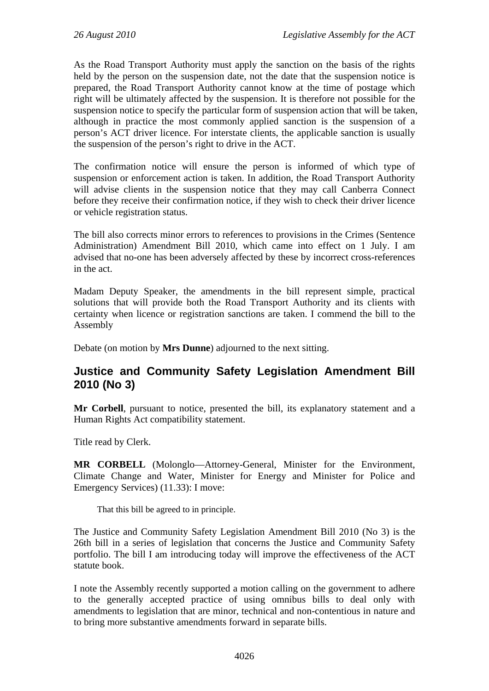As the Road Transport Authority must apply the sanction on the basis of the rights held by the person on the suspension date, not the date that the suspension notice is prepared, the Road Transport Authority cannot know at the time of postage which right will be ultimately affected by the suspension. It is therefore not possible for the suspension notice to specify the particular form of suspension action that will be taken, although in practice the most commonly applied sanction is the suspension of a person's ACT driver licence. For interstate clients, the applicable sanction is usually the suspension of the person's right to drive in the ACT.

The confirmation notice will ensure the person is informed of which type of suspension or enforcement action is taken. In addition, the Road Transport Authority will advise clients in the suspension notice that they may call Canberra Connect before they receive their confirmation notice, if they wish to check their driver licence or vehicle registration status.

The bill also corrects minor errors to references to provisions in the Crimes (Sentence Administration) Amendment Bill 2010, which came into effect on 1 July. I am advised that no-one has been adversely affected by these by incorrect cross-references in the act.

Madam Deputy Speaker, the amendments in the bill represent simple, practical solutions that will provide both the Road Transport Authority and its clients with certainty when licence or registration sanctions are taken. I commend the bill to the Assembly

Debate (on motion by **Mrs Dunne**) adjourned to the next sitting.

# <span id="page-30-0"></span>**Justice and Community Safety Legislation Amendment Bill 2010 (No 3)**

**Mr Corbell**, pursuant to notice, presented the bill, its explanatory statement and a Human Rights Act compatibility statement.

Title read by Clerk.

**MR CORBELL** (Molonglo—Attorney-General, Minister for the Environment, Climate Change and Water, Minister for Energy and Minister for Police and Emergency Services) (11.33): I move:

That this bill be agreed to in principle.

The Justice and Community Safety Legislation Amendment Bill 2010 (No 3) is the 26th bill in a series of legislation that concerns the Justice and Community Safety portfolio. The bill I am introducing today will improve the effectiveness of the ACT statute book.

I note the Assembly recently supported a motion calling on the government to adhere to the generally accepted practice of using omnibus bills to deal only with amendments to legislation that are minor, technical and non-contentious in nature and to bring more substantive amendments forward in separate bills.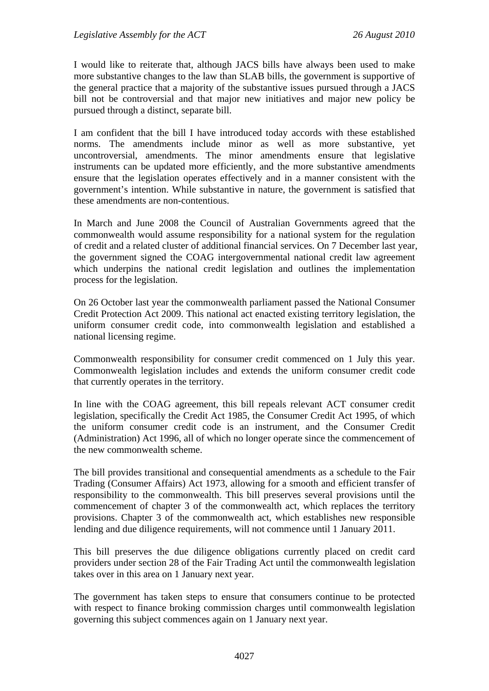I would like to reiterate that, although JACS bills have always been used to make more substantive changes to the law than SLAB bills, the government is supportive of the general practice that a majority of the substantive issues pursued through a JACS bill not be controversial and that major new initiatives and major new policy be pursued through a distinct, separate bill.

I am confident that the bill I have introduced today accords with these established norms. The amendments include minor as well as more substantive, yet uncontroversial, amendments. The minor amendments ensure that legislative instruments can be updated more efficiently, and the more substantive amendments ensure that the legislation operates effectively and in a manner consistent with the government's intention. While substantive in nature, the government is satisfied that these amendments are non-contentious.

In March and June 2008 the Council of Australian Governments agreed that the commonwealth would assume responsibility for a national system for the regulation of credit and a related cluster of additional financial services. On 7 December last year, the government signed the COAG intergovernmental national credit law agreement which underpins the national credit legislation and outlines the implementation process for the legislation.

On 26 October last year the commonwealth parliament passed the National Consumer Credit Protection Act 2009. This national act enacted existing territory legislation, the uniform consumer credit code, into commonwealth legislation and established a national licensing regime.

Commonwealth responsibility for consumer credit commenced on 1 July this year. Commonwealth legislation includes and extends the uniform consumer credit code that currently operates in the territory.

In line with the COAG agreement, this bill repeals relevant ACT consumer credit legislation, specifically the Credit Act 1985, the Consumer Credit Act 1995, of which the uniform consumer credit code is an instrument, and the Consumer Credit (Administration) Act 1996, all of which no longer operate since the commencement of the new commonwealth scheme.

The bill provides transitional and consequential amendments as a schedule to the Fair Trading (Consumer Affairs) Act 1973, allowing for a smooth and efficient transfer of responsibility to the commonwealth. This bill preserves several provisions until the commencement of chapter 3 of the commonwealth act, which replaces the territory provisions. Chapter 3 of the commonwealth act, which establishes new responsible lending and due diligence requirements, will not commence until 1 January 2011.

This bill preserves the due diligence obligations currently placed on credit card providers under section 28 of the Fair Trading Act until the commonwealth legislation takes over in this area on 1 January next year.

The government has taken steps to ensure that consumers continue to be protected with respect to finance broking commission charges until commonwealth legislation governing this subject commences again on 1 January next year.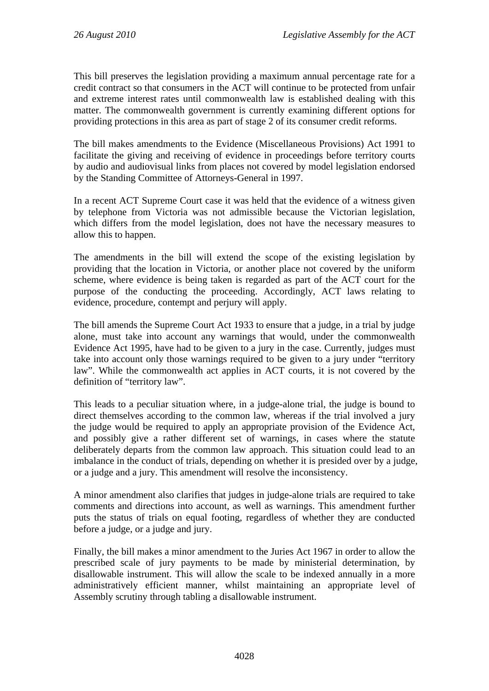This bill preserves the legislation providing a maximum annual percentage rate for a credit contract so that consumers in the ACT will continue to be protected from unfair and extreme interest rates until commonwealth law is established dealing with this matter. The commonwealth government is currently examining different options for providing protections in this area as part of stage 2 of its consumer credit reforms.

The bill makes amendments to the Evidence (Miscellaneous Provisions) Act 1991 to facilitate the giving and receiving of evidence in proceedings before territory courts by audio and audiovisual links from places not covered by model legislation endorsed by the Standing Committee of Attorneys-General in 1997.

In a recent ACT Supreme Court case it was held that the evidence of a witness given by telephone from Victoria was not admissible because the Victorian legislation, which differs from the model legislation, does not have the necessary measures to allow this to happen.

The amendments in the bill will extend the scope of the existing legislation by providing that the location in Victoria, or another place not covered by the uniform scheme, where evidence is being taken is regarded as part of the ACT court for the purpose of the conducting the proceeding. Accordingly, ACT laws relating to evidence, procedure, contempt and perjury will apply.

The bill amends the Supreme Court Act 1933 to ensure that a judge, in a trial by judge alone, must take into account any warnings that would, under the commonwealth Evidence Act 1995, have had to be given to a jury in the case. Currently, judges must take into account only those warnings required to be given to a jury under "territory law". While the commonwealth act applies in ACT courts, it is not covered by the definition of "territory law".

This leads to a peculiar situation where, in a judge-alone trial, the judge is bound to direct themselves according to the common law, whereas if the trial involved a jury the judge would be required to apply an appropriate provision of the Evidence Act, and possibly give a rather different set of warnings, in cases where the statute deliberately departs from the common law approach. This situation could lead to an imbalance in the conduct of trials, depending on whether it is presided over by a judge, or a judge and a jury. This amendment will resolve the inconsistency.

A minor amendment also clarifies that judges in judge-alone trials are required to take comments and directions into account, as well as warnings. This amendment further puts the status of trials on equal footing, regardless of whether they are conducted before a judge, or a judge and jury.

Finally, the bill makes a minor amendment to the Juries Act 1967 in order to allow the prescribed scale of jury payments to be made by ministerial determination, by disallowable instrument. This will allow the scale to be indexed annually in a more administratively efficient manner, whilst maintaining an appropriate level of Assembly scrutiny through tabling a disallowable instrument.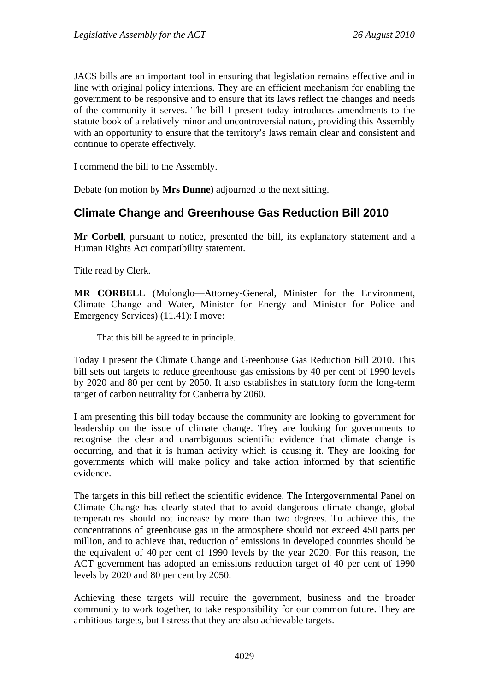JACS bills are an important tool in ensuring that legislation remains effective and in line with original policy intentions. They are an efficient mechanism for enabling the government to be responsive and to ensure that its laws reflect the changes and needs of the community it serves. The bill I present today introduces amendments to the statute book of a relatively minor and uncontroversial nature, providing this Assembly with an opportunity to ensure that the territory's laws remain clear and consistent and continue to operate effectively.

I commend the bill to the Assembly.

Debate (on motion by **Mrs Dunne**) adjourned to the next sitting.

## <span id="page-33-0"></span>**Climate Change and Greenhouse Gas Reduction Bill 2010**

**Mr Corbell**, pursuant to notice, presented the bill, its explanatory statement and a Human Rights Act compatibility statement.

Title read by Clerk.

**MR CORBELL** (Molonglo—Attorney-General, Minister for the Environment, Climate Change and Water, Minister for Energy and Minister for Police and Emergency Services) (11.41): I move:

That this bill be agreed to in principle.

Today I present the Climate Change and Greenhouse Gas Reduction Bill 2010. This bill sets out targets to reduce greenhouse gas emissions by 40 per cent of 1990 levels by 2020 and 80 per cent by 2050. It also establishes in statutory form the long-term target of carbon neutrality for Canberra by 2060.

I am presenting this bill today because the community are looking to government for leadership on the issue of climate change. They are looking for governments to recognise the clear and unambiguous scientific evidence that climate change is occurring, and that it is human activity which is causing it. They are looking for governments which will make policy and take action informed by that scientific evidence.

The targets in this bill reflect the scientific evidence. The Intergovernmental Panel on Climate Change has clearly stated that to avoid dangerous climate change, global temperatures should not increase by more than two degrees. To achieve this, the concentrations of greenhouse gas in the atmosphere should not exceed 450 parts per million, and to achieve that, reduction of emissions in developed countries should be the equivalent of 40 per cent of 1990 levels by the year 2020. For this reason, the ACT government has adopted an emissions reduction target of 40 per cent of 1990 levels by 2020 and 80 per cent by 2050.

Achieving these targets will require the government, business and the broader community to work together, to take responsibility for our common future. They are ambitious targets, but I stress that they are also achievable targets.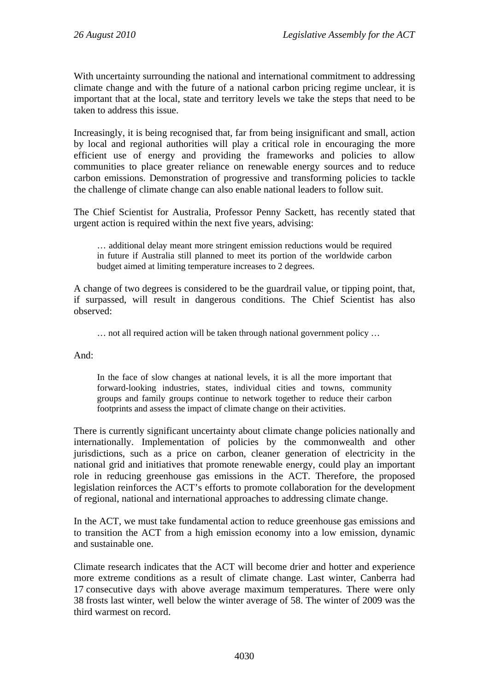With uncertainty surrounding the national and international commitment to addressing climate change and with the future of a national carbon pricing regime unclear, it is important that at the local, state and territory levels we take the steps that need to be taken to address this issue.

Increasingly, it is being recognised that, far from being insignificant and small, action by local and regional authorities will play a critical role in encouraging the more efficient use of energy and providing the frameworks and policies to allow communities to place greater reliance on renewable energy sources and to reduce carbon emissions. Demonstration of progressive and transforming policies to tackle the challenge of climate change can also enable national leaders to follow suit.

The Chief Scientist for Australia, Professor Penny Sackett, has recently stated that urgent action is required within the next five years, advising:

… additional delay meant more stringent emission reductions would be required in future if Australia still planned to meet its portion of the worldwide carbon budget aimed at limiting temperature increases to 2 degrees.

A change of two degrees is considered to be the guardrail value, or tipping point, that, if surpassed, will result in dangerous conditions. The Chief Scientist has also observed:

… not all required action will be taken through national government policy …

And:

In the face of slow changes at national levels, it is all the more important that forward-looking industries, states, individual cities and towns, community groups and family groups continue to network together to reduce their carbon footprints and assess the impact of climate change on their activities.

There is currently significant uncertainty about climate change policies nationally and internationally. Implementation of policies by the commonwealth and other jurisdictions, such as a price on carbon, cleaner generation of electricity in the national grid and initiatives that promote renewable energy, could play an important role in reducing greenhouse gas emissions in the ACT. Therefore, the proposed legislation reinforces the ACT's efforts to promote collaboration for the development of regional, national and international approaches to addressing climate change.

In the ACT, we must take fundamental action to reduce greenhouse gas emissions and to transition the ACT from a high emission economy into a low emission, dynamic and sustainable one.

Climate research indicates that the ACT will become drier and hotter and experience more extreme conditions as a result of climate change. Last winter, Canberra had 17 consecutive days with above average maximum temperatures. There were only 38 frosts last winter, well below the winter average of 58. The winter of 2009 was the third warmest on record.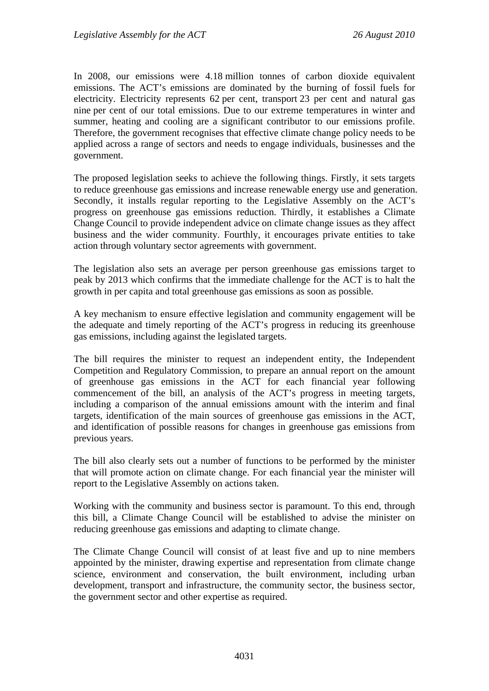In 2008, our emissions were 4.18 million tonnes of carbon dioxide equivalent emissions. The ACT's emissions are dominated by the burning of fossil fuels for electricity. Electricity represents 62 per cent, transport 23 per cent and natural gas nine per cent of our total emissions. Due to our extreme temperatures in winter and summer, heating and cooling are a significant contributor to our emissions profile. Therefore, the government recognises that effective climate change policy needs to be applied across a range of sectors and needs to engage individuals, businesses and the government.

The proposed legislation seeks to achieve the following things. Firstly, it sets targets to reduce greenhouse gas emissions and increase renewable energy use and generation. Secondly, it installs regular reporting to the Legislative Assembly on the ACT's progress on greenhouse gas emissions reduction. Thirdly, it establishes a Climate Change Council to provide independent advice on climate change issues as they affect business and the wider community. Fourthly, it encourages private entities to take action through voluntary sector agreements with government.

The legislation also sets an average per person greenhouse gas emissions target to peak by 2013 which confirms that the immediate challenge for the ACT is to halt the growth in per capita and total greenhouse gas emissions as soon as possible.

A key mechanism to ensure effective legislation and community engagement will be the adequate and timely reporting of the ACT's progress in reducing its greenhouse gas emissions, including against the legislated targets.

The bill requires the minister to request an independent entity, the Independent Competition and Regulatory Commission, to prepare an annual report on the amount of greenhouse gas emissions in the ACT for each financial year following commencement of the bill, an analysis of the ACT's progress in meeting targets, including a comparison of the annual emissions amount with the interim and final targets, identification of the main sources of greenhouse gas emissions in the ACT, and identification of possible reasons for changes in greenhouse gas emissions from previous years.

The bill also clearly sets out a number of functions to be performed by the minister that will promote action on climate change. For each financial year the minister will report to the Legislative Assembly on actions taken.

Working with the community and business sector is paramount. To this end, through this bill, a Climate Change Council will be established to advise the minister on reducing greenhouse gas emissions and adapting to climate change.

The Climate Change Council will consist of at least five and up to nine members appointed by the minister, drawing expertise and representation from climate change science, environment and conservation, the built environment, including urban development, transport and infrastructure, the community sector, the business sector, the government sector and other expertise as required.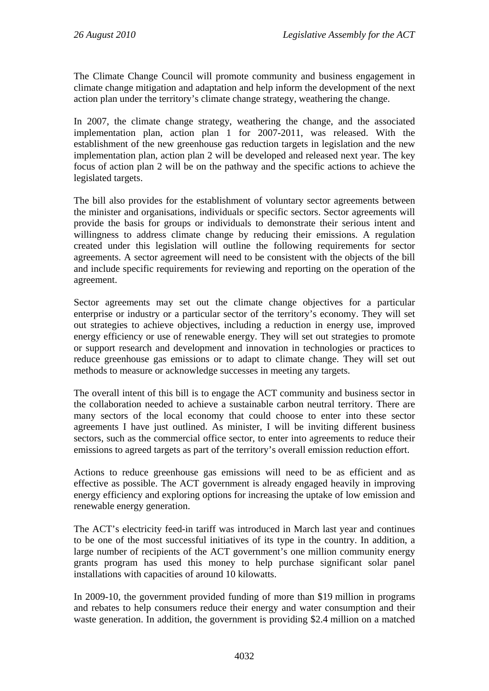The Climate Change Council will promote community and business engagement in climate change mitigation and adaptation and help inform the development of the next action plan under the territory's climate change strategy, weathering the change.

In 2007, the climate change strategy, weathering the change, and the associated implementation plan, action plan 1 for 2007-2011, was released. With the establishment of the new greenhouse gas reduction targets in legislation and the new implementation plan, action plan 2 will be developed and released next year. The key focus of action plan 2 will be on the pathway and the specific actions to achieve the legislated targets.

The bill also provides for the establishment of voluntary sector agreements between the minister and organisations, individuals or specific sectors. Sector agreements will provide the basis for groups or individuals to demonstrate their serious intent and willingness to address climate change by reducing their emissions. A regulation created under this legislation will outline the following requirements for sector agreements. A sector agreement will need to be consistent with the objects of the bill and include specific requirements for reviewing and reporting on the operation of the agreement.

Sector agreements may set out the climate change objectives for a particular enterprise or industry or a particular sector of the territory's economy. They will set out strategies to achieve objectives, including a reduction in energy use, improved energy efficiency or use of renewable energy. They will set out strategies to promote or support research and development and innovation in technologies or practices to reduce greenhouse gas emissions or to adapt to climate change. They will set out methods to measure or acknowledge successes in meeting any targets.

The overall intent of this bill is to engage the ACT community and business sector in the collaboration needed to achieve a sustainable carbon neutral territory. There are many sectors of the local economy that could choose to enter into these sector agreements I have just outlined. As minister, I will be inviting different business sectors, such as the commercial office sector, to enter into agreements to reduce their emissions to agreed targets as part of the territory's overall emission reduction effort.

Actions to reduce greenhouse gas emissions will need to be as efficient and as effective as possible. The ACT government is already engaged heavily in improving energy efficiency and exploring options for increasing the uptake of low emission and renewable energy generation.

The ACT's electricity feed-in tariff was introduced in March last year and continues to be one of the most successful initiatives of its type in the country. In addition, a large number of recipients of the ACT government's one million community energy grants program has used this money to help purchase significant solar panel installations with capacities of around 10 kilowatts.

In 2009-10, the government provided funding of more than \$19 million in programs and rebates to help consumers reduce their energy and water consumption and their waste generation. In addition, the government is providing \$2.4 million on a matched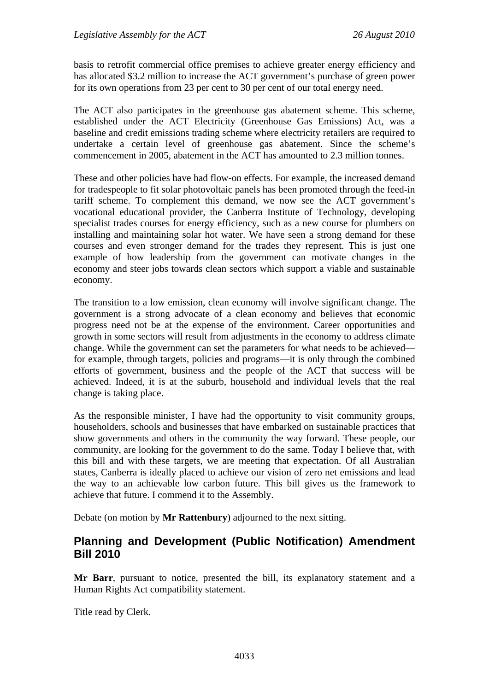basis to retrofit commercial office premises to achieve greater energy efficiency and has allocated \$3.2 million to increase the ACT government's purchase of green power for its own operations from 23 per cent to 30 per cent of our total energy need.

The ACT also participates in the greenhouse gas abatement scheme. This scheme, established under the ACT Electricity (Greenhouse Gas Emissions) Act, was a baseline and credit emissions trading scheme where electricity retailers are required to undertake a certain level of greenhouse gas abatement. Since the scheme's commencement in 2005, abatement in the ACT has amounted to 2.3 million tonnes.

These and other policies have had flow-on effects. For example, the increased demand for tradespeople to fit solar photovoltaic panels has been promoted through the feed-in tariff scheme. To complement this demand, we now see the ACT government's vocational educational provider, the Canberra Institute of Technology, developing specialist trades courses for energy efficiency, such as a new course for plumbers on installing and maintaining solar hot water. We have seen a strong demand for these courses and even stronger demand for the trades they represent. This is just one example of how leadership from the government can motivate changes in the economy and steer jobs towards clean sectors which support a viable and sustainable economy.

The transition to a low emission, clean economy will involve significant change. The government is a strong advocate of a clean economy and believes that economic progress need not be at the expense of the environment. Career opportunities and growth in some sectors will result from adjustments in the economy to address climate change. While the government can set the parameters for what needs to be achieved for example, through targets, policies and programs—it is only through the combined efforts of government, business and the people of the ACT that success will be achieved. Indeed, it is at the suburb, household and individual levels that the real change is taking place.

As the responsible minister, I have had the opportunity to visit community groups, householders, schools and businesses that have embarked on sustainable practices that show governments and others in the community the way forward. These people, our community, are looking for the government to do the same. Today I believe that, with this bill and with these targets, we are meeting that expectation. Of all Australian states, Canberra is ideally placed to achieve our vision of zero net emissions and lead the way to an achievable low carbon future. This bill gives us the framework to achieve that future. I commend it to the Assembly.

Debate (on motion by **Mr Rattenbury**) adjourned to the next sitting.

# **Planning and Development (Public Notification) Amendment Bill 2010**

**Mr Barr**, pursuant to notice, presented the bill, its explanatory statement and a Human Rights Act compatibility statement.

Title read by Clerk.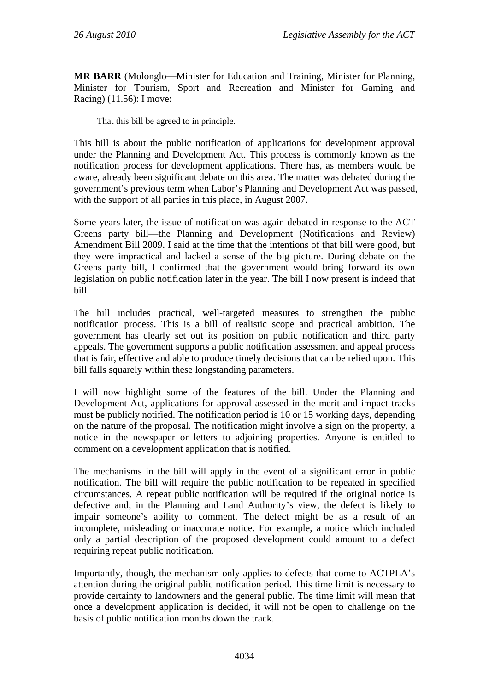**MR BARR** (Molonglo—Minister for Education and Training, Minister for Planning, Minister for Tourism, Sport and Recreation and Minister for Gaming and Racing) (11.56): I move:

That this bill be agreed to in principle.

This bill is about the public notification of applications for development approval under the Planning and Development Act. This process is commonly known as the notification process for development applications. There has, as members would be aware, already been significant debate on this area. The matter was debated during the government's previous term when Labor's Planning and Development Act was passed, with the support of all parties in this place, in August 2007.

Some years later, the issue of notification was again debated in response to the ACT Greens party bill—the Planning and Development (Notifications and Review) Amendment Bill 2009. I said at the time that the intentions of that bill were good, but they were impractical and lacked a sense of the big picture. During debate on the Greens party bill, I confirmed that the government would bring forward its own legislation on public notification later in the year. The bill I now present is indeed that bill.

The bill includes practical, well-targeted measures to strengthen the public notification process. This is a bill of realistic scope and practical ambition. The government has clearly set out its position on public notification and third party appeals. The government supports a public notification assessment and appeal process that is fair, effective and able to produce timely decisions that can be relied upon. This bill falls squarely within these longstanding parameters.

I will now highlight some of the features of the bill. Under the Planning and Development Act, applications for approval assessed in the merit and impact tracks must be publicly notified. The notification period is 10 or 15 working days, depending on the nature of the proposal. The notification might involve a sign on the property, a notice in the newspaper or letters to adjoining properties. Anyone is entitled to comment on a development application that is notified.

The mechanisms in the bill will apply in the event of a significant error in public notification. The bill will require the public notification to be repeated in specified circumstances. A repeat public notification will be required if the original notice is defective and, in the Planning and Land Authority's view, the defect is likely to impair someone's ability to comment. The defect might be as a result of an incomplete, misleading or inaccurate notice. For example, a notice which included only a partial description of the proposed development could amount to a defect requiring repeat public notification.

Importantly, though, the mechanism only applies to defects that come to ACTPLA's attention during the original public notification period. This time limit is necessary to provide certainty to landowners and the general public. The time limit will mean that once a development application is decided, it will not be open to challenge on the basis of public notification months down the track.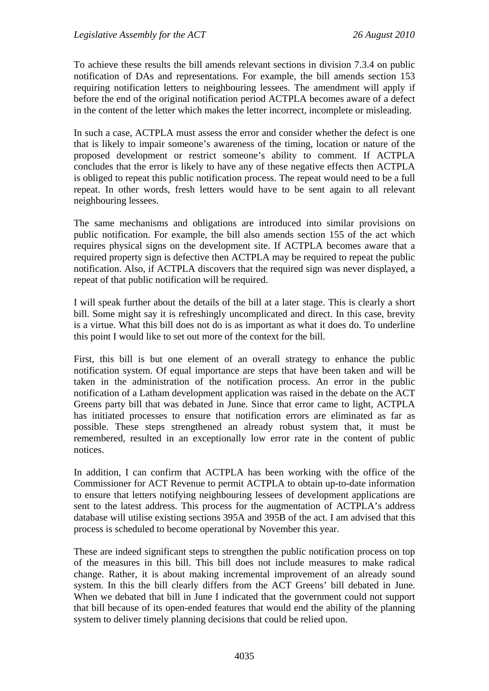To achieve these results the bill amends relevant sections in division 7.3.4 on public notification of DAs and representations. For example, the bill amends section 153 requiring notification letters to neighbouring lessees. The amendment will apply if before the end of the original notification period ACTPLA becomes aware of a defect in the content of the letter which makes the letter incorrect, incomplete or misleading.

In such a case, ACTPLA must assess the error and consider whether the defect is one that is likely to impair someone's awareness of the timing, location or nature of the proposed development or restrict someone's ability to comment. If ACTPLA concludes that the error is likely to have any of these negative effects then ACTPLA is obliged to repeat this public notification process. The repeat would need to be a full repeat. In other words, fresh letters would have to be sent again to all relevant neighbouring lessees.

The same mechanisms and obligations are introduced into similar provisions on public notification. For example, the bill also amends section 155 of the act which requires physical signs on the development site. If ACTPLA becomes aware that a required property sign is defective then ACTPLA may be required to repeat the public notification. Also, if ACTPLA discovers that the required sign was never displayed, a repeat of that public notification will be required.

I will speak further about the details of the bill at a later stage. This is clearly a short bill. Some might say it is refreshingly uncomplicated and direct. In this case, brevity is a virtue. What this bill does not do is as important as what it does do. To underline this point I would like to set out more of the context for the bill.

First, this bill is but one element of an overall strategy to enhance the public notification system. Of equal importance are steps that have been taken and will be taken in the administration of the notification process. An error in the public notification of a Latham development application was raised in the debate on the ACT Greens party bill that was debated in June. Since that error came to light, ACTPLA has initiated processes to ensure that notification errors are eliminated as far as possible. These steps strengthened an already robust system that, it must be remembered, resulted in an exceptionally low error rate in the content of public notices.

In addition, I can confirm that ACTPLA has been working with the office of the Commissioner for ACT Revenue to permit ACTPLA to obtain up-to-date information to ensure that letters notifying neighbouring lessees of development applications are sent to the latest address. This process for the augmentation of ACTPLA's address database will utilise existing sections 395A and 395B of the act. I am advised that this process is scheduled to become operational by November this year.

These are indeed significant steps to strengthen the public notification process on top of the measures in this bill. This bill does not include measures to make radical change. Rather, it is about making incremental improvement of an already sound system. In this the bill clearly differs from the ACT Greens' bill debated in June. When we debated that bill in June I indicated that the government could not support that bill because of its open-ended features that would end the ability of the planning system to deliver timely planning decisions that could be relied upon.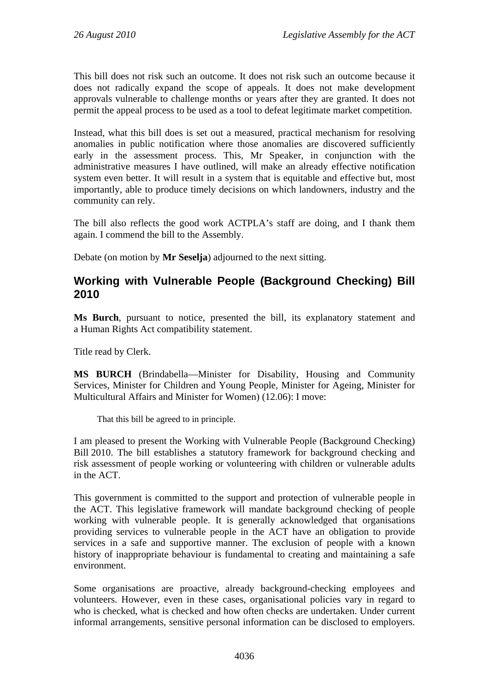This bill does not risk such an outcome. It does not risk such an outcome because it does not radically expand the scope of appeals. It does not make development approvals vulnerable to challenge months or years after they are granted. It does not permit the appeal process to be used as a tool to defeat legitimate market competition.

Instead, what this bill does is set out a measured, practical mechanism for resolving anomalies in public notification where those anomalies are discovered sufficiently early in the assessment process. This, Mr Speaker, in conjunction with the administrative measures I have outlined, will make an already effective notification system even better. It will result in a system that is equitable and effective but, most importantly, able to produce timely decisions on which landowners, industry and the community can rely.

The bill also reflects the good work ACTPLA's staff are doing, and I thank them again. I commend the bill to the Assembly.

Debate (on motion by **Mr Seselja**) adjourned to the next sitting.

# **Working with Vulnerable People (Background Checking) Bill 2010**

**Ms Burch**, pursuant to notice, presented the bill, its explanatory statement and a Human Rights Act compatibility statement.

Title read by Clerk.

**MS BURCH** (Brindabella—Minister for Disability, Housing and Community Services, Minister for Children and Young People, Minister for Ageing, Minister for Multicultural Affairs and Minister for Women) (12.06): I move:

That this bill be agreed to in principle.

I am pleased to present the Working with Vulnerable People (Background Checking) Bill 2010. The bill establishes a statutory framework for background checking and risk assessment of people working or volunteering with children or vulnerable adults in the ACT.

This government is committed to the support and protection of vulnerable people in the ACT. This legislative framework will mandate background checking of people working with vulnerable people. It is generally acknowledged that organisations providing services to vulnerable people in the ACT have an obligation to provide services in a safe and supportive manner. The exclusion of people with a known history of inappropriate behaviour is fundamental to creating and maintaining a safe environment.

Some organisations are proactive, already background-checking employees and volunteers. However, even in these cases, organisational policies vary in regard to who is checked, what is checked and how often checks are undertaken. Under current informal arrangements, sensitive personal information can be disclosed to employers.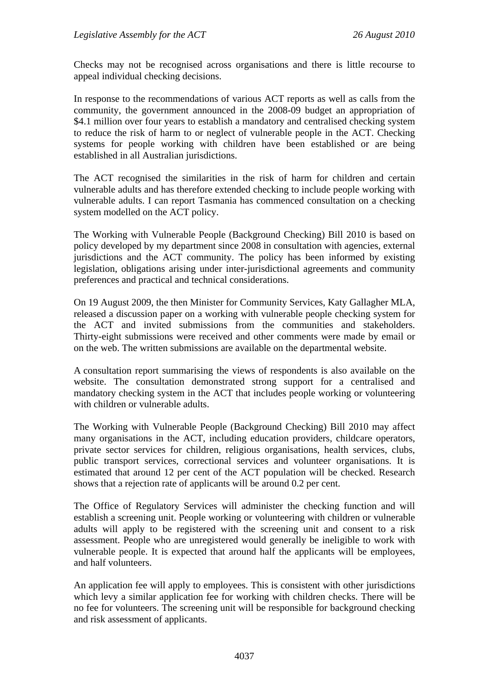Checks may not be recognised across organisations and there is little recourse to appeal individual checking decisions.

In response to the recommendations of various ACT reports as well as calls from the community, the government announced in the 2008-09 budget an appropriation of \$4.1 million over four years to establish a mandatory and centralised checking system to reduce the risk of harm to or neglect of vulnerable people in the ACT. Checking systems for people working with children have been established or are being established in all Australian jurisdictions.

The ACT recognised the similarities in the risk of harm for children and certain vulnerable adults and has therefore extended checking to include people working with vulnerable adults. I can report Tasmania has commenced consultation on a checking system modelled on the ACT policy.

The Working with Vulnerable People (Background Checking) Bill 2010 is based on policy developed by my department since 2008 in consultation with agencies, external jurisdictions and the ACT community. The policy has been informed by existing legislation, obligations arising under inter-jurisdictional agreements and community preferences and practical and technical considerations.

On 19 August 2009, the then Minister for Community Services, Katy Gallagher MLA, released a discussion paper on a working with vulnerable people checking system for the ACT and invited submissions from the communities and stakeholders. Thirty-eight submissions were received and other comments were made by email or on the web. The written submissions are available on the departmental website.

A consultation report summarising the views of respondents is also available on the website. The consultation demonstrated strong support for a centralised and mandatory checking system in the ACT that includes people working or volunteering with children or vulnerable adults.

The Working with Vulnerable People (Background Checking) Bill 2010 may affect many organisations in the ACT, including education providers, childcare operators, private sector services for children, religious organisations, health services, clubs, public transport services, correctional services and volunteer organisations. It is estimated that around 12 per cent of the ACT population will be checked. Research shows that a rejection rate of applicants will be around 0.2 per cent.

The Office of Regulatory Services will administer the checking function and will establish a screening unit. People working or volunteering with children or vulnerable adults will apply to be registered with the screening unit and consent to a risk assessment. People who are unregistered would generally be ineligible to work with vulnerable people. It is expected that around half the applicants will be employees, and half volunteers.

An application fee will apply to employees. This is consistent with other jurisdictions which levy a similar application fee for working with children checks. There will be no fee for volunteers. The screening unit will be responsible for background checking and risk assessment of applicants.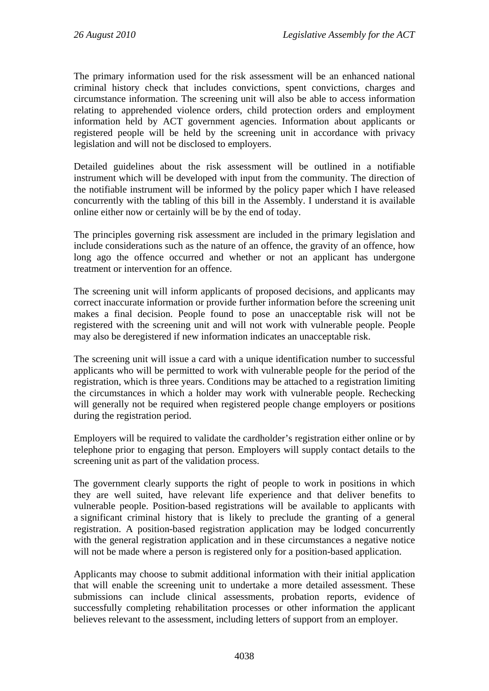The primary information used for the risk assessment will be an enhanced national criminal history check that includes convictions, spent convictions, charges and circumstance information. The screening unit will also be able to access information relating to apprehended violence orders, child protection orders and employment information held by ACT government agencies. Information about applicants or registered people will be held by the screening unit in accordance with privacy legislation and will not be disclosed to employers.

Detailed guidelines about the risk assessment will be outlined in a notifiable instrument which will be developed with input from the community. The direction of the notifiable instrument will be informed by the policy paper which I have released concurrently with the tabling of this bill in the Assembly. I understand it is available online either now or certainly will be by the end of today.

The principles governing risk assessment are included in the primary legislation and include considerations such as the nature of an offence, the gravity of an offence, how long ago the offence occurred and whether or not an applicant has undergone treatment or intervention for an offence.

The screening unit will inform applicants of proposed decisions, and applicants may correct inaccurate information or provide further information before the screening unit makes a final decision. People found to pose an unacceptable risk will not be registered with the screening unit and will not work with vulnerable people. People may also be deregistered if new information indicates an unacceptable risk.

The screening unit will issue a card with a unique identification number to successful applicants who will be permitted to work with vulnerable people for the period of the registration, which is three years. Conditions may be attached to a registration limiting the circumstances in which a holder may work with vulnerable people. Rechecking will generally not be required when registered people change employers or positions during the registration period.

Employers will be required to validate the cardholder's registration either online or by telephone prior to engaging that person. Employers will supply contact details to the screening unit as part of the validation process.

The government clearly supports the right of people to work in positions in which they are well suited, have relevant life experience and that deliver benefits to vulnerable people. Position-based registrations will be available to applicants with a significant criminal history that is likely to preclude the granting of a general registration. A position-based registration application may be lodged concurrently with the general registration application and in these circumstances a negative notice will not be made where a person is registered only for a position-based application.

Applicants may choose to submit additional information with their initial application that will enable the screening unit to undertake a more detailed assessment. These submissions can include clinical assessments, probation reports, evidence of successfully completing rehabilitation processes or other information the applicant believes relevant to the assessment, including letters of support from an employer.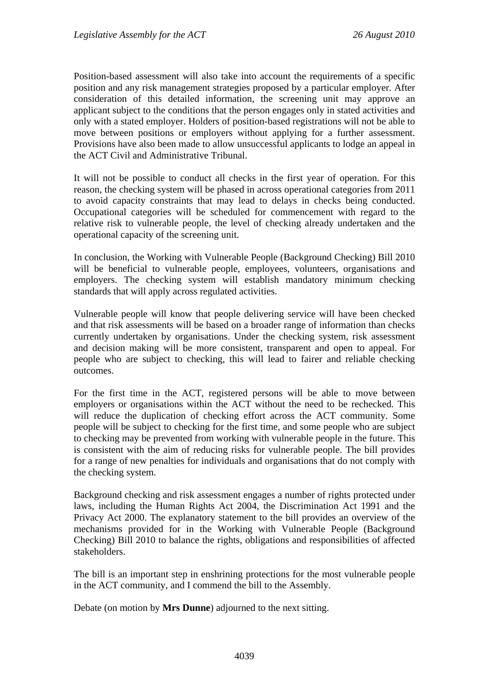Position-based assessment will also take into account the requirements of a specific position and any risk management strategies proposed by a particular employer. After consideration of this detailed information, the screening unit may approve an applicant subject to the conditions that the person engages only in stated activities and only with a stated employer. Holders of position-based registrations will not be able to move between positions or employers without applying for a further assessment. Provisions have also been made to allow unsuccessful applicants to lodge an appeal in the ACT Civil and Administrative Tribunal.

It will not be possible to conduct all checks in the first year of operation. For this reason, the checking system will be phased in across operational categories from 2011 to avoid capacity constraints that may lead to delays in checks being conducted. Occupational categories will be scheduled for commencement with regard to the relative risk to vulnerable people, the level of checking already undertaken and the operational capacity of the screening unit.

In conclusion, the Working with Vulnerable People (Background Checking) Bill 2010 will be beneficial to vulnerable people, employees, volunteers, organisations and employers. The checking system will establish mandatory minimum checking standards that will apply across regulated activities.

Vulnerable people will know that people delivering service will have been checked and that risk assessments will be based on a broader range of information than checks currently undertaken by organisations. Under the checking system, risk assessment and decision making will be more consistent, transparent and open to appeal. For people who are subject to checking, this will lead to fairer and reliable checking outcomes.

For the first time in the ACT, registered persons will be able to move between employers or organisations within the ACT without the need to be rechecked. This will reduce the duplication of checking effort across the ACT community. Some people will be subject to checking for the first time, and some people who are subject to checking may be prevented from working with vulnerable people in the future. This is consistent with the aim of reducing risks for vulnerable people. The bill provides for a range of new penalties for individuals and organisations that do not comply with the checking system.

Background checking and risk assessment engages a number of rights protected under laws, including the Human Rights Act 2004, the Discrimination Act 1991 and the Privacy Act 2000. The explanatory statement to the bill provides an overview of the mechanisms provided for in the Working with Vulnerable People (Background Checking) Bill 2010 to balance the rights, obligations and responsibilities of affected stakeholders.

The bill is an important step in enshrining protections for the most vulnerable people in the ACT community, and I commend the bill to the Assembly.

Debate (on motion by **Mrs Dunne**) adjourned to the next sitting.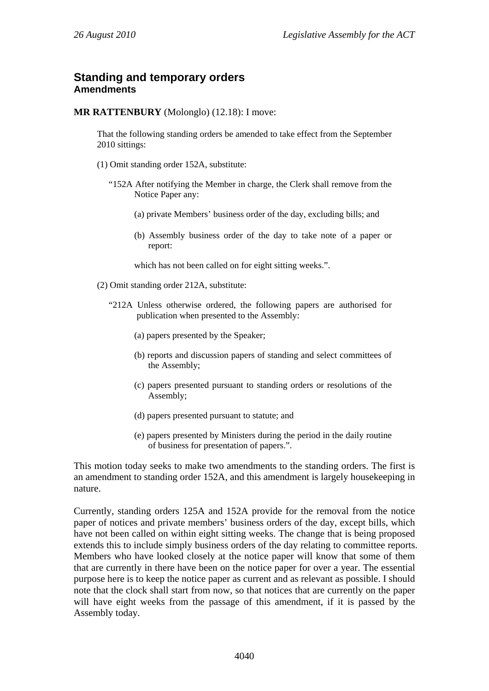## **Standing and temporary orders Amendments**

**MR RATTENBURY** (Molonglo) (12.18): I move:

That the following standing orders be amended to take effect from the September 2010 sittings:

- (1) Omit standing order 152A, substitute:
	- "152A After notifying the Member in charge, the Clerk shall remove from the Notice Paper any:
		- (a) private Members' business order of the day, excluding bills; and
		- (b) Assembly business order of the day to take note of a paper or report:

which has not been called on for eight sitting weeks.".

- (2) Omit standing order 212A, substitute:
	- "212A Unless otherwise ordered, the following papers are authorised for publication when presented to the Assembly:
		- (a) papers presented by the Speaker;
		- (b) reports and discussion papers of standing and select committees of the Assembly;
		- (c) papers presented pursuant to standing orders or resolutions of the Assembly;
		- (d) papers presented pursuant to statute; and
		- (e) papers presented by Ministers during the period in the daily routine of business for presentation of papers.".

This motion today seeks to make two amendments to the standing orders. The first is an amendment to standing order 152A, and this amendment is largely housekeeping in nature.

Currently, standing orders 125A and 152A provide for the removal from the notice paper of notices and private members' business orders of the day, except bills, which have not been called on within eight sitting weeks. The change that is being proposed extends this to include simply business orders of the day relating to committee reports. Members who have looked closely at the notice paper will know that some of them that are currently in there have been on the notice paper for over a year. The essential purpose here is to keep the notice paper as current and as relevant as possible. I should note that the clock shall start from now, so that notices that are currently on the paper will have eight weeks from the passage of this amendment, if it is passed by the Assembly today.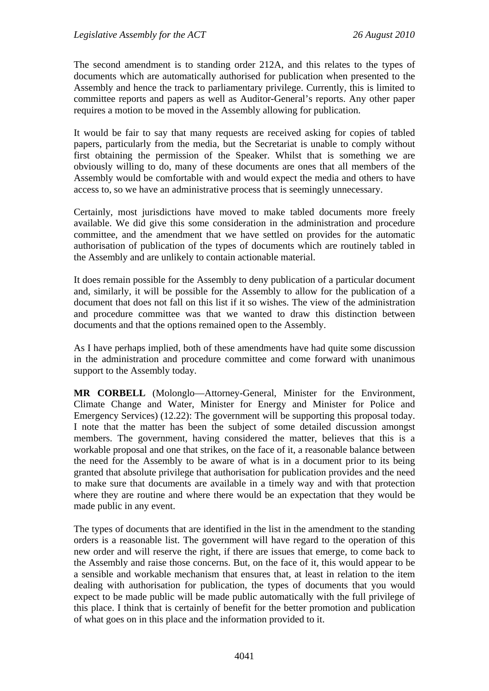The second amendment is to standing order 212A, and this relates to the types of documents which are automatically authorised for publication when presented to the Assembly and hence the track to parliamentary privilege. Currently, this is limited to committee reports and papers as well as Auditor-General's reports. Any other paper requires a motion to be moved in the Assembly allowing for publication.

It would be fair to say that many requests are received asking for copies of tabled papers, particularly from the media, but the Secretariat is unable to comply without first obtaining the permission of the Speaker. Whilst that is something we are obviously willing to do, many of these documents are ones that all members of the Assembly would be comfortable with and would expect the media and others to have access to, so we have an administrative process that is seemingly unnecessary.

Certainly, most jurisdictions have moved to make tabled documents more freely available. We did give this some consideration in the administration and procedure committee, and the amendment that we have settled on provides for the automatic authorisation of publication of the types of documents which are routinely tabled in the Assembly and are unlikely to contain actionable material.

It does remain possible for the Assembly to deny publication of a particular document and, similarly, it will be possible for the Assembly to allow for the publication of a document that does not fall on this list if it so wishes. The view of the administration and procedure committee was that we wanted to draw this distinction between documents and that the options remained open to the Assembly.

As I have perhaps implied, both of these amendments have had quite some discussion in the administration and procedure committee and come forward with unanimous support to the Assembly today.

**MR CORBELL** (Molonglo—Attorney-General, Minister for the Environment, Climate Change and Water, Minister for Energy and Minister for Police and Emergency Services) (12.22): The government will be supporting this proposal today. I note that the matter has been the subject of some detailed discussion amongst members. The government, having considered the matter, believes that this is a workable proposal and one that strikes, on the face of it, a reasonable balance between the need for the Assembly to be aware of what is in a document prior to its being granted that absolute privilege that authorisation for publication provides and the need to make sure that documents are available in a timely way and with that protection where they are routine and where there would be an expectation that they would be made public in any event.

The types of documents that are identified in the list in the amendment to the standing orders is a reasonable list. The government will have regard to the operation of this new order and will reserve the right, if there are issues that emerge, to come back to the Assembly and raise those concerns. But, on the face of it, this would appear to be a sensible and workable mechanism that ensures that, at least in relation to the item dealing with authorisation for publication, the types of documents that you would expect to be made public will be made public automatically with the full privilege of this place. I think that is certainly of benefit for the better promotion and publication of what goes on in this place and the information provided to it.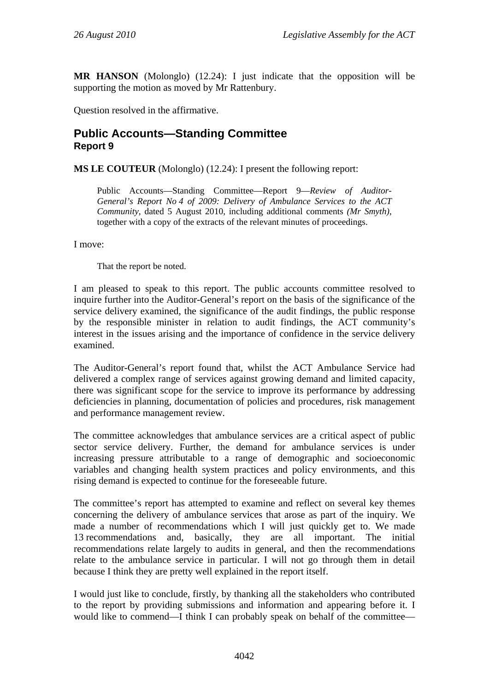**MR HANSON** (Molonglo) (12.24): I just indicate that the opposition will be supporting the motion as moved by Mr Rattenbury.

Question resolved in the affirmative.

# **Public Accounts—Standing Committee Report 9**

**MS LE COUTEUR** (Molonglo) (12.24): I present the following report:

Public Accounts—Standing Committee—Report 9—*Review of Auditor-General's Report No 4 of 2009: Delivery of Ambulance Services to the ACT Community,* dated 5 August 2010, including additional comments *(Mr Smyth)*, together with a copy of the extracts of the relevant minutes of proceedings.

I move:

That the report be noted.

I am pleased to speak to this report. The public accounts committee resolved to inquire further into the Auditor-General's report on the basis of the significance of the service delivery examined, the significance of the audit findings, the public response by the responsible minister in relation to audit findings, the ACT community's interest in the issues arising and the importance of confidence in the service delivery examined.

The Auditor-General's report found that, whilst the ACT Ambulance Service had delivered a complex range of services against growing demand and limited capacity, there was significant scope for the service to improve its performance by addressing deficiencies in planning, documentation of policies and procedures, risk management and performance management review.

The committee acknowledges that ambulance services are a critical aspect of public sector service delivery. Further, the demand for ambulance services is under increasing pressure attributable to a range of demographic and socioeconomic variables and changing health system practices and policy environments, and this rising demand is expected to continue for the foreseeable future.

The committee's report has attempted to examine and reflect on several key themes concerning the delivery of ambulance services that arose as part of the inquiry. We made a number of recommendations which I will just quickly get to. We made 13 recommendations and, basically, they are all important. The initial recommendations relate largely to audits in general, and then the recommendations relate to the ambulance service in particular. I will not go through them in detail because I think they are pretty well explained in the report itself.

I would just like to conclude, firstly, by thanking all the stakeholders who contributed to the report by providing submissions and information and appearing before it. I would like to commend—I think I can probably speak on behalf of the committee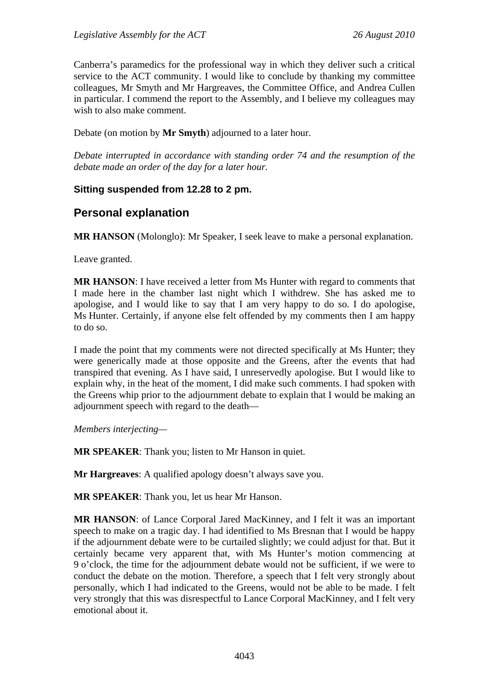Canberra's paramedics for the professional way in which they deliver such a critical service to the ACT community. I would like to conclude by thanking my committee colleagues, Mr Smyth and Mr Hargreaves, the Committee Office, and Andrea Cullen in particular. I commend the report to the Assembly, and I believe my colleagues may wish to also make comment.

Debate (on motion by **Mr Smyth**) adjourned to a later hour.

*Debate interrupted in accordance with standing order 74 and the resumption of the debate made an order of the day for a later hour.* 

## **Sitting suspended from 12.28 to 2 pm.**

## **Personal explanation**

**MR HANSON** (Molonglo): Mr Speaker, I seek leave to make a personal explanation.

Leave granted.

**MR HANSON**: I have received a letter from Ms Hunter with regard to comments that I made here in the chamber last night which I withdrew. She has asked me to apologise, and I would like to say that I am very happy to do so. I do apologise, Ms Hunter. Certainly, if anyone else felt offended by my comments then I am happy to do so.

I made the point that my comments were not directed specifically at Ms Hunter; they were generically made at those opposite and the Greens, after the events that had transpired that evening. As I have said, I unreservedly apologise. But I would like to explain why, in the heat of the moment, I did make such comments. I had spoken with the Greens whip prior to the adjournment debate to explain that I would be making an adjournment speech with regard to the death—

*Members interjecting—* 

**MR SPEAKER:** Thank you; listen to Mr Hanson in quiet.

**Mr Hargreaves**: A qualified apology doesn't always save you.

**MR SPEAKER**: Thank you, let us hear Mr Hanson.

**MR HANSON**: of Lance Corporal Jared MacKinney, and I felt it was an important speech to make on a tragic day. I had identified to Ms Bresnan that I would be happy if the adjournment debate were to be curtailed slightly; we could adjust for that. But it certainly became very apparent that, with Ms Hunter's motion commencing at 9 o'clock, the time for the adjournment debate would not be sufficient, if we were to conduct the debate on the motion. Therefore, a speech that I felt very strongly about personally, which I had indicated to the Greens, would not be able to be made. I felt very strongly that this was disrespectful to Lance Corporal MacKinney, and I felt very emotional about it.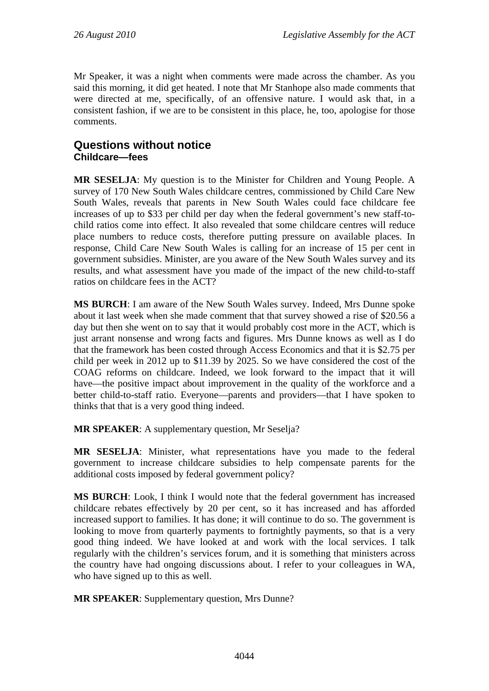Mr Speaker, it was a night when comments were made across the chamber. As you said this morning, it did get heated. I note that Mr Stanhope also made comments that were directed at me, specifically, of an offensive nature. I would ask that, in a consistent fashion, if we are to be consistent in this place, he, too, apologise for those comments.

# **Questions without notice Childcare—fees**

**MR SESELJA**: My question is to the Minister for Children and Young People. A survey of 170 New South Wales childcare centres, commissioned by Child Care New South Wales, reveals that parents in New South Wales could face childcare fee increases of up to \$33 per child per day when the federal government's new staff-tochild ratios come into effect. It also revealed that some childcare centres will reduce place numbers to reduce costs, therefore putting pressure on available places. In response, Child Care New South Wales is calling for an increase of 15 per cent in government subsidies. Minister, are you aware of the New South Wales survey and its results, and what assessment have you made of the impact of the new child-to-staff ratios on childcare fees in the ACT?

**MS BURCH**: I am aware of the New South Wales survey. Indeed, Mrs Dunne spoke about it last week when she made comment that that survey showed a rise of \$20.56 a day but then she went on to say that it would probably cost more in the ACT, which is just arrant nonsense and wrong facts and figures. Mrs Dunne knows as well as I do that the framework has been costed through Access Economics and that it is \$2.75 per child per week in 2012 up to \$11.39 by 2025. So we have considered the cost of the COAG reforms on childcare. Indeed, we look forward to the impact that it will have—the positive impact about improvement in the quality of the workforce and a better child-to-staff ratio. Everyone—parents and providers—that I have spoken to thinks that that is a very good thing indeed.

**MR SPEAKER:** A supplementary question, Mr Seselia?

**MR SESELJA**: Minister, what representations have you made to the federal government to increase childcare subsidies to help compensate parents for the additional costs imposed by federal government policy?

**MS BURCH**: Look, I think I would note that the federal government has increased childcare rebates effectively by 20 per cent, so it has increased and has afforded increased support to families. It has done; it will continue to do so. The government is looking to move from quarterly payments to fortnightly payments, so that is a very good thing indeed. We have looked at and work with the local services. I talk regularly with the children's services forum, and it is something that ministers across the country have had ongoing discussions about. I refer to your colleagues in WA, who have signed up to this as well.

**MR SPEAKER**: Supplementary question, Mrs Dunne?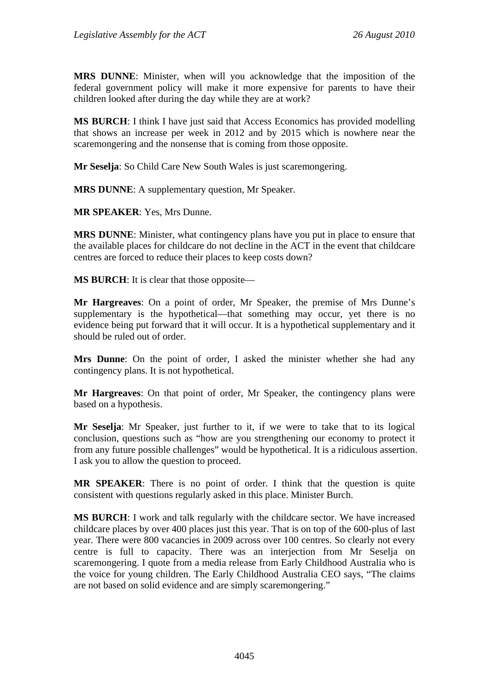**MRS DUNNE**: Minister, when will you acknowledge that the imposition of the federal government policy will make it more expensive for parents to have their children looked after during the day while they are at work?

**MS BURCH**: I think I have just said that Access Economics has provided modelling that shows an increase per week in 2012 and by 2015 which is nowhere near the scaremongering and the nonsense that is coming from those opposite.

**Mr Seselja**: So Child Care New South Wales is just scaremongering.

**MRS DUNNE**: A supplementary question, Mr Speaker.

**MR SPEAKER**: Yes, Mrs Dunne.

**MRS DUNNE**: Minister, what contingency plans have you put in place to ensure that the available places for childcare do not decline in the ACT in the event that childcare centres are forced to reduce their places to keep costs down?

**MS BURCH**: It is clear that those opposite—

**Mr Hargreaves**: On a point of order, Mr Speaker, the premise of Mrs Dunne's supplementary is the hypothetical—that something may occur, yet there is no evidence being put forward that it will occur. It is a hypothetical supplementary and it should be ruled out of order.

**Mrs Dunne**: On the point of order, I asked the minister whether she had any contingency plans. It is not hypothetical.

**Mr Hargreaves**: On that point of order, Mr Speaker, the contingency plans were based on a hypothesis.

**Mr Seselja**: Mr Speaker, just further to it, if we were to take that to its logical conclusion, questions such as "how are you strengthening our economy to protect it from any future possible challenges" would be hypothetical. It is a ridiculous assertion. I ask you to allow the question to proceed.

**MR SPEAKER**: There is no point of order. I think that the question is quite consistent with questions regularly asked in this place. Minister Burch.

**MS BURCH**: I work and talk regularly with the childcare sector. We have increased childcare places by over 400 places just this year. That is on top of the 600-plus of last year. There were 800 vacancies in 2009 across over 100 centres. So clearly not every centre is full to capacity. There was an interjection from Mr Seselja on scaremongering. I quote from a media release from Early Childhood Australia who is the voice for young children. The Early Childhood Australia CEO says, "The claims are not based on solid evidence and are simply scaremongering."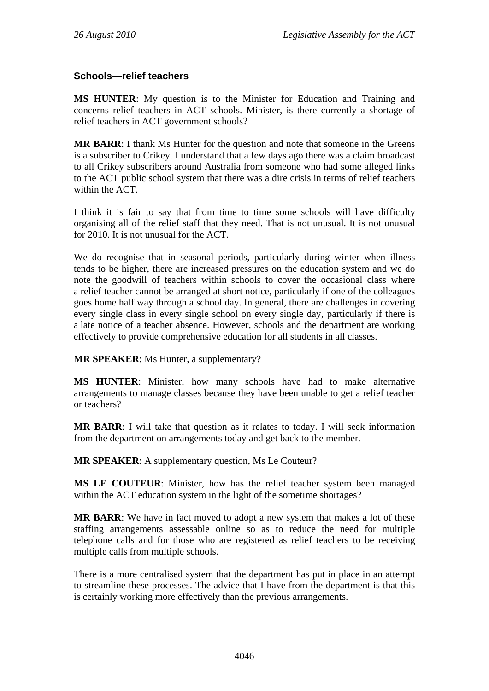## **Schools—relief teachers**

**MS HUNTER**: My question is to the Minister for Education and Training and concerns relief teachers in ACT schools. Minister, is there currently a shortage of relief teachers in ACT government schools?

**MR BARR**: I thank Ms Hunter for the question and note that someone in the Greens is a subscriber to Crikey. I understand that a few days ago there was a claim broadcast to all Crikey subscribers around Australia from someone who had some alleged links to the ACT public school system that there was a dire crisis in terms of relief teachers within the ACT.

I think it is fair to say that from time to time some schools will have difficulty organising all of the relief staff that they need. That is not unusual. It is not unusual for 2010. It is not unusual for the ACT.

We do recognise that in seasonal periods, particularly during winter when illness tends to be higher, there are increased pressures on the education system and we do note the goodwill of teachers within schools to cover the occasional class where a relief teacher cannot be arranged at short notice, particularly if one of the colleagues goes home half way through a school day. In general, there are challenges in covering every single class in every single school on every single day, particularly if there is a late notice of a teacher absence. However, schools and the department are working effectively to provide comprehensive education for all students in all classes.

**MR SPEAKER**: Ms Hunter, a supplementary?

**MS HUNTER**: Minister, how many schools have had to make alternative arrangements to manage classes because they have been unable to get a relief teacher or teachers?

**MR BARR**: I will take that question as it relates to today. I will seek information from the department on arrangements today and get back to the member.

**MR SPEAKER**: A supplementary question, Ms Le Couteur?

**MS LE COUTEUR**: Minister, how has the relief teacher system been managed within the ACT education system in the light of the sometime shortages?

**MR BARR**: We have in fact moved to adopt a new system that makes a lot of these staffing arrangements assessable online so as to reduce the need for multiple telephone calls and for those who are registered as relief teachers to be receiving multiple calls from multiple schools.

There is a more centralised system that the department has put in place in an attempt to streamline these processes. The advice that I have from the department is that this is certainly working more effectively than the previous arrangements.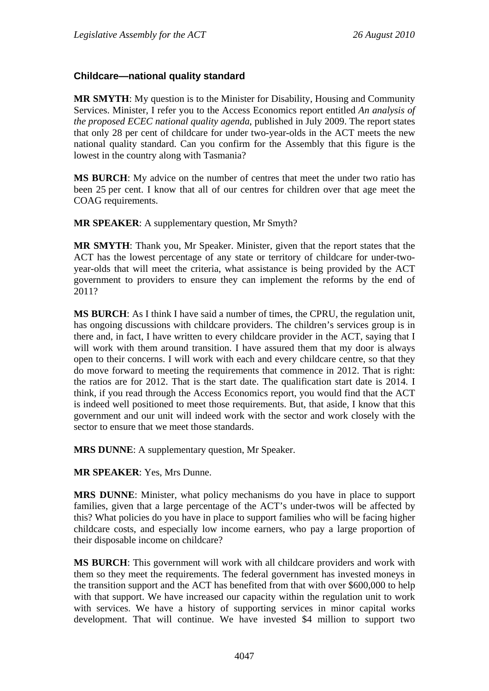### **Childcare—national quality standard**

**MR SMYTH**: My question is to the Minister for Disability, Housing and Community Services. Minister, I refer you to the Access Economics report entitled *An analysis of the proposed ECEC national quality agenda*, published in July 2009. The report states that only 28 per cent of childcare for under two-year-olds in the ACT meets the new national quality standard. Can you confirm for the Assembly that this figure is the lowest in the country along with Tasmania?

**MS BURCH**: My advice on the number of centres that meet the under two ratio has been 25 per cent. I know that all of our centres for children over that age meet the COAG requirements.

**MR SPEAKER**: A supplementary question, Mr Smyth?

**MR SMYTH**: Thank you, Mr Speaker. Minister, given that the report states that the ACT has the lowest percentage of any state or territory of childcare for under-twoyear-olds that will meet the criteria, what assistance is being provided by the ACT government to providers to ensure they can implement the reforms by the end of 2011?

**MS BURCH**: As I think I have said a number of times, the CPRU, the regulation unit, has ongoing discussions with childcare providers. The children's services group is in there and, in fact, I have written to every childcare provider in the ACT, saying that I will work with them around transition. I have assured them that my door is always open to their concerns. I will work with each and every childcare centre, so that they do move forward to meeting the requirements that commence in 2012. That is right: the ratios are for 2012. That is the start date. The qualification start date is 2014. I think, if you read through the Access Economics report, you would find that the ACT is indeed well positioned to meet those requirements. But, that aside, I know that this government and our unit will indeed work with the sector and work closely with the sector to ensure that we meet those standards.

**MRS DUNNE**: A supplementary question, Mr Speaker.

**MR SPEAKER**: Yes, Mrs Dunne.

**MRS DUNNE**: Minister, what policy mechanisms do you have in place to support families, given that a large percentage of the ACT's under-twos will be affected by this? What policies do you have in place to support families who will be facing higher childcare costs, and especially low income earners, who pay a large proportion of their disposable income on childcare?

**MS BURCH**: This government will work with all childcare providers and work with them so they meet the requirements. The federal government has invested moneys in the transition support and the ACT has benefited from that with over \$600,000 to help with that support. We have increased our capacity within the regulation unit to work with services. We have a history of supporting services in minor capital works development. That will continue. We have invested \$4 million to support two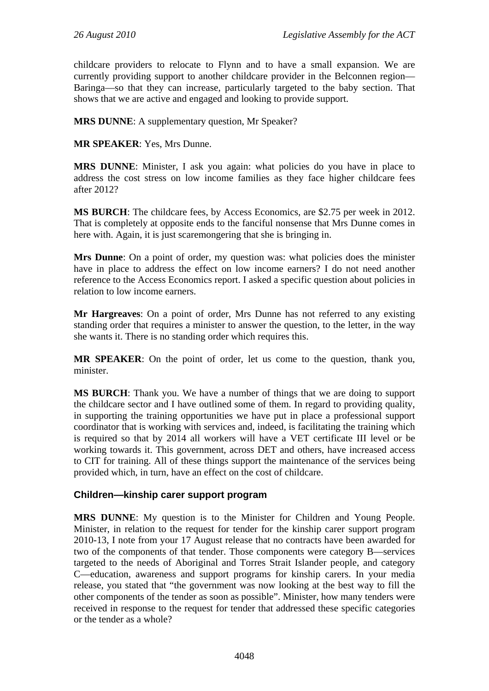childcare providers to relocate to Flynn and to have a small expansion. We are currently providing support to another childcare provider in the Belconnen region— Baringa—so that they can increase, particularly targeted to the baby section. That shows that we are active and engaged and looking to provide support.

**MRS DUNNE**: A supplementary question, Mr Speaker?

**MR SPEAKER**: Yes, Mrs Dunne.

**MRS DUNNE**: Minister, I ask you again: what policies do you have in place to address the cost stress on low income families as they face higher childcare fees after 2012?

**MS BURCH**: The childcare fees, by Access Economics, are \$2.75 per week in 2012. That is completely at opposite ends to the fanciful nonsense that Mrs Dunne comes in here with. Again, it is just scaremongering that she is bringing in.

**Mrs Dunne**: On a point of order, my question was: what policies does the minister have in place to address the effect on low income earners? I do not need another reference to the Access Economics report. I asked a specific question about policies in relation to low income earners.

**Mr Hargreaves**: On a point of order, Mrs Dunne has not referred to any existing standing order that requires a minister to answer the question, to the letter, in the way she wants it. There is no standing order which requires this.

**MR SPEAKER**: On the point of order, let us come to the question, thank you, minister.

**MS BURCH**: Thank you. We have a number of things that we are doing to support the childcare sector and I have outlined some of them. In regard to providing quality, in supporting the training opportunities we have put in place a professional support coordinator that is working with services and, indeed, is facilitating the training which is required so that by 2014 all workers will have a VET certificate III level or be working towards it. This government, across DET and others, have increased access to CIT for training. All of these things support the maintenance of the services being provided which, in turn, have an effect on the cost of childcare.

### **Children—kinship carer support program**

**MRS DUNNE**: My question is to the Minister for Children and Young People. Minister, in relation to the request for tender for the kinship carer support program 2010-13, I note from your 17 August release that no contracts have been awarded for two of the components of that tender. Those components were category B—services targeted to the needs of Aboriginal and Torres Strait Islander people, and category C—education, awareness and support programs for kinship carers. In your media release, you stated that "the government was now looking at the best way to fill the other components of the tender as soon as possible". Minister, how many tenders were received in response to the request for tender that addressed these specific categories or the tender as a whole?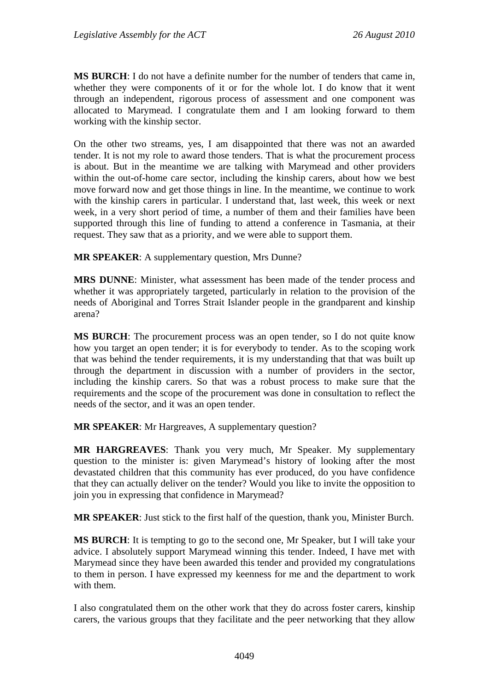**MS BURCH**: I do not have a definite number for the number of tenders that came in, whether they were components of it or for the whole lot. I do know that it went through an independent, rigorous process of assessment and one component was allocated to Marymead. I congratulate them and I am looking forward to them working with the kinship sector.

On the other two streams, yes, I am disappointed that there was not an awarded tender. It is not my role to award those tenders. That is what the procurement process is about. But in the meantime we are talking with Marymead and other providers within the out-of-home care sector, including the kinship carers, about how we best move forward now and get those things in line. In the meantime, we continue to work with the kinship carers in particular. I understand that, last week, this week or next week, in a very short period of time, a number of them and their families have been supported through this line of funding to attend a conference in Tasmania, at their request. They saw that as a priority, and we were able to support them.

**MR SPEAKER:** A supplementary question, Mrs Dunne?

**MRS DUNNE**: Minister, what assessment has been made of the tender process and whether it was appropriately targeted, particularly in relation to the provision of the needs of Aboriginal and Torres Strait Islander people in the grandparent and kinship arena?

**MS BURCH**: The procurement process was an open tender, so I do not quite know how you target an open tender; it is for everybody to tender. As to the scoping work that was behind the tender requirements, it is my understanding that that was built up through the department in discussion with a number of providers in the sector, including the kinship carers. So that was a robust process to make sure that the requirements and the scope of the procurement was done in consultation to reflect the needs of the sector, and it was an open tender.

**MR SPEAKER**: Mr Hargreaves, A supplementary question?

**MR HARGREAVES**: Thank you very much, Mr Speaker. My supplementary question to the minister is: given Marymead's history of looking after the most devastated children that this community has ever produced, do you have confidence that they can actually deliver on the tender? Would you like to invite the opposition to join you in expressing that confidence in Marymead?

**MR SPEAKER**: Just stick to the first half of the question, thank you, Minister Burch.

**MS BURCH**: It is tempting to go to the second one, Mr Speaker, but I will take your advice. I absolutely support Marymead winning this tender. Indeed, I have met with Marymead since they have been awarded this tender and provided my congratulations to them in person. I have expressed my keenness for me and the department to work with them.

I also congratulated them on the other work that they do across foster carers, kinship carers, the various groups that they facilitate and the peer networking that they allow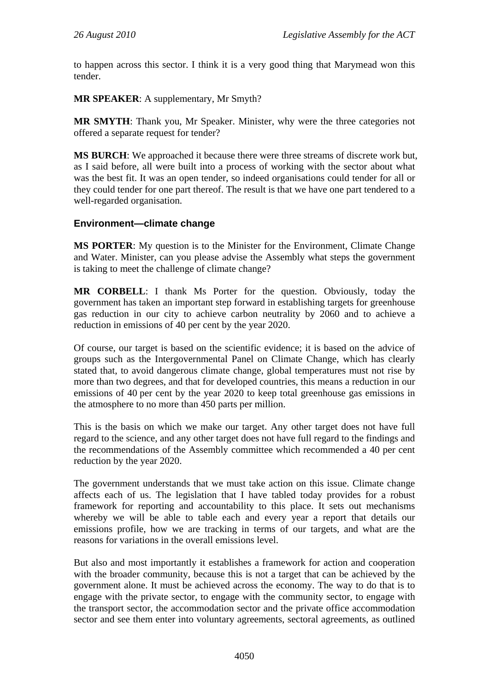to happen across this sector. I think it is a very good thing that Marymead won this tender.

**MR SPEAKER**: A supplementary, Mr Smyth?

**MR SMYTH**: Thank you, Mr Speaker. Minister, why were the three categories not offered a separate request for tender?

**MS BURCH**: We approached it because there were three streams of discrete work but, as I said before, all were built into a process of working with the sector about what was the best fit. It was an open tender, so indeed organisations could tender for all or they could tender for one part thereof. The result is that we have one part tendered to a well-regarded organisation.

### **Environment—climate change**

**MS PORTER**: My question is to the Minister for the Environment, Climate Change and Water. Minister, can you please advise the Assembly what steps the government is taking to meet the challenge of climate change?

**MR CORBELL**: I thank Ms Porter for the question. Obviously, today the government has taken an important step forward in establishing targets for greenhouse gas reduction in our city to achieve carbon neutrality by 2060 and to achieve a reduction in emissions of 40 per cent by the year 2020.

Of course, our target is based on the scientific evidence; it is based on the advice of groups such as the Intergovernmental Panel on Climate Change, which has clearly stated that, to avoid dangerous climate change, global temperatures must not rise by more than two degrees, and that for developed countries, this means a reduction in our emissions of 40 per cent by the year 2020 to keep total greenhouse gas emissions in the atmosphere to no more than 450 parts per million.

This is the basis on which we make our target. Any other target does not have full regard to the science, and any other target does not have full regard to the findings and the recommendations of the Assembly committee which recommended a 40 per cent reduction by the year 2020.

The government understands that we must take action on this issue. Climate change affects each of us. The legislation that I have tabled today provides for a robust framework for reporting and accountability to this place. It sets out mechanisms whereby we will be able to table each and every year a report that details our emissions profile, how we are tracking in terms of our targets, and what are the reasons for variations in the overall emissions level.

But also and most importantly it establishes a framework for action and cooperation with the broader community, because this is not a target that can be achieved by the government alone. It must be achieved across the economy. The way to do that is to engage with the private sector, to engage with the community sector, to engage with the transport sector, the accommodation sector and the private office accommodation sector and see them enter into voluntary agreements, sectoral agreements, as outlined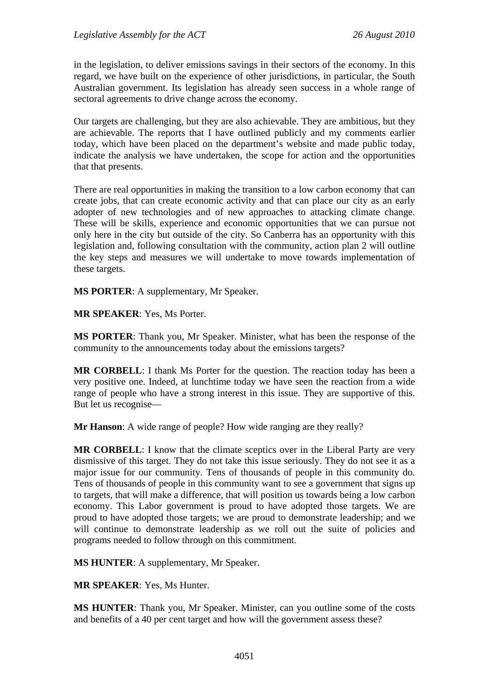in the legislation, to deliver emissions savings in their sectors of the economy. In this regard, we have built on the experience of other jurisdictions, in particular, the South Australian government. Its legislation has already seen success in a whole range of sectoral agreements to drive change across the economy.

Our targets are challenging, but they are also achievable. They are ambitious, but they are achievable. The reports that I have outlined publicly and my comments earlier today, which have been placed on the department's website and made public today, indicate the analysis we have undertaken, the scope for action and the opportunities that that presents.

There are real opportunities in making the transition to a low carbon economy that can create jobs, that can create economic activity and that can place our city as an early adopter of new technologies and of new approaches to attacking climate change. These will be skills, experience and economic opportunities that we can pursue not only here in the city but outside of the city. So Canberra has an opportunity with this legislation and, following consultation with the community, action plan 2 will outline the key steps and measures we will undertake to move towards implementation of these targets.

**MS PORTER**: A supplementary, Mr Speaker.

**MR SPEAKER**: Yes, Ms Porter.

**MS PORTER**: Thank you, Mr Speaker. Minister, what has been the response of the community to the announcements today about the emissions targets?

**MR CORBELL**: I thank Ms Porter for the question. The reaction today has been a very positive one. Indeed, at lunchtime today we have seen the reaction from a wide range of people who have a strong interest in this issue. They are supportive of this. But let us recognise—

**Mr Hanson:** A wide range of people? How wide ranging are they really?

**MR CORBELL:** I know that the climate sceptics over in the Liberal Party are very dismissive of this target. They do not take this issue seriously. They do not see it as a major issue for our community. Tens of thousands of people in this community do. Tens of thousands of people in this community want to see a government that signs up to targets, that will make a difference, that will position us towards being a low carbon economy. This Labor government is proud to have adopted those targets. We are proud to have adopted those targets; we are proud to demonstrate leadership; and we will continue to demonstrate leadership as we roll out the suite of policies and programs needed to follow through on this commitment.

**MS HUNTER**: A supplementary, Mr Speaker.

**MR SPEAKER**: Yes, Ms Hunter.

**MS HUNTER**: Thank you, Mr Speaker. Minister, can you outline some of the costs and benefits of a 40 per cent target and how will the government assess these?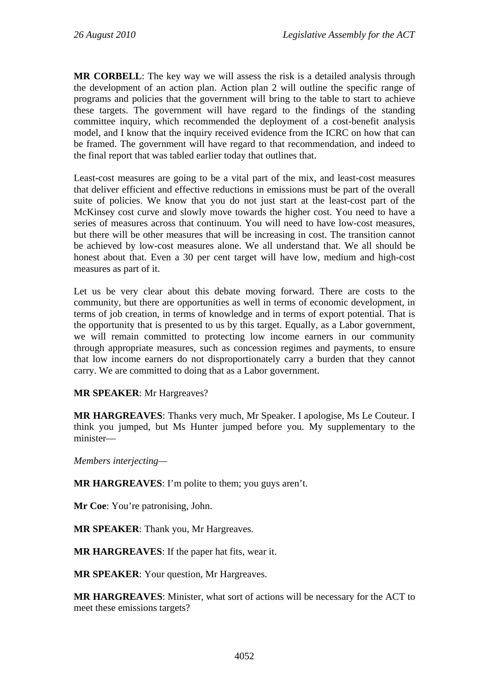**MR CORBELL**: The key way we will assess the risk is a detailed analysis through the development of an action plan. Action plan 2 will outline the specific range of programs and policies that the government will bring to the table to start to achieve these targets. The government will have regard to the findings of the standing committee inquiry, which recommended the deployment of a cost-benefit analysis model, and I know that the inquiry received evidence from the ICRC on how that can be framed. The government will have regard to that recommendation, and indeed to the final report that was tabled earlier today that outlines that.

Least-cost measures are going to be a vital part of the mix, and least-cost measures that deliver efficient and effective reductions in emissions must be part of the overall suite of policies. We know that you do not just start at the least-cost part of the McKinsey cost curve and slowly move towards the higher cost. You need to have a series of measures across that continuum. You will need to have low-cost measures, but there will be other measures that will be increasing in cost. The transition cannot be achieved by low-cost measures alone. We all understand that. We all should be honest about that. Even a 30 per cent target will have low, medium and high-cost measures as part of it.

Let us be very clear about this debate moving forward. There are costs to the community, but there are opportunities as well in terms of economic development, in terms of job creation, in terms of knowledge and in terms of export potential. That is the opportunity that is presented to us by this target. Equally, as a Labor government, we will remain committed to protecting low income earners in our community through appropriate measures, such as concession regimes and payments, to ensure that low income earners do not disproportionately carry a burden that they cannot carry. We are committed to doing that as a Labor government.

#### **MR SPEAKER**: Mr Hargreaves?

**MR HARGREAVES**: Thanks very much, Mr Speaker. I apologise, Ms Le Couteur. I think you jumped, but Ms Hunter jumped before you. My supplementary to the minister—

*Members interjecting—* 

**MR HARGREAVES**: I'm polite to them; you guys aren't.

**Mr Coe**: You're patronising, John.

**MR SPEAKER**: Thank you, Mr Hargreaves.

**MR HARGREAVES**: If the paper hat fits, wear it.

**MR SPEAKER**: Your question, Mr Hargreaves.

**MR HARGREAVES**: Minister, what sort of actions will be necessary for the ACT to meet these emissions targets?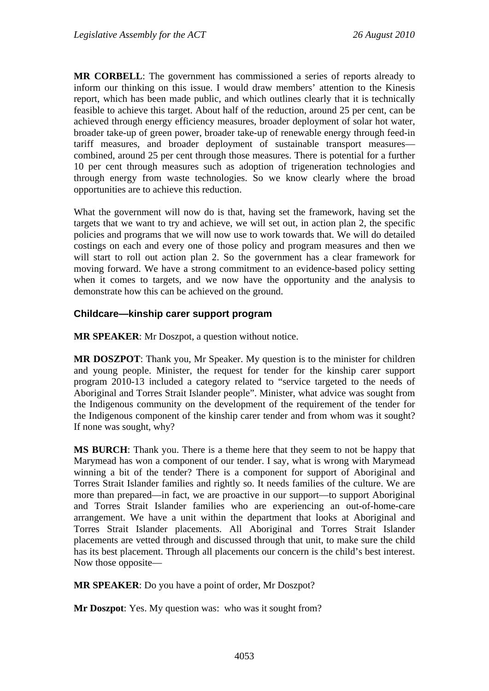**MR CORBELL**: The government has commissioned a series of reports already to inform our thinking on this issue. I would draw members' attention to the Kinesis report, which has been made public, and which outlines clearly that it is technically feasible to achieve this target. About half of the reduction, around 25 per cent, can be achieved through energy efficiency measures, broader deployment of solar hot water, broader take-up of green power, broader take-up of renewable energy through feed-in tariff measures, and broader deployment of sustainable transport measures combined, around 25 per cent through those measures. There is potential for a further 10 per cent through measures such as adoption of trigeneration technologies and through energy from waste technologies. So we know clearly where the broad opportunities are to achieve this reduction.

What the government will now do is that, having set the framework, having set the targets that we want to try and achieve, we will set out, in action plan 2, the specific policies and programs that we will now use to work towards that. We will do detailed costings on each and every one of those policy and program measures and then we will start to roll out action plan 2. So the government has a clear framework for moving forward. We have a strong commitment to an evidence-based policy setting when it comes to targets, and we now have the opportunity and the analysis to demonstrate how this can be achieved on the ground.

#### **Childcare—kinship carer support program**

**MR SPEAKER**: Mr Doszpot, a question without notice.

**MR DOSZPOT**: Thank you, Mr Speaker. My question is to the minister for children and young people. Minister, the request for tender for the kinship carer support program 2010-13 included a category related to "service targeted to the needs of Aboriginal and Torres Strait Islander people". Minister, what advice was sought from the Indigenous community on the development of the requirement of the tender for the Indigenous component of the kinship carer tender and from whom was it sought? If none was sought, why?

**MS BURCH**: Thank you. There is a theme here that they seem to not be happy that Marymead has won a component of our tender. I say, what is wrong with Marymead winning a bit of the tender? There is a component for support of Aboriginal and Torres Strait Islander families and rightly so. It needs families of the culture. We are more than prepared—in fact, we are proactive in our support—to support Aboriginal and Torres Strait Islander families who are experiencing an out-of-home-care arrangement. We have a unit within the department that looks at Aboriginal and Torres Strait Islander placements. All Aboriginal and Torres Strait Islander placements are vetted through and discussed through that unit, to make sure the child has its best placement. Through all placements our concern is the child's best interest. Now those opposite—

**MR SPEAKER**: Do you have a point of order, Mr Doszpot?

**Mr Doszpot:** Yes. My question was: who was it sought from?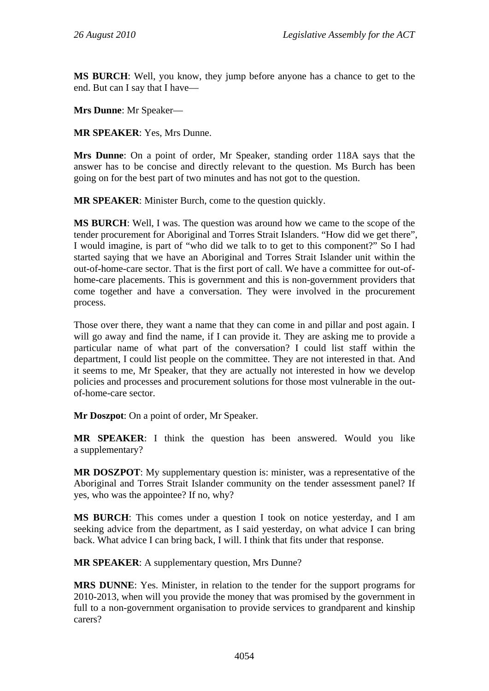**MS BURCH**: Well, you know, they jump before anyone has a chance to get to the end. But can I say that I have—

**Mrs Dunne**: Mr Speaker—

**MR SPEAKER**: Yes, Mrs Dunne.

**Mrs Dunne**: On a point of order, Mr Speaker, standing order 118A says that the answer has to be concise and directly relevant to the question. Ms Burch has been going on for the best part of two minutes and has not got to the question.

**MR SPEAKER**: Minister Burch, come to the question quickly.

**MS BURCH**: Well, I was. The question was around how we came to the scope of the tender procurement for Aboriginal and Torres Strait Islanders. "How did we get there", I would imagine, is part of "who did we talk to to get to this component?" So I had started saying that we have an Aboriginal and Torres Strait Islander unit within the out-of-home-care sector. That is the first port of call. We have a committee for out-ofhome-care placements. This is government and this is non-government providers that come together and have a conversation. They were involved in the procurement process.

Those over there, they want a name that they can come in and pillar and post again. I will go away and find the name, if I can provide it. They are asking me to provide a particular name of what part of the conversation? I could list staff within the department, I could list people on the committee. They are not interested in that. And it seems to me, Mr Speaker, that they are actually not interested in how we develop policies and processes and procurement solutions for those most vulnerable in the outof-home-care sector.

**Mr Doszpot**: On a point of order, Mr Speaker.

**MR SPEAKER**: I think the question has been answered. Would you like a supplementary?

**MR DOSZPOT**: My supplementary question is: minister, was a representative of the Aboriginal and Torres Strait Islander community on the tender assessment panel? If yes, who was the appointee? If no, why?

**MS BURCH**: This comes under a question I took on notice yesterday, and I am seeking advice from the department, as I said yesterday, on what advice I can bring back. What advice I can bring back, I will. I think that fits under that response.

**MR SPEAKER**: A supplementary question, Mrs Dunne?

**MRS DUNNE**: Yes. Minister, in relation to the tender for the support programs for 2010-2013, when will you provide the money that was promised by the government in full to a non-government organisation to provide services to grandparent and kinship carers?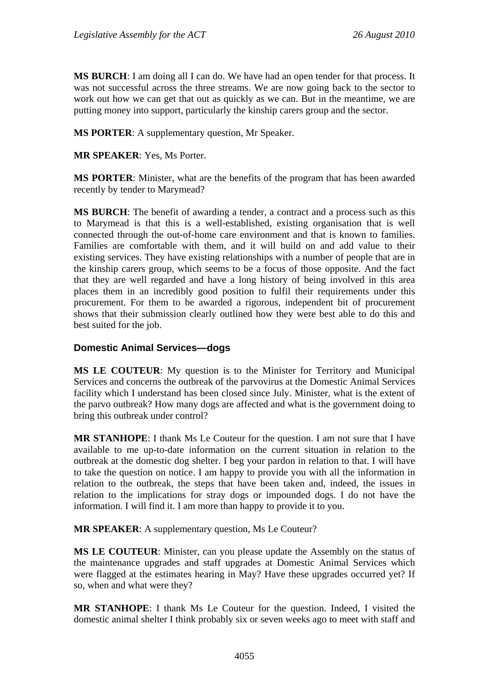**MS BURCH**: I am doing all I can do. We have had an open tender for that process. It was not successful across the three streams. We are now going back to the sector to work out how we can get that out as quickly as we can. But in the meantime, we are putting money into support, particularly the kinship carers group and the sector.

**MS PORTER**: A supplementary question, Mr Speaker.

**MR SPEAKER**: Yes, Ms Porter.

**MS PORTER**: Minister, what are the benefits of the program that has been awarded recently by tender to Marymead?

**MS BURCH**: The benefit of awarding a tender, a contract and a process such as this to Marymead is that this is a well-established, existing organisation that is well connected through the out-of-home care environment and that is known to families. Families are comfortable with them, and it will build on and add value to their existing services. They have existing relationships with a number of people that are in the kinship carers group, which seems to be a focus of those opposite. And the fact that they are well regarded and have a long history of being involved in this area places them in an incredibly good position to fulfil their requirements under this procurement. For them to be awarded a rigorous, independent bit of procurement shows that their submission clearly outlined how they were best able to do this and best suited for the job.

### **Domestic Animal Services—dogs**

**MS LE COUTEUR**: My question is to the Minister for Territory and Municipal Services and concerns the outbreak of the parvovirus at the Domestic Animal Services facility which I understand has been closed since July. Minister, what is the extent of the parvo outbreak? How many dogs are affected and what is the government doing to bring this outbreak under control?

**MR STANHOPE**: I thank Ms Le Couteur for the question. I am not sure that I have available to me up-to-date information on the current situation in relation to the outbreak at the domestic dog shelter. I beg your pardon in relation to that. I will have to take the question on notice. I am happy to provide you with all the information in relation to the outbreak, the steps that have been taken and, indeed, the issues in relation to the implications for stray dogs or impounded dogs. I do not have the information. I will find it. I am more than happy to provide it to you.

**MR SPEAKER**: A supplementary question, Ms Le Couteur?

**MS LE COUTEUR**: Minister, can you please update the Assembly on the status of the maintenance upgrades and staff upgrades at Domestic Animal Services which were flagged at the estimates hearing in May? Have these upgrades occurred yet? If so, when and what were they?

**MR STANHOPE**: I thank Ms Le Couteur for the question. Indeed, I visited the domestic animal shelter I think probably six or seven weeks ago to meet with staff and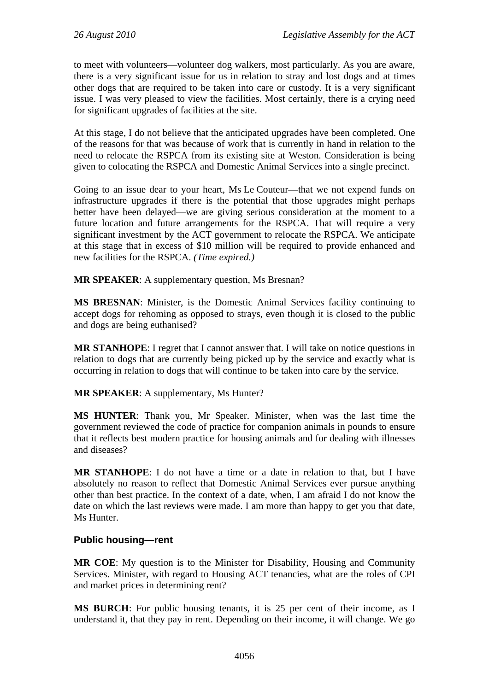to meet with volunteers—volunteer dog walkers, most particularly. As you are aware, there is a very significant issue for us in relation to stray and lost dogs and at times other dogs that are required to be taken into care or custody. It is a very significant issue. I was very pleased to view the facilities. Most certainly, there is a crying need for significant upgrades of facilities at the site.

At this stage, I do not believe that the anticipated upgrades have been completed. One of the reasons for that was because of work that is currently in hand in relation to the need to relocate the RSPCA from its existing site at Weston. Consideration is being given to colocating the RSPCA and Domestic Animal Services into a single precinct.

Going to an issue dear to your heart, Ms Le Couteur—that we not expend funds on infrastructure upgrades if there is the potential that those upgrades might perhaps better have been delayed—we are giving serious consideration at the moment to a future location and future arrangements for the RSPCA. That will require a very significant investment by the ACT government to relocate the RSPCA. We anticipate at this stage that in excess of \$10 million will be required to provide enhanced and new facilities for the RSPCA. *(Time expired.)*

**MR SPEAKER**: A supplementary question, Ms Bresnan?

**MS BRESNAN**: Minister, is the Domestic Animal Services facility continuing to accept dogs for rehoming as opposed to strays, even though it is closed to the public and dogs are being euthanised?

**MR STANHOPE**: I regret that I cannot answer that. I will take on notice questions in relation to dogs that are currently being picked up by the service and exactly what is occurring in relation to dogs that will continue to be taken into care by the service.

**MR SPEAKER**: A supplementary, Ms Hunter?

**MS HUNTER**: Thank you, Mr Speaker. Minister, when was the last time the government reviewed the code of practice for companion animals in pounds to ensure that it reflects best modern practice for housing animals and for dealing with illnesses and diseases?

**MR STANHOPE**: I do not have a time or a date in relation to that, but I have absolutely no reason to reflect that Domestic Animal Services ever pursue anything other than best practice. In the context of a date, when, I am afraid I do not know the date on which the last reviews were made. I am more than happy to get you that date, Ms Hunter.

## **Public housing—rent**

**MR COE**: My question is to the Minister for Disability, Housing and Community Services. Minister, with regard to Housing ACT tenancies, what are the roles of CPI and market prices in determining rent?

**MS BURCH**: For public housing tenants, it is 25 per cent of their income, as I understand it, that they pay in rent. Depending on their income, it will change. We go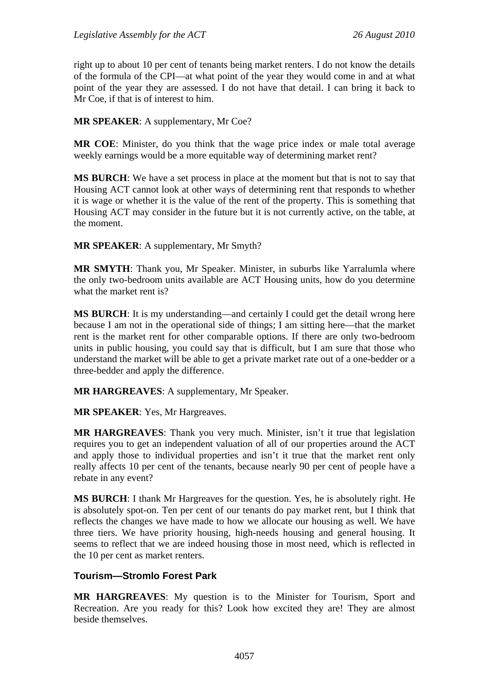right up to about 10 per cent of tenants being market renters. I do not know the details of the formula of the CPI—at what point of the year they would come in and at what point of the year they are assessed. I do not have that detail. I can bring it back to Mr Coe, if that is of interest to him.

#### **MR SPEAKER**: A supplementary, Mr Coe?

**MR COE**: Minister, do you think that the wage price index or male total average weekly earnings would be a more equitable way of determining market rent?

**MS BURCH**: We have a set process in place at the moment but that is not to say that Housing ACT cannot look at other ways of determining rent that responds to whether it is wage or whether it is the value of the rent of the property. This is something that Housing ACT may consider in the future but it is not currently active, on the table, at the moment.

**MR SPEAKER**: A supplementary, Mr Smyth?

**MR SMYTH**: Thank you, Mr Speaker. Minister, in suburbs like Yarralumla where the only two-bedroom units available are ACT Housing units, how do you determine what the market rent is?

**MS BURCH:** It is my understanding—and certainly I could get the detail wrong here because I am not in the operational side of things; I am sitting here—that the market rent is the market rent for other comparable options. If there are only two-bedroom units in public housing, you could say that is difficult, but I am sure that those who understand the market will be able to get a private market rate out of a one-bedder or a three-bedder and apply the difference.

**MR HARGREAVES**: A supplementary, Mr Speaker.

**MR SPEAKER**: Yes, Mr Hargreaves.

**MR HARGREAVES**: Thank you very much. Minister, isn't it true that legislation requires you to get an independent valuation of all of our properties around the ACT and apply those to individual properties and isn't it true that the market rent only really affects 10 per cent of the tenants, because nearly 90 per cent of people have a rebate in any event?

**MS BURCH**: I thank Mr Hargreaves for the question. Yes, he is absolutely right. He is absolutely spot-on. Ten per cent of our tenants do pay market rent, but I think that reflects the changes we have made to how we allocate our housing as well. We have three tiers. We have priority housing, high-needs housing and general housing. It seems to reflect that we are indeed housing those in most need, which is reflected in the 10 per cent as market renters.

## **Tourism—Stromlo Forest Park**

**MR HARGREAVES**: My question is to the Minister for Tourism, Sport and Recreation. Are you ready for this? Look how excited they are! They are almost beside themselves.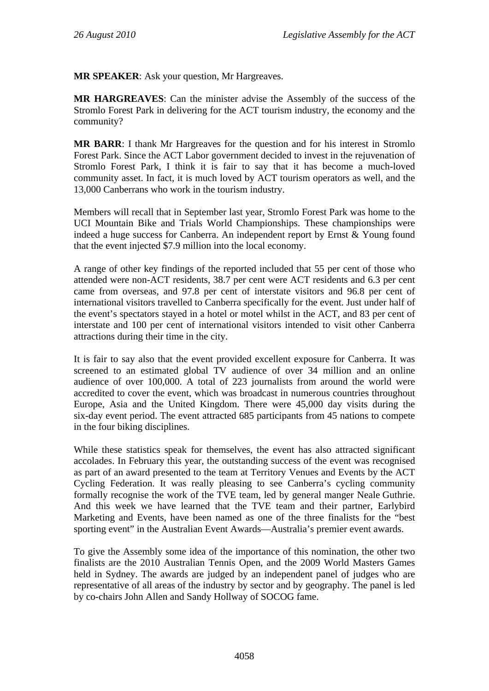**MR SPEAKER**: Ask your question, Mr Hargreaves.

**MR HARGREAVES**: Can the minister advise the Assembly of the success of the Stromlo Forest Park in delivering for the ACT tourism industry, the economy and the community?

**MR BARR**: I thank Mr Hargreaves for the question and for his interest in Stromlo Forest Park. Since the ACT Labor government decided to invest in the rejuvenation of Stromlo Forest Park, I think it is fair to say that it has become a much-loved community asset. In fact, it is much loved by ACT tourism operators as well, and the 13,000 Canberrans who work in the tourism industry.

Members will recall that in September last year, Stromlo Forest Park was home to the UCI Mountain Bike and Trials World Championships. These championships were indeed a huge success for Canberra. An independent report by Ernst & Young found that the event injected \$7.9 million into the local economy.

A range of other key findings of the reported included that 55 per cent of those who attended were non-ACT residents, 38.7 per cent were ACT residents and 6.3 per cent came from overseas, and 97.8 per cent of interstate visitors and 96.8 per cent of international visitors travelled to Canberra specifically for the event. Just under half of the event's spectators stayed in a hotel or motel whilst in the ACT, and 83 per cent of interstate and 100 per cent of international visitors intended to visit other Canberra attractions during their time in the city.

It is fair to say also that the event provided excellent exposure for Canberra. It was screened to an estimated global TV audience of over 34 million and an online audience of over 100,000. A total of 223 journalists from around the world were accredited to cover the event, which was broadcast in numerous countries throughout Europe, Asia and the United Kingdom. There were 45,000 day visits during the six-day event period. The event attracted 685 participants from 45 nations to compete in the four biking disciplines.

While these statistics speak for themselves, the event has also attracted significant accolades. In February this year, the outstanding success of the event was recognised as part of an award presented to the team at Territory Venues and Events by the ACT Cycling Federation. It was really pleasing to see Canberra's cycling community formally recognise the work of the TVE team, led by general manger Neale Guthrie. And this week we have learned that the TVE team and their partner, Earlybird Marketing and Events, have been named as one of the three finalists for the "best sporting event" in the Australian Event Awards—Australia's premier event awards.

To give the Assembly some idea of the importance of this nomination, the other two finalists are the 2010 Australian Tennis Open, and the 2009 World Masters Games held in Sydney. The awards are judged by an independent panel of judges who are representative of all areas of the industry by sector and by geography. The panel is led by co-chairs John Allen and Sandy Hollway of SOCOG fame.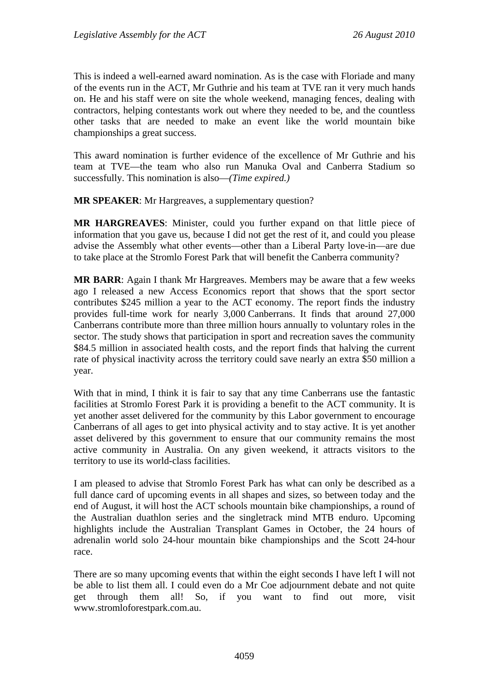This is indeed a well-earned award nomination. As is the case with Floriade and many of the events run in the ACT, Mr Guthrie and his team at TVE ran it very much hands on. He and his staff were on site the whole weekend, managing fences, dealing with contractors, helping contestants work out where they needed to be, and the countless other tasks that are needed to make an event like the world mountain bike championships a great success.

This award nomination is further evidence of the excellence of Mr Guthrie and his team at TVE—the team who also run Manuka Oval and Canberra Stadium so successfully. This nomination is also—*(Time expired.)*

**MR SPEAKER**: Mr Hargreaves, a supplementary question?

**MR HARGREAVES**: Minister, could you further expand on that little piece of information that you gave us, because I did not get the rest of it, and could you please advise the Assembly what other events—other than a Liberal Party love-in—are due to take place at the Stromlo Forest Park that will benefit the Canberra community?

**MR BARR**: Again I thank Mr Hargreaves. Members may be aware that a few weeks ago I released a new Access Economics report that shows that the sport sector contributes \$245 million a year to the ACT economy. The report finds the industry provides full-time work for nearly 3,000 Canberrans. It finds that around 27,000 Canberrans contribute more than three million hours annually to voluntary roles in the sector. The study shows that participation in sport and recreation saves the community \$84.5 million in associated health costs, and the report finds that halving the current rate of physical inactivity across the territory could save nearly an extra \$50 million a year.

With that in mind, I think it is fair to say that any time Canberrans use the fantastic facilities at Stromlo Forest Park it is providing a benefit to the ACT community. It is yet another asset delivered for the community by this Labor government to encourage Canberrans of all ages to get into physical activity and to stay active. It is yet another asset delivered by this government to ensure that our community remains the most active community in Australia. On any given weekend, it attracts visitors to the territory to use its world-class facilities.

I am pleased to advise that Stromlo Forest Park has what can only be described as a full dance card of upcoming events in all shapes and sizes, so between today and the end of August, it will host the ACT schools mountain bike championships, a round of the Australian duathlon series and the singletrack mind MTB enduro. Upcoming highlights include the Australian Transplant Games in October, the 24 hours of adrenalin world solo 24-hour mountain bike championships and the Scott 24-hour race.

There are so many upcoming events that within the eight seconds I have left I will not be able to list them all. I could even do a Mr Coe adjournment debate and not quite get through them all! So, if you want to find out more, visit www.stromloforestpark.com.au.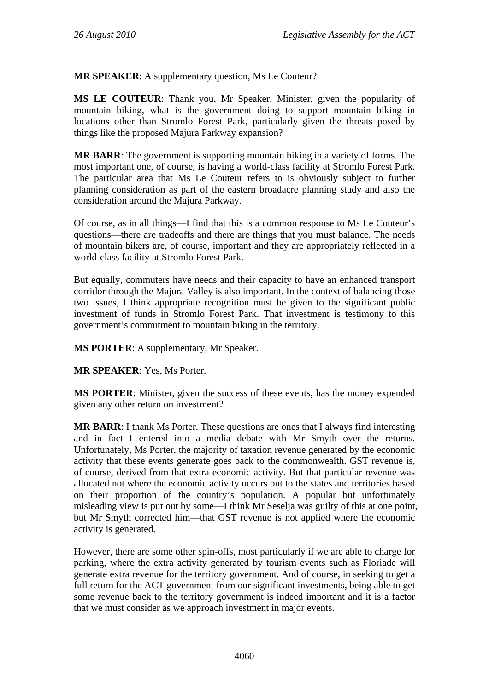**MR SPEAKER**: A supplementary question, Ms Le Couteur?

**MS LE COUTEUR**: Thank you, Mr Speaker. Minister, given the popularity of mountain biking, what is the government doing to support mountain biking in locations other than Stromlo Forest Park, particularly given the threats posed by things like the proposed Majura Parkway expansion?

**MR BARR**: The government is supporting mountain biking in a variety of forms. The most important one, of course, is having a world-class facility at Stromlo Forest Park. The particular area that Ms Le Couteur refers to is obviously subject to further planning consideration as part of the eastern broadacre planning study and also the consideration around the Majura Parkway.

Of course, as in all things—I find that this is a common response to Ms Le Couteur's questions—there are tradeoffs and there are things that you must balance. The needs of mountain bikers are, of course, important and they are appropriately reflected in a world-class facility at Stromlo Forest Park.

But equally, commuters have needs and their capacity to have an enhanced transport corridor through the Majura Valley is also important. In the context of balancing those two issues, I think appropriate recognition must be given to the significant public investment of funds in Stromlo Forest Park. That investment is testimony to this government's commitment to mountain biking in the territory.

**MS PORTER**: A supplementary, Mr Speaker.

**MR SPEAKER**: Yes, Ms Porter.

**MS PORTER**: Minister, given the success of these events, has the money expended given any other return on investment?

**MR BARR**: I thank Ms Porter. These questions are ones that I always find interesting and in fact I entered into a media debate with Mr Smyth over the returns. Unfortunately, Ms Porter, the majority of taxation revenue generated by the economic activity that these events generate goes back to the commonwealth. GST revenue is, of course, derived from that extra economic activity. But that particular revenue was allocated not where the economic activity occurs but to the states and territories based on their proportion of the country's population. A popular but unfortunately misleading view is put out by some—I think Mr Seselja was guilty of this at one point, but Mr Smyth corrected him—that GST revenue is not applied where the economic activity is generated.

However, there are some other spin-offs, most particularly if we are able to charge for parking, where the extra activity generated by tourism events such as Floriade will generate extra revenue for the territory government. And of course, in seeking to get a full return for the ACT government from our significant investments, being able to get some revenue back to the territory government is indeed important and it is a factor that we must consider as we approach investment in major events.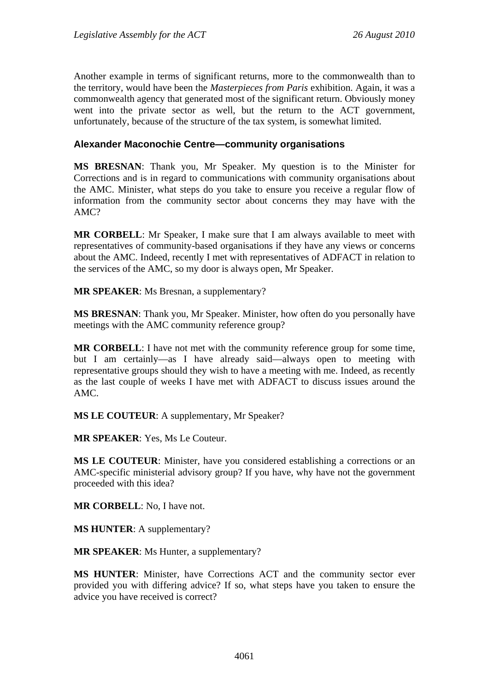Another example in terms of significant returns, more to the commonwealth than to the territory, would have been the *Masterpieces from Paris* exhibition. Again, it was a commonwealth agency that generated most of the significant return. Obviously money went into the private sector as well, but the return to the ACT government, unfortunately, because of the structure of the tax system, is somewhat limited.

### **Alexander Maconochie Centre—community organisations**

**MS BRESNAN**: Thank you, Mr Speaker. My question is to the Minister for Corrections and is in regard to communications with community organisations about the AMC. Minister, what steps do you take to ensure you receive a regular flow of information from the community sector about concerns they may have with the AMC?

**MR CORBELL**: Mr Speaker, I make sure that I am always available to meet with representatives of community-based organisations if they have any views or concerns about the AMC. Indeed, recently I met with representatives of ADFACT in relation to the services of the AMC, so my door is always open, Mr Speaker.

**MR SPEAKER**: Ms Bresnan, a supplementary?

**MS BRESNAN**: Thank you, Mr Speaker. Minister, how often do you personally have meetings with the AMC community reference group?

**MR CORBELL**: I have not met with the community reference group for some time, but I am certainly—as I have already said—always open to meeting with representative groups should they wish to have a meeting with me. Indeed, as recently as the last couple of weeks I have met with ADFACT to discuss issues around the AMC.

**MS LE COUTEUR**: A supplementary, Mr Speaker?

**MR SPEAKER**: Yes, Ms Le Couteur.

**MS LE COUTEUR**: Minister, have you considered establishing a corrections or an AMC-specific ministerial advisory group? If you have, why have not the government proceeded with this idea?

**MR CORBELL**: No, I have not.

**MS HUNTER**: A supplementary?

**MR SPEAKER**: Ms Hunter, a supplementary?

**MS HUNTER**: Minister, have Corrections ACT and the community sector ever provided you with differing advice? If so, what steps have you taken to ensure the advice you have received is correct?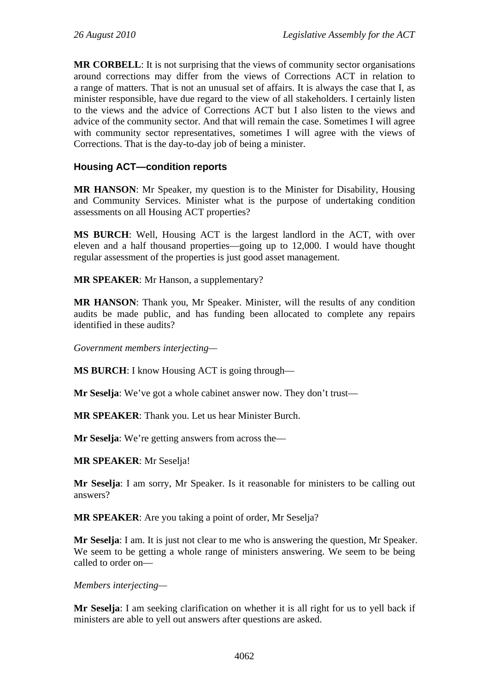**MR CORBELL**: It is not surprising that the views of community sector organisations around corrections may differ from the views of Corrections ACT in relation to a range of matters. That is not an unusual set of affairs. It is always the case that I, as minister responsible, have due regard to the view of all stakeholders. I certainly listen to the views and the advice of Corrections ACT but I also listen to the views and advice of the community sector. And that will remain the case. Sometimes I will agree with community sector representatives, sometimes I will agree with the views of Corrections. That is the day-to-day job of being a minister.

## **Housing ACT—condition reports**

**MR HANSON**: Mr Speaker, my question is to the Minister for Disability, Housing and Community Services. Minister what is the purpose of undertaking condition assessments on all Housing ACT properties?

**MS BURCH**: Well, Housing ACT is the largest landlord in the ACT, with over eleven and a half thousand properties—going up to 12,000. I would have thought regular assessment of the properties is just good asset management.

**MR SPEAKER**: Mr Hanson, a supplementary?

**MR HANSON**: Thank you, Mr Speaker. Minister, will the results of any condition audits be made public, and has funding been allocated to complete any repairs identified in these audits?

*Government members interjecting—* 

**MS BURCH**: I know Housing ACT is going through—

**Mr Seselja**: We've got a whole cabinet answer now. They don't trust—

**MR SPEAKER**: Thank you. Let us hear Minister Burch.

**Mr Seselja**: We're getting answers from across the—

**MR SPEAKER**: Mr Seselja!

**Mr Seselja**: I am sorry, Mr Speaker. Is it reasonable for ministers to be calling out answers?

**MR SPEAKER**: Are you taking a point of order, Mr Seselja?

**Mr Seselja**: I am. It is just not clear to me who is answering the question, Mr Speaker. We seem to be getting a whole range of ministers answering. We seem to be being called to order on—

*Members interjecting—* 

**Mr Seselja**: I am seeking clarification on whether it is all right for us to yell back if ministers are able to yell out answers after questions are asked.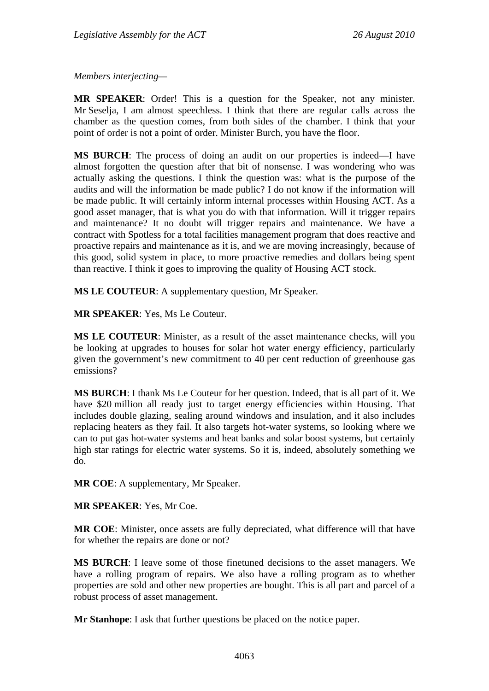*Members interjecting—* 

**MR SPEAKER**: Order! This is a question for the Speaker, not any minister. Mr Seselja, I am almost speechless. I think that there are regular calls across the chamber as the question comes, from both sides of the chamber. I think that your point of order is not a point of order. Minister Burch, you have the floor.

**MS BURCH**: The process of doing an audit on our properties is indeed—I have almost forgotten the question after that bit of nonsense. I was wondering who was actually asking the questions. I think the question was: what is the purpose of the audits and will the information be made public? I do not know if the information will be made public. It will certainly inform internal processes within Housing ACT. As a good asset manager, that is what you do with that information. Will it trigger repairs and maintenance? It no doubt will trigger repairs and maintenance. We have a contract with Spotless for a total facilities management program that does reactive and proactive repairs and maintenance as it is, and we are moving increasingly, because of this good, solid system in place, to more proactive remedies and dollars being spent than reactive. I think it goes to improving the quality of Housing ACT stock.

**MS LE COUTEUR**: A supplementary question, Mr Speaker.

**MR SPEAKER**: Yes, Ms Le Couteur.

**MS LE COUTEUR**: Minister, as a result of the asset maintenance checks, will you be looking at upgrades to houses for solar hot water energy efficiency, particularly given the government's new commitment to 40 per cent reduction of greenhouse gas emissions?

**MS BURCH**: I thank Ms Le Couteur for her question. Indeed, that is all part of it. We have \$20 million all ready just to target energy efficiencies within Housing. That includes double glazing, sealing around windows and insulation, and it also includes replacing heaters as they fail. It also targets hot-water systems, so looking where we can to put gas hot-water systems and heat banks and solar boost systems, but certainly high star ratings for electric water systems. So it is, indeed, absolutely something we do.

**MR COE**: A supplementary, Mr Speaker.

**MR SPEAKER**: Yes, Mr Coe.

**MR COE**: Minister, once assets are fully depreciated, what difference will that have for whether the repairs are done or not?

**MS BURCH**: I leave some of those finetuned decisions to the asset managers. We have a rolling program of repairs. We also have a rolling program as to whether properties are sold and other new properties are bought. This is all part and parcel of a robust process of asset management.

**Mr Stanhope**: I ask that further questions be placed on the notice paper.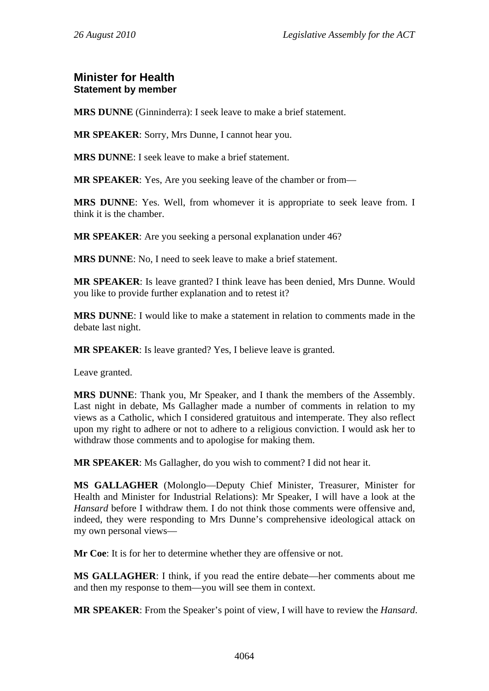## **Minister for Health Statement by member**

**MRS DUNNE** (Ginninderra): I seek leave to make a brief statement.

**MR SPEAKER**: Sorry, Mrs Dunne, I cannot hear you.

**MRS DUNNE**: I seek leave to make a brief statement.

**MR SPEAKER**: Yes, Are you seeking leave of the chamber or from—

**MRS DUNNE**: Yes. Well, from whomever it is appropriate to seek leave from. I think it is the chamber.

**MR SPEAKER**: Are you seeking a personal explanation under 46?

**MRS DUNNE**: No, I need to seek leave to make a brief statement.

**MR SPEAKER**: Is leave granted? I think leave has been denied, Mrs Dunne. Would you like to provide further explanation and to retest it?

**MRS DUNNE**: I would like to make a statement in relation to comments made in the debate last night.

**MR SPEAKER**: Is leave granted? Yes, I believe leave is granted.

Leave granted.

**MRS DUNNE**: Thank you, Mr Speaker, and I thank the members of the Assembly. Last night in debate, Ms Gallagher made a number of comments in relation to my views as a Catholic, which I considered gratuitous and intemperate. They also reflect upon my right to adhere or not to adhere to a religious conviction. I would ask her to withdraw those comments and to apologise for making them.

**MR SPEAKER**: Ms Gallagher, do you wish to comment? I did not hear it.

**MS GALLAGHER** (Molonglo—Deputy Chief Minister, Treasurer, Minister for Health and Minister for Industrial Relations): Mr Speaker, I will have a look at the *Hansard* before I withdraw them. I do not think those comments were offensive and, indeed, they were responding to Mrs Dunne's comprehensive ideological attack on my own personal views—

**Mr Coe**: It is for her to determine whether they are offensive or not.

**MS GALLAGHER**: I think, if you read the entire debate—her comments about me and then my response to them—you will see them in context.

**MR SPEAKER**: From the Speaker's point of view, I will have to review the *Hansard*.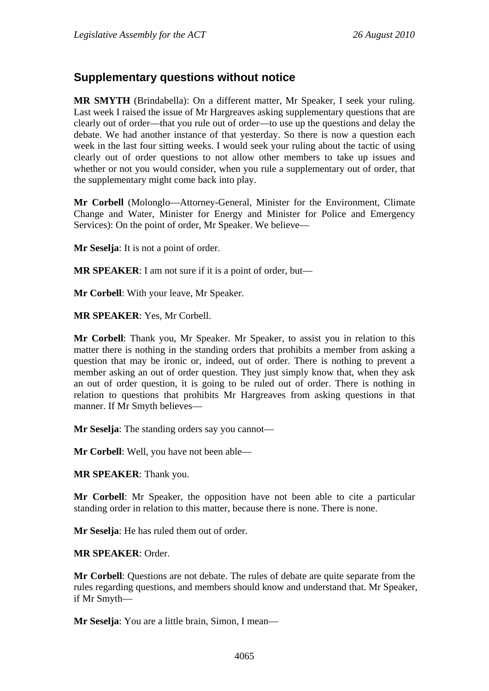# **Supplementary questions without notice**

**MR SMYTH** (Brindabella): On a different matter, Mr Speaker, I seek your ruling. Last week I raised the issue of Mr Hargreaves asking supplementary questions that are clearly out of order—that you rule out of order—to use up the questions and delay the debate. We had another instance of that yesterday. So there is now a question each week in the last four sitting weeks. I would seek your ruling about the tactic of using clearly out of order questions to not allow other members to take up issues and whether or not you would consider, when you rule a supplementary out of order, that the supplementary might come back into play.

**Mr Corbell** (Molonglo—Attorney-General, Minister for the Environment, Climate Change and Water, Minister for Energy and Minister for Police and Emergency Services): On the point of order, Mr Speaker. We believe—

**Mr Seselja**: It is not a point of order.

**MR SPEAKER**: I am not sure if it is a point of order, but—

**Mr Corbell**: With your leave, Mr Speaker.

**MR SPEAKER**: Yes, Mr Corbell.

**Mr Corbell**: Thank you, Mr Speaker. Mr Speaker, to assist you in relation to this matter there is nothing in the standing orders that prohibits a member from asking a question that may be ironic or, indeed, out of order. There is nothing to prevent a member asking an out of order question. They just simply know that, when they ask an out of order question, it is going to be ruled out of order. There is nothing in relation to questions that prohibits Mr Hargreaves from asking questions in that manner. If Mr Smyth believes—

**Mr Seselja**: The standing orders say you cannot—

**Mr Corbell**: Well, you have not been able—

**MR SPEAKER**: Thank you.

**Mr Corbell**: Mr Speaker, the opposition have not been able to cite a particular standing order in relation to this matter, because there is none. There is none.

**Mr Seselja**: He has ruled them out of order.

#### **MR SPEAKER**: Order.

**Mr Corbell**: Questions are not debate. The rules of debate are quite separate from the rules regarding questions, and members should know and understand that. Mr Speaker, if Mr Smyth—

**Mr Seselja**: You are a little brain, Simon, I mean—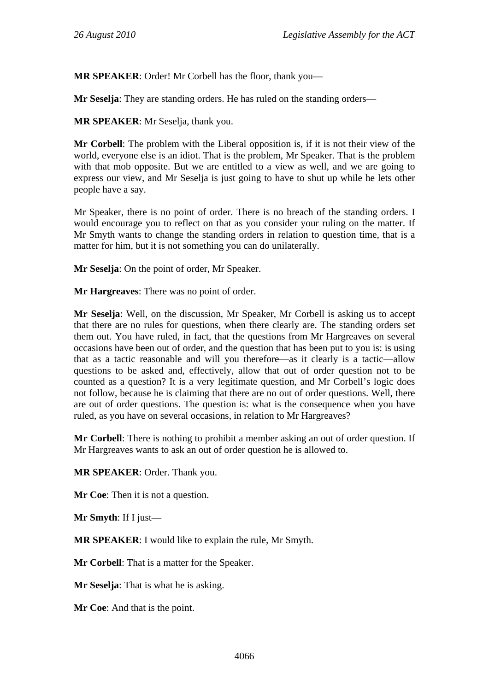**MR SPEAKER**: Order! Mr Corbell has the floor, thank you—

**Mr Seselja**: They are standing orders. He has ruled on the standing orders—

**MR SPEAKER**: Mr Seselja, thank you.

**Mr Corbell**: The problem with the Liberal opposition is, if it is not their view of the world, everyone else is an idiot. That is the problem, Mr Speaker. That is the problem with that mob opposite. But we are entitled to a view as well, and we are going to express our view, and Mr Seselja is just going to have to shut up while he lets other people have a say.

Mr Speaker, there is no point of order. There is no breach of the standing orders. I would encourage you to reflect on that as you consider your ruling on the matter. If Mr Smyth wants to change the standing orders in relation to question time, that is a matter for him, but it is not something you can do unilaterally.

**Mr Seselja**: On the point of order, Mr Speaker.

**Mr Hargreaves**: There was no point of order.

**Mr Seselja**: Well, on the discussion, Mr Speaker, Mr Corbell is asking us to accept that there are no rules for questions, when there clearly are. The standing orders set them out. You have ruled, in fact, that the questions from Mr Hargreaves on several occasions have been out of order, and the question that has been put to you is: is using that as a tactic reasonable and will you therefore—as it clearly is a tactic—allow questions to be asked and, effectively, allow that out of order question not to be counted as a question? It is a very legitimate question, and Mr Corbell's logic does not follow, because he is claiming that there are no out of order questions. Well, there are out of order questions. The question is: what is the consequence when you have ruled, as you have on several occasions, in relation to Mr Hargreaves?

**Mr Corbell**: There is nothing to prohibit a member asking an out of order question. If Mr Hargreaves wants to ask an out of order question he is allowed to.

**MR SPEAKER**: Order. Thank you.

**Mr Coe**: Then it is not a question.

**Mr Smyth**: If I just—

**MR SPEAKER**: I would like to explain the rule, Mr Smyth.

**Mr Corbell**: That is a matter for the Speaker.

**Mr Seselja**: That is what he is asking.

**Mr Coe**: And that is the point.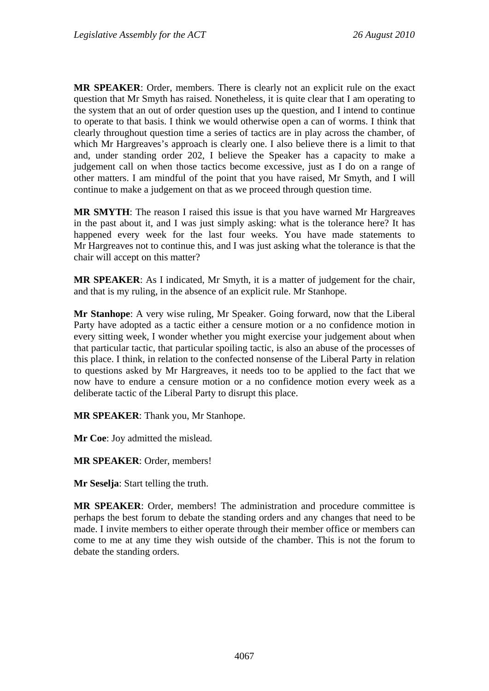**MR SPEAKER**: Order, members. There is clearly not an explicit rule on the exact question that Mr Smyth has raised. Nonetheless, it is quite clear that I am operating to the system that an out of order question uses up the question, and I intend to continue to operate to that basis. I think we would otherwise open a can of worms. I think that clearly throughout question time a series of tactics are in play across the chamber, of which Mr Hargreaves's approach is clearly one. I also believe there is a limit to that and, under standing order 202, I believe the Speaker has a capacity to make a judgement call on when those tactics become excessive, just as I do on a range of other matters. I am mindful of the point that you have raised, Mr Smyth, and I will continue to make a judgement on that as we proceed through question time.

**MR SMYTH**: The reason I raised this issue is that you have warned Mr Hargreaves in the past about it, and I was just simply asking: what is the tolerance here? It has happened every week for the last four weeks. You have made statements to Mr Hargreaves not to continue this, and I was just asking what the tolerance is that the chair will accept on this matter?

**MR SPEAKER**: As I indicated, Mr Smyth, it is a matter of judgement for the chair, and that is my ruling, in the absence of an explicit rule. Mr Stanhope.

**Mr Stanhope**: A very wise ruling, Mr Speaker. Going forward, now that the Liberal Party have adopted as a tactic either a censure motion or a no confidence motion in every sitting week, I wonder whether you might exercise your judgement about when that particular tactic, that particular spoiling tactic, is also an abuse of the processes of this place. I think, in relation to the confected nonsense of the Liberal Party in relation to questions asked by Mr Hargreaves, it needs too to be applied to the fact that we now have to endure a censure motion or a no confidence motion every week as a deliberate tactic of the Liberal Party to disrupt this place.

**MR SPEAKER**: Thank you, Mr Stanhope.

**Mr Coe**: Joy admitted the mislead.

**MR SPEAKER**: Order, members!

**Mr Seselja**: Start telling the truth.

**MR SPEAKER**: Order, members! The administration and procedure committee is perhaps the best forum to debate the standing orders and any changes that need to be made. I invite members to either operate through their member office or members can come to me at any time they wish outside of the chamber. This is not the forum to debate the standing orders.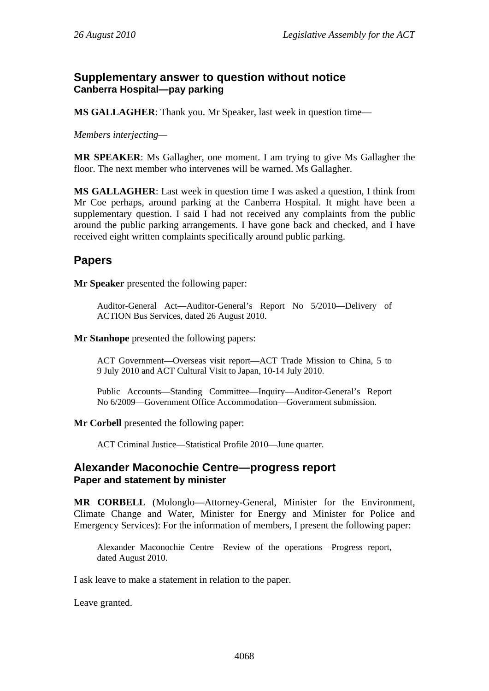## **Supplementary answer to question without notice Canberra Hospital—pay parking**

**MS GALLAGHER**: Thank you. Mr Speaker, last week in question time—

*Members interjecting—* 

**MR SPEAKER**: Ms Gallagher, one moment. I am trying to give Ms Gallagher the floor. The next member who intervenes will be warned. Ms Gallagher.

**MS GALLAGHER**: Last week in question time I was asked a question, I think from Mr Coe perhaps, around parking at the Canberra Hospital. It might have been a supplementary question. I said I had not received any complaints from the public around the public parking arrangements. I have gone back and checked, and I have received eight written complaints specifically around public parking.

# **Papers**

**Mr Speaker** presented the following paper:

Auditor-General Act—Auditor-General's Report No 5/2010—Delivery of ACTION Bus Services, dated 26 August 2010.

#### **Mr Stanhope** presented the following papers:

ACT Government—Overseas visit report—ACT Trade Mission to China, 5 to 9 July 2010 and ACT Cultural Visit to Japan, 10-14 July 2010.

Public Accounts—Standing Committee—Inquiry—Auditor-General's Report No 6/2009—Government Office Accommodation—Government submission.

**Mr Corbell** presented the following paper:

ACT Criminal Justice—Statistical Profile 2010—June quarter.

## **Alexander Maconochie Centre—progress report Paper and statement by minister**

**MR CORBELL** (Molonglo—Attorney-General, Minister for the Environment, Climate Change and Water, Minister for Energy and Minister for Police and Emergency Services): For the information of members, I present the following paper:

Alexander Maconochie Centre—Review of the operations—Progress report, dated August 2010.

I ask leave to make a statement in relation to the paper.

Leave granted.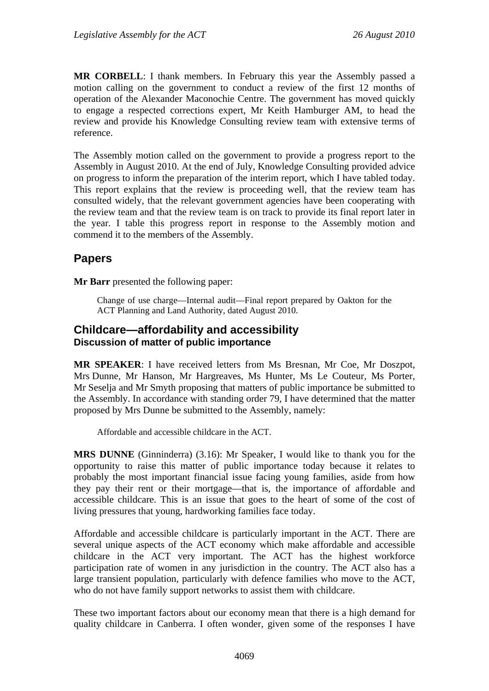**MR CORBELL**: I thank members. In February this year the Assembly passed a motion calling on the government to conduct a review of the first 12 months of operation of the Alexander Maconochie Centre. The government has moved quickly to engage a respected corrections expert, Mr Keith Hamburger AM, to head the review and provide his Knowledge Consulting review team with extensive terms of reference.

The Assembly motion called on the government to provide a progress report to the Assembly in August 2010. At the end of July, Knowledge Consulting provided advice on progress to inform the preparation of the interim report, which I have tabled today. This report explains that the review is proceeding well, that the review team has consulted widely, that the relevant government agencies have been cooperating with the review team and that the review team is on track to provide its final report later in the year. I table this progress report in response to the Assembly motion and commend it to the members of the Assembly.

## **Papers**

**Mr Barr** presented the following paper:

Change of use charge—Internal audit—Final report prepared by Oakton for the ACT Planning and Land Authority, dated August 2010.

### **Childcare—affordability and accessibility Discussion of matter of public importance**

**MR SPEAKER**: I have received letters from Ms Bresnan, Mr Coe, Mr Doszpot, Mrs Dunne, Mr Hanson, Mr Hargreaves, Ms Hunter, Ms Le Couteur, Ms Porter, Mr Seselja and Mr Smyth proposing that matters of public importance be submitted to the Assembly. In accordance with standing order 79, I have determined that the matter proposed by Mrs Dunne be submitted to the Assembly, namely:

Affordable and accessible childcare in the ACT.

**MRS DUNNE** (Ginninderra) (3.16): Mr Speaker, I would like to thank you for the opportunity to raise this matter of public importance today because it relates to probably the most important financial issue facing young families, aside from how they pay their rent or their mortgage—that is, the importance of affordable and accessible childcare. This is an issue that goes to the heart of some of the cost of living pressures that young, hardworking families face today.

Affordable and accessible childcare is particularly important in the ACT. There are several unique aspects of the ACT economy which make affordable and accessible childcare in the ACT very important. The ACT has the highest workforce participation rate of women in any jurisdiction in the country. The ACT also has a large transient population, particularly with defence families who move to the ACT, who do not have family support networks to assist them with childcare.

These two important factors about our economy mean that there is a high demand for quality childcare in Canberra. I often wonder, given some of the responses I have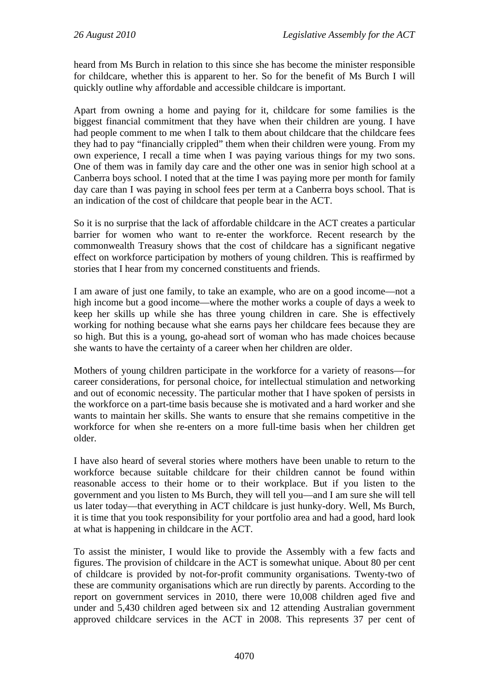heard from Ms Burch in relation to this since she has become the minister responsible for childcare, whether this is apparent to her. So for the benefit of Ms Burch I will quickly outline why affordable and accessible childcare is important.

Apart from owning a home and paying for it, childcare for some families is the biggest financial commitment that they have when their children are young. I have had people comment to me when I talk to them about childcare that the childcare fees they had to pay "financially crippled" them when their children were young. From my own experience, I recall a time when I was paying various things for my two sons. One of them was in family day care and the other one was in senior high school at a Canberra boys school. I noted that at the time I was paying more per month for family day care than I was paying in school fees per term at a Canberra boys school. That is an indication of the cost of childcare that people bear in the ACT.

So it is no surprise that the lack of affordable childcare in the ACT creates a particular barrier for women who want to re-enter the workforce. Recent research by the commonwealth Treasury shows that the cost of childcare has a significant negative effect on workforce participation by mothers of young children. This is reaffirmed by stories that I hear from my concerned constituents and friends.

I am aware of just one family, to take an example, who are on a good income—not a high income but a good income—where the mother works a couple of days a week to keep her skills up while she has three young children in care. She is effectively working for nothing because what she earns pays her childcare fees because they are so high. But this is a young, go-ahead sort of woman who has made choices because she wants to have the certainty of a career when her children are older.

Mothers of young children participate in the workforce for a variety of reasons—for career considerations, for personal choice, for intellectual stimulation and networking and out of economic necessity. The particular mother that I have spoken of persists in the workforce on a part-time basis because she is motivated and a hard worker and she wants to maintain her skills. She wants to ensure that she remains competitive in the workforce for when she re-enters on a more full-time basis when her children get older.

I have also heard of several stories where mothers have been unable to return to the workforce because suitable childcare for their children cannot be found within reasonable access to their home or to their workplace. But if you listen to the government and you listen to Ms Burch, they will tell you—and I am sure she will tell us later today—that everything in ACT childcare is just hunky-dory. Well, Ms Burch, it is time that you took responsibility for your portfolio area and had a good, hard look at what is happening in childcare in the ACT.

To assist the minister, I would like to provide the Assembly with a few facts and figures. The provision of childcare in the ACT is somewhat unique. About 80 per cent of childcare is provided by not-for-profit community organisations. Twenty-two of these are community organisations which are run directly by parents. According to the report on government services in 2010, there were 10,008 children aged five and under and 5,430 children aged between six and 12 attending Australian government approved childcare services in the ACT in 2008. This represents 37 per cent of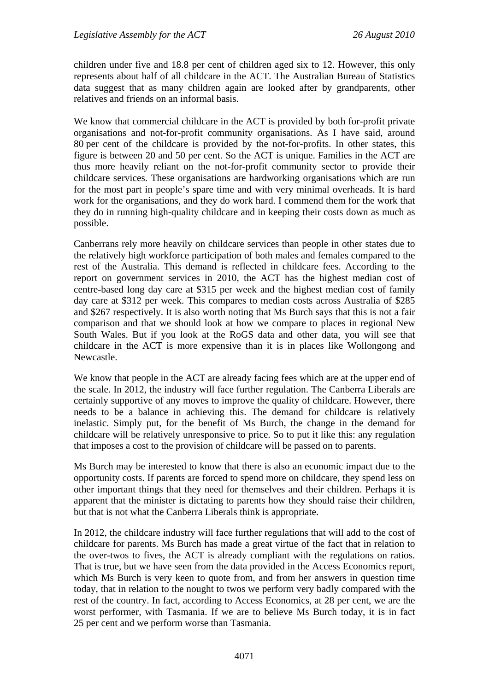children under five and 18.8 per cent of children aged six to 12. However, this only represents about half of all childcare in the ACT. The Australian Bureau of Statistics data suggest that as many children again are looked after by grandparents, other relatives and friends on an informal basis.

We know that commercial childcare in the ACT is provided by both for-profit private organisations and not-for-profit community organisations. As I have said, around 80 per cent of the childcare is provided by the not-for-profits. In other states, this figure is between 20 and 50 per cent. So the ACT is unique. Families in the ACT are thus more heavily reliant on the not-for-profit community sector to provide their childcare services. These organisations are hardworking organisations which are run for the most part in people's spare time and with very minimal overheads. It is hard work for the organisations, and they do work hard. I commend them for the work that they do in running high-quality childcare and in keeping their costs down as much as possible.

Canberrans rely more heavily on childcare services than people in other states due to the relatively high workforce participation of both males and females compared to the rest of the Australia. This demand is reflected in childcare fees. According to the report on government services in 2010, the ACT has the highest median cost of centre-based long day care at \$315 per week and the highest median cost of family day care at \$312 per week. This compares to median costs across Australia of \$285 and \$267 respectively. It is also worth noting that Ms Burch says that this is not a fair comparison and that we should look at how we compare to places in regional New South Wales. But if you look at the RoGS data and other data, you will see that childcare in the ACT is more expensive than it is in places like Wollongong and Newcastle.

We know that people in the ACT are already facing fees which are at the upper end of the scale. In 2012, the industry will face further regulation. The Canberra Liberals are certainly supportive of any moves to improve the quality of childcare. However, there needs to be a balance in achieving this. The demand for childcare is relatively inelastic. Simply put, for the benefit of Ms Burch, the change in the demand for childcare will be relatively unresponsive to price. So to put it like this: any regulation that imposes a cost to the provision of childcare will be passed on to parents.

Ms Burch may be interested to know that there is also an economic impact due to the opportunity costs. If parents are forced to spend more on childcare, they spend less on other important things that they need for themselves and their children. Perhaps it is apparent that the minister is dictating to parents how they should raise their children, but that is not what the Canberra Liberals think is appropriate.

In 2012, the childcare industry will face further regulations that will add to the cost of childcare for parents. Ms Burch has made a great virtue of the fact that in relation to the over-twos to fives, the ACT is already compliant with the regulations on ratios. That is true, but we have seen from the data provided in the Access Economics report, which Ms Burch is very keen to quote from, and from her answers in question time today, that in relation to the nought to twos we perform very badly compared with the rest of the country. In fact, according to Access Economics, at 28 per cent, we are the worst performer, with Tasmania. If we are to believe Ms Burch today, it is in fact 25 per cent and we perform worse than Tasmania.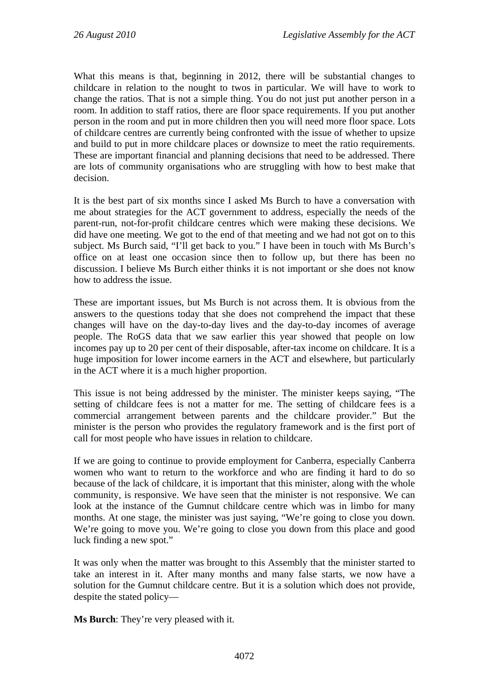What this means is that, beginning in 2012, there will be substantial changes to childcare in relation to the nought to twos in particular. We will have to work to change the ratios. That is not a simple thing. You do not just put another person in a room. In addition to staff ratios, there are floor space requirements. If you put another person in the room and put in more children then you will need more floor space. Lots of childcare centres are currently being confronted with the issue of whether to upsize and build to put in more childcare places or downsize to meet the ratio requirements. These are important financial and planning decisions that need to be addressed. There are lots of community organisations who are struggling with how to best make that decision.

It is the best part of six months since I asked Ms Burch to have a conversation with me about strategies for the ACT government to address, especially the needs of the parent-run, not-for-profit childcare centres which were making these decisions. We did have one meeting. We got to the end of that meeting and we had not got on to this subject. Ms Burch said, "I'll get back to you." I have been in touch with Ms Burch's office on at least one occasion since then to follow up, but there has been no discussion. I believe Ms Burch either thinks it is not important or she does not know how to address the issue.

These are important issues, but Ms Burch is not across them. It is obvious from the answers to the questions today that she does not comprehend the impact that these changes will have on the day-to-day lives and the day-to-day incomes of average people. The RoGS data that we saw earlier this year showed that people on low incomes pay up to 20 per cent of their disposable, after-tax income on childcare. It is a huge imposition for lower income earners in the ACT and elsewhere, but particularly in the ACT where it is a much higher proportion.

This issue is not being addressed by the minister. The minister keeps saying, "The setting of childcare fees is not a matter for me. The setting of childcare fees is a commercial arrangement between parents and the childcare provider." But the minister is the person who provides the regulatory framework and is the first port of call for most people who have issues in relation to childcare.

If we are going to continue to provide employment for Canberra, especially Canberra women who want to return to the workforce and who are finding it hard to do so because of the lack of childcare, it is important that this minister, along with the whole community, is responsive. We have seen that the minister is not responsive. We can look at the instance of the Gumnut childcare centre which was in limbo for many months. At one stage, the minister was just saying, "We're going to close you down. We're going to move you. We're going to close you down from this place and good luck finding a new spot."

It was only when the matter was brought to this Assembly that the minister started to take an interest in it. After many months and many false starts, we now have a solution for the Gumnut childcare centre. But it is a solution which does not provide, despite the stated policy—

**Ms Burch**: They're very pleased with it.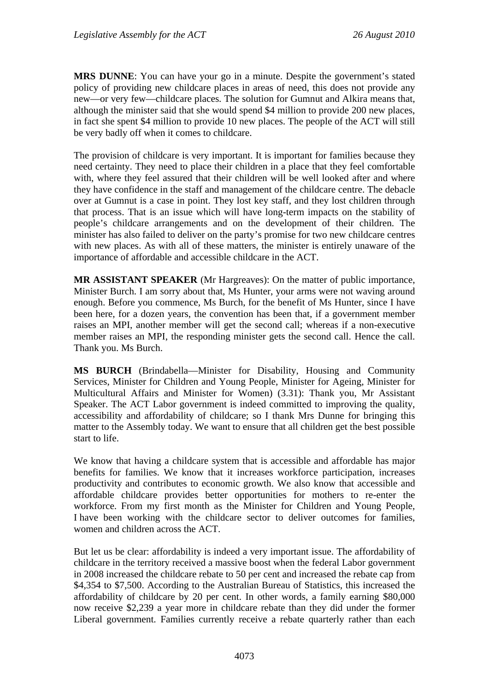**MRS DUNNE**: You can have your go in a minute. Despite the government's stated policy of providing new childcare places in areas of need, this does not provide any new—or very few—childcare places. The solution for Gumnut and Alkira means that, although the minister said that she would spend \$4 million to provide 200 new places, in fact she spent \$4 million to provide 10 new places. The people of the ACT will still be very badly off when it comes to childcare.

The provision of childcare is very important. It is important for families because they need certainty. They need to place their children in a place that they feel comfortable with, where they feel assured that their children will be well looked after and where they have confidence in the staff and management of the childcare centre. The debacle over at Gumnut is a case in point. They lost key staff, and they lost children through that process. That is an issue which will have long-term impacts on the stability of people's childcare arrangements and on the development of their children. The minister has also failed to deliver on the party's promise for two new childcare centres with new places. As with all of these matters, the minister is entirely unaware of the importance of affordable and accessible childcare in the ACT.

**MR ASSISTANT SPEAKER** (Mr Hargreaves): On the matter of public importance, Minister Burch. I am sorry about that, Ms Hunter, your arms were not waving around enough. Before you commence, Ms Burch, for the benefit of Ms Hunter, since I have been here, for a dozen years, the convention has been that, if a government member raises an MPI, another member will get the second call; whereas if a non-executive member raises an MPI, the responding minister gets the second call. Hence the call. Thank you. Ms Burch.

**MS BURCH** (Brindabella—Minister for Disability, Housing and Community Services, Minister for Children and Young People, Minister for Ageing, Minister for Multicultural Affairs and Minister for Women) (3.31): Thank you, Mr Assistant Speaker. The ACT Labor government is indeed committed to improving the quality, accessibility and affordability of childcare; so I thank Mrs Dunne for bringing this matter to the Assembly today. We want to ensure that all children get the best possible start to life.

We know that having a childcare system that is accessible and affordable has major benefits for families. We know that it increases workforce participation, increases productivity and contributes to economic growth. We also know that accessible and affordable childcare provides better opportunities for mothers to re-enter the workforce. From my first month as the Minister for Children and Young People, I have been working with the childcare sector to deliver outcomes for families, women and children across the ACT.

But let us be clear: affordability is indeed a very important issue. The affordability of childcare in the territory received a massive boost when the federal Labor government in 2008 increased the childcare rebate to 50 per cent and increased the rebate cap from \$4,354 to \$7,500. According to the Australian Bureau of Statistics, this increased the affordability of childcare by 20 per cent. In other words, a family earning \$80,000 now receive \$2,239 a year more in childcare rebate than they did under the former Liberal government. Families currently receive a rebate quarterly rather than each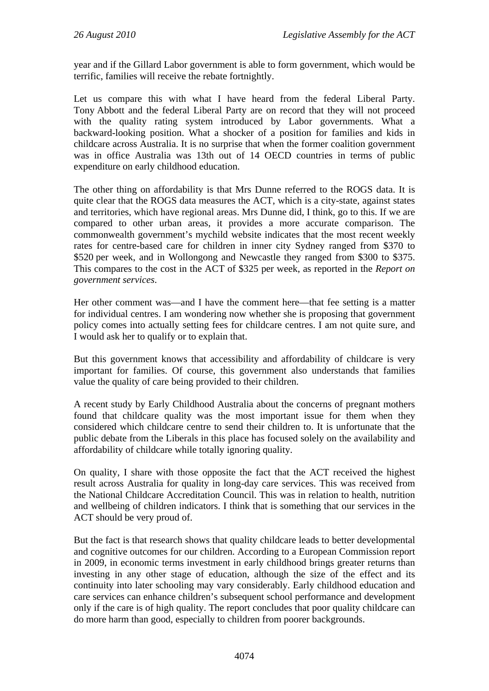year and if the Gillard Labor government is able to form government, which would be terrific, families will receive the rebate fortnightly.

Let us compare this with what I have heard from the federal Liberal Party. Tony Abbott and the federal Liberal Party are on record that they will not proceed with the quality rating system introduced by Labor governments. What a backward-looking position. What a shocker of a position for families and kids in childcare across Australia. It is no surprise that when the former coalition government was in office Australia was 13th out of 14 OECD countries in terms of public expenditure on early childhood education.

The other thing on affordability is that Mrs Dunne referred to the ROGS data. It is quite clear that the ROGS data measures the ACT, which is a city-state, against states and territories, which have regional areas. Mrs Dunne did, I think, go to this. If we are compared to other urban areas, it provides a more accurate comparison. The commonwealth government's mychild website indicates that the most recent weekly rates for centre-based care for children in inner city Sydney ranged from \$370 to \$520 per week, and in Wollongong and Newcastle they ranged from \$300 to \$375. This compares to the cost in the ACT of \$325 per week, as reported in the *Report on government services*.

Her other comment was—and I have the comment here—that fee setting is a matter for individual centres. I am wondering now whether she is proposing that government policy comes into actually setting fees for childcare centres. I am not quite sure, and I would ask her to qualify or to explain that.

But this government knows that accessibility and affordability of childcare is very important for families. Of course, this government also understands that families value the quality of care being provided to their children.

A recent study by Early Childhood Australia about the concerns of pregnant mothers found that childcare quality was the most important issue for them when they considered which childcare centre to send their children to. It is unfortunate that the public debate from the Liberals in this place has focused solely on the availability and affordability of childcare while totally ignoring quality.

On quality, I share with those opposite the fact that the ACT received the highest result across Australia for quality in long-day care services. This was received from the National Childcare Accreditation Council. This was in relation to health, nutrition and wellbeing of children indicators. I think that is something that our services in the ACT should be very proud of.

But the fact is that research shows that quality childcare leads to better developmental and cognitive outcomes for our children. According to a European Commission report in 2009, in economic terms investment in early childhood brings greater returns than investing in any other stage of education, although the size of the effect and its continuity into later schooling may vary considerably. Early childhood education and care services can enhance children's subsequent school performance and development only if the care is of high quality. The report concludes that poor quality childcare can do more harm than good, especially to children from poorer backgrounds.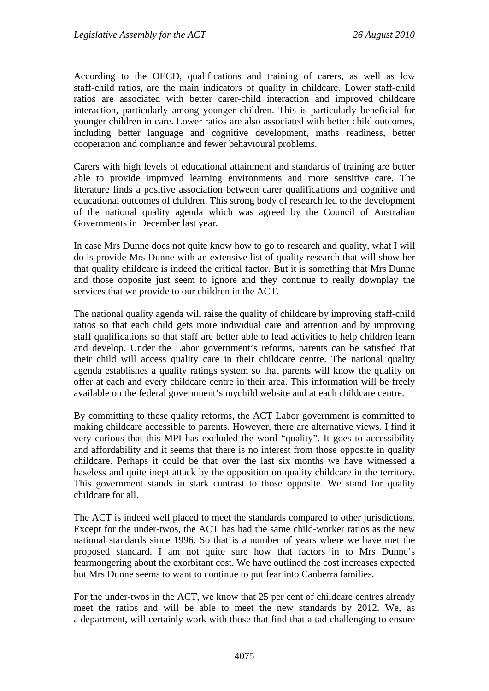According to the OECD, qualifications and training of carers, as well as low staff-child ratios, are the main indicators of quality in childcare. Lower staff-child ratios are associated with better carer-child interaction and improved childcare interaction, particularly among younger children. This is particularly beneficial for younger children in care. Lower ratios are also associated with better child outcomes, including better language and cognitive development, maths readiness, better cooperation and compliance and fewer behavioural problems.

Carers with high levels of educational attainment and standards of training are better able to provide improved learning environments and more sensitive care. The literature finds a positive association between carer qualifications and cognitive and educational outcomes of children. This strong body of research led to the development of the national quality agenda which was agreed by the Council of Australian Governments in December last year.

In case Mrs Dunne does not quite know how to go to research and quality, what I will do is provide Mrs Dunne with an extensive list of quality research that will show her that quality childcare is indeed the critical factor. But it is something that Mrs Dunne and those opposite just seem to ignore and they continue to really downplay the services that we provide to our children in the ACT.

The national quality agenda will raise the quality of childcare by improving staff-child ratios so that each child gets more individual care and attention and by improving staff qualifications so that staff are better able to lead activities to help children learn and develop. Under the Labor government's reforms, parents can be satisfied that their child will access quality care in their childcare centre. The national quality agenda establishes a quality ratings system so that parents will know the quality on offer at each and every childcare centre in their area. This information will be freely available on the federal government's mychild website and at each childcare centre.

By committing to these quality reforms, the ACT Labor government is committed to making childcare accessible to parents. However, there are alternative views. I find it very curious that this MPI has excluded the word "quality". It goes to accessibility and affordability and it seems that there is no interest from those opposite in quality childcare. Perhaps it could be that over the last six months we have witnessed a baseless and quite inept attack by the opposition on quality childcare in the territory. This government stands in stark contrast to those opposite. We stand for quality childcare for all.

The ACT is indeed well placed to meet the standards compared to other jurisdictions. Except for the under-twos, the ACT has had the same child-worker ratios as the new national standards since 1996. So that is a number of years where we have met the proposed standard. I am not quite sure how that factors in to Mrs Dunne's fearmongering about the exorbitant cost. We have outlined the cost increases expected but Mrs Dunne seems to want to continue to put fear into Canberra families.

For the under-twos in the ACT, we know that 25 per cent of childcare centres already meet the ratios and will be able to meet the new standards by 2012. We, as a department, will certainly work with those that find that a tad challenging to ensure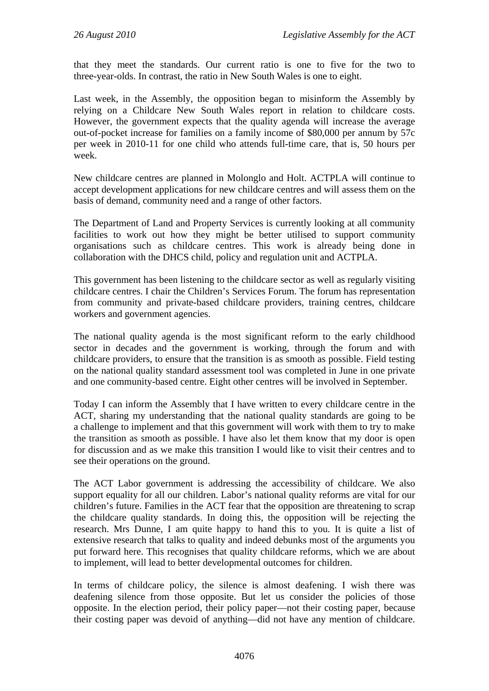that they meet the standards. Our current ratio is one to five for the two to three-year-olds. In contrast, the ratio in New South Wales is one to eight.

Last week, in the Assembly, the opposition began to misinform the Assembly by relying on a Childcare New South Wales report in relation to childcare costs. However, the government expects that the quality agenda will increase the average out-of-pocket increase for families on a family income of \$80,000 per annum by 57c per week in 2010-11 for one child who attends full-time care, that is, 50 hours per week.

New childcare centres are planned in Molonglo and Holt. ACTPLA will continue to accept development applications for new childcare centres and will assess them on the basis of demand, community need and a range of other factors.

The Department of Land and Property Services is currently looking at all community facilities to work out how they might be better utilised to support community organisations such as childcare centres. This work is already being done in collaboration with the DHCS child, policy and regulation unit and ACTPLA.

This government has been listening to the childcare sector as well as regularly visiting childcare centres. I chair the Children's Services Forum. The forum has representation from community and private-based childcare providers, training centres, childcare workers and government agencies.

The national quality agenda is the most significant reform to the early childhood sector in decades and the government is working, through the forum and with childcare providers, to ensure that the transition is as smooth as possible. Field testing on the national quality standard assessment tool was completed in June in one private and one community-based centre. Eight other centres will be involved in September.

Today I can inform the Assembly that I have written to every childcare centre in the ACT, sharing my understanding that the national quality standards are going to be a challenge to implement and that this government will work with them to try to make the transition as smooth as possible. I have also let them know that my door is open for discussion and as we make this transition I would like to visit their centres and to see their operations on the ground.

The ACT Labor government is addressing the accessibility of childcare. We also support equality for all our children. Labor's national quality reforms are vital for our children's future. Families in the ACT fear that the opposition are threatening to scrap the childcare quality standards. In doing this, the opposition will be rejecting the research. Mrs Dunne, I am quite happy to hand this to you. It is quite a list of extensive research that talks to quality and indeed debunks most of the arguments you put forward here. This recognises that quality childcare reforms, which we are about to implement, will lead to better developmental outcomes for children.

In terms of childcare policy, the silence is almost deafening. I wish there was deafening silence from those opposite. But let us consider the policies of those opposite. In the election period, their policy paper—not their costing paper, because their costing paper was devoid of anything—did not have any mention of childcare.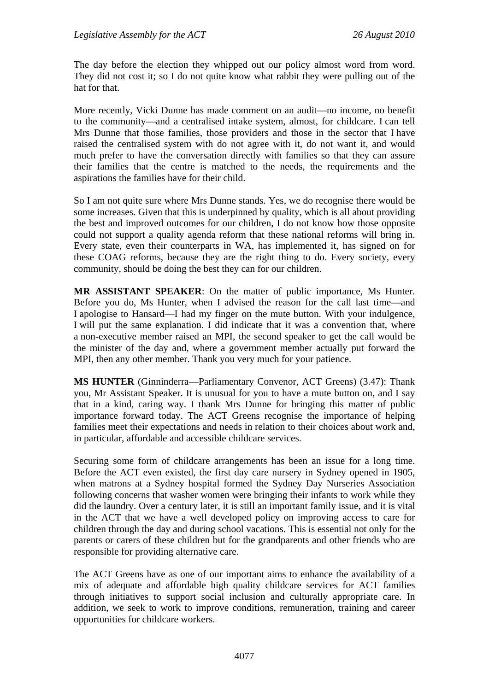The day before the election they whipped out our policy almost word from word. They did not cost it; so I do not quite know what rabbit they were pulling out of the hat for that.

More recently, Vicki Dunne has made comment on an audit—no income, no benefit to the community—and a centralised intake system, almost, for childcare. I can tell Mrs Dunne that those families, those providers and those in the sector that I have raised the centralised system with do not agree with it, do not want it, and would much prefer to have the conversation directly with families so that they can assure their families that the centre is matched to the needs, the requirements and the aspirations the families have for their child.

So I am not quite sure where Mrs Dunne stands. Yes, we do recognise there would be some increases. Given that this is underpinned by quality, which is all about providing the best and improved outcomes for our children, I do not know how those opposite could not support a quality agenda reform that these national reforms will bring in. Every state, even their counterparts in WA, has implemented it, has signed on for these COAG reforms, because they are the right thing to do. Every society, every community, should be doing the best they can for our children.

**MR ASSISTANT SPEAKER**: On the matter of public importance, Ms Hunter. Before you do, Ms Hunter, when I advised the reason for the call last time—and I apologise to Hansard—I had my finger on the mute button. With your indulgence, I will put the same explanation. I did indicate that it was a convention that, where a non-executive member raised an MPI, the second speaker to get the call would be the minister of the day and, where a government member actually put forward the MPI, then any other member. Thank you very much for your patience.

**MS HUNTER** (Ginninderra—Parliamentary Convenor, ACT Greens) (3.47): Thank you, Mr Assistant Speaker. It is unusual for you to have a mute button on, and I say that in a kind, caring way. I thank Mrs Dunne for bringing this matter of public importance forward today. The ACT Greens recognise the importance of helping families meet their expectations and needs in relation to their choices about work and, in particular, affordable and accessible childcare services.

Securing some form of childcare arrangements has been an issue for a long time. Before the ACT even existed, the first day care nursery in Sydney opened in 1905, when matrons at a Sydney hospital formed the Sydney Day Nurseries Association following concerns that washer women were bringing their infants to work while they did the laundry. Over a century later, it is still an important family issue, and it is vital in the ACT that we have a well developed policy on improving access to care for children through the day and during school vacations. This is essential not only for the parents or carers of these children but for the grandparents and other friends who are responsible for providing alternative care.

The ACT Greens have as one of our important aims to enhance the availability of a mix of adequate and affordable high quality childcare services for ACT families through initiatives to support social inclusion and culturally appropriate care. In addition, we seek to work to improve conditions, remuneration, training and career opportunities for childcare workers.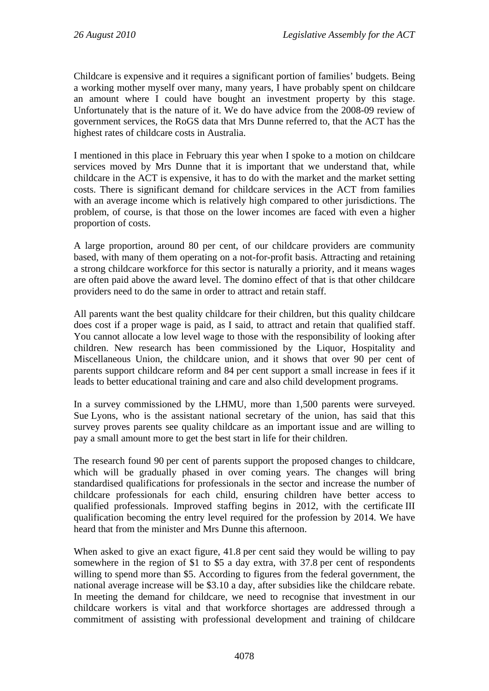Childcare is expensive and it requires a significant portion of families' budgets. Being a working mother myself over many, many years, I have probably spent on childcare an amount where I could have bought an investment property by this stage. Unfortunately that is the nature of it. We do have advice from the 2008-09 review of government services, the RoGS data that Mrs Dunne referred to, that the ACT has the highest rates of childcare costs in Australia.

I mentioned in this place in February this year when I spoke to a motion on childcare services moved by Mrs Dunne that it is important that we understand that, while childcare in the ACT is expensive, it has to do with the market and the market setting costs. There is significant demand for childcare services in the ACT from families with an average income which is relatively high compared to other jurisdictions. The problem, of course, is that those on the lower incomes are faced with even a higher proportion of costs.

A large proportion, around 80 per cent, of our childcare providers are community based, with many of them operating on a not-for-profit basis. Attracting and retaining a strong childcare workforce for this sector is naturally a priority, and it means wages are often paid above the award level. The domino effect of that is that other childcare providers need to do the same in order to attract and retain staff.

All parents want the best quality childcare for their children, but this quality childcare does cost if a proper wage is paid, as I said, to attract and retain that qualified staff. You cannot allocate a low level wage to those with the responsibility of looking after children. New research has been commissioned by the Liquor, Hospitality and Miscellaneous Union, the childcare union, and it shows that over 90 per cent of parents support childcare reform and 84 per cent support a small increase in fees if it leads to better educational training and care and also child development programs.

In a survey commissioned by the LHMU, more than 1,500 parents were surveyed. Sue Lyons, who is the assistant national secretary of the union, has said that this survey proves parents see quality childcare as an important issue and are willing to pay a small amount more to get the best start in life for their children.

The research found 90 per cent of parents support the proposed changes to childcare, which will be gradually phased in over coming years. The changes will bring standardised qualifications for professionals in the sector and increase the number of childcare professionals for each child, ensuring children have better access to qualified professionals. Improved staffing begins in 2012, with the certificate III qualification becoming the entry level required for the profession by 2014. We have heard that from the minister and Mrs Dunne this afternoon.

When asked to give an exact figure, 41.8 per cent said they would be willing to pay somewhere in the region of \$1 to \$5 a day extra, with 37.8 per cent of respondents willing to spend more than \$5. According to figures from the federal government, the national average increase will be \$3.10 a day, after subsidies like the childcare rebate. In meeting the demand for childcare, we need to recognise that investment in our childcare workers is vital and that workforce shortages are addressed through a commitment of assisting with professional development and training of childcare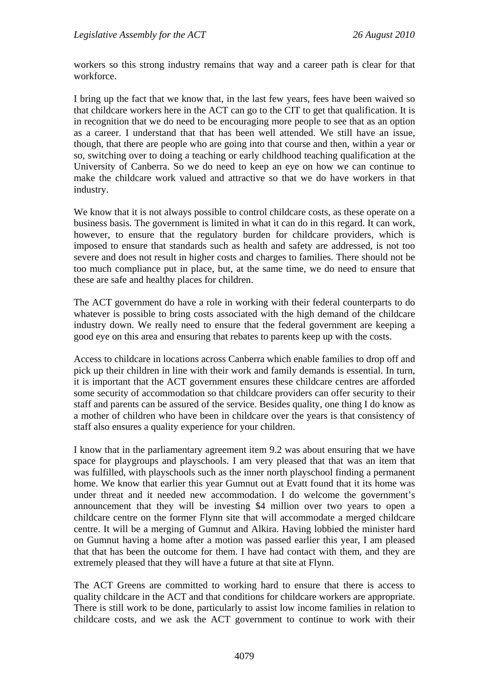workers so this strong industry remains that way and a career path is clear for that workforce.

I bring up the fact that we know that, in the last few years, fees have been waived so that childcare workers here in the ACT can go to the CIT to get that qualification. It is in recognition that we do need to be encouraging more people to see that as an option as a career. I understand that that has been well attended. We still have an issue, though, that there are people who are going into that course and then, within a year or so, switching over to doing a teaching or early childhood teaching qualification at the University of Canberra. So we do need to keep an eye on how we can continue to make the childcare work valued and attractive so that we do have workers in that industry.

We know that it is not always possible to control childcare costs, as these operate on a business basis. The government is limited in what it can do in this regard. It can work, however, to ensure that the regulatory burden for childcare providers, which is imposed to ensure that standards such as health and safety are addressed, is not too severe and does not result in higher costs and charges to families. There should not be too much compliance put in place, but, at the same time, we do need to ensure that these are safe and healthy places for children.

The ACT government do have a role in working with their federal counterparts to do whatever is possible to bring costs associated with the high demand of the childcare industry down. We really need to ensure that the federal government are keeping a good eye on this area and ensuring that rebates to parents keep up with the costs.

Access to childcare in locations across Canberra which enable families to drop off and pick up their children in line with their work and family demands is essential. In turn, it is important that the ACT government ensures these childcare centres are afforded some security of accommodation so that childcare providers can offer security to their staff and parents can be assured of the service. Besides quality, one thing I do know as a mother of children who have been in childcare over the years is that consistency of staff also ensures a quality experience for your children.

I know that in the parliamentary agreement item 9.2 was about ensuring that we have space for playgroups and playschools. I am very pleased that that was an item that was fulfilled, with playschools such as the inner north playschool finding a permanent home. We know that earlier this year Gumnut out at Evatt found that it its home was under threat and it needed new accommodation. I do welcome the government's announcement that they will be investing \$4 million over two years to open a childcare centre on the former Flynn site that will accommodate a merged childcare centre. It will be a merging of Gumnut and Alkira. Having lobbied the minister hard on Gumnut having a home after a motion was passed earlier this year, I am pleased that that has been the outcome for them. I have had contact with them, and they are extremely pleased that they will have a future at that site at Flynn.

The ACT Greens are committed to working hard to ensure that there is access to quality childcare in the ACT and that conditions for childcare workers are appropriate. There is still work to be done, particularly to assist low income families in relation to childcare costs, and we ask the ACT government to continue to work with their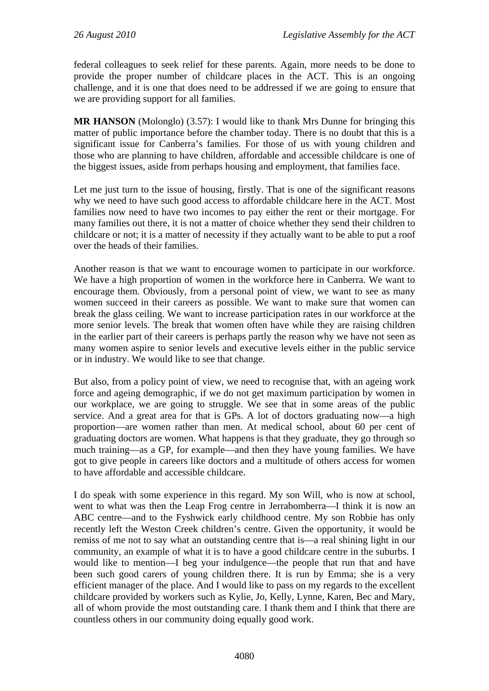federal colleagues to seek relief for these parents. Again, more needs to be done to provide the proper number of childcare places in the ACT. This is an ongoing challenge, and it is one that does need to be addressed if we are going to ensure that we are providing support for all families.

**MR HANSON** (Molonglo) (3.57): I would like to thank Mrs Dunne for bringing this matter of public importance before the chamber today. There is no doubt that this is a significant issue for Canberra's families. For those of us with young children and those who are planning to have children, affordable and accessible childcare is one of the biggest issues, aside from perhaps housing and employment, that families face.

Let me just turn to the issue of housing, firstly. That is one of the significant reasons why we need to have such good access to affordable childcare here in the ACT. Most families now need to have two incomes to pay either the rent or their mortgage. For many families out there, it is not a matter of choice whether they send their children to childcare or not; it is a matter of necessity if they actually want to be able to put a roof over the heads of their families.

Another reason is that we want to encourage women to participate in our workforce. We have a high proportion of women in the workforce here in Canberra. We want to encourage them. Obviously, from a personal point of view, we want to see as many women succeed in their careers as possible. We want to make sure that women can break the glass ceiling. We want to increase participation rates in our workforce at the more senior levels. The break that women often have while they are raising children in the earlier part of their careers is perhaps partly the reason why we have not seen as many women aspire to senior levels and executive levels either in the public service or in industry. We would like to see that change.

But also, from a policy point of view, we need to recognise that, with an ageing work force and ageing demographic, if we do not get maximum participation by women in our workplace, we are going to struggle. We see that in some areas of the public service. And a great area for that is GPs. A lot of doctors graduating now—a high proportion—are women rather than men. At medical school, about 60 per cent of graduating doctors are women. What happens is that they graduate, they go through so much training—as a GP, for example—and then they have young families. We have got to give people in careers like doctors and a multitude of others access for women to have affordable and accessible childcare.

I do speak with some experience in this regard. My son Will, who is now at school, went to what was then the Leap Frog centre in Jerrabomberra—I think it is now an ABC centre—and to the Fyshwick early childhood centre. My son Robbie has only recently left the Weston Creek children's centre. Given the opportunity, it would be remiss of me not to say what an outstanding centre that is—a real shining light in our community, an example of what it is to have a good childcare centre in the suburbs. I would like to mention—I beg your indulgence—the people that run that and have been such good carers of young children there. It is run by Emma; she is a very efficient manager of the place. And I would like to pass on my regards to the excellent childcare provided by workers such as Kylie, Jo, Kelly, Lynne, Karen, Bec and Mary, all of whom provide the most outstanding care. I thank them and I think that there are countless others in our community doing equally good work.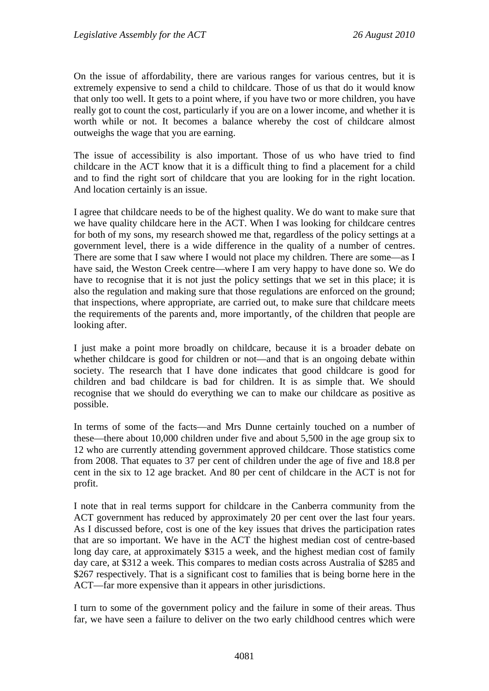On the issue of affordability, there are various ranges for various centres, but it is extremely expensive to send a child to childcare. Those of us that do it would know that only too well. It gets to a point where, if you have two or more children, you have really got to count the cost, particularly if you are on a lower income, and whether it is worth while or not. It becomes a balance whereby the cost of childcare almost outweighs the wage that you are earning.

The issue of accessibility is also important. Those of us who have tried to find childcare in the ACT know that it is a difficult thing to find a placement for a child and to find the right sort of childcare that you are looking for in the right location. And location certainly is an issue.

I agree that childcare needs to be of the highest quality. We do want to make sure that we have quality childcare here in the ACT. When I was looking for childcare centres for both of my sons, my research showed me that, regardless of the policy settings at a government level, there is a wide difference in the quality of a number of centres. There are some that I saw where I would not place my children. There are some—as I have said, the Weston Creek centre—where I am very happy to have done so. We do have to recognise that it is not just the policy settings that we set in this place; it is also the regulation and making sure that those regulations are enforced on the ground; that inspections, where appropriate, are carried out, to make sure that childcare meets the requirements of the parents and, more importantly, of the children that people are looking after.

I just make a point more broadly on childcare, because it is a broader debate on whether childcare is good for children or not—and that is an ongoing debate within society. The research that I have done indicates that good childcare is good for children and bad childcare is bad for children. It is as simple that. We should recognise that we should do everything we can to make our childcare as positive as possible.

In terms of some of the facts—and Mrs Dunne certainly touched on a number of these—there about 10,000 children under five and about 5,500 in the age group six to 12 who are currently attending government approved childcare. Those statistics come from 2008. That equates to 37 per cent of children under the age of five and 18.8 per cent in the six to 12 age bracket. And 80 per cent of childcare in the ACT is not for profit.

I note that in real terms support for childcare in the Canberra community from the ACT government has reduced by approximately 20 per cent over the last four years. As I discussed before, cost is one of the key issues that drives the participation rates that are so important. We have in the ACT the highest median cost of centre-based long day care, at approximately \$315 a week, and the highest median cost of family day care, at \$312 a week. This compares to median costs across Australia of \$285 and \$267 respectively. That is a significant cost to families that is being borne here in the ACT—far more expensive than it appears in other jurisdictions.

I turn to some of the government policy and the failure in some of their areas. Thus far, we have seen a failure to deliver on the two early childhood centres which were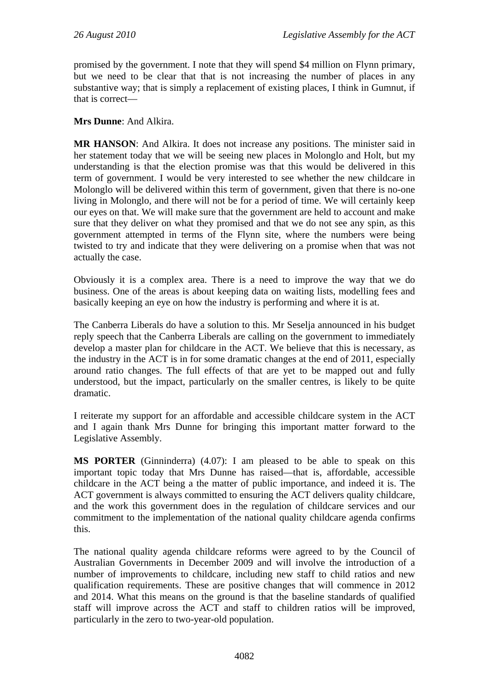promised by the government. I note that they will spend \$4 million on Flynn primary, but we need to be clear that that is not increasing the number of places in any substantive way; that is simply a replacement of existing places, I think in Gumnut, if that is correct—

### **Mrs Dunne**: And Alkira.

**MR HANSON**: And Alkira. It does not increase any positions. The minister said in her statement today that we will be seeing new places in Molonglo and Holt, but my understanding is that the election promise was that this would be delivered in this term of government. I would be very interested to see whether the new childcare in Molonglo will be delivered within this term of government, given that there is no-one living in Molonglo, and there will not be for a period of time. We will certainly keep our eyes on that. We will make sure that the government are held to account and make sure that they deliver on what they promised and that we do not see any spin, as this government attempted in terms of the Flynn site, where the numbers were being twisted to try and indicate that they were delivering on a promise when that was not actually the case.

Obviously it is a complex area. There is a need to improve the way that we do business. One of the areas is about keeping data on waiting lists, modelling fees and basically keeping an eye on how the industry is performing and where it is at.

The Canberra Liberals do have a solution to this. Mr Seselja announced in his budget reply speech that the Canberra Liberals are calling on the government to immediately develop a master plan for childcare in the ACT. We believe that this is necessary, as the industry in the ACT is in for some dramatic changes at the end of 2011, especially around ratio changes. The full effects of that are yet to be mapped out and fully understood, but the impact, particularly on the smaller centres, is likely to be quite dramatic.

I reiterate my support for an affordable and accessible childcare system in the ACT and I again thank Mrs Dunne for bringing this important matter forward to the Legislative Assembly.

**MS PORTER** (Ginninderra) (4.07): I am pleased to be able to speak on this important topic today that Mrs Dunne has raised—that is, affordable, accessible childcare in the ACT being a the matter of public importance, and indeed it is. The ACT government is always committed to ensuring the ACT delivers quality childcare, and the work this government does in the regulation of childcare services and our commitment to the implementation of the national quality childcare agenda confirms this.

The national quality agenda childcare reforms were agreed to by the Council of Australian Governments in December 2009 and will involve the introduction of a number of improvements to childcare, including new staff to child ratios and new qualification requirements. These are positive changes that will commence in 2012 and 2014. What this means on the ground is that the baseline standards of qualified staff will improve across the ACT and staff to children ratios will be improved, particularly in the zero to two-year-old population.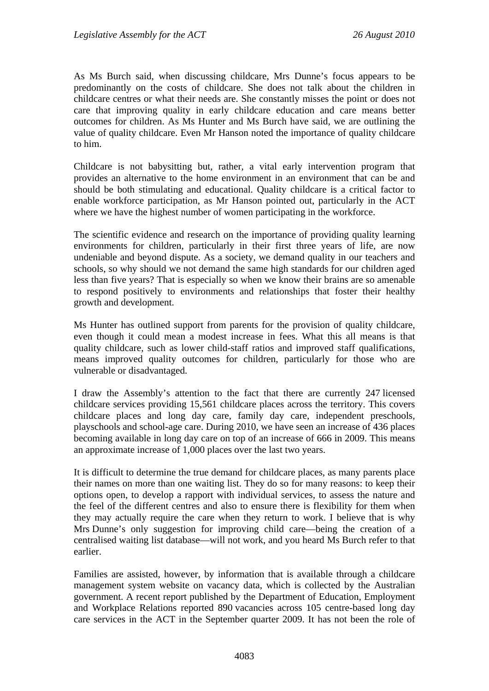As Ms Burch said, when discussing childcare, Mrs Dunne's focus appears to be predominantly on the costs of childcare. She does not talk about the children in childcare centres or what their needs are. She constantly misses the point or does not care that improving quality in early childcare education and care means better outcomes for children. As Ms Hunter and Ms Burch have said, we are outlining the value of quality childcare. Even Mr Hanson noted the importance of quality childcare to him.

Childcare is not babysitting but, rather, a vital early intervention program that provides an alternative to the home environment in an environment that can be and should be both stimulating and educational. Quality childcare is a critical factor to enable workforce participation, as Mr Hanson pointed out, particularly in the ACT where we have the highest number of women participating in the workforce.

The scientific evidence and research on the importance of providing quality learning environments for children, particularly in their first three years of life, are now undeniable and beyond dispute. As a society, we demand quality in our teachers and schools, so why should we not demand the same high standards for our children aged less than five years? That is especially so when we know their brains are so amenable to respond positively to environments and relationships that foster their healthy growth and development.

Ms Hunter has outlined support from parents for the provision of quality childcare, even though it could mean a modest increase in fees. What this all means is that quality childcare, such as lower child-staff ratios and improved staff qualifications, means improved quality outcomes for children, particularly for those who are vulnerable or disadvantaged.

I draw the Assembly's attention to the fact that there are currently 247 licensed childcare services providing 15,561 childcare places across the territory. This covers childcare places and long day care, family day care, independent preschools, playschools and school-age care. During 2010, we have seen an increase of 436 places becoming available in long day care on top of an increase of 666 in 2009. This means an approximate increase of 1,000 places over the last two years.

It is difficult to determine the true demand for childcare places, as many parents place their names on more than one waiting list. They do so for many reasons: to keep their options open, to develop a rapport with individual services, to assess the nature and the feel of the different centres and also to ensure there is flexibility for them when they may actually require the care when they return to work. I believe that is why Mrs Dunne's only suggestion for improving child care—being the creation of a centralised waiting list database—will not work, and you heard Ms Burch refer to that earlier.

Families are assisted, however, by information that is available through a childcare management system website on vacancy data, which is collected by the Australian government. A recent report published by the Department of Education, Employment and Workplace Relations reported 890 vacancies across 105 centre-based long day care services in the ACT in the September quarter 2009. It has not been the role of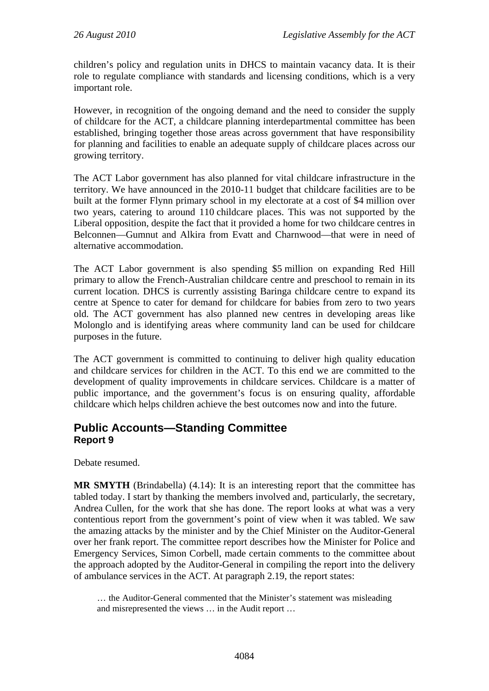children's policy and regulation units in DHCS to maintain vacancy data. It is their role to regulate compliance with standards and licensing conditions, which is a very important role.

However, in recognition of the ongoing demand and the need to consider the supply of childcare for the ACT, a childcare planning interdepartmental committee has been established, bringing together those areas across government that have responsibility for planning and facilities to enable an adequate supply of childcare places across our growing territory.

The ACT Labor government has also planned for vital childcare infrastructure in the territory. We have announced in the 2010-11 budget that childcare facilities are to be built at the former Flynn primary school in my electorate at a cost of \$4 million over two years, catering to around 110 childcare places. This was not supported by the Liberal opposition, despite the fact that it provided a home for two childcare centres in Belconnen—Gumnut and Alkira from Evatt and Charnwood—that were in need of alternative accommodation.

The ACT Labor government is also spending \$5 million on expanding Red Hill primary to allow the French-Australian childcare centre and preschool to remain in its current location. DHCS is currently assisting Baringa childcare centre to expand its centre at Spence to cater for demand for childcare for babies from zero to two years old. The ACT government has also planned new centres in developing areas like Molonglo and is identifying areas where community land can be used for childcare purposes in the future.

The ACT government is committed to continuing to deliver high quality education and childcare services for children in the ACT. To this end we are committed to the development of quality improvements in childcare services. Childcare is a matter of public importance, and the government's focus is on ensuring quality, affordable childcare which helps children achieve the best outcomes now and into the future.

# **Public Accounts—Standing Committee Report 9**

Debate resumed.

**MR SMYTH** (Brindabella) (4.14): It is an interesting report that the committee has tabled today. I start by thanking the members involved and, particularly, the secretary, Andrea Cullen, for the work that she has done. The report looks at what was a very contentious report from the government's point of view when it was tabled. We saw the amazing attacks by the minister and by the Chief Minister on the Auditor-General over her frank report. The committee report describes how the Minister for Police and Emergency Services, Simon Corbell, made certain comments to the committee about the approach adopted by the Auditor-General in compiling the report into the delivery of ambulance services in the ACT. At paragraph 2.19, the report states:

… the Auditor-General commented that the Minister's statement was misleading and misrepresented the views … in the Audit report …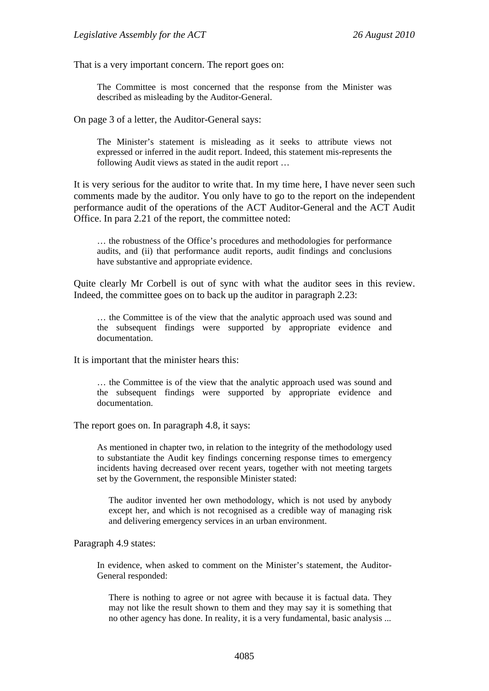That is a very important concern. The report goes on:

The Committee is most concerned that the response from the Minister was described as misleading by the Auditor-General.

On page 3 of a letter, the Auditor-General says:

The Minister's statement is misleading as it seeks to attribute views not expressed or inferred in the audit report. Indeed, this statement mis-represents the following Audit views as stated in the audit report …

It is very serious for the auditor to write that. In my time here, I have never seen such comments made by the auditor. You only have to go to the report on the independent performance audit of the operations of the ACT Auditor-General and the ACT Audit Office. In para 2.21 of the report, the committee noted:

… the robustness of the Office's procedures and methodologies for performance audits, and (ii) that performance audit reports, audit findings and conclusions have substantive and appropriate evidence.

Quite clearly Mr Corbell is out of sync with what the auditor sees in this review. Indeed, the committee goes on to back up the auditor in paragraph 2.23:

… the Committee is of the view that the analytic approach used was sound and the subsequent findings were supported by appropriate evidence and documentation.

It is important that the minister hears this:

… the Committee is of the view that the analytic approach used was sound and the subsequent findings were supported by appropriate evidence and documentation.

The report goes on. In paragraph 4.8, it says:

As mentioned in chapter two, in relation to the integrity of the methodology used to substantiate the Audit key findings concerning response times to emergency incidents having decreased over recent years, together with not meeting targets set by the Government, the responsible Minister stated:

The auditor invented her own methodology, which is not used by anybody except her, and which is not recognised as a credible way of managing risk and delivering emergency services in an urban environment.

Paragraph 4.9 states:

In evidence, when asked to comment on the Minister's statement, the Auditor-General responded:

There is nothing to agree or not agree with because it is factual data. They may not like the result shown to them and they may say it is something that no other agency has done. In reality, it is a very fundamental, basic analysis ...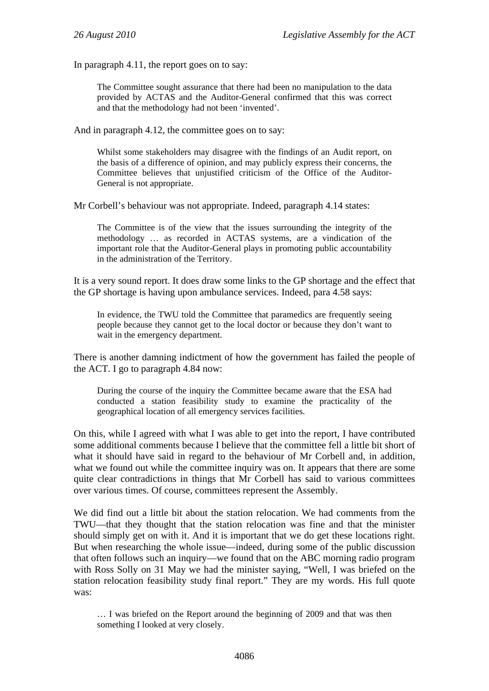In paragraph 4.11, the report goes on to say:

The Committee sought assurance that there had been no manipulation to the data provided by ACTAS and the Auditor-General confirmed that this was correct and that the methodology had not been 'invented'.

And in paragraph 4.12, the committee goes on to say:

Whilst some stakeholders may disagree with the findings of an Audit report, on the basis of a difference of opinion, and may publicly express their concerns, the Committee believes that unjustified criticism of the Office of the Auditor-General is not appropriate.

Mr Corbell's behaviour was not appropriate. Indeed, paragraph 4.14 states:

The Committee is of the view that the issues surrounding the integrity of the methodology … as recorded in ACTAS systems, are a vindication of the important role that the Auditor-General plays in promoting public accountability in the administration of the Territory.

It is a very sound report. It does draw some links to the GP shortage and the effect that the GP shortage is having upon ambulance services. Indeed, para 4.58 says:

In evidence, the TWU told the Committee that paramedics are frequently seeing people because they cannot get to the local doctor or because they don't want to wait in the emergency department.

There is another damning indictment of how the government has failed the people of the ACT. I go to paragraph 4.84 now:

During the course of the inquiry the Committee became aware that the ESA had conducted a station feasibility study to examine the practicality of the geographical location of all emergency services facilities.

On this, while I agreed with what I was able to get into the report, I have contributed some additional comments because I believe that the committee fell a little bit short of what it should have said in regard to the behaviour of Mr Corbell and, in addition, what we found out while the committee inquiry was on. It appears that there are some quite clear contradictions in things that Mr Corbell has said to various committees over various times. Of course, committees represent the Assembly.

We did find out a little bit about the station relocation. We had comments from the TWU—that they thought that the station relocation was fine and that the minister should simply get on with it. And it is important that we do get these locations right. But when researching the whole issue—indeed, during some of the public discussion that often follows such an inquiry—we found that on the ABC morning radio program with Ross Solly on 31 May we had the minister saying, "Well, I was briefed on the station relocation feasibility study final report." They are my words. His full quote was:

… I was briefed on the Report around the beginning of 2009 and that was then something I looked at very closely.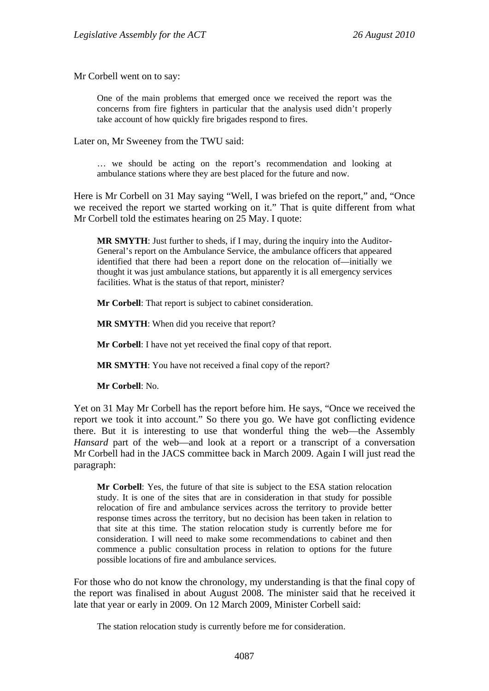Mr Corbell went on to say:

One of the main problems that emerged once we received the report was the concerns from fire fighters in particular that the analysis used didn't properly take account of how quickly fire brigades respond to fires.

Later on, Mr Sweeney from the TWU said:

… we should be acting on the report's recommendation and looking at ambulance stations where they are best placed for the future and now.

Here is Mr Corbell on 31 May saying "Well, I was briefed on the report," and, "Once we received the report we started working on it." That is quite different from what Mr Corbell told the estimates hearing on 25 May. I quote:

**MR SMYTH**: Just further to sheds, if I may, during the inquiry into the Auditor-General's report on the Ambulance Service, the ambulance officers that appeared identified that there had been a report done on the relocation of—initially we thought it was just ambulance stations, but apparently it is all emergency services facilities. What is the status of that report, minister?

**Mr Corbell**: That report is subject to cabinet consideration.

**MR SMYTH**: When did you receive that report?

**Mr Corbell**: I have not yet received the final copy of that report.

**MR SMYTH**: You have not received a final copy of the report?

**Mr Corbell**: No.

Yet on 31 May Mr Corbell has the report before him. He says, "Once we received the report we took it into account." So there you go. We have got conflicting evidence there. But it is interesting to use that wonderful thing the web—the Assembly *Hansard* part of the web—and look at a report or a transcript of a conversation Mr Corbell had in the JACS committee back in March 2009. Again I will just read the paragraph:

**Mr Corbell**: Yes, the future of that site is subject to the ESA station relocation study. It is one of the sites that are in consideration in that study for possible relocation of fire and ambulance services across the territory to provide better response times across the territory, but no decision has been taken in relation to that site at this time. The station relocation study is currently before me for consideration. I will need to make some recommendations to cabinet and then commence a public consultation process in relation to options for the future possible locations of fire and ambulance services.

For those who do not know the chronology, my understanding is that the final copy of the report was finalised in about August 2008. The minister said that he received it late that year or early in 2009. On 12 March 2009, Minister Corbell said:

The station relocation study is currently before me for consideration.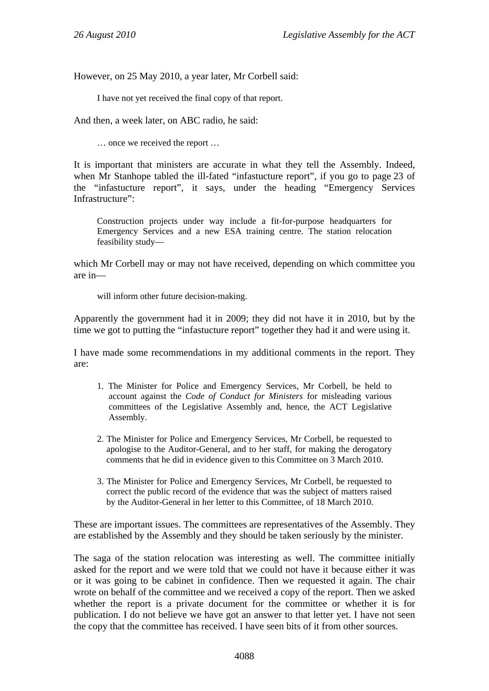However, on 25 May 2010, a year later, Mr Corbell said:

I have not yet received the final copy of that report.

And then, a week later, on ABC radio, he said:

… once we received the report …

It is important that ministers are accurate in what they tell the Assembly. Indeed, when Mr Stanhope tabled the ill-fated "infastucture report", if you go to page 23 of the "infastucture report", it says, under the heading "Emergency Services Infrastructure".

Construction projects under way include a fit-for-purpose headquarters for Emergency Services and a new ESA training centre. The station relocation feasibility study—

which Mr Corbell may or may not have received, depending on which committee you are in—

will inform other future decision-making.

Apparently the government had it in 2009; they did not have it in 2010, but by the time we got to putting the "infastucture report" together they had it and were using it.

I have made some recommendations in my additional comments in the report. They are:

- 1. The Minister for Police and Emergency Services, Mr Corbell, be held to account against the *Code of Conduct for Ministers* for misleading various committees of the Legislative Assembly and, hence, the ACT Legislative Assembly.
- 2. The Minister for Police and Emergency Services, Mr Corbell, be requested to apologise to the Auditor-General, and to her staff, for making the derogatory comments that he did in evidence given to this Committee on 3 March 2010.
- 3. The Minister for Police and Emergency Services, Mr Corbell, be requested to correct the public record of the evidence that was the subject of matters raised by the Auditor-General in her letter to this Committee, of 18 March 2010.

These are important issues. The committees are representatives of the Assembly. They are established by the Assembly and they should be taken seriously by the minister.

The saga of the station relocation was interesting as well. The committee initially asked for the report and we were told that we could not have it because either it was or it was going to be cabinet in confidence. Then we requested it again. The chair wrote on behalf of the committee and we received a copy of the report. Then we asked whether the report is a private document for the committee or whether it is for publication. I do not believe we have got an answer to that letter yet. I have not seen the copy that the committee has received. I have seen bits of it from other sources.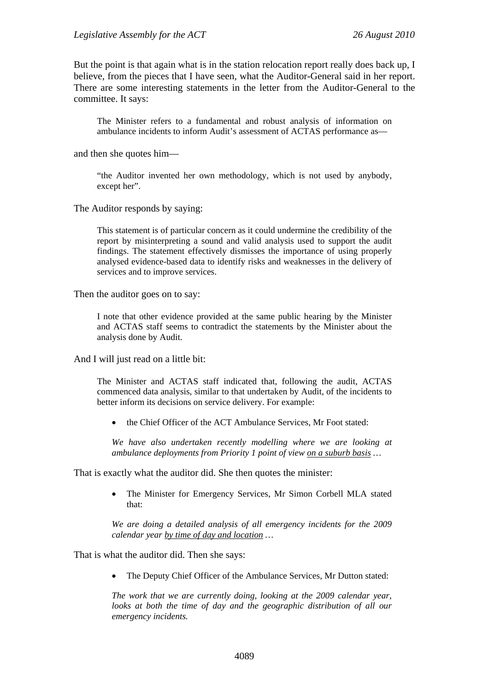But the point is that again what is in the station relocation report really does back up, I believe, from the pieces that I have seen, what the Auditor-General said in her report. There are some interesting statements in the letter from the Auditor-General to the committee. It says:

The Minister refers to a fundamental and robust analysis of information on ambulance incidents to inform Audit's assessment of ACTAS performance as—

and then she quotes him—

"the Auditor invented her own methodology, which is not used by anybody, except her".

The Auditor responds by saying:

This statement is of particular concern as it could undermine the credibility of the report by misinterpreting a sound and valid analysis used to support the audit findings. The statement effectively dismisses the importance of using properly analysed evidence-based data to identify risks and weaknesses in the delivery of services and to improve services.

Then the auditor goes on to say:

I note that other evidence provided at the same public hearing by the Minister and ACTAS staff seems to contradict the statements by the Minister about the analysis done by Audit.

And I will just read on a little bit:

The Minister and ACTAS staff indicated that, following the audit, ACTAS commenced data analysis, similar to that undertaken by Audit, of the incidents to better inform its decisions on service delivery. For example:

• the Chief Officer of the ACT Ambulance Services, Mr Foot stated:

*We have also undertaken recently modelling where we are looking at ambulance deployments from Priority 1 point of view on a suburb basis …* 

That is exactly what the auditor did. She then quotes the minister:

 The Minister for Emergency Services, Mr Simon Corbell MLA stated that:

*We are doing a detailed analysis of all emergency incidents for the 2009 calendar year by time of day and location …* 

That is what the auditor did. Then she says:

• The Deputy Chief Officer of the Ambulance Services, Mr Dutton stated:

*The work that we are currently doing, looking at the 2009 calendar year, looks at both the time of day and the geographic distribution of all our emergency incidents.*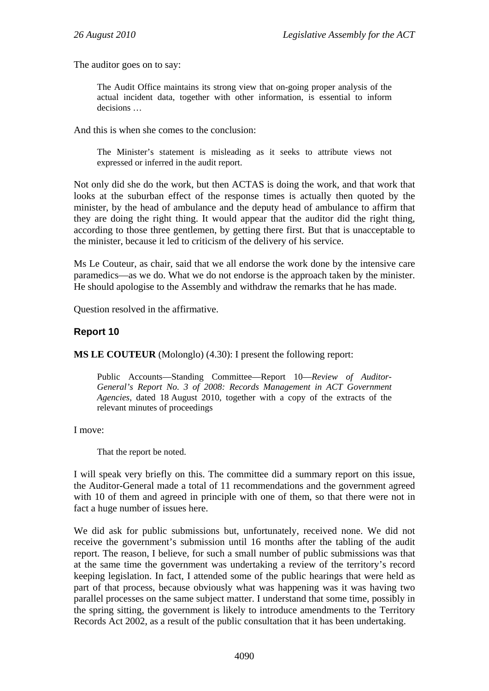The auditor goes on to say:

The Audit Office maintains its strong view that on-going proper analysis of the actual incident data, together with other information, is essential to inform decisions …

And this is when she comes to the conclusion:

The Minister's statement is misleading as it seeks to attribute views not expressed or inferred in the audit report.

Not only did she do the work, but then ACTAS is doing the work, and that work that looks at the suburban effect of the response times is actually then quoted by the minister, by the head of ambulance and the deputy head of ambulance to affirm that they are doing the right thing. It would appear that the auditor did the right thing, according to those three gentlemen, by getting there first. But that is unacceptable to the minister, because it led to criticism of the delivery of his service.

Ms Le Couteur, as chair, said that we all endorse the work done by the intensive care paramedics—as we do. What we do not endorse is the approach taken by the minister. He should apologise to the Assembly and withdraw the remarks that he has made.

Question resolved in the affirmative.

#### **Report 10**

**MS LE COUTEUR** (Molonglo) (4.30): I present the following report:

Public Accounts—Standing Committee—Report 10—*Review of Auditor-General's Report No. 3 of 2008: Records Management in ACT Government Agencies,* dated 18 August 2010, together with a copy of the extracts of the relevant minutes of proceedings

I move:

That the report be noted.

I will speak very briefly on this. The committee did a summary report on this issue, the Auditor-General made a total of 11 recommendations and the government agreed with 10 of them and agreed in principle with one of them, so that there were not in fact a huge number of issues here.

We did ask for public submissions but, unfortunately, received none. We did not receive the government's submission until 16 months after the tabling of the audit report. The reason, I believe, for such a small number of public submissions was that at the same time the government was undertaking a review of the territory's record keeping legislation. In fact, I attended some of the public hearings that were held as part of that process, because obviously what was happening was it was having two parallel processes on the same subject matter. I understand that some time, possibly in the spring sitting, the government is likely to introduce amendments to the Territory Records Act 2002, as a result of the public consultation that it has been undertaking.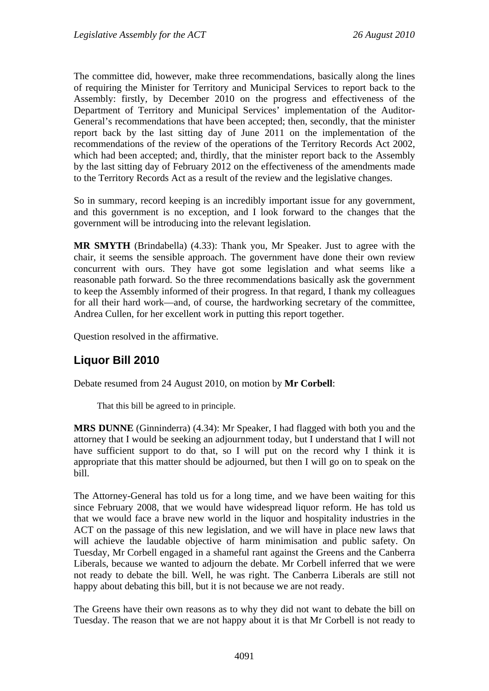The committee did, however, make three recommendations, basically along the lines of requiring the Minister for Territory and Municipal Services to report back to the Assembly: firstly, by December 2010 on the progress and effectiveness of the Department of Territory and Municipal Services' implementation of the Auditor-General's recommendations that have been accepted; then, secondly, that the minister report back by the last sitting day of June 2011 on the implementation of the recommendations of the review of the operations of the Territory Records Act 2002, which had been accepted; and, thirdly, that the minister report back to the Assembly by the last sitting day of February 2012 on the effectiveness of the amendments made to the Territory Records Act as a result of the review and the legislative changes.

So in summary, record keeping is an incredibly important issue for any government, and this government is no exception, and I look forward to the changes that the government will be introducing into the relevant legislation.

**MR SMYTH** (Brindabella) (4.33): Thank you, Mr Speaker. Just to agree with the chair, it seems the sensible approach. The government have done their own review concurrent with ours. They have got some legislation and what seems like a reasonable path forward. So the three recommendations basically ask the government to keep the Assembly informed of their progress. In that regard, I thank my colleagues for all their hard work—and, of course, the hardworking secretary of the committee, Andrea Cullen, for her excellent work in putting this report together.

Question resolved in the affirmative.

# **Liquor Bill 2010**

Debate resumed from 24 August 2010, on motion by **Mr Corbell**:

That this bill be agreed to in principle.

**MRS DUNNE** (Ginninderra) (4.34): Mr Speaker, I had flagged with both you and the attorney that I would be seeking an adjournment today, but I understand that I will not have sufficient support to do that, so I will put on the record why I think it is appropriate that this matter should be adjourned, but then I will go on to speak on the bill.

The Attorney-General has told us for a long time, and we have been waiting for this since February 2008, that we would have widespread liquor reform. He has told us that we would face a brave new world in the liquor and hospitality industries in the ACT on the passage of this new legislation, and we will have in place new laws that will achieve the laudable objective of harm minimisation and public safety. On Tuesday, Mr Corbell engaged in a shameful rant against the Greens and the Canberra Liberals, because we wanted to adjourn the debate. Mr Corbell inferred that we were not ready to debate the bill. Well, he was right. The Canberra Liberals are still not happy about debating this bill, but it is not because we are not ready.

The Greens have their own reasons as to why they did not want to debate the bill on Tuesday. The reason that we are not happy about it is that Mr Corbell is not ready to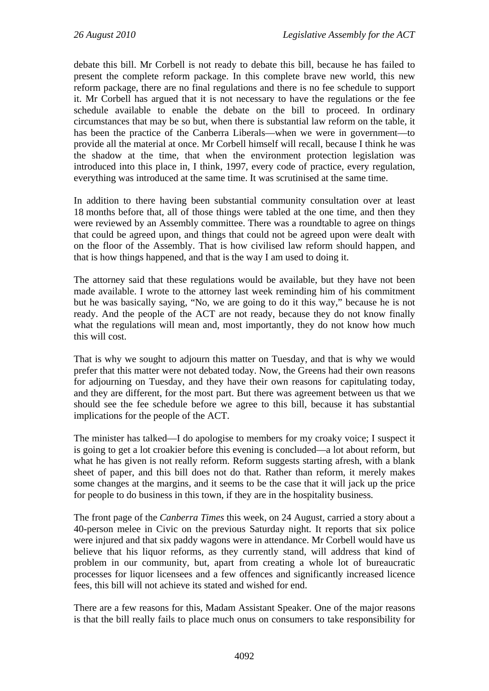debate this bill. Mr Corbell is not ready to debate this bill, because he has failed to present the complete reform package. In this complete brave new world, this new reform package, there are no final regulations and there is no fee schedule to support it. Mr Corbell has argued that it is not necessary to have the regulations or the fee schedule available to enable the debate on the bill to proceed. In ordinary circumstances that may be so but, when there is substantial law reform on the table, it has been the practice of the Canberra Liberals—when we were in government—to provide all the material at once. Mr Corbell himself will recall, because I think he was the shadow at the time, that when the environment protection legislation was introduced into this place in, I think, 1997, every code of practice, every regulation, everything was introduced at the same time. It was scrutinised at the same time.

In addition to there having been substantial community consultation over at least 18 months before that, all of those things were tabled at the one time, and then they were reviewed by an Assembly committee. There was a roundtable to agree on things that could be agreed upon, and things that could not be agreed upon were dealt with on the floor of the Assembly. That is how civilised law reform should happen, and that is how things happened, and that is the way I am used to doing it.

The attorney said that these regulations would be available, but they have not been made available. I wrote to the attorney last week reminding him of his commitment but he was basically saying, "No, we are going to do it this way," because he is not ready. And the people of the ACT are not ready, because they do not know finally what the regulations will mean and, most importantly, they do not know how much this will cost.

That is why we sought to adjourn this matter on Tuesday, and that is why we would prefer that this matter were not debated today. Now, the Greens had their own reasons for adjourning on Tuesday, and they have their own reasons for capitulating today, and they are different, for the most part. But there was agreement between us that we should see the fee schedule before we agree to this bill, because it has substantial implications for the people of the ACT.

The minister has talked—I do apologise to members for my croaky voice; I suspect it is going to get a lot croakier before this evening is concluded—a lot about reform, but what he has given is not really reform. Reform suggests starting afresh, with a blank sheet of paper, and this bill does not do that. Rather than reform, it merely makes some changes at the margins, and it seems to be the case that it will jack up the price for people to do business in this town, if they are in the hospitality business.

The front page of the *Canberra Times* this week, on 24 August, carried a story about a 40-person melee in Civic on the previous Saturday night. It reports that six police were injured and that six paddy wagons were in attendance. Mr Corbell would have us believe that his liquor reforms, as they currently stand, will address that kind of problem in our community, but, apart from creating a whole lot of bureaucratic processes for liquor licensees and a few offences and significantly increased licence fees, this bill will not achieve its stated and wished for end.

There are a few reasons for this, Madam Assistant Speaker. One of the major reasons is that the bill really fails to place much onus on consumers to take responsibility for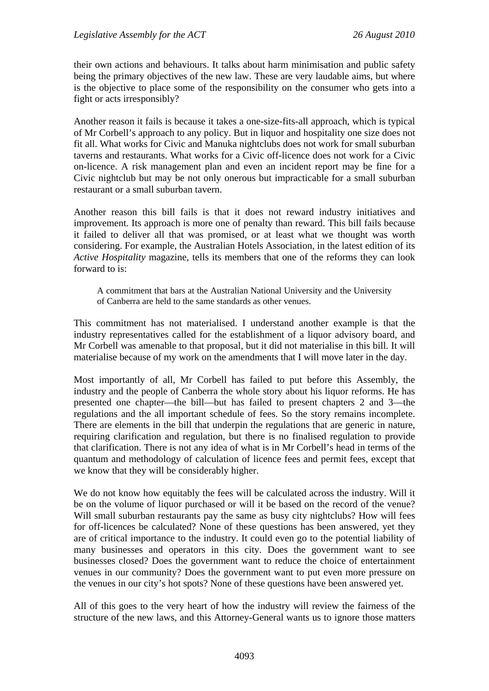their own actions and behaviours. It talks about harm minimisation and public safety being the primary objectives of the new law. These are very laudable aims, but where is the objective to place some of the responsibility on the consumer who gets into a fight or acts irresponsibly?

Another reason it fails is because it takes a one-size-fits-all approach, which is typical of Mr Corbell's approach to any policy. But in liquor and hospitality one size does not fit all. What works for Civic and Manuka nightclubs does not work for small suburban taverns and restaurants. What works for a Civic off-licence does not work for a Civic on-licence. A risk management plan and even an incident report may be fine for a Civic nightclub but may be not only onerous but impracticable for a small suburban restaurant or a small suburban tavern.

Another reason this bill fails is that it does not reward industry initiatives and improvement. Its approach is more one of penalty than reward. This bill fails because it failed to deliver all that was promised, or at least what we thought was worth considering. For example, the Australian Hotels Association, in the latest edition of its *Active Hospitality* magazine, tells its members that one of the reforms they can look forward to is:

A commitment that bars at the Australian National University and the University of Canberra are held to the same standards as other venues.

This commitment has not materialised. I understand another example is that the industry representatives called for the establishment of a liquor advisory board, and Mr Corbell was amenable to that proposal, but it did not materialise in this bill. It will materialise because of my work on the amendments that I will move later in the day.

Most importantly of all, Mr Corbell has failed to put before this Assembly, the industry and the people of Canberra the whole story about his liquor reforms. He has presented one chapter—the bill—but has failed to present chapters 2 and 3—the regulations and the all important schedule of fees. So the story remains incomplete. There are elements in the bill that underpin the regulations that are generic in nature, requiring clarification and regulation, but there is no finalised regulation to provide that clarification. There is not any idea of what is in Mr Corbell's head in terms of the quantum and methodology of calculation of licence fees and permit fees, except that we know that they will be considerably higher.

We do not know how equitably the fees will be calculated across the industry. Will it be on the volume of liquor purchased or will it be based on the record of the venue? Will small suburban restaurants pay the same as busy city nightclubs? How will fees for off-licences be calculated? None of these questions has been answered, yet they are of critical importance to the industry. It could even go to the potential liability of many businesses and operators in this city. Does the government want to see businesses closed? Does the government want to reduce the choice of entertainment venues in our community? Does the government want to put even more pressure on the venues in our city's hot spots? None of these questions have been answered yet.

All of this goes to the very heart of how the industry will review the fairness of the structure of the new laws, and this Attorney-General wants us to ignore those matters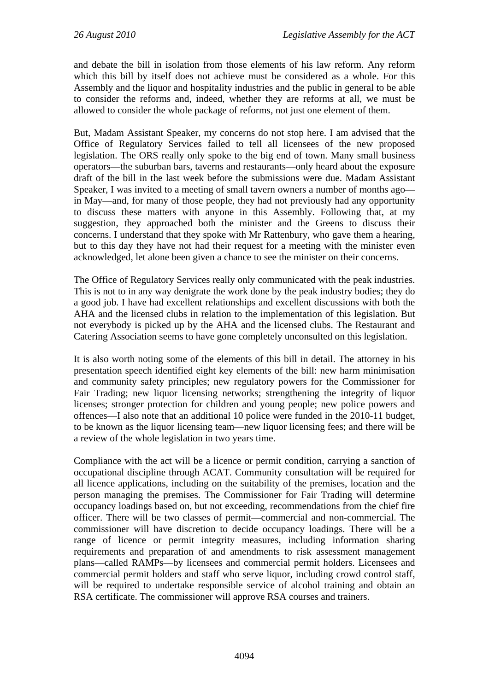and debate the bill in isolation from those elements of his law reform. Any reform which this bill by itself does not achieve must be considered as a whole. For this Assembly and the liquor and hospitality industries and the public in general to be able to consider the reforms and, indeed, whether they are reforms at all, we must be allowed to consider the whole package of reforms, not just one element of them.

But, Madam Assistant Speaker, my concerns do not stop here. I am advised that the Office of Regulatory Services failed to tell all licensees of the new proposed legislation. The ORS really only spoke to the big end of town. Many small business operators—the suburban bars, taverns and restaurants—only heard about the exposure draft of the bill in the last week before the submissions were due. Madam Assistant Speaker, I was invited to a meeting of small tavern owners a number of months ago in May—and, for many of those people, they had not previously had any opportunity to discuss these matters with anyone in this Assembly. Following that, at my suggestion, they approached both the minister and the Greens to discuss their concerns. I understand that they spoke with Mr Rattenbury, who gave them a hearing, but to this day they have not had their request for a meeting with the minister even acknowledged, let alone been given a chance to see the minister on their concerns.

The Office of Regulatory Services really only communicated with the peak industries. This is not to in any way denigrate the work done by the peak industry bodies; they do a good job. I have had excellent relationships and excellent discussions with both the AHA and the licensed clubs in relation to the implementation of this legislation. But not everybody is picked up by the AHA and the licensed clubs. The Restaurant and Catering Association seems to have gone completely unconsulted on this legislation.

It is also worth noting some of the elements of this bill in detail. The attorney in his presentation speech identified eight key elements of the bill: new harm minimisation and community safety principles; new regulatory powers for the Commissioner for Fair Trading; new liquor licensing networks; strengthening the integrity of liquor licenses; stronger protection for children and young people; new police powers and offences—I also note that an additional 10 police were funded in the 2010-11 budget, to be known as the liquor licensing team—new liquor licensing fees; and there will be a review of the whole legislation in two years time.

Compliance with the act will be a licence or permit condition, carrying a sanction of occupational discipline through ACAT. Community consultation will be required for all licence applications, including on the suitability of the premises, location and the person managing the premises. The Commissioner for Fair Trading will determine occupancy loadings based on, but not exceeding, recommendations from the chief fire officer. There will be two classes of permit—commercial and non-commercial. The commissioner will have discretion to decide occupancy loadings. There will be a range of licence or permit integrity measures, including information sharing requirements and preparation of and amendments to risk assessment management plans—called RAMPs—by licensees and commercial permit holders. Licensees and commercial permit holders and staff who serve liquor, including crowd control staff, will be required to undertake responsible service of alcohol training and obtain an RSA certificate. The commissioner will approve RSA courses and trainers.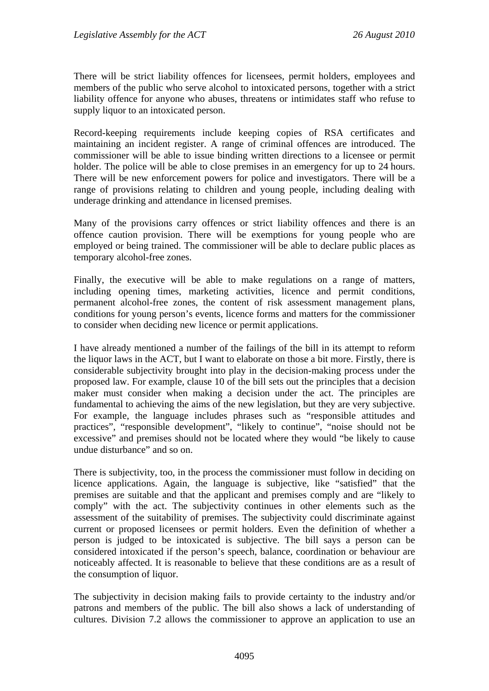There will be strict liability offences for licensees, permit holders, employees and members of the public who serve alcohol to intoxicated persons, together with a strict liability offence for anyone who abuses, threatens or intimidates staff who refuse to supply liquor to an intoxicated person.

Record-keeping requirements include keeping copies of RSA certificates and maintaining an incident register. A range of criminal offences are introduced. The commissioner will be able to issue binding written directions to a licensee or permit holder. The police will be able to close premises in an emergency for up to 24 hours. There will be new enforcement powers for police and investigators. There will be a range of provisions relating to children and young people, including dealing with underage drinking and attendance in licensed premises.

Many of the provisions carry offences or strict liability offences and there is an offence caution provision. There will be exemptions for young people who are employed or being trained. The commissioner will be able to declare public places as temporary alcohol-free zones.

Finally, the executive will be able to make regulations on a range of matters, including opening times, marketing activities, licence and permit conditions, permanent alcohol-free zones, the content of risk assessment management plans, conditions for young person's events, licence forms and matters for the commissioner to consider when deciding new licence or permit applications.

I have already mentioned a number of the failings of the bill in its attempt to reform the liquor laws in the ACT, but I want to elaborate on those a bit more. Firstly, there is considerable subjectivity brought into play in the decision-making process under the proposed law. For example, clause 10 of the bill sets out the principles that a decision maker must consider when making a decision under the act. The principles are fundamental to achieving the aims of the new legislation, but they are very subjective. For example, the language includes phrases such as "responsible attitudes and practices", "responsible development", "likely to continue", "noise should not be excessive" and premises should not be located where they would "be likely to cause undue disturbance" and so on.

There is subjectivity, too, in the process the commissioner must follow in deciding on licence applications. Again, the language is subjective, like "satisfied" that the premises are suitable and that the applicant and premises comply and are "likely to comply" with the act. The subjectivity continues in other elements such as the assessment of the suitability of premises. The subjectivity could discriminate against current or proposed licensees or permit holders. Even the definition of whether a person is judged to be intoxicated is subjective. The bill says a person can be considered intoxicated if the person's speech, balance, coordination or behaviour are noticeably affected. It is reasonable to believe that these conditions are as a result of the consumption of liquor.

The subjectivity in decision making fails to provide certainty to the industry and/or patrons and members of the public. The bill also shows a lack of understanding of cultures. Division 7.2 allows the commissioner to approve an application to use an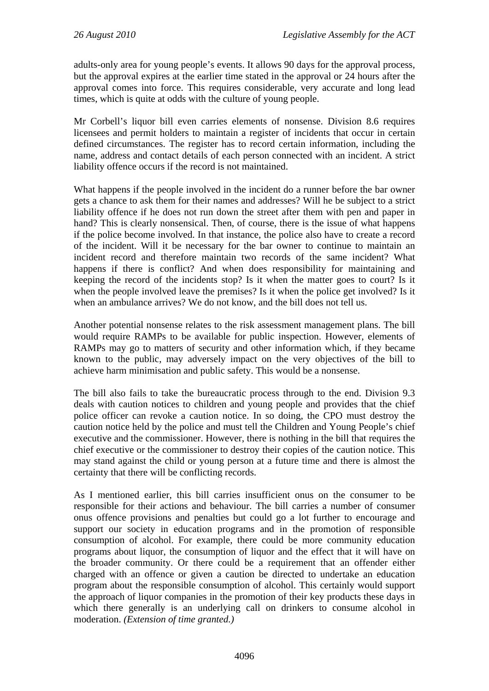adults-only area for young people's events. It allows 90 days for the approval process, but the approval expires at the earlier time stated in the approval or 24 hours after the approval comes into force. This requires considerable, very accurate and long lead times, which is quite at odds with the culture of young people.

Mr Corbell's liquor bill even carries elements of nonsense. Division 8.6 requires licensees and permit holders to maintain a register of incidents that occur in certain defined circumstances. The register has to record certain information, including the name, address and contact details of each person connected with an incident. A strict liability offence occurs if the record is not maintained.

What happens if the people involved in the incident do a runner before the bar owner gets a chance to ask them for their names and addresses? Will he be subject to a strict liability offence if he does not run down the street after them with pen and paper in hand? This is clearly nonsensical. Then, of course, there is the issue of what happens if the police become involved. In that instance, the police also have to create a record of the incident. Will it be necessary for the bar owner to continue to maintain an incident record and therefore maintain two records of the same incident? What happens if there is conflict? And when does responsibility for maintaining and keeping the record of the incidents stop? Is it when the matter goes to court? Is it when the people involved leave the premises? Is it when the police get involved? Is it when an ambulance arrives? We do not know, and the bill does not tell us.

Another potential nonsense relates to the risk assessment management plans. The bill would require RAMPs to be available for public inspection. However, elements of RAMPs may go to matters of security and other information which, if they became known to the public, may adversely impact on the very objectives of the bill to achieve harm minimisation and public safety. This would be a nonsense.

The bill also fails to take the bureaucratic process through to the end. Division 9.3 deals with caution notices to children and young people and provides that the chief police officer can revoke a caution notice. In so doing, the CPO must destroy the caution notice held by the police and must tell the Children and Young People's chief executive and the commissioner. However, there is nothing in the bill that requires the chief executive or the commissioner to destroy their copies of the caution notice. This may stand against the child or young person at a future time and there is almost the certainty that there will be conflicting records.

As I mentioned earlier, this bill carries insufficient onus on the consumer to be responsible for their actions and behaviour. The bill carries a number of consumer onus offence provisions and penalties but could go a lot further to encourage and support our society in education programs and in the promotion of responsible consumption of alcohol. For example, there could be more community education programs about liquor, the consumption of liquor and the effect that it will have on the broader community. Or there could be a requirement that an offender either charged with an offence or given a caution be directed to undertake an education program about the responsible consumption of alcohol. This certainly would support the approach of liquor companies in the promotion of their key products these days in which there generally is an underlying call on drinkers to consume alcohol in moderation. *(Extension of time granted.)*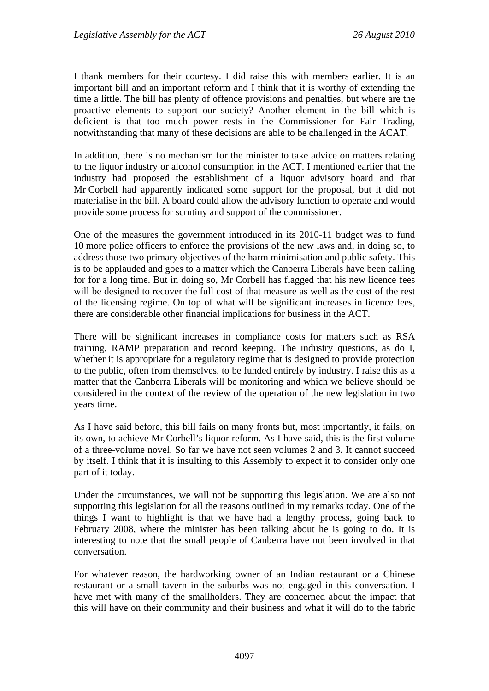I thank members for their courtesy. I did raise this with members earlier. It is an important bill and an important reform and I think that it is worthy of extending the time a little. The bill has plenty of offence provisions and penalties, but where are the proactive elements to support our society? Another element in the bill which is deficient is that too much power rests in the Commissioner for Fair Trading, notwithstanding that many of these decisions are able to be challenged in the ACAT.

In addition, there is no mechanism for the minister to take advice on matters relating to the liquor industry or alcohol consumption in the ACT. I mentioned earlier that the industry had proposed the establishment of a liquor advisory board and that Mr Corbell had apparently indicated some support for the proposal, but it did not materialise in the bill. A board could allow the advisory function to operate and would provide some process for scrutiny and support of the commissioner.

One of the measures the government introduced in its 2010-11 budget was to fund 10 more police officers to enforce the provisions of the new laws and, in doing so, to address those two primary objectives of the harm minimisation and public safety. This is to be applauded and goes to a matter which the Canberra Liberals have been calling for for a long time. But in doing so, Mr Corbell has flagged that his new licence fees will be designed to recover the full cost of that measure as well as the cost of the rest of the licensing regime. On top of what will be significant increases in licence fees, there are considerable other financial implications for business in the ACT.

There will be significant increases in compliance costs for matters such as RSA training, RAMP preparation and record keeping. The industry questions, as do I, whether it is appropriate for a regulatory regime that is designed to provide protection to the public, often from themselves, to be funded entirely by industry. I raise this as a matter that the Canberra Liberals will be monitoring and which we believe should be considered in the context of the review of the operation of the new legislation in two years time.

As I have said before, this bill fails on many fronts but, most importantly, it fails, on its own, to achieve Mr Corbell's liquor reform. As I have said, this is the first volume of a three-volume novel. So far we have not seen volumes 2 and 3. It cannot succeed by itself. I think that it is insulting to this Assembly to expect it to consider only one part of it today.

Under the circumstances, we will not be supporting this legislation. We are also not supporting this legislation for all the reasons outlined in my remarks today. One of the things I want to highlight is that we have had a lengthy process, going back to February 2008, where the minister has been talking about he is going to do. It is interesting to note that the small people of Canberra have not been involved in that conversation.

For whatever reason, the hardworking owner of an Indian restaurant or a Chinese restaurant or a small tavern in the suburbs was not engaged in this conversation. I have met with many of the smallholders. They are concerned about the impact that this will have on their community and their business and what it will do to the fabric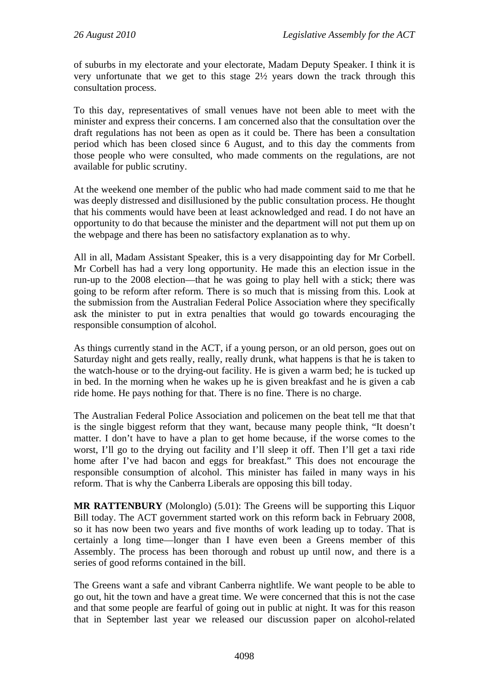of suburbs in my electorate and your electorate, Madam Deputy Speaker. I think it is very unfortunate that we get to this stage 2½ years down the track through this consultation process.

To this day, representatives of small venues have not been able to meet with the minister and express their concerns. I am concerned also that the consultation over the draft regulations has not been as open as it could be. There has been a consultation period which has been closed since 6 August, and to this day the comments from those people who were consulted, who made comments on the regulations, are not available for public scrutiny.

At the weekend one member of the public who had made comment said to me that he was deeply distressed and disillusioned by the public consultation process. He thought that his comments would have been at least acknowledged and read. I do not have an opportunity to do that because the minister and the department will not put them up on the webpage and there has been no satisfactory explanation as to why.

All in all, Madam Assistant Speaker, this is a very disappointing day for Mr Corbell. Mr Corbell has had a very long opportunity. He made this an election issue in the run-up to the 2008 election—that he was going to play hell with a stick; there was going to be reform after reform. There is so much that is missing from this. Look at the submission from the Australian Federal Police Association where they specifically ask the minister to put in extra penalties that would go towards encouraging the responsible consumption of alcohol.

As things currently stand in the ACT, if a young person, or an old person, goes out on Saturday night and gets really, really, really drunk, what happens is that he is taken to the watch-house or to the drying-out facility. He is given a warm bed; he is tucked up in bed. In the morning when he wakes up he is given breakfast and he is given a cab ride home. He pays nothing for that. There is no fine. There is no charge.

The Australian Federal Police Association and policemen on the beat tell me that that is the single biggest reform that they want, because many people think, "It doesn't matter. I don't have to have a plan to get home because, if the worse comes to the worst, I'll go to the drying out facility and I'll sleep it off. Then I'll get a taxi ride home after I've had bacon and eggs for breakfast." This does not encourage the responsible consumption of alcohol. This minister has failed in many ways in his reform. That is why the Canberra Liberals are opposing this bill today.

**MR RATTENBURY** (Molonglo) (5.01): The Greens will be supporting this Liquor Bill today. The ACT government started work on this reform back in February 2008, so it has now been two years and five months of work leading up to today. That is certainly a long time—longer than I have even been a Greens member of this Assembly. The process has been thorough and robust up until now, and there is a series of good reforms contained in the bill.

The Greens want a safe and vibrant Canberra nightlife. We want people to be able to go out, hit the town and have a great time. We were concerned that this is not the case and that some people are fearful of going out in public at night. It was for this reason that in September last year we released our discussion paper on alcohol-related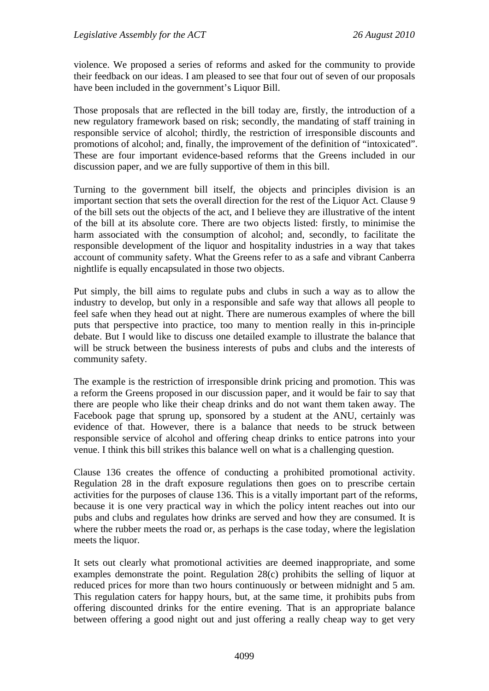violence. We proposed a series of reforms and asked for the community to provide their feedback on our ideas. I am pleased to see that four out of seven of our proposals have been included in the government's Liquor Bill.

Those proposals that are reflected in the bill today are, firstly, the introduction of a new regulatory framework based on risk; secondly, the mandating of staff training in responsible service of alcohol; thirdly, the restriction of irresponsible discounts and promotions of alcohol; and, finally, the improvement of the definition of "intoxicated". These are four important evidence-based reforms that the Greens included in our discussion paper, and we are fully supportive of them in this bill.

Turning to the government bill itself, the objects and principles division is an important section that sets the overall direction for the rest of the Liquor Act. Clause 9 of the bill sets out the objects of the act, and I believe they are illustrative of the intent of the bill at its absolute core. There are two objects listed: firstly, to minimise the harm associated with the consumption of alcohol; and, secondly, to facilitate the responsible development of the liquor and hospitality industries in a way that takes account of community safety. What the Greens refer to as a safe and vibrant Canberra nightlife is equally encapsulated in those two objects.

Put simply, the bill aims to regulate pubs and clubs in such a way as to allow the industry to develop, but only in a responsible and safe way that allows all people to feel safe when they head out at night. There are numerous examples of where the bill puts that perspective into practice, too many to mention really in this in-principle debate. But I would like to discuss one detailed example to illustrate the balance that will be struck between the business interests of pubs and clubs and the interests of community safety.

The example is the restriction of irresponsible drink pricing and promotion. This was a reform the Greens proposed in our discussion paper, and it would be fair to say that there are people who like their cheap drinks and do not want them taken away. The Facebook page that sprung up, sponsored by a student at the ANU, certainly was evidence of that. However, there is a balance that needs to be struck between responsible service of alcohol and offering cheap drinks to entice patrons into your venue. I think this bill strikes this balance well on what is a challenging question.

Clause 136 creates the offence of conducting a prohibited promotional activity. Regulation 28 in the draft exposure regulations then goes on to prescribe certain activities for the purposes of clause 136. This is a vitally important part of the reforms, because it is one very practical way in which the policy intent reaches out into our pubs and clubs and regulates how drinks are served and how they are consumed. It is where the rubber meets the road or, as perhaps is the case today, where the legislation meets the liquor.

It sets out clearly what promotional activities are deemed inappropriate, and some examples demonstrate the point. Regulation 28(c) prohibits the selling of liquor at reduced prices for more than two hours continuously or between midnight and 5 am. This regulation caters for happy hours, but, at the same time, it prohibits pubs from offering discounted drinks for the entire evening. That is an appropriate balance between offering a good night out and just offering a really cheap way to get very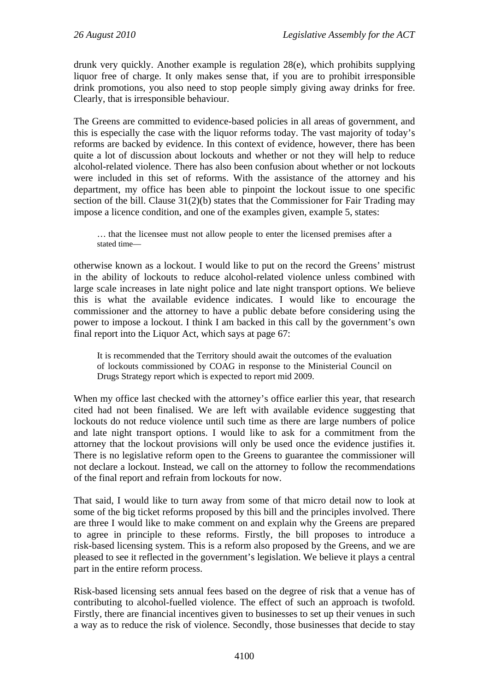drunk very quickly. Another example is regulation 28(e), which prohibits supplying liquor free of charge. It only makes sense that, if you are to prohibit irresponsible drink promotions, you also need to stop people simply giving away drinks for free. Clearly, that is irresponsible behaviour.

The Greens are committed to evidence-based policies in all areas of government, and this is especially the case with the liquor reforms today. The vast majority of today's reforms are backed by evidence. In this context of evidence, however, there has been quite a lot of discussion about lockouts and whether or not they will help to reduce alcohol-related violence. There has also been confusion about whether or not lockouts were included in this set of reforms. With the assistance of the attorney and his department, my office has been able to pinpoint the lockout issue to one specific section of the bill. Clause 31(2)(b) states that the Commissioner for Fair Trading may impose a licence condition, and one of the examples given, example 5, states:

… that the licensee must not allow people to enter the licensed premises after a stated time—

otherwise known as a lockout. I would like to put on the record the Greens' mistrust in the ability of lockouts to reduce alcohol-related violence unless combined with large scale increases in late night police and late night transport options. We believe this is what the available evidence indicates. I would like to encourage the commissioner and the attorney to have a public debate before considering using the power to impose a lockout. I think I am backed in this call by the government's own final report into the Liquor Act, which says at page 67:

It is recommended that the Territory should await the outcomes of the evaluation of lockouts commissioned by COAG in response to the Ministerial Council on Drugs Strategy report which is expected to report mid 2009.

When my office last checked with the attorney's office earlier this year, that research cited had not been finalised. We are left with available evidence suggesting that lockouts do not reduce violence until such time as there are large numbers of police and late night transport options. I would like to ask for a commitment from the attorney that the lockout provisions will only be used once the evidence justifies it. There is no legislative reform open to the Greens to guarantee the commissioner will not declare a lockout. Instead, we call on the attorney to follow the recommendations of the final report and refrain from lockouts for now.

That said, I would like to turn away from some of that micro detail now to look at some of the big ticket reforms proposed by this bill and the principles involved. There are three I would like to make comment on and explain why the Greens are prepared to agree in principle to these reforms. Firstly, the bill proposes to introduce a risk-based licensing system. This is a reform also proposed by the Greens, and we are pleased to see it reflected in the government's legislation. We believe it plays a central part in the entire reform process.

Risk-based licensing sets annual fees based on the degree of risk that a venue has of contributing to alcohol-fuelled violence. The effect of such an approach is twofold. Firstly, there are financial incentives given to businesses to set up their venues in such a way as to reduce the risk of violence. Secondly, those businesses that decide to stay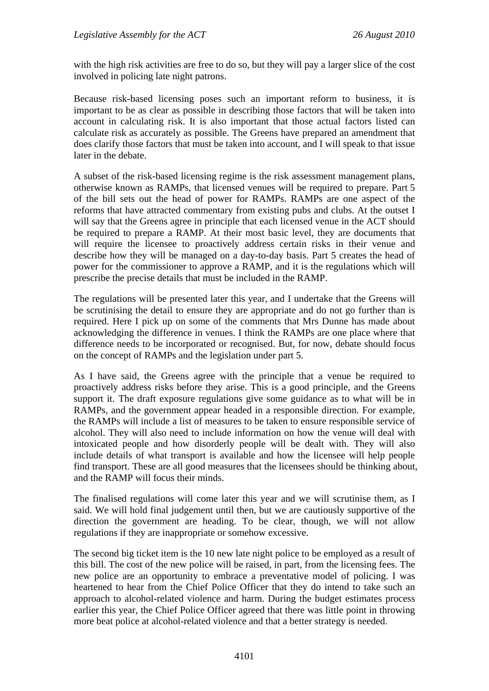with the high risk activities are free to do so, but they will pay a larger slice of the cost involved in policing late night patrons.

Because risk-based licensing poses such an important reform to business, it is important to be as clear as possible in describing those factors that will be taken into account in calculating risk. It is also important that those actual factors listed can calculate risk as accurately as possible. The Greens have prepared an amendment that does clarify those factors that must be taken into account, and I will speak to that issue later in the debate.

A subset of the risk-based licensing regime is the risk assessment management plans, otherwise known as RAMPs, that licensed venues will be required to prepare. Part 5 of the bill sets out the head of power for RAMPs. RAMPs are one aspect of the reforms that have attracted commentary from existing pubs and clubs. At the outset I will say that the Greens agree in principle that each licensed venue in the ACT should be required to prepare a RAMP. At their most basic level, they are documents that will require the licensee to proactively address certain risks in their venue and describe how they will be managed on a day-to-day basis. Part 5 creates the head of power for the commissioner to approve a RAMP, and it is the regulations which will prescribe the precise details that must be included in the RAMP.

The regulations will be presented later this year, and I undertake that the Greens will be scrutinising the detail to ensure they are appropriate and do not go further than is required. Here I pick up on some of the comments that Mrs Dunne has made about acknowledging the difference in venues. I think the RAMPs are one place where that difference needs to be incorporated or recognised. But, for now, debate should focus on the concept of RAMPs and the legislation under part 5.

As I have said, the Greens agree with the principle that a venue be required to proactively address risks before they arise. This is a good principle, and the Greens support it. The draft exposure regulations give some guidance as to what will be in RAMPs, and the government appear headed in a responsible direction. For example, the RAMPs will include a list of measures to be taken to ensure responsible service of alcohol. They will also need to include information on how the venue will deal with intoxicated people and how disorderly people will be dealt with. They will also include details of what transport is available and how the licensee will help people find transport. These are all good measures that the licensees should be thinking about, and the RAMP will focus their minds.

The finalised regulations will come later this year and we will scrutinise them, as I said. We will hold final judgement until then, but we are cautiously supportive of the direction the government are heading. To be clear, though, we will not allow regulations if they are inappropriate or somehow excessive.

The second big ticket item is the 10 new late night police to be employed as a result of this bill. The cost of the new police will be raised, in part, from the licensing fees. The new police are an opportunity to embrace a preventative model of policing. I was heartened to hear from the Chief Police Officer that they do intend to take such an approach to alcohol-related violence and harm. During the budget estimates process earlier this year, the Chief Police Officer agreed that there was little point in throwing more beat police at alcohol-related violence and that a better strategy is needed.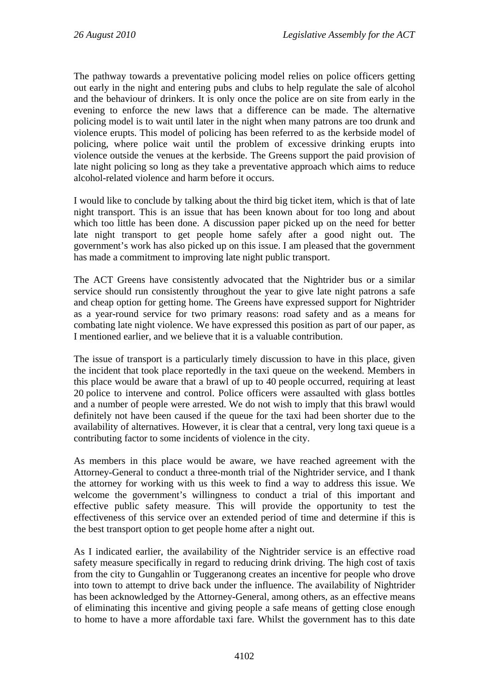The pathway towards a preventative policing model relies on police officers getting out early in the night and entering pubs and clubs to help regulate the sale of alcohol and the behaviour of drinkers. It is only once the police are on site from early in the evening to enforce the new laws that a difference can be made. The alternative policing model is to wait until later in the night when many patrons are too drunk and violence erupts. This model of policing has been referred to as the kerbside model of policing, where police wait until the problem of excessive drinking erupts into violence outside the venues at the kerbside. The Greens support the paid provision of late night policing so long as they take a preventative approach which aims to reduce alcohol-related violence and harm before it occurs.

I would like to conclude by talking about the third big ticket item, which is that of late night transport. This is an issue that has been known about for too long and about which too little has been done. A discussion paper picked up on the need for better late night transport to get people home safely after a good night out. The government's work has also picked up on this issue. I am pleased that the government has made a commitment to improving late night public transport.

The ACT Greens have consistently advocated that the Nightrider bus or a similar service should run consistently throughout the year to give late night patrons a safe and cheap option for getting home. The Greens have expressed support for Nightrider as a year-round service for two primary reasons: road safety and as a means for combating late night violence. We have expressed this position as part of our paper, as I mentioned earlier, and we believe that it is a valuable contribution.

The issue of transport is a particularly timely discussion to have in this place, given the incident that took place reportedly in the taxi queue on the weekend. Members in this place would be aware that a brawl of up to 40 people occurred, requiring at least 20 police to intervene and control. Police officers were assaulted with glass bottles and a number of people were arrested. We do not wish to imply that this brawl would definitely not have been caused if the queue for the taxi had been shorter due to the availability of alternatives. However, it is clear that a central, very long taxi queue is a contributing factor to some incidents of violence in the city.

As members in this place would be aware, we have reached agreement with the Attorney-General to conduct a three-month trial of the Nightrider service, and I thank the attorney for working with us this week to find a way to address this issue. We welcome the government's willingness to conduct a trial of this important and effective public safety measure. This will provide the opportunity to test the effectiveness of this service over an extended period of time and determine if this is the best transport option to get people home after a night out.

As I indicated earlier, the availability of the Nightrider service is an effective road safety measure specifically in regard to reducing drink driving. The high cost of taxis from the city to Gungahlin or Tuggeranong creates an incentive for people who drove into town to attempt to drive back under the influence. The availability of Nightrider has been acknowledged by the Attorney-General, among others, as an effective means of eliminating this incentive and giving people a safe means of getting close enough to home to have a more affordable taxi fare. Whilst the government has to this date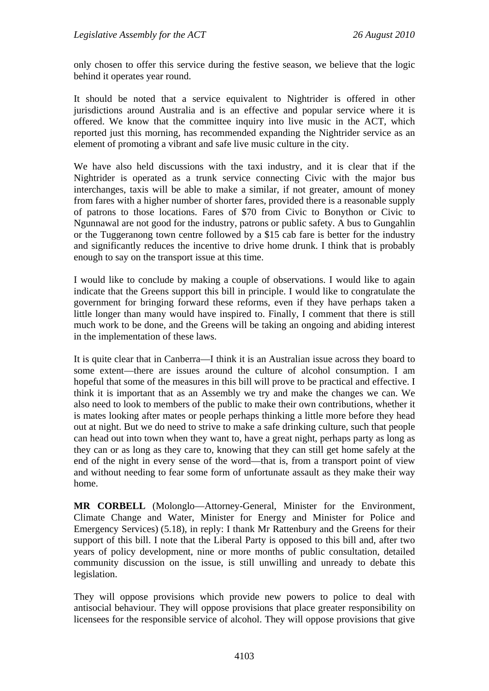only chosen to offer this service during the festive season, we believe that the logic behind it operates year round.

It should be noted that a service equivalent to Nightrider is offered in other jurisdictions around Australia and is an effective and popular service where it is offered. We know that the committee inquiry into live music in the ACT, which reported just this morning, has recommended expanding the Nightrider service as an element of promoting a vibrant and safe live music culture in the city.

We have also held discussions with the taxi industry, and it is clear that if the Nightrider is operated as a trunk service connecting Civic with the major bus interchanges, taxis will be able to make a similar, if not greater, amount of money from fares with a higher number of shorter fares, provided there is a reasonable supply of patrons to those locations. Fares of \$70 from Civic to Bonython or Civic to Ngunnawal are not good for the industry, patrons or public safety. A bus to Gungahlin or the Tuggeranong town centre followed by a \$15 cab fare is better for the industry and significantly reduces the incentive to drive home drunk. I think that is probably enough to say on the transport issue at this time.

I would like to conclude by making a couple of observations. I would like to again indicate that the Greens support this bill in principle. I would like to congratulate the government for bringing forward these reforms, even if they have perhaps taken a little longer than many would have inspired to. Finally, I comment that there is still much work to be done, and the Greens will be taking an ongoing and abiding interest in the implementation of these laws.

It is quite clear that in Canberra—I think it is an Australian issue across they board to some extent—there are issues around the culture of alcohol consumption. I am hopeful that some of the measures in this bill will prove to be practical and effective. I think it is important that as an Assembly we try and make the changes we can. We also need to look to members of the public to make their own contributions, whether it is mates looking after mates or people perhaps thinking a little more before they head out at night. But we do need to strive to make a safe drinking culture, such that people can head out into town when they want to, have a great night, perhaps party as long as they can or as long as they care to, knowing that they can still get home safely at the end of the night in every sense of the word—that is, from a transport point of view and without needing to fear some form of unfortunate assault as they make their way home.

**MR CORBELL** (Molonglo—Attorney-General, Minister for the Environment, Climate Change and Water, Minister for Energy and Minister for Police and Emergency Services) (5.18), in reply: I thank Mr Rattenbury and the Greens for their support of this bill. I note that the Liberal Party is opposed to this bill and, after two years of policy development, nine or more months of public consultation, detailed community discussion on the issue, is still unwilling and unready to debate this legislation.

They will oppose provisions which provide new powers to police to deal with antisocial behaviour. They will oppose provisions that place greater responsibility on licensees for the responsible service of alcohol. They will oppose provisions that give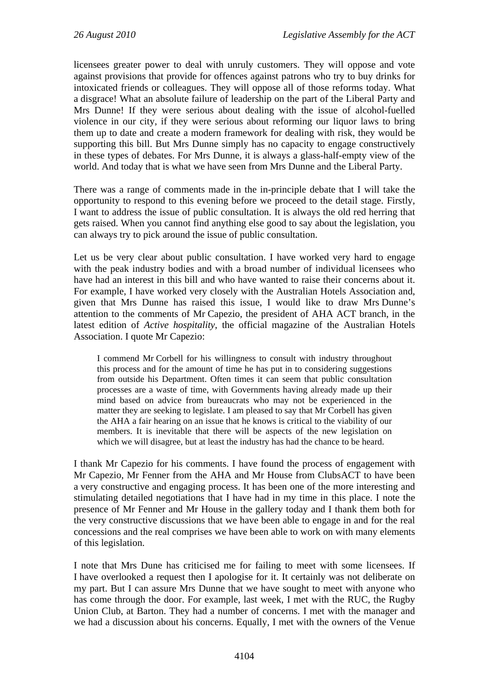licensees greater power to deal with unruly customers. They will oppose and vote against provisions that provide for offences against patrons who try to buy drinks for intoxicated friends or colleagues. They will oppose all of those reforms today. What a disgrace! What an absolute failure of leadership on the part of the Liberal Party and Mrs Dunne! If they were serious about dealing with the issue of alcohol-fuelled violence in our city, if they were serious about reforming our liquor laws to bring them up to date and create a modern framework for dealing with risk, they would be supporting this bill. But Mrs Dunne simply has no capacity to engage constructively in these types of debates. For Mrs Dunne, it is always a glass-half-empty view of the world. And today that is what we have seen from Mrs Dunne and the Liberal Party.

There was a range of comments made in the in-principle debate that I will take the opportunity to respond to this evening before we proceed to the detail stage. Firstly, I want to address the issue of public consultation. It is always the old red herring that gets raised. When you cannot find anything else good to say about the legislation, you can always try to pick around the issue of public consultation.

Let us be very clear about public consultation. I have worked very hard to engage with the peak industry bodies and with a broad number of individual licensees who have had an interest in this bill and who have wanted to raise their concerns about it. For example, I have worked very closely with the Australian Hotels Association and, given that Mrs Dunne has raised this issue, I would like to draw Mrs Dunne's attention to the comments of Mr Capezio, the president of AHA ACT branch, in the latest edition of *Active hospitality*, the official magazine of the Australian Hotels Association. I quote Mr Capezio:

I commend Mr Corbell for his willingness to consult with industry throughout this process and for the amount of time he has put in to considering suggestions from outside his Department. Often times it can seem that public consultation processes are a waste of time, with Governments having already made up their mind based on advice from bureaucrats who may not be experienced in the matter they are seeking to legislate. I am pleased to say that Mr Corbell has given the AHA a fair hearing on an issue that he knows is critical to the viability of our members. It is inevitable that there will be aspects of the new legislation on which we will disagree, but at least the industry has had the chance to be heard.

I thank Mr Capezio for his comments. I have found the process of engagement with Mr Capezio, Mr Fenner from the AHA and Mr House from ClubsACT to have been a very constructive and engaging process. It has been one of the more interesting and stimulating detailed negotiations that I have had in my time in this place. I note the presence of Mr Fenner and Mr House in the gallery today and I thank them both for the very constructive discussions that we have been able to engage in and for the real concessions and the real comprises we have been able to work on with many elements of this legislation.

I note that Mrs Dune has criticised me for failing to meet with some licensees. If I have overlooked a request then I apologise for it. It certainly was not deliberate on my part. But I can assure Mrs Dunne that we have sought to meet with anyone who has come through the door. For example, last week, I met with the RUC, the Rugby Union Club, at Barton. They had a number of concerns. I met with the manager and we had a discussion about his concerns. Equally, I met with the owners of the Venue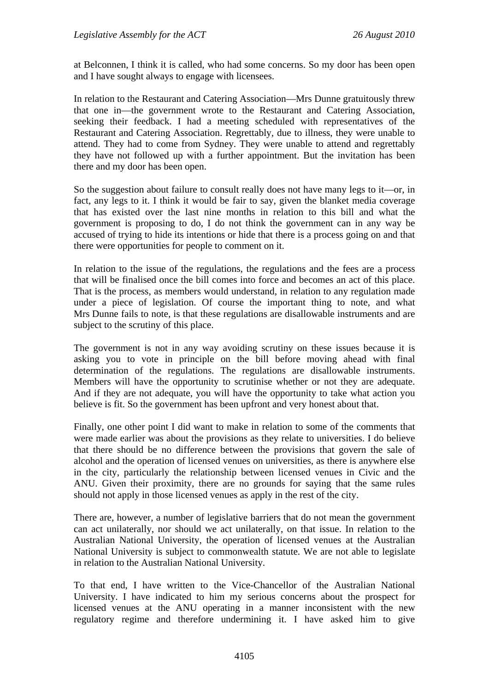at Belconnen, I think it is called, who had some concerns. So my door has been open and I have sought always to engage with licensees.

In relation to the Restaurant and Catering Association—Mrs Dunne gratuitously threw that one in—the government wrote to the Restaurant and Catering Association, seeking their feedback. I had a meeting scheduled with representatives of the Restaurant and Catering Association. Regrettably, due to illness, they were unable to attend. They had to come from Sydney. They were unable to attend and regrettably they have not followed up with a further appointment. But the invitation has been there and my door has been open.

So the suggestion about failure to consult really does not have many legs to it—or, in fact, any legs to it. I think it would be fair to say, given the blanket media coverage that has existed over the last nine months in relation to this bill and what the government is proposing to do, I do not think the government can in any way be accused of trying to hide its intentions or hide that there is a process going on and that there were opportunities for people to comment on it.

In relation to the issue of the regulations, the regulations and the fees are a process that will be finalised once the bill comes into force and becomes an act of this place. That is the process, as members would understand, in relation to any regulation made under a piece of legislation. Of course the important thing to note, and what Mrs Dunne fails to note, is that these regulations are disallowable instruments and are subject to the scrutiny of this place.

The government is not in any way avoiding scrutiny on these issues because it is asking you to vote in principle on the bill before moving ahead with final determination of the regulations. The regulations are disallowable instruments. Members will have the opportunity to scrutinise whether or not they are adequate. And if they are not adequate, you will have the opportunity to take what action you believe is fit. So the government has been upfront and very honest about that.

Finally, one other point I did want to make in relation to some of the comments that were made earlier was about the provisions as they relate to universities. I do believe that there should be no difference between the provisions that govern the sale of alcohol and the operation of licensed venues on universities, as there is anywhere else in the city, particularly the relationship between licensed venues in Civic and the ANU. Given their proximity, there are no grounds for saying that the same rules should not apply in those licensed venues as apply in the rest of the city.

There are, however, a number of legislative barriers that do not mean the government can act unilaterally, nor should we act unilaterally, on that issue. In relation to the Australian National University, the operation of licensed venues at the Australian National University is subject to commonwealth statute. We are not able to legislate in relation to the Australian National University.

To that end, I have written to the Vice-Chancellor of the Australian National University. I have indicated to him my serious concerns about the prospect for licensed venues at the ANU operating in a manner inconsistent with the new regulatory regime and therefore undermining it. I have asked him to give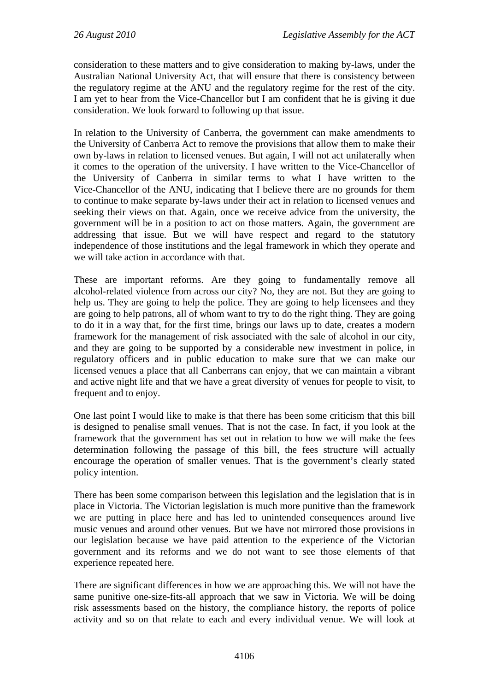consideration to these matters and to give consideration to making by-laws, under the Australian National University Act, that will ensure that there is consistency between the regulatory regime at the ANU and the regulatory regime for the rest of the city. I am yet to hear from the Vice-Chancellor but I am confident that he is giving it due consideration. We look forward to following up that issue.

In relation to the University of Canberra, the government can make amendments to the University of Canberra Act to remove the provisions that allow them to make their own by-laws in relation to licensed venues. But again, I will not act unilaterally when it comes to the operation of the university. I have written to the Vice-Chancellor of the University of Canberra in similar terms to what I have written to the Vice-Chancellor of the ANU, indicating that I believe there are no grounds for them to continue to make separate by-laws under their act in relation to licensed venues and seeking their views on that. Again, once we receive advice from the university, the government will be in a position to act on those matters. Again, the government are addressing that issue. But we will have respect and regard to the statutory independence of those institutions and the legal framework in which they operate and we will take action in accordance with that.

These are important reforms. Are they going to fundamentally remove all alcohol-related violence from across our city? No, they are not. But they are going to help us. They are going to help the police. They are going to help licensees and they are going to help patrons, all of whom want to try to do the right thing. They are going to do it in a way that, for the first time, brings our laws up to date, creates a modern framework for the management of risk associated with the sale of alcohol in our city, and they are going to be supported by a considerable new investment in police, in regulatory officers and in public education to make sure that we can make our licensed venues a place that all Canberrans can enjoy, that we can maintain a vibrant and active night life and that we have a great diversity of venues for people to visit, to frequent and to enjoy.

One last point I would like to make is that there has been some criticism that this bill is designed to penalise small venues. That is not the case. In fact, if you look at the framework that the government has set out in relation to how we will make the fees determination following the passage of this bill, the fees structure will actually encourage the operation of smaller venues. That is the government's clearly stated policy intention.

There has been some comparison between this legislation and the legislation that is in place in Victoria. The Victorian legislation is much more punitive than the framework we are putting in place here and has led to unintended consequences around live music venues and around other venues. But we have not mirrored those provisions in our legislation because we have paid attention to the experience of the Victorian government and its reforms and we do not want to see those elements of that experience repeated here.

There are significant differences in how we are approaching this. We will not have the same punitive one-size-fits-all approach that we saw in Victoria. We will be doing risk assessments based on the history, the compliance history, the reports of police activity and so on that relate to each and every individual venue. We will look at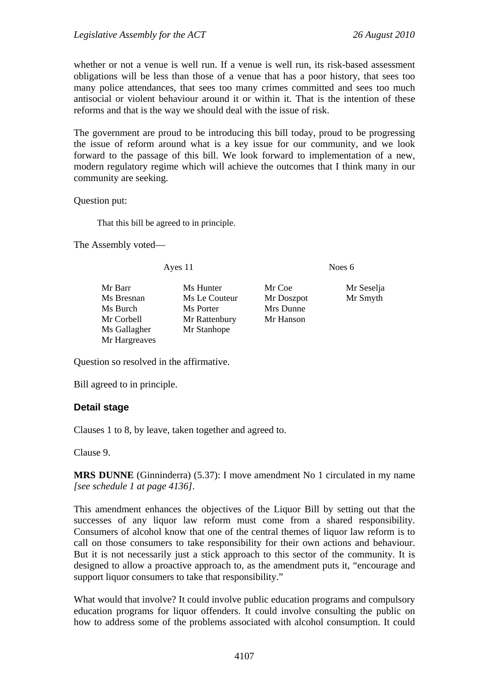whether or not a venue is well run. If a venue is well run, its risk-based assessment obligations will be less than those of a venue that has a poor history, that sees too many police attendances, that sees too many crimes committed and sees too much antisocial or violent behaviour around it or within it. That is the intention of these reforms and that is the way we should deal with the issue of risk.

The government are proud to be introducing this bill today, proud to be progressing the issue of reform around what is a key issue for our community, and we look forward to the passage of this bill. We look forward to implementation of a new, modern regulatory regime which will achieve the outcomes that I think many in our community are seeking.

Question put:

That this bill be agreed to in principle.

The Assembly voted—

Ayes 11 Noes 6

Mr Barr Ms Hunter Mr Coe Mr Seselja Ms Bresnan Ms Le Couteur Mr Doszpot Mr Smyth Ms Burch Ms Porter Mrs Dunne Mr Corbell Mr Rattenbury Mr Hanson Ms Gallagher Mr Stanhope Mr Hargreaves

Question so resolved in the affirmative.

Bill agreed to in principle.

# **Detail stage**

Clauses 1 to 8, by leave, taken together and agreed to.

Clause 9.

**MRS DUNNE** (Ginninderra) (5.37): I move amendment No 1 circulated in my name *[see schedule 1 at page 4136]*.

This amendment enhances the objectives of the Liquor Bill by setting out that the successes of any liquor law reform must come from a shared responsibility. Consumers of alcohol know that one of the central themes of liquor law reform is to call on those consumers to take responsibility for their own actions and behaviour. But it is not necessarily just a stick approach to this sector of the community. It is designed to allow a proactive approach to, as the amendment puts it, "encourage and support liquor consumers to take that responsibility."

What would that involve? It could involve public education programs and compulsory education programs for liquor offenders. It could involve consulting the public on how to address some of the problems associated with alcohol consumption. It could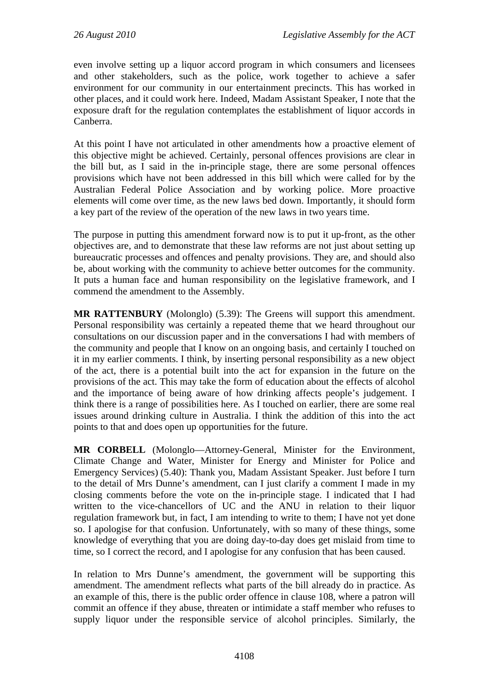even involve setting up a liquor accord program in which consumers and licensees and other stakeholders, such as the police, work together to achieve a safer environment for our community in our entertainment precincts. This has worked in other places, and it could work here. Indeed, Madam Assistant Speaker, I note that the exposure draft for the regulation contemplates the establishment of liquor accords in Canberra.

At this point I have not articulated in other amendments how a proactive element of this objective might be achieved. Certainly, personal offences provisions are clear in the bill but, as I said in the in-principle stage, there are some personal offences provisions which have not been addressed in this bill which were called for by the Australian Federal Police Association and by working police. More proactive elements will come over time, as the new laws bed down. Importantly, it should form a key part of the review of the operation of the new laws in two years time.

The purpose in putting this amendment forward now is to put it up-front, as the other objectives are, and to demonstrate that these law reforms are not just about setting up bureaucratic processes and offences and penalty provisions. They are, and should also be, about working with the community to achieve better outcomes for the community. It puts a human face and human responsibility on the legislative framework, and I commend the amendment to the Assembly.

**MR RATTENBURY** (Molonglo) (5.39): The Greens will support this amendment. Personal responsibility was certainly a repeated theme that we heard throughout our consultations on our discussion paper and in the conversations I had with members of the community and people that I know on an ongoing basis, and certainly I touched on it in my earlier comments. I think, by inserting personal responsibility as a new object of the act, there is a potential built into the act for expansion in the future on the provisions of the act. This may take the form of education about the effects of alcohol and the importance of being aware of how drinking affects people's judgement. I think there is a range of possibilities here. As I touched on earlier, there are some real issues around drinking culture in Australia. I think the addition of this into the act points to that and does open up opportunities for the future.

**MR CORBELL** (Molonglo—Attorney-General, Minister for the Environment, Climate Change and Water, Minister for Energy and Minister for Police and Emergency Services) (5.40): Thank you, Madam Assistant Speaker. Just before I turn to the detail of Mrs Dunne's amendment, can I just clarify a comment I made in my closing comments before the vote on the in-principle stage. I indicated that I had written to the vice-chancellors of UC and the ANU in relation to their liquor regulation framework but, in fact, I am intending to write to them; I have not yet done so. I apologise for that confusion. Unfortunately, with so many of these things, some knowledge of everything that you are doing day-to-day does get mislaid from time to time, so I correct the record, and I apologise for any confusion that has been caused.

In relation to Mrs Dunne's amendment, the government will be supporting this amendment. The amendment reflects what parts of the bill already do in practice. As an example of this, there is the public order offence in clause 108, where a patron will commit an offence if they abuse, threaten or intimidate a staff member who refuses to supply liquor under the responsible service of alcohol principles. Similarly, the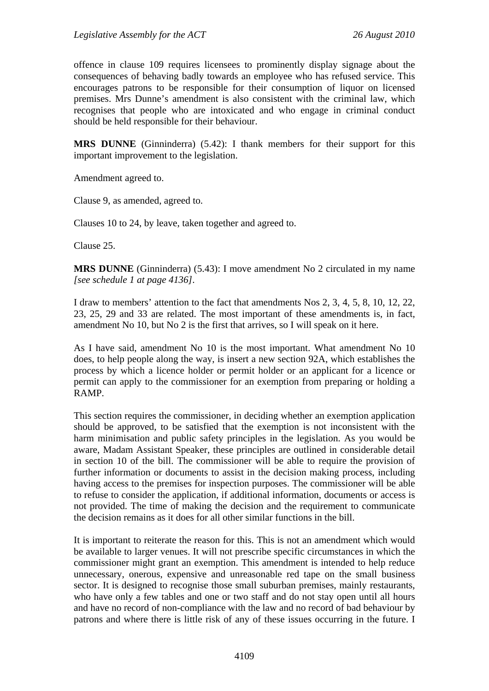offence in clause 109 requires licensees to prominently display signage about the consequences of behaving badly towards an employee who has refused service. This encourages patrons to be responsible for their consumption of liquor on licensed premises. Mrs Dunne's amendment is also consistent with the criminal law, which recognises that people who are intoxicated and who engage in criminal conduct should be held responsible for their behaviour.

**MRS DUNNE** (Ginninderra) (5.42): I thank members for their support for this important improvement to the legislation.

Amendment agreed to.

Clause 9, as amended, agreed to.

Clauses 10 to 24, by leave, taken together and agreed to.

Clause 25.

**MRS DUNNE** (Ginninderra) (5.43): I move amendment No 2 circulated in my name *[see schedule 1 at page 4136]*.

I draw to members' attention to the fact that amendments Nos 2, 3, 4, 5, 8, 10, 12, 22, 23, 25, 29 and 33 are related. The most important of these amendments is, in fact, amendment No 10, but No 2 is the first that arrives, so I will speak on it here.

As I have said, amendment No 10 is the most important. What amendment No 10 does, to help people along the way, is insert a new section 92A, which establishes the process by which a licence holder or permit holder or an applicant for a licence or permit can apply to the commissioner for an exemption from preparing or holding a RAMP.

This section requires the commissioner, in deciding whether an exemption application should be approved, to be satisfied that the exemption is not inconsistent with the harm minimisation and public safety principles in the legislation. As you would be aware, Madam Assistant Speaker, these principles are outlined in considerable detail in section 10 of the bill. The commissioner will be able to require the provision of further information or documents to assist in the decision making process, including having access to the premises for inspection purposes. The commissioner will be able to refuse to consider the application, if additional information, documents or access is not provided. The time of making the decision and the requirement to communicate the decision remains as it does for all other similar functions in the bill.

It is important to reiterate the reason for this. This is not an amendment which would be available to larger venues. It will not prescribe specific circumstances in which the commissioner might grant an exemption. This amendment is intended to help reduce unnecessary, onerous, expensive and unreasonable red tape on the small business sector. It is designed to recognise those small suburban premises, mainly restaurants, who have only a few tables and one or two staff and do not stay open until all hours and have no record of non-compliance with the law and no record of bad behaviour by patrons and where there is little risk of any of these issues occurring in the future. I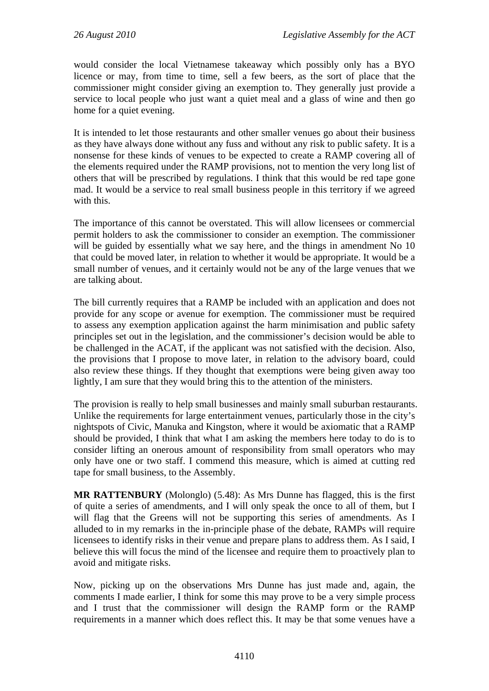would consider the local Vietnamese takeaway which possibly only has a BYO licence or may, from time to time, sell a few beers, as the sort of place that the commissioner might consider giving an exemption to. They generally just provide a service to local people who just want a quiet meal and a glass of wine and then go home for a quiet evening.

It is intended to let those restaurants and other smaller venues go about their business as they have always done without any fuss and without any risk to public safety. It is a nonsense for these kinds of venues to be expected to create a RAMP covering all of the elements required under the RAMP provisions, not to mention the very long list of others that will be prescribed by regulations. I think that this would be red tape gone mad. It would be a service to real small business people in this territory if we agreed with this.

The importance of this cannot be overstated. This will allow licensees or commercial permit holders to ask the commissioner to consider an exemption. The commissioner will be guided by essentially what we say here, and the things in amendment No 10 that could be moved later, in relation to whether it would be appropriate. It would be a small number of venues, and it certainly would not be any of the large venues that we are talking about.

The bill currently requires that a RAMP be included with an application and does not provide for any scope or avenue for exemption. The commissioner must be required to assess any exemption application against the harm minimisation and public safety principles set out in the legislation, and the commissioner's decision would be able to be challenged in the ACAT, if the applicant was not satisfied with the decision. Also, the provisions that I propose to move later, in relation to the advisory board, could also review these things. If they thought that exemptions were being given away too lightly, I am sure that they would bring this to the attention of the ministers.

The provision is really to help small businesses and mainly small suburban restaurants. Unlike the requirements for large entertainment venues, particularly those in the city's nightspots of Civic, Manuka and Kingston, where it would be axiomatic that a RAMP should be provided, I think that what I am asking the members here today to do is to consider lifting an onerous amount of responsibility from small operators who may only have one or two staff. I commend this measure, which is aimed at cutting red tape for small business, to the Assembly.

**MR RATTENBURY** (Molonglo) (5.48): As Mrs Dunne has flagged, this is the first of quite a series of amendments, and I will only speak the once to all of them, but I will flag that the Greens will not be supporting this series of amendments. As I alluded to in my remarks in the in-principle phase of the debate, RAMPs will require licensees to identify risks in their venue and prepare plans to address them. As I said, I believe this will focus the mind of the licensee and require them to proactively plan to avoid and mitigate risks.

Now, picking up on the observations Mrs Dunne has just made and, again, the comments I made earlier, I think for some this may prove to be a very simple process and I trust that the commissioner will design the RAMP form or the RAMP requirements in a manner which does reflect this. It may be that some venues have a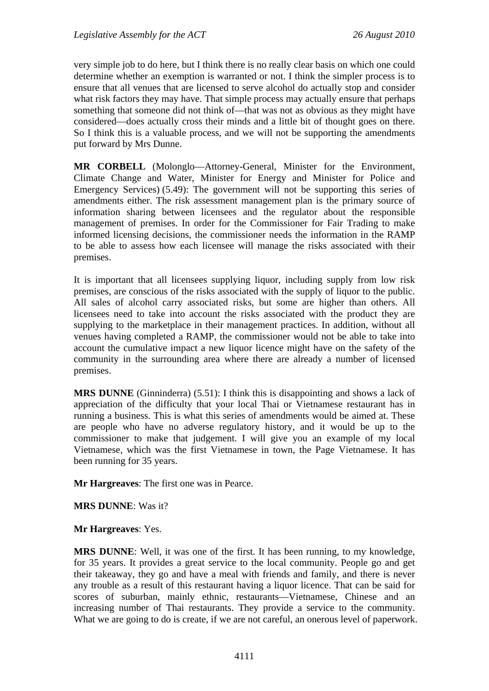very simple job to do here, but I think there is no really clear basis on which one could determine whether an exemption is warranted or not. I think the simpler process is to ensure that all venues that are licensed to serve alcohol do actually stop and consider what risk factors they may have. That simple process may actually ensure that perhaps something that someone did not think of—that was not as obvious as they might have considered—does actually cross their minds and a little bit of thought goes on there. So I think this is a valuable process, and we will not be supporting the amendments put forward by Mrs Dunne.

**MR CORBELL** (Molonglo—Attorney-General, Minister for the Environment, Climate Change and Water, Minister for Energy and Minister for Police and Emergency Services) (5.49): The government will not be supporting this series of amendments either. The risk assessment management plan is the primary source of information sharing between licensees and the regulator about the responsible management of premises. In order for the Commissioner for Fair Trading to make informed licensing decisions, the commissioner needs the information in the RAMP to be able to assess how each licensee will manage the risks associated with their premises.

It is important that all licensees supplying liquor, including supply from low risk premises, are conscious of the risks associated with the supply of liquor to the public. All sales of alcohol carry associated risks, but some are higher than others. All licensees need to take into account the risks associated with the product they are supplying to the marketplace in their management practices. In addition, without all venues having completed a RAMP, the commissioner would not be able to take into account the cumulative impact a new liquor licence might have on the safety of the community in the surrounding area where there are already a number of licensed premises.

**MRS DUNNE** (Ginninderra) (5.51): I think this is disappointing and shows a lack of appreciation of the difficulty that your local Thai or Vietnamese restaurant has in running a business. This is what this series of amendments would be aimed at. These are people who have no adverse regulatory history, and it would be up to the commissioner to make that judgement. I will give you an example of my local Vietnamese, which was the first Vietnamese in town, the Page Vietnamese. It has been running for 35 years.

**Mr Hargreaves**: The first one was in Pearce.

**MRS DUNNE**: Was it?

**Mr Hargreaves**: Yes.

**MRS DUNNE**: Well, it was one of the first. It has been running, to my knowledge, for 35 years. It provides a great service to the local community. People go and get their takeaway, they go and have a meal with friends and family, and there is never any trouble as a result of this restaurant having a liquor licence. That can be said for scores of suburban, mainly ethnic, restaurants—Vietnamese, Chinese and an increasing number of Thai restaurants. They provide a service to the community. What we are going to do is create, if we are not careful, an onerous level of paperwork.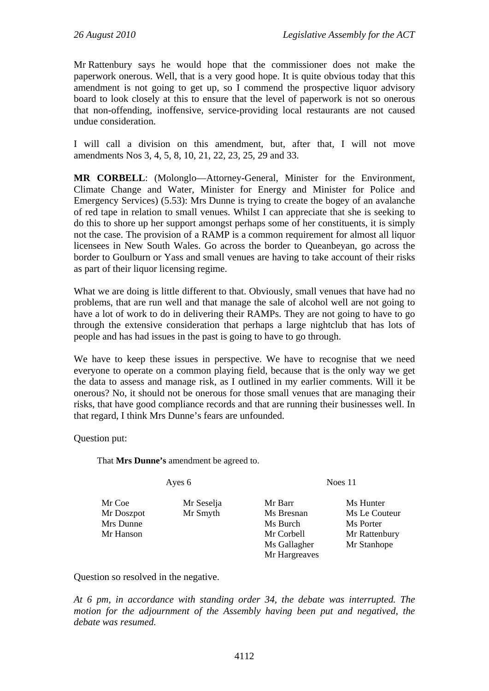Mr Rattenbury says he would hope that the commissioner does not make the paperwork onerous. Well, that is a very good hope. It is quite obvious today that this amendment is not going to get up, so I commend the prospective liquor advisory board to look closely at this to ensure that the level of paperwork is not so onerous that non-offending, inoffensive, service-providing local restaurants are not caused undue consideration.

I will call a division on this amendment, but, after that, I will not move amendments Nos 3, 4, 5, 8, 10, 21, 22, 23, 25, 29 and 33.

**MR CORBELL**: (Molonglo—Attorney-General, Minister for the Environment, Climate Change and Water, Minister for Energy and Minister for Police and Emergency Services) (5.53): Mrs Dunne is trying to create the bogey of an avalanche of red tape in relation to small venues. Whilst I can appreciate that she is seeking to do this to shore up her support amongst perhaps some of her constituents, it is simply not the case. The provision of a RAMP is a common requirement for almost all liquor licensees in New South Wales. Go across the border to Queanbeyan, go across the border to Goulburn or Yass and small venues are having to take account of their risks as part of their liquor licensing regime.

What we are doing is little different to that. Obviously, small venues that have had no problems, that are run well and that manage the sale of alcohol well are not going to have a lot of work to do in delivering their RAMPs. They are not going to have to go through the extensive consideration that perhaps a large nightclub that has lots of people and has had issues in the past is going to have to go through.

We have to keep these issues in perspective. We have to recognise that we need everyone to operate on a common playing field, because that is the only way we get the data to assess and manage risk, as I outlined in my earlier comments. Will it be onerous? No, it should not be onerous for those small venues that are managing their risks, that have good compliance records and that are running their businesses well. In that regard, I think Mrs Dunne's fears are unfounded.

Question put:

That **Mrs Dunne's** amendment be agreed to.

Mr Coe Mr Seselja Mr Barr Ms Hunter Mrs Dunne Ms Burch Ms Burch Ms Porter

Mr Hargreaves

Ayes 6 Noes 11

Mr Doszpot Mr Smyth Ms Bresnan Ms Le Couteur Mr Hanson Mr Corbell Mr Rattenbury Ms Gallagher Mr Stanhope

Question so resolved in the negative.

*At 6 pm, in accordance with standing order 34, the debate was interrupted. The motion for the adjournment of the Assembly having been put and negatived, the debate was resumed.*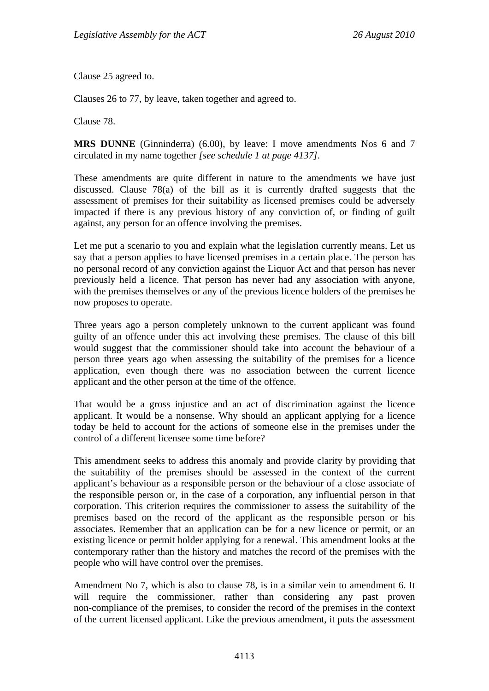Clause 25 agreed to.

Clauses 26 to 77, by leave, taken together and agreed to.

Clause 78.

**MRS DUNNE** (Ginninderra) (6.00), by leave: I move amendments Nos 6 and 7 circulated in my name together *[see schedule 1 at page 4137]*.

These amendments are quite different in nature to the amendments we have just discussed. Clause 78(a) of the bill as it is currently drafted suggests that the assessment of premises for their suitability as licensed premises could be adversely impacted if there is any previous history of any conviction of, or finding of guilt against, any person for an offence involving the premises.

Let me put a scenario to you and explain what the legislation currently means. Let us say that a person applies to have licensed premises in a certain place. The person has no personal record of any conviction against the Liquor Act and that person has never previously held a licence. That person has never had any association with anyone, with the premises themselves or any of the previous licence holders of the premises he now proposes to operate.

Three years ago a person completely unknown to the current applicant was found guilty of an offence under this act involving these premises. The clause of this bill would suggest that the commissioner should take into account the behaviour of a person three years ago when assessing the suitability of the premises for a licence application, even though there was no association between the current licence applicant and the other person at the time of the offence.

That would be a gross injustice and an act of discrimination against the licence applicant. It would be a nonsense. Why should an applicant applying for a licence today be held to account for the actions of someone else in the premises under the control of a different licensee some time before?

This amendment seeks to address this anomaly and provide clarity by providing that the suitability of the premises should be assessed in the context of the current applicant's behaviour as a responsible person or the behaviour of a close associate of the responsible person or, in the case of a corporation, any influential person in that corporation. This criterion requires the commissioner to assess the suitability of the premises based on the record of the applicant as the responsible person or his associates. Remember that an application can be for a new licence or permit, or an existing licence or permit holder applying for a renewal. This amendment looks at the contemporary rather than the history and matches the record of the premises with the people who will have control over the premises.

Amendment No 7, which is also to clause 78, is in a similar vein to amendment 6. It will require the commissioner, rather than considering any past proven non-compliance of the premises, to consider the record of the premises in the context of the current licensed applicant. Like the previous amendment, it puts the assessment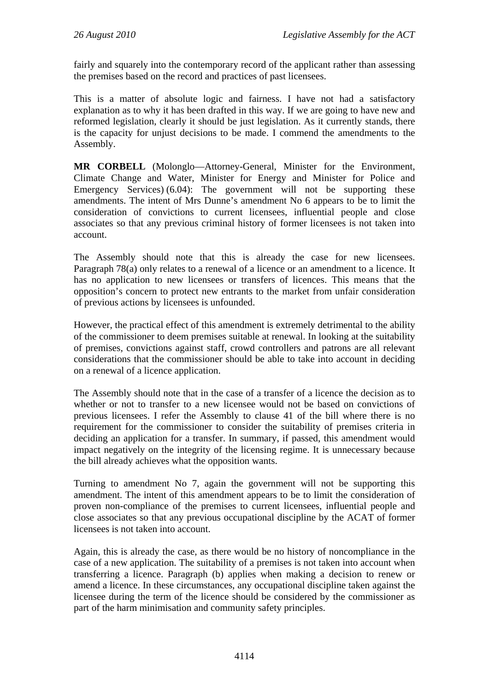fairly and squarely into the contemporary record of the applicant rather than assessing the premises based on the record and practices of past licensees.

This is a matter of absolute logic and fairness. I have not had a satisfactory explanation as to why it has been drafted in this way. If we are going to have new and reformed legislation, clearly it should be just legislation. As it currently stands, there is the capacity for unjust decisions to be made. I commend the amendments to the Assembly.

**MR CORBELL** (Molonglo—Attorney-General, Minister for the Environment, Climate Change and Water, Minister for Energy and Minister for Police and Emergency Services) (6.04): The government will not be supporting these amendments. The intent of Mrs Dunne's amendment No 6 appears to be to limit the consideration of convictions to current licensees, influential people and close associates so that any previous criminal history of former licensees is not taken into account.

The Assembly should note that this is already the case for new licensees. Paragraph 78(a) only relates to a renewal of a licence or an amendment to a licence. It has no application to new licensees or transfers of licences. This means that the opposition's concern to protect new entrants to the market from unfair consideration of previous actions by licensees is unfounded.

However, the practical effect of this amendment is extremely detrimental to the ability of the commissioner to deem premises suitable at renewal. In looking at the suitability of premises, convictions against staff, crowd controllers and patrons are all relevant considerations that the commissioner should be able to take into account in deciding on a renewal of a licence application.

The Assembly should note that in the case of a transfer of a licence the decision as to whether or not to transfer to a new licensee would not be based on convictions of previous licensees. I refer the Assembly to clause 41 of the bill where there is no requirement for the commissioner to consider the suitability of premises criteria in deciding an application for a transfer. In summary, if passed, this amendment would impact negatively on the integrity of the licensing regime. It is unnecessary because the bill already achieves what the opposition wants.

Turning to amendment No 7, again the government will not be supporting this amendment. The intent of this amendment appears to be to limit the consideration of proven non-compliance of the premises to current licensees, influential people and close associates so that any previous occupational discipline by the ACAT of former licensees is not taken into account.

Again, this is already the case, as there would be no history of noncompliance in the case of a new application. The suitability of a premises is not taken into account when transferring a licence. Paragraph (b) applies when making a decision to renew or amend a licence. In these circumstances, any occupational discipline taken against the licensee during the term of the licence should be considered by the commissioner as part of the harm minimisation and community safety principles.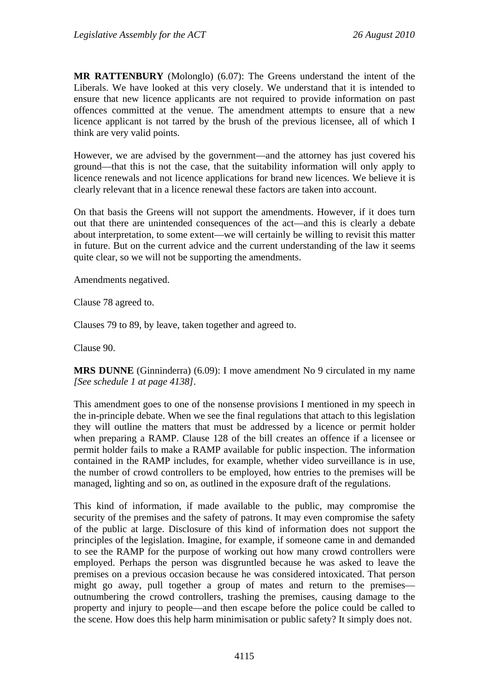**MR RATTENBURY** (Molonglo) (6.07): The Greens understand the intent of the Liberals. We have looked at this very closely. We understand that it is intended to ensure that new licence applicants are not required to provide information on past offences committed at the venue. The amendment attempts to ensure that a new licence applicant is not tarred by the brush of the previous licensee, all of which I think are very valid points.

However, we are advised by the government—and the attorney has just covered his ground—that this is not the case, that the suitability information will only apply to licence renewals and not licence applications for brand new licences. We believe it is clearly relevant that in a licence renewal these factors are taken into account.

On that basis the Greens will not support the amendments. However, if it does turn out that there are unintended consequences of the act—and this is clearly a debate about interpretation, to some extent—we will certainly be willing to revisit this matter in future. But on the current advice and the current understanding of the law it seems quite clear, so we will not be supporting the amendments.

Amendments negatived.

Clause 78 agreed to.

Clauses 79 to 89, by leave, taken together and agreed to.

Clause 90.

**MRS DUNNE** (Ginninderra) (6.09): I move amendment No 9 circulated in my name *[See schedule 1 at page 4138]*.

This amendment goes to one of the nonsense provisions I mentioned in my speech in the in-principle debate. When we see the final regulations that attach to this legislation they will outline the matters that must be addressed by a licence or permit holder when preparing a RAMP. Clause 128 of the bill creates an offence if a licensee or permit holder fails to make a RAMP available for public inspection. The information contained in the RAMP includes, for example, whether video surveillance is in use, the number of crowd controllers to be employed, how entries to the premises will be managed, lighting and so on, as outlined in the exposure draft of the regulations.

This kind of information, if made available to the public, may compromise the security of the premises and the safety of patrons. It may even compromise the safety of the public at large. Disclosure of this kind of information does not support the principles of the legislation. Imagine, for example, if someone came in and demanded to see the RAMP for the purpose of working out how many crowd controllers were employed. Perhaps the person was disgruntled because he was asked to leave the premises on a previous occasion because he was considered intoxicated. That person might go away, pull together a group of mates and return to the premises outnumbering the crowd controllers, trashing the premises, causing damage to the property and injury to people—and then escape before the police could be called to the scene. How does this help harm minimisation or public safety? It simply does not.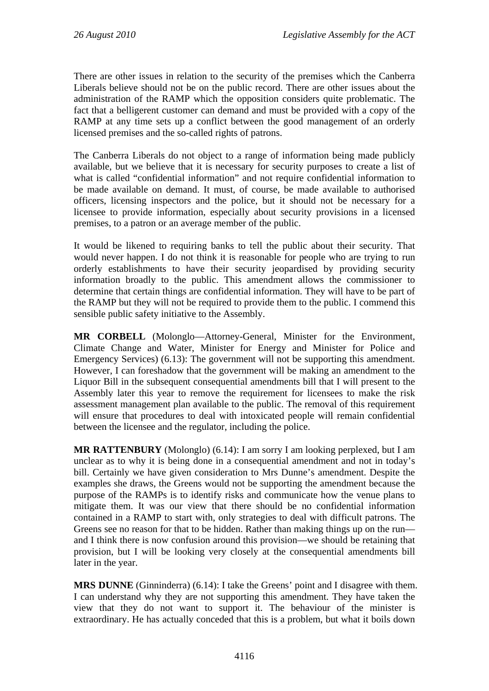There are other issues in relation to the security of the premises which the Canberra Liberals believe should not be on the public record. There are other issues about the administration of the RAMP which the opposition considers quite problematic. The fact that a belligerent customer can demand and must be provided with a copy of the RAMP at any time sets up a conflict between the good management of an orderly licensed premises and the so-called rights of patrons.

The Canberra Liberals do not object to a range of information being made publicly available, but we believe that it is necessary for security purposes to create a list of what is called "confidential information" and not require confidential information to be made available on demand. It must, of course, be made available to authorised officers, licensing inspectors and the police, but it should not be necessary for a licensee to provide information, especially about security provisions in a licensed premises, to a patron or an average member of the public.

It would be likened to requiring banks to tell the public about their security. That would never happen. I do not think it is reasonable for people who are trying to run orderly establishments to have their security jeopardised by providing security information broadly to the public. This amendment allows the commissioner to determine that certain things are confidential information. They will have to be part of the RAMP but they will not be required to provide them to the public. I commend this sensible public safety initiative to the Assembly.

**MR CORBELL** (Molonglo—Attorney-General, Minister for the Environment, Climate Change and Water, Minister for Energy and Minister for Police and Emergency Services) (6.13): The government will not be supporting this amendment. However, I can foreshadow that the government will be making an amendment to the Liquor Bill in the subsequent consequential amendments bill that I will present to the Assembly later this year to remove the requirement for licensees to make the risk assessment management plan available to the public. The removal of this requirement will ensure that procedures to deal with intoxicated people will remain confidential between the licensee and the regulator, including the police.

**MR RATTENBURY** (Molonglo) (6.14): I am sorry I am looking perplexed, but I am unclear as to why it is being done in a consequential amendment and not in today's bill. Certainly we have given consideration to Mrs Dunne's amendment. Despite the examples she draws, the Greens would not be supporting the amendment because the purpose of the RAMPs is to identify risks and communicate how the venue plans to mitigate them. It was our view that there should be no confidential information contained in a RAMP to start with, only strategies to deal with difficult patrons. The Greens see no reason for that to be hidden. Rather than making things up on the run and I think there is now confusion around this provision—we should be retaining that provision, but I will be looking very closely at the consequential amendments bill later in the year.

**MRS DUNNE** (Ginninderra) (6.14): I take the Greens' point and I disagree with them. I can understand why they are not supporting this amendment. They have taken the view that they do not want to support it. The behaviour of the minister is extraordinary. He has actually conceded that this is a problem, but what it boils down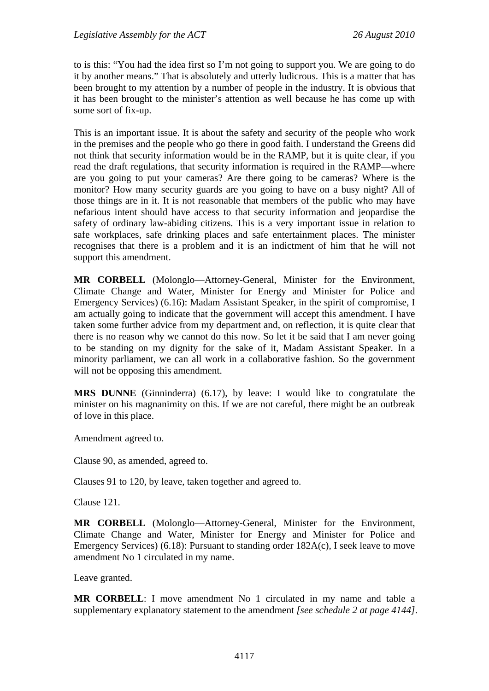to is this: "You had the idea first so I'm not going to support you. We are going to do it by another means." That is absolutely and utterly ludicrous. This is a matter that has been brought to my attention by a number of people in the industry. It is obvious that it has been brought to the minister's attention as well because he has come up with some sort of fix-up.

This is an important issue. It is about the safety and security of the people who work in the premises and the people who go there in good faith. I understand the Greens did not think that security information would be in the RAMP, but it is quite clear, if you read the draft regulations, that security information is required in the RAMP—where are you going to put your cameras? Are there going to be cameras? Where is the monitor? How many security guards are you going to have on a busy night? All of those things are in it. It is not reasonable that members of the public who may have nefarious intent should have access to that security information and jeopardise the safety of ordinary law-abiding citizens. This is a very important issue in relation to safe workplaces, safe drinking places and safe entertainment places. The minister recognises that there is a problem and it is an indictment of him that he will not support this amendment.

**MR CORBELL** (Molonglo—Attorney-General, Minister for the Environment, Climate Change and Water, Minister for Energy and Minister for Police and Emergency Services) (6.16): Madam Assistant Speaker, in the spirit of compromise, I am actually going to indicate that the government will accept this amendment. I have taken some further advice from my department and, on reflection, it is quite clear that there is no reason why we cannot do this now. So let it be said that I am never going to be standing on my dignity for the sake of it, Madam Assistant Speaker. In a minority parliament, we can all work in a collaborative fashion. So the government will not be opposing this amendment.

**MRS DUNNE** (Ginninderra) (6.17), by leave: I would like to congratulate the minister on his magnanimity on this. If we are not careful, there might be an outbreak of love in this place.

Amendment agreed to.

Clause 90, as amended, agreed to.

Clauses 91 to 120, by leave, taken together and agreed to.

Clause 121.

**MR CORBELL** (Molonglo—Attorney-General, Minister for the Environment, Climate Change and Water, Minister for Energy and Minister for Police and Emergency Services) (6.18): Pursuant to standing order 182A(c), I seek leave to move amendment No 1 circulated in my name.

Leave granted.

**MR CORBELL**: I move amendment No 1 circulated in my name and table a supplementary explanatory statement to the amendment *[see schedule 2 at page 4144]*.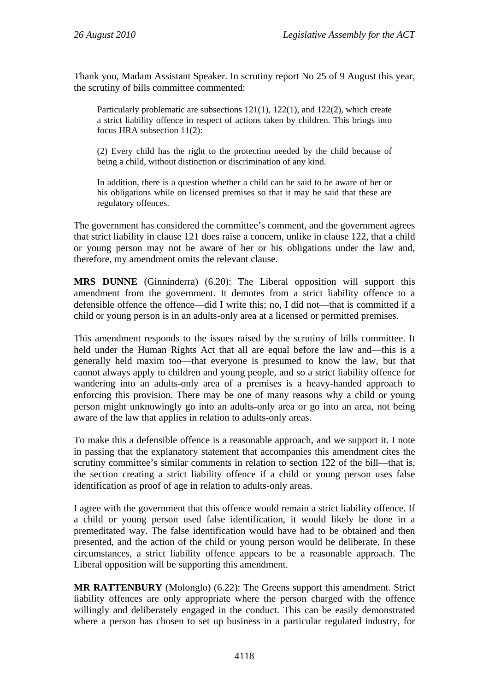Thank you, Madam Assistant Speaker. In scrutiny report No 25 of 9 August this year, the scrutiny of bills committee commented:

Particularly problematic are subsections 121(1), 122(1), and 122(2), which create a strict liability offence in respect of actions taken by children. This brings into focus HRA subsection 11(2):

(2) Every child has the right to the protection needed by the child because of being a child, without distinction or discrimination of any kind.

In addition, there is a question whether a child can be said to be aware of her or his obligations while on licensed premises so that it may be said that these are regulatory offences.

The government has considered the committee's comment, and the government agrees that strict liability in clause 121 does raise a concern, unlike in clause 122, that a child or young person may not be aware of her or his obligations under the law and, therefore, my amendment omits the relevant clause.

**MRS DUNNE** (Ginninderra) (6.20): The Liberal opposition will support this amendment from the government. It demotes from a strict liability offence to a defensible offence the offence—did I write this; no, I did not—that is committed if a child or young person is in an adults-only area at a licensed or permitted premises.

This amendment responds to the issues raised by the scrutiny of bills committee. It held under the Human Rights Act that all are equal before the law and—this is a generally held maxim too—that everyone is presumed to know the law, but that cannot always apply to children and young people, and so a strict liability offence for wandering into an adults-only area of a premises is a heavy-handed approach to enforcing this provision. There may be one of many reasons why a child or young person might unknowingly go into an adults-only area or go into an area, not being aware of the law that applies in relation to adults-only areas.

To make this a defensible offence is a reasonable approach, and we support it. I note in passing that the explanatory statement that accompanies this amendment cites the scrutiny committee's similar comments in relation to section 122 of the bill—that is, the section creating a strict liability offence if a child or young person uses false identification as proof of age in relation to adults-only areas.

I agree with the government that this offence would remain a strict liability offence. If a child or young person used false identification, it would likely be done in a premeditated way. The false identification would have had to be obtained and then presented, and the action of the child or young person would be deliberate. In these circumstances, a strict liability offence appears to be a reasonable approach. The Liberal opposition will be supporting this amendment.

**MR RATTENBURY** (Molonglo) (6.22): The Greens support this amendment. Strict liability offences are only appropriate where the person charged with the offence willingly and deliberately engaged in the conduct. This can be easily demonstrated where a person has chosen to set up business in a particular regulated industry, for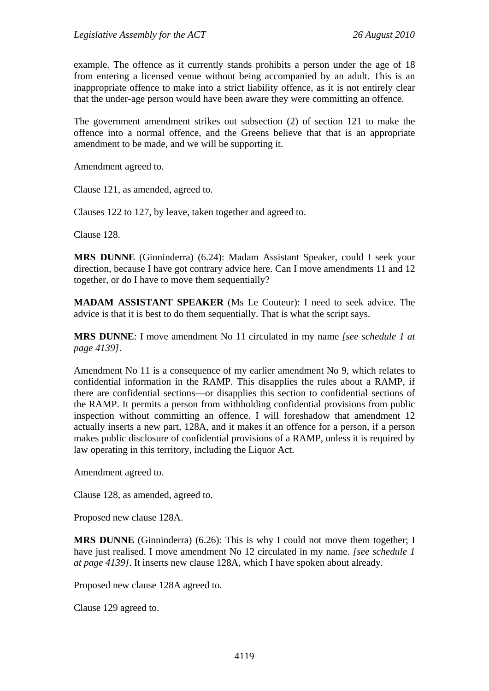example. The offence as it currently stands prohibits a person under the age of 18 from entering a licensed venue without being accompanied by an adult. This is an inappropriate offence to make into a strict liability offence, as it is not entirely clear that the under-age person would have been aware they were committing an offence.

The government amendment strikes out subsection (2) of section 121 to make the offence into a normal offence, and the Greens believe that that is an appropriate amendment to be made, and we will be supporting it.

Amendment agreed to.

Clause 121, as amended, agreed to.

Clauses 122 to 127, by leave, taken together and agreed to.

Clause 128.

**MRS DUNNE** (Ginninderra) (6.24): Madam Assistant Speaker, could I seek your direction, because I have got contrary advice here. Can I move amendments 11 and 12 together, or do I have to move them sequentially?

**MADAM ASSISTANT SPEAKER** (Ms Le Couteur): I need to seek advice. The advice is that it is best to do them sequentially. That is what the script says.

**MRS DUNNE**: I move amendment No 11 circulated in my name *[see schedule 1 at page 4139]*.

Amendment No 11 is a consequence of my earlier amendment No 9, which relates to confidential information in the RAMP. This disapplies the rules about a RAMP, if there are confidential sections—or disapplies this section to confidential sections of the RAMP. It permits a person from withholding confidential provisions from public inspection without committing an offence. I will foreshadow that amendment 12 actually inserts a new part, 128A, and it makes it an offence for a person, if a person makes public disclosure of confidential provisions of a RAMP, unless it is required by law operating in this territory, including the Liquor Act.

Amendment agreed to.

Clause 128, as amended, agreed to.

Proposed new clause 128A.

**MRS DUNNE** (Ginninderra) (6.26): This is why I could not move them together; I have just realised. I move amendment No 12 circulated in my name. *[see schedule 1 at page 4139]*. It inserts new clause 128A, which I have spoken about already.

Proposed new clause 128A agreed to.

Clause 129 agreed to.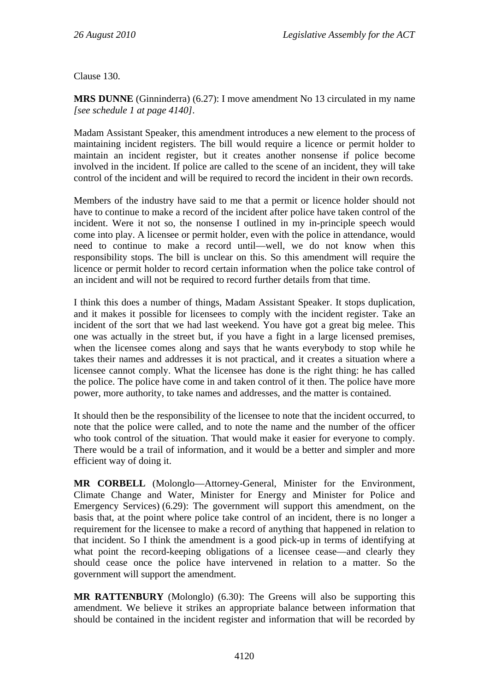Clause 130.

**MRS DUNNE** (Ginninderra) (6.27): I move amendment No 13 circulated in my name *[see schedule 1 at page 4140]*.

Madam Assistant Speaker, this amendment introduces a new element to the process of maintaining incident registers. The bill would require a licence or permit holder to maintain an incident register, but it creates another nonsense if police become involved in the incident. If police are called to the scene of an incident, they will take control of the incident and will be required to record the incident in their own records.

Members of the industry have said to me that a permit or licence holder should not have to continue to make a record of the incident after police have taken control of the incident. Were it not so, the nonsense I outlined in my in-principle speech would come into play. A licensee or permit holder, even with the police in attendance, would need to continue to make a record until—well, we do not know when this responsibility stops. The bill is unclear on this. So this amendment will require the licence or permit holder to record certain information when the police take control of an incident and will not be required to record further details from that time.

I think this does a number of things, Madam Assistant Speaker. It stops duplication, and it makes it possible for licensees to comply with the incident register. Take an incident of the sort that we had last weekend. You have got a great big melee. This one was actually in the street but, if you have a fight in a large licensed premises, when the licensee comes along and says that he wants everybody to stop while he takes their names and addresses it is not practical, and it creates a situation where a licensee cannot comply. What the licensee has done is the right thing: he has called the police. The police have come in and taken control of it then. The police have more power, more authority, to take names and addresses, and the matter is contained.

It should then be the responsibility of the licensee to note that the incident occurred, to note that the police were called, and to note the name and the number of the officer who took control of the situation. That would make it easier for everyone to comply. There would be a trail of information, and it would be a better and simpler and more efficient way of doing it.

**MR CORBELL** (Molonglo—Attorney-General, Minister for the Environment, Climate Change and Water, Minister for Energy and Minister for Police and Emergency Services) (6.29): The government will support this amendment, on the basis that, at the point where police take control of an incident, there is no longer a requirement for the licensee to make a record of anything that happened in relation to that incident. So I think the amendment is a good pick-up in terms of identifying at what point the record-keeping obligations of a licensee cease—and clearly they should cease once the police have intervened in relation to a matter. So the government will support the amendment.

**MR RATTENBURY** (Molonglo) (6.30): The Greens will also be supporting this amendment. We believe it strikes an appropriate balance between information that should be contained in the incident register and information that will be recorded by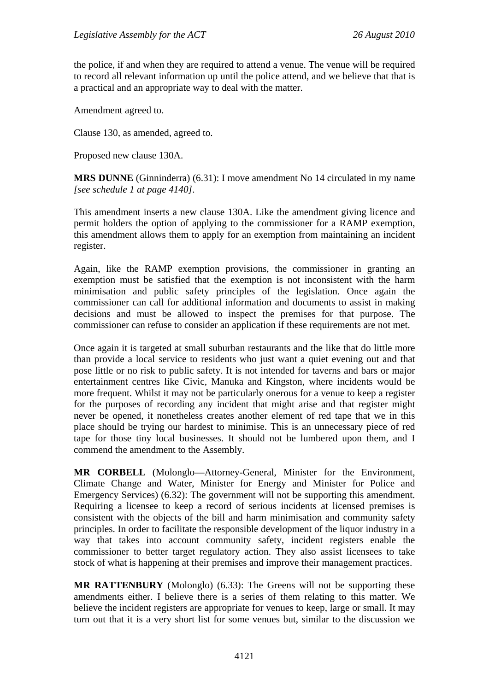the police, if and when they are required to attend a venue. The venue will be required to record all relevant information up until the police attend, and we believe that that is a practical and an appropriate way to deal with the matter.

Amendment agreed to.

Clause 130, as amended, agreed to.

Proposed new clause 130A.

**MRS DUNNE** (Ginninderra) (6.31): I move amendment No 14 circulated in my name *[see schedule 1 at page 4140]*.

This amendment inserts a new clause 130A. Like the amendment giving licence and permit holders the option of applying to the commissioner for a RAMP exemption, this amendment allows them to apply for an exemption from maintaining an incident register.

Again, like the RAMP exemption provisions, the commissioner in granting an exemption must be satisfied that the exemption is not inconsistent with the harm minimisation and public safety principles of the legislation. Once again the commissioner can call for additional information and documents to assist in making decisions and must be allowed to inspect the premises for that purpose. The commissioner can refuse to consider an application if these requirements are not met.

Once again it is targeted at small suburban restaurants and the like that do little more than provide a local service to residents who just want a quiet evening out and that pose little or no risk to public safety. It is not intended for taverns and bars or major entertainment centres like Civic, Manuka and Kingston, where incidents would be more frequent. Whilst it may not be particularly onerous for a venue to keep a register for the purposes of recording any incident that might arise and that register might never be opened, it nonetheless creates another element of red tape that we in this place should be trying our hardest to minimise. This is an unnecessary piece of red tape for those tiny local businesses. It should not be lumbered upon them, and I commend the amendment to the Assembly.

**MR CORBELL** (Molonglo—Attorney-General, Minister for the Environment, Climate Change and Water, Minister for Energy and Minister for Police and Emergency Services) (6.32): The government will not be supporting this amendment. Requiring a licensee to keep a record of serious incidents at licensed premises is consistent with the objects of the bill and harm minimisation and community safety principles. In order to facilitate the responsible development of the liquor industry in a way that takes into account community safety, incident registers enable the commissioner to better target regulatory action. They also assist licensees to take stock of what is happening at their premises and improve their management practices.

**MR RATTENBURY** (Molonglo) (6.33): The Greens will not be supporting these amendments either. I believe there is a series of them relating to this matter. We believe the incident registers are appropriate for venues to keep, large or small. It may turn out that it is a very short list for some venues but, similar to the discussion we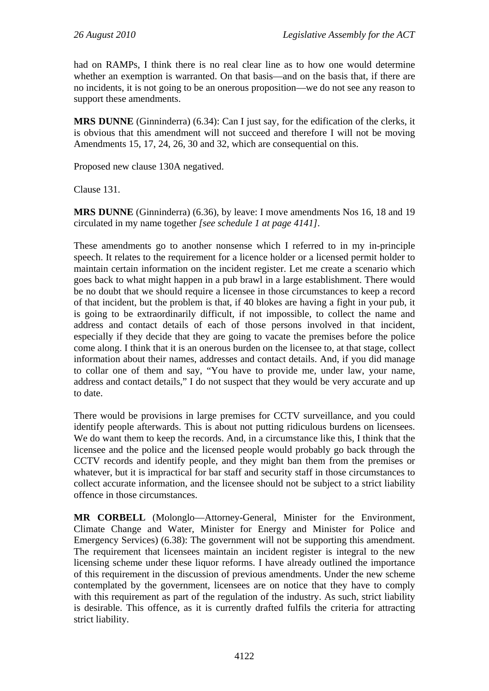had on RAMPs, I think there is no real clear line as to how one would determine whether an exemption is warranted. On that basis—and on the basis that, if there are no incidents, it is not going to be an onerous proposition—we do not see any reason to support these amendments.

**MRS DUNNE** (Ginninderra) (6.34): Can I just say, for the edification of the clerks, it is obvious that this amendment will not succeed and therefore I will not be moving Amendments 15, 17, 24, 26, 30 and 32, which are consequential on this.

Proposed new clause 130A negatived.

Clause 131.

**MRS DUNNE** (Ginninderra) (6.36), by leave: I move amendments Nos 16, 18 and 19 circulated in my name together *[see schedule 1 at page 4141]*.

These amendments go to another nonsense which I referred to in my in-principle speech. It relates to the requirement for a licence holder or a licensed permit holder to maintain certain information on the incident register. Let me create a scenario which goes back to what might happen in a pub brawl in a large establishment. There would be no doubt that we should require a licensee in those circumstances to keep a record of that incident, but the problem is that, if 40 blokes are having a fight in your pub, it is going to be extraordinarily difficult, if not impossible, to collect the name and address and contact details of each of those persons involved in that incident, especially if they decide that they are going to vacate the premises before the police come along. I think that it is an onerous burden on the licensee to, at that stage, collect information about their names, addresses and contact details. And, if you did manage to collar one of them and say, "You have to provide me, under law, your name, address and contact details," I do not suspect that they would be very accurate and up to date.

There would be provisions in large premises for CCTV surveillance, and you could identify people afterwards. This is about not putting ridiculous burdens on licensees. We do want them to keep the records. And, in a circumstance like this, I think that the licensee and the police and the licensed people would probably go back through the CCTV records and identify people, and they might ban them from the premises or whatever, but it is impractical for bar staff and security staff in those circumstances to collect accurate information, and the licensee should not be subject to a strict liability offence in those circumstances.

**MR CORBELL** (Molonglo—Attorney-General, Minister for the Environment, Climate Change and Water, Minister for Energy and Minister for Police and Emergency Services) (6.38): The government will not be supporting this amendment. The requirement that licensees maintain an incident register is integral to the new licensing scheme under these liquor reforms. I have already outlined the importance of this requirement in the discussion of previous amendments. Under the new scheme contemplated by the government, licensees are on notice that they have to comply with this requirement as part of the regulation of the industry. As such, strict liability is desirable. This offence, as it is currently drafted fulfils the criteria for attracting strict liability.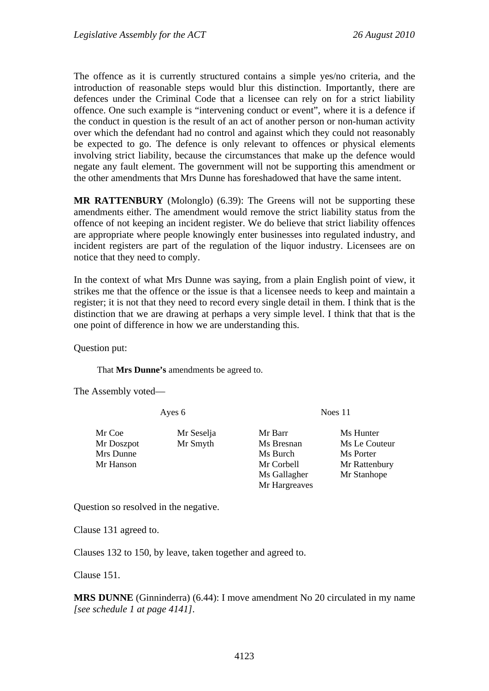The offence as it is currently structured contains a simple yes/no criteria, and the introduction of reasonable steps would blur this distinction. Importantly, there are defences under the Criminal Code that a licensee can rely on for a strict liability offence. One such example is "intervening conduct or event", where it is a defence if the conduct in question is the result of an act of another person or non-human activity over which the defendant had no control and against which they could not reasonably be expected to go. The defence is only relevant to offences or physical elements involving strict liability, because the circumstances that make up the defence would negate any fault element. The government will not be supporting this amendment or the other amendments that Mrs Dunne has foreshadowed that have the same intent.

**MR RATTENBURY** (Molonglo) (6.39): The Greens will not be supporting these amendments either. The amendment would remove the strict liability status from the offence of not keeping an incident register. We do believe that strict liability offences are appropriate where people knowingly enter businesses into regulated industry, and incident registers are part of the regulation of the liquor industry. Licensees are on notice that they need to comply.

In the context of what Mrs Dunne was saying, from a plain English point of view, it strikes me that the offence or the issue is that a licensee needs to keep and maintain a register; it is not that they need to record every single detail in them. I think that is the distinction that we are drawing at perhaps a very simple level. I think that that is the one point of difference in how we are understanding this.

Question put:

That **Mrs Dunne's** amendments be agreed to.

The Assembly voted—

Ayes 6 Noes 11

Mr Doszpot Mr Smyth Ms Bresnan Ms Le Couteur Mrs Dunne Ms Burch Ms Burch Ms Porter Mr Hanson Mr Corbell Mr Rattenbury

Mr Coe Mr Seselja Mr Barr Ms Hunter

Ms Gallagher Mr Stanhope Mr Hargreaves

Question so resolved in the negative.

Clause 131 agreed to.

Clauses 132 to 150, by leave, taken together and agreed to.

Clause 151.

**MRS DUNNE** (Ginninderra) (6.44): I move amendment No 20 circulated in my name *[see schedule 1 at page 4141]*.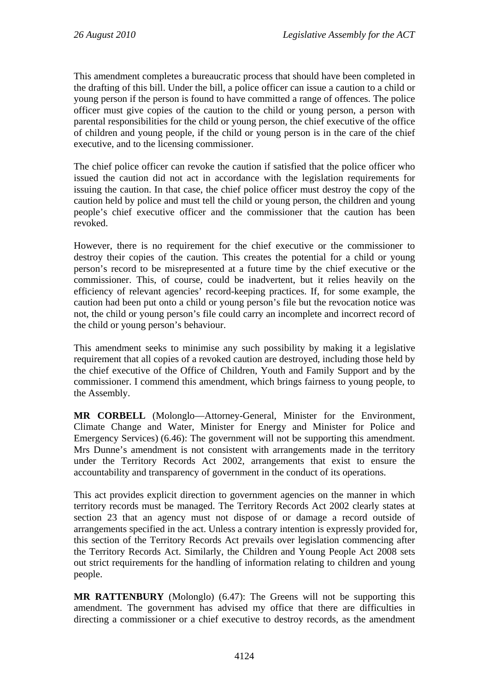This amendment completes a bureaucratic process that should have been completed in the drafting of this bill. Under the bill, a police officer can issue a caution to a child or young person if the person is found to have committed a range of offences. The police officer must give copies of the caution to the child or young person, a person with parental responsibilities for the child or young person, the chief executive of the office of children and young people, if the child or young person is in the care of the chief executive, and to the licensing commissioner.

The chief police officer can revoke the caution if satisfied that the police officer who issued the caution did not act in accordance with the legislation requirements for issuing the caution. In that case, the chief police officer must destroy the copy of the caution held by police and must tell the child or young person, the children and young people's chief executive officer and the commissioner that the caution has been revoked.

However, there is no requirement for the chief executive or the commissioner to destroy their copies of the caution. This creates the potential for a child or young person's record to be misrepresented at a future time by the chief executive or the commissioner. This, of course, could be inadvertent, but it relies heavily on the efficiency of relevant agencies' record-keeping practices. If, for some example, the caution had been put onto a child or young person's file but the revocation notice was not, the child or young person's file could carry an incomplete and incorrect record of the child or young person's behaviour.

This amendment seeks to minimise any such possibility by making it a legislative requirement that all copies of a revoked caution are destroyed, including those held by the chief executive of the Office of Children, Youth and Family Support and by the commissioner. I commend this amendment, which brings fairness to young people, to the Assembly.

**MR CORBELL** (Molonglo—Attorney-General, Minister for the Environment, Climate Change and Water, Minister for Energy and Minister for Police and Emergency Services) (6.46): The government will not be supporting this amendment. Mrs Dunne's amendment is not consistent with arrangements made in the territory under the Territory Records Act 2002, arrangements that exist to ensure the accountability and transparency of government in the conduct of its operations.

This act provides explicit direction to government agencies on the manner in which territory records must be managed. The Territory Records Act 2002 clearly states at section 23 that an agency must not dispose of or damage a record outside of arrangements specified in the act. Unless a contrary intention is expressly provided for, this section of the Territory Records Act prevails over legislation commencing after the Territory Records Act. Similarly, the Children and Young People Act 2008 sets out strict requirements for the handling of information relating to children and young people.

**MR RATTENBURY** (Molonglo) (6.47): The Greens will not be supporting this amendment. The government has advised my office that there are difficulties in directing a commissioner or a chief executive to destroy records, as the amendment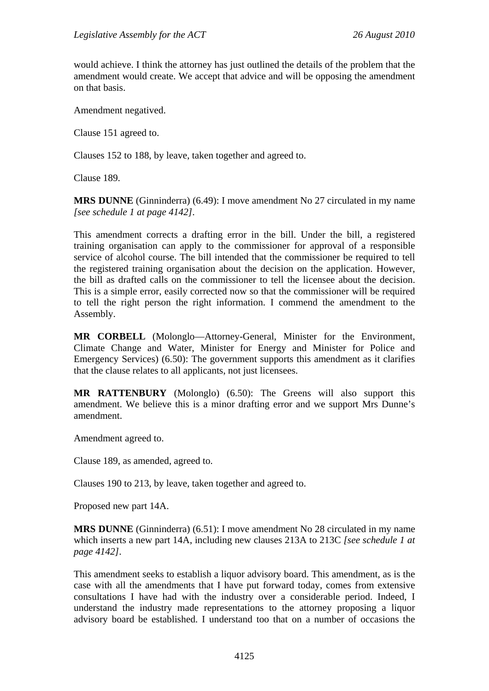would achieve. I think the attorney has just outlined the details of the problem that the amendment would create. We accept that advice and will be opposing the amendment on that basis.

Amendment negatived.

Clause 151 agreed to.

Clauses 152 to 188, by leave, taken together and agreed to.

Clause 189.

**MRS DUNNE** (Ginninderra) (6.49): I move amendment No 27 circulated in my name *[see schedule 1 at page 4142]*.

This amendment corrects a drafting error in the bill. Under the bill, a registered training organisation can apply to the commissioner for approval of a responsible service of alcohol course. The bill intended that the commissioner be required to tell the registered training organisation about the decision on the application. However, the bill as drafted calls on the commissioner to tell the licensee about the decision. This is a simple error, easily corrected now so that the commissioner will be required to tell the right person the right information. I commend the amendment to the Assembly.

**MR CORBELL** (Molonglo—Attorney-General, Minister for the Environment, Climate Change and Water, Minister for Energy and Minister for Police and Emergency Services) (6.50): The government supports this amendment as it clarifies that the clause relates to all applicants, not just licensees.

**MR RATTENBURY** (Molonglo) (6.50): The Greens will also support this amendment. We believe this is a minor drafting error and we support Mrs Dunne's amendment.

Amendment agreed to.

Clause 189, as amended, agreed to.

Clauses 190 to 213, by leave, taken together and agreed to.

Proposed new part 14A.

**MRS DUNNE** (Ginninderra) (6.51): I move amendment No 28 circulated in my name which inserts a new part 14A, including new clauses 213A to 213C *[see schedule 1 at page 4142]*.

This amendment seeks to establish a liquor advisory board. This amendment, as is the case with all the amendments that I have put forward today, comes from extensive consultations I have had with the industry over a considerable period. Indeed, I understand the industry made representations to the attorney proposing a liquor advisory board be established. I understand too that on a number of occasions the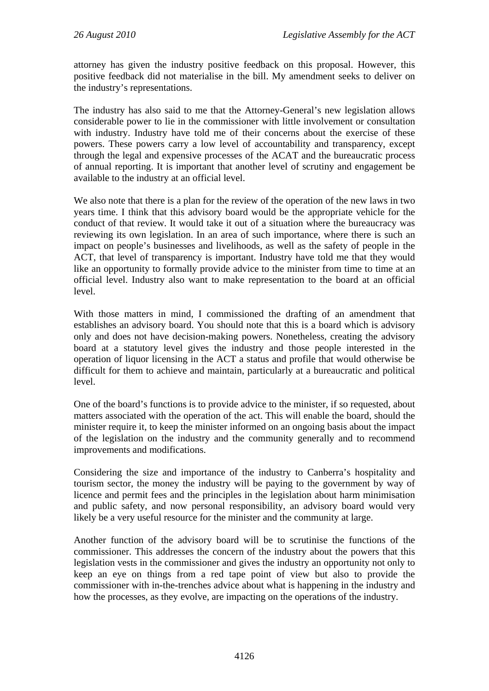attorney has given the industry positive feedback on this proposal. However, this positive feedback did not materialise in the bill. My amendment seeks to deliver on the industry's representations.

The industry has also said to me that the Attorney-General's new legislation allows considerable power to lie in the commissioner with little involvement or consultation with industry. Industry have told me of their concerns about the exercise of these powers. These powers carry a low level of accountability and transparency, except through the legal and expensive processes of the ACAT and the bureaucratic process of annual reporting. It is important that another level of scrutiny and engagement be available to the industry at an official level.

We also note that there is a plan for the review of the operation of the new laws in two years time. I think that this advisory board would be the appropriate vehicle for the conduct of that review. It would take it out of a situation where the bureaucracy was reviewing its own legislation. In an area of such importance, where there is such an impact on people's businesses and livelihoods, as well as the safety of people in the ACT, that level of transparency is important. Industry have told me that they would like an opportunity to formally provide advice to the minister from time to time at an official level. Industry also want to make representation to the board at an official level.

With those matters in mind, I commissioned the drafting of an amendment that establishes an advisory board. You should note that this is a board which is advisory only and does not have decision-making powers. Nonetheless, creating the advisory board at a statutory level gives the industry and those people interested in the operation of liquor licensing in the ACT a status and profile that would otherwise be difficult for them to achieve and maintain, particularly at a bureaucratic and political level.

One of the board's functions is to provide advice to the minister, if so requested, about matters associated with the operation of the act. This will enable the board, should the minister require it, to keep the minister informed on an ongoing basis about the impact of the legislation on the industry and the community generally and to recommend improvements and modifications.

Considering the size and importance of the industry to Canberra's hospitality and tourism sector, the money the industry will be paying to the government by way of licence and permit fees and the principles in the legislation about harm minimisation and public safety, and now personal responsibility, an advisory board would very likely be a very useful resource for the minister and the community at large.

Another function of the advisory board will be to scrutinise the functions of the commissioner. This addresses the concern of the industry about the powers that this legislation vests in the commissioner and gives the industry an opportunity not only to keep an eye on things from a red tape point of view but also to provide the commissioner with in-the-trenches advice about what is happening in the industry and how the processes, as they evolve, are impacting on the operations of the industry.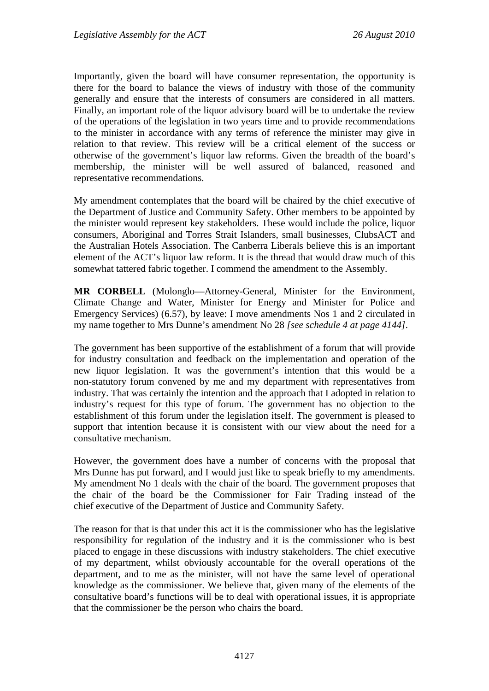Importantly, given the board will have consumer representation, the opportunity is there for the board to balance the views of industry with those of the community generally and ensure that the interests of consumers are considered in all matters. Finally, an important role of the liquor advisory board will be to undertake the review of the operations of the legislation in two years time and to provide recommendations to the minister in accordance with any terms of reference the minister may give in relation to that review. This review will be a critical element of the success or otherwise of the government's liquor law reforms. Given the breadth of the board's membership, the minister will be well assured of balanced, reasoned and representative recommendations.

My amendment contemplates that the board will be chaired by the chief executive of the Department of Justice and Community Safety. Other members to be appointed by the minister would represent key stakeholders. These would include the police, liquor consumers, Aboriginal and Torres Strait Islanders, small businesses, ClubsACT and the Australian Hotels Association. The Canberra Liberals believe this is an important element of the ACT's liquor law reform. It is the thread that would draw much of this somewhat tattered fabric together. I commend the amendment to the Assembly.

**MR CORBELL** (Molonglo—Attorney-General, Minister for the Environment, Climate Change and Water, Minister for Energy and Minister for Police and Emergency Services) (6.57), by leave: I move amendments Nos 1 and 2 circulated in my name together to Mrs Dunne's amendment No 28 *[see schedule 4 at page 4144]*.

The government has been supportive of the establishment of a forum that will provide for industry consultation and feedback on the implementation and operation of the new liquor legislation. It was the government's intention that this would be a non-statutory forum convened by me and my department with representatives from industry. That was certainly the intention and the approach that I adopted in relation to industry's request for this type of forum. The government has no objection to the establishment of this forum under the legislation itself. The government is pleased to support that intention because it is consistent with our view about the need for a consultative mechanism.

However, the government does have a number of concerns with the proposal that Mrs Dunne has put forward, and I would just like to speak briefly to my amendments. My amendment No 1 deals with the chair of the board. The government proposes that the chair of the board be the Commissioner for Fair Trading instead of the chief executive of the Department of Justice and Community Safety.

The reason for that is that under this act it is the commissioner who has the legislative responsibility for regulation of the industry and it is the commissioner who is best placed to engage in these discussions with industry stakeholders. The chief executive of my department, whilst obviously accountable for the overall operations of the department, and to me as the minister, will not have the same level of operational knowledge as the commissioner. We believe that, given many of the elements of the consultative board's functions will be to deal with operational issues, it is appropriate that the commissioner be the person who chairs the board.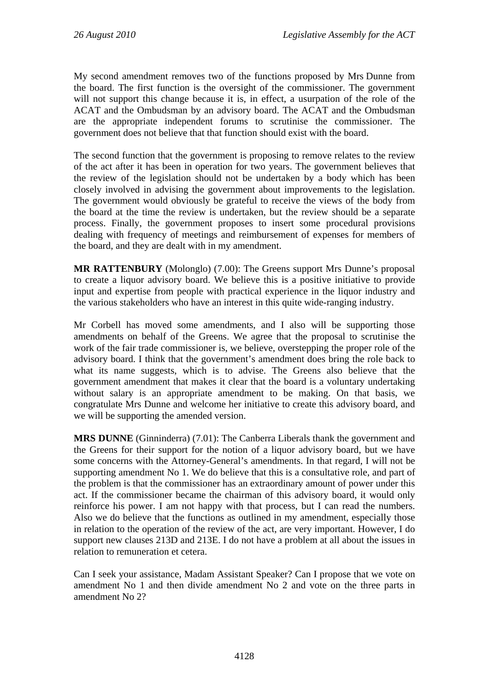My second amendment removes two of the functions proposed by Mrs Dunne from the board. The first function is the oversight of the commissioner. The government will not support this change because it is, in effect, a usurpation of the role of the ACAT and the Ombudsman by an advisory board. The ACAT and the Ombudsman are the appropriate independent forums to scrutinise the commissioner. The government does not believe that that function should exist with the board.

The second function that the government is proposing to remove relates to the review of the act after it has been in operation for two years. The government believes that the review of the legislation should not be undertaken by a body which has been closely involved in advising the government about improvements to the legislation. The government would obviously be grateful to receive the views of the body from the board at the time the review is undertaken, but the review should be a separate process. Finally, the government proposes to insert some procedural provisions dealing with frequency of meetings and reimbursement of expenses for members of the board, and they are dealt with in my amendment.

**MR RATTENBURY** (Molonglo) (7.00): The Greens support Mrs Dunne's proposal to create a liquor advisory board. We believe this is a positive initiative to provide input and expertise from people with practical experience in the liquor industry and the various stakeholders who have an interest in this quite wide-ranging industry.

Mr Corbell has moved some amendments, and I also will be supporting those amendments on behalf of the Greens. We agree that the proposal to scrutinise the work of the fair trade commissioner is, we believe, overstepping the proper role of the advisory board. I think that the government's amendment does bring the role back to what its name suggests, which is to advise. The Greens also believe that the government amendment that makes it clear that the board is a voluntary undertaking without salary is an appropriate amendment to be making. On that basis, we congratulate Mrs Dunne and welcome her initiative to create this advisory board, and we will be supporting the amended version.

**MRS DUNNE** (Ginninderra) (7.01): The Canberra Liberals thank the government and the Greens for their support for the notion of a liquor advisory board, but we have some concerns with the Attorney-General's amendments. In that regard, I will not be supporting amendment No 1. We do believe that this is a consultative role, and part of the problem is that the commissioner has an extraordinary amount of power under this act. If the commissioner became the chairman of this advisory board, it would only reinforce his power. I am not happy with that process, but I can read the numbers. Also we do believe that the functions as outlined in my amendment, especially those in relation to the operation of the review of the act, are very important. However, I do support new clauses 213D and 213E. I do not have a problem at all about the issues in relation to remuneration et cetera.

Can I seek your assistance, Madam Assistant Speaker? Can I propose that we vote on amendment No 1 and then divide amendment No 2 and vote on the three parts in amendment No 2?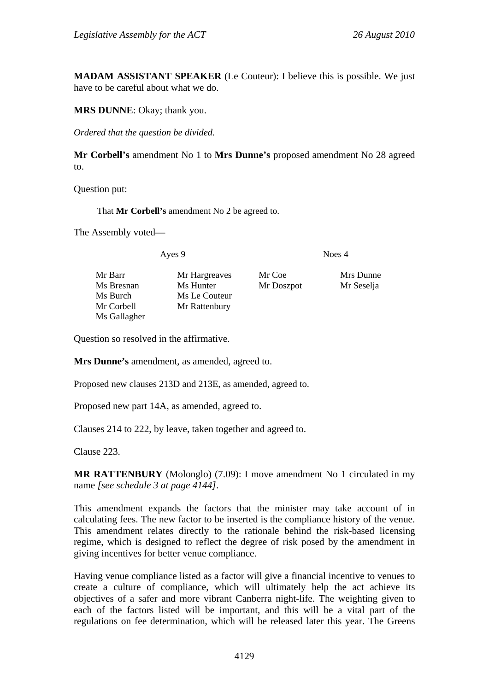**MADAM ASSISTANT SPEAKER** (Le Couteur): I believe this is possible. We just have to be careful about what we do.

**MRS DUNNE**: Okay; thank you.

*Ordered that the question be divided.*

**Mr Corbell's** amendment No 1 to **Mrs Dunne's** proposed amendment No 28 agreed to.

Question put:

That **Mr Corbell's** amendment No 2 be agreed to.

The Assembly voted—

Ayes 9 Noes 4

Mr Barr Mr Hargreaves Mr Coe Mrs Dunne Ms Bresnan Ms Hunter Mr Doszpot Mr Seselja Ms Burch Ms Le Couteur Mr Corbell Mr Rattenbury Ms Gallagher

Question so resolved in the affirmative.

**Mrs Dunne's** amendment, as amended, agreed to.

Proposed new clauses 213D and 213E, as amended, agreed to.

Proposed new part 14A, as amended, agreed to.

Clauses 214 to 222, by leave, taken together and agreed to.

Clause 223.

**MR RATTENBURY** (Molonglo) (7.09): I move amendment No 1 circulated in my name *[see schedule 3 at page 4144]*.

This amendment expands the factors that the minister may take account of in calculating fees. The new factor to be inserted is the compliance history of the venue. This amendment relates directly to the rationale behind the risk-based licensing regime, which is designed to reflect the degree of risk posed by the amendment in giving incentives for better venue compliance.

Having venue compliance listed as a factor will give a financial incentive to venues to create a culture of compliance, which will ultimately help the act achieve its objectives of a safer and more vibrant Canberra night-life. The weighting given to each of the factors listed will be important, and this will be a vital part of the regulations on fee determination, which will be released later this year. The Greens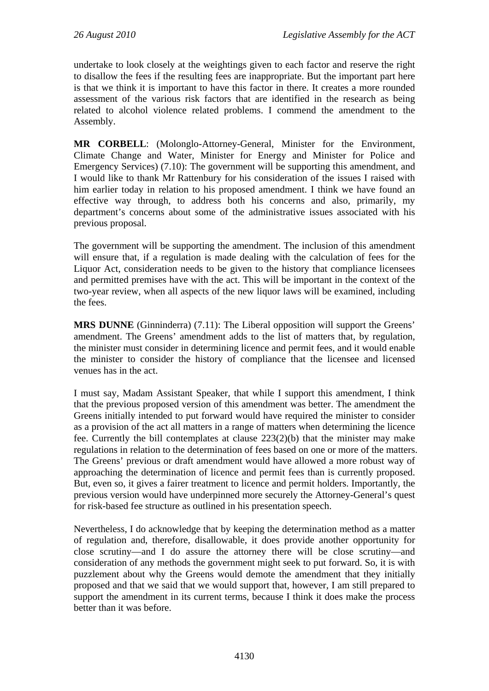undertake to look closely at the weightings given to each factor and reserve the right to disallow the fees if the resulting fees are inappropriate. But the important part here is that we think it is important to have this factor in there. It creates a more rounded assessment of the various risk factors that are identified in the research as being related to alcohol violence related problems. I commend the amendment to the Assembly.

**MR CORBELL**: (Molonglo-Attorney-General, Minister for the Environment, Climate Change and Water, Minister for Energy and Minister for Police and Emergency Services) (7.10): The government will be supporting this amendment, and I would like to thank Mr Rattenbury for his consideration of the issues I raised with him earlier today in relation to his proposed amendment. I think we have found an effective way through, to address both his concerns and also, primarily, my department's concerns about some of the administrative issues associated with his previous proposal.

The government will be supporting the amendment. The inclusion of this amendment will ensure that, if a regulation is made dealing with the calculation of fees for the Liquor Act, consideration needs to be given to the history that compliance licensees and permitted premises have with the act. This will be important in the context of the two-year review, when all aspects of the new liquor laws will be examined, including the fees.

**MRS DUNNE** (Ginninderra) (7.11): The Liberal opposition will support the Greens' amendment. The Greens' amendment adds to the list of matters that, by regulation, the minister must consider in determining licence and permit fees, and it would enable the minister to consider the history of compliance that the licensee and licensed venues has in the act.

I must say, Madam Assistant Speaker, that while I support this amendment, I think that the previous proposed version of this amendment was better. The amendment the Greens initially intended to put forward would have required the minister to consider as a provision of the act all matters in a range of matters when determining the licence fee. Currently the bill contemplates at clause 223(2)(b) that the minister may make regulations in relation to the determination of fees based on one or more of the matters. The Greens' previous or draft amendment would have allowed a more robust way of approaching the determination of licence and permit fees than is currently proposed. But, even so, it gives a fairer treatment to licence and permit holders. Importantly, the previous version would have underpinned more securely the Attorney-General's quest for risk-based fee structure as outlined in his presentation speech.

Nevertheless, I do acknowledge that by keeping the determination method as a matter of regulation and, therefore, disallowable, it does provide another opportunity for close scrutiny—and I do assure the attorney there will be close scrutiny—and consideration of any methods the government might seek to put forward. So, it is with puzzlement about why the Greens would demote the amendment that they initially proposed and that we said that we would support that, however, I am still prepared to support the amendment in its current terms, because I think it does make the process better than it was before.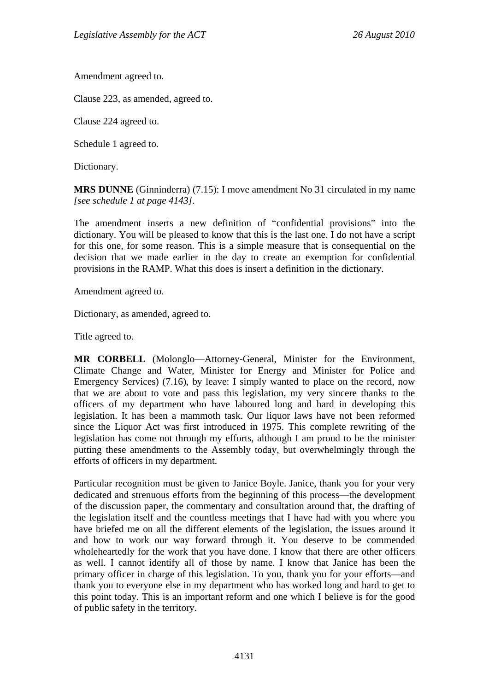Amendment agreed to.

Clause 223, as amended, agreed to.

Clause 224 agreed to.

Schedule 1 agreed to.

Dictionary.

**MRS DUNNE** (Ginninderra) (7.15): I move amendment No 31 circulated in my name *[see schedule 1 at page 4143]*.

The amendment inserts a new definition of "confidential provisions" into the dictionary. You will be pleased to know that this is the last one. I do not have a script for this one, for some reason. This is a simple measure that is consequential on the decision that we made earlier in the day to create an exemption for confidential provisions in the RAMP. What this does is insert a definition in the dictionary.

Amendment agreed to.

Dictionary, as amended, agreed to.

Title agreed to.

**MR CORBELL** (Molonglo—Attorney-General, Minister for the Environment, Climate Change and Water, Minister for Energy and Minister for Police and Emergency Services) (7.16), by leave: I simply wanted to place on the record, now that we are about to vote and pass this legislation, my very sincere thanks to the officers of my department who have laboured long and hard in developing this legislation. It has been a mammoth task. Our liquor laws have not been reformed since the Liquor Act was first introduced in 1975. This complete rewriting of the legislation has come not through my efforts, although I am proud to be the minister putting these amendments to the Assembly today, but overwhelmingly through the efforts of officers in my department.

Particular recognition must be given to Janice Boyle. Janice, thank you for your very dedicated and strenuous efforts from the beginning of this process—the development of the discussion paper, the commentary and consultation around that, the drafting of the legislation itself and the countless meetings that I have had with you where you have briefed me on all the different elements of the legislation, the issues around it and how to work our way forward through it. You deserve to be commended wholeheartedly for the work that you have done. I know that there are other officers as well. I cannot identify all of those by name. I know that Janice has been the primary officer in charge of this legislation. To you, thank you for your efforts—and thank you to everyone else in my department who has worked long and hard to get to this point today. This is an important reform and one which I believe is for the good of public safety in the territory.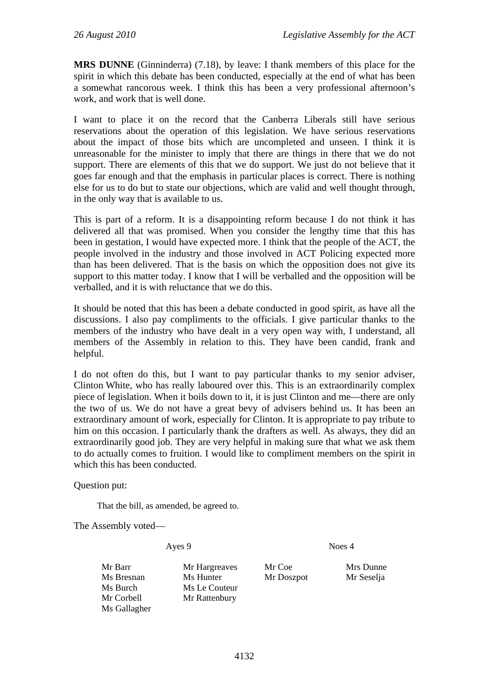**MRS DUNNE** (Ginninderra) (7.18), by leave: I thank members of this place for the spirit in which this debate has been conducted, especially at the end of what has been a somewhat rancorous week. I think this has been a very professional afternoon's work, and work that is well done.

I want to place it on the record that the Canberra Liberals still have serious reservations about the operation of this legislation. We have serious reservations about the impact of those bits which are uncompleted and unseen. I think it is unreasonable for the minister to imply that there are things in there that we do not support. There are elements of this that we do support. We just do not believe that it goes far enough and that the emphasis in particular places is correct. There is nothing else for us to do but to state our objections, which are valid and well thought through, in the only way that is available to us.

This is part of a reform. It is a disappointing reform because I do not think it has delivered all that was promised. When you consider the lengthy time that this has been in gestation, I would have expected more. I think that the people of the ACT, the people involved in the industry and those involved in ACT Policing expected more than has been delivered. That is the basis on which the opposition does not give its support to this matter today. I know that I will be verballed and the opposition will be verballed, and it is with reluctance that we do this.

It should be noted that this has been a debate conducted in good spirit, as have all the discussions. I also pay compliments to the officials. I give particular thanks to the members of the industry who have dealt in a very open way with, I understand, all members of the Assembly in relation to this. They have been candid, frank and helpful.

I do not often do this, but I want to pay particular thanks to my senior adviser, Clinton White, who has really laboured over this. This is an extraordinarily complex piece of legislation. When it boils down to it, it is just Clinton and me—there are only the two of us. We do not have a great bevy of advisers behind us. It has been an extraordinary amount of work, especially for Clinton. It is appropriate to pay tribute to him on this occasion. I particularly thank the drafters as well. As always, they did an extraordinarily good job. They are very helpful in making sure that what we ask them to do actually comes to fruition. I would like to compliment members on the spirit in which this has been conducted.

## Question put:

That the bill, as amended, be agreed to.

The Assembly voted—

Ayes 9 Noes 4

Ms Gallagher

Mr Barr Mr Hargreaves Mr Coe Mrs Dunne Ms Bresnan Ms Hunter Mr Doszpot Mr Seselja Ms Burch Ms Le Couteur Mr Corbell Mr Rattenbury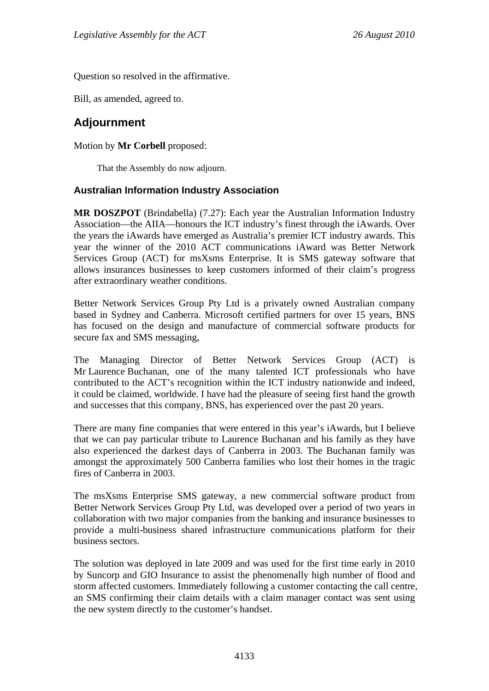Question so resolved in the affirmative.

Bill, as amended, agreed to.

# **Adjournment**

# Motion by **Mr Corbell** proposed:

That the Assembly do now adjourn.

# **Australian Information Industry Association**

**MR DOSZPOT** (Brindabella) (7.27): Each year the Australian Information Industry Association—the AIIA—honours the ICT industry's finest through the iAwards. Over the years the iAwards have emerged as Australia's premier ICT industry awards. This year the winner of the 2010 ACT communications iAward was Better Network Services Group (ACT) for msXsms Enterprise. It is SMS gateway software that allows insurances businesses to keep customers informed of their claim's progress after extraordinary weather conditions.

Better Network Services Group Pty Ltd is a privately owned Australian company based in Sydney and Canberra. Microsoft certified partners for over 15 years, BNS has focused on the design and manufacture of commercial software products for secure fax and SMS messaging,

The Managing Director of Better Network Services Group (ACT) is Mr Laurence Buchanan, one of the many talented ICT professionals who have contributed to the ACT's recognition within the ICT industry nationwide and indeed, it could be claimed, worldwide. I have had the pleasure of seeing first hand the growth and successes that this company, BNS, has experienced over the past 20 years.

There are many fine companies that were entered in this year's iAwards, but I believe that we can pay particular tribute to Laurence Buchanan and his family as they have also experienced the darkest days of Canberra in 2003. The Buchanan family was amongst the approximately 500 Canberra families who lost their homes in the tragic fires of Canberra in 2003.

The msXsms Enterprise SMS gateway, a new commercial software product from Better Network Services Group Pty Ltd, was developed over a period of two years in collaboration with two major companies from the banking and insurance businesses to provide a multi-business shared infrastructure communications platform for their business sectors.

The solution was deployed in late 2009 and was used for the first time early in 2010 by Suncorp and GIO Insurance to assist the phenomenally high number of flood and storm affected customers. Immediately following a customer contacting the call centre, an SMS confirming their claim details with a claim manager contact was sent using the new system directly to the customer's handset.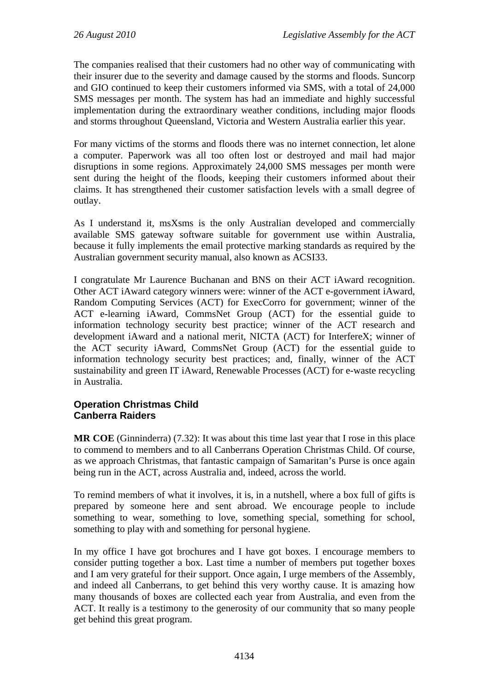The companies realised that their customers had no other way of communicating with their insurer due to the severity and damage caused by the storms and floods. Suncorp and GIO continued to keep their customers informed via SMS, with a total of 24,000 SMS messages per month. The system has had an immediate and highly successful implementation during the extraordinary weather conditions, including major floods and storms throughout Queensland, Victoria and Western Australia earlier this year.

For many victims of the storms and floods there was no internet connection, let alone a computer. Paperwork was all too often lost or destroyed and mail had major disruptions in some regions. Approximately 24,000 SMS messages per month were sent during the height of the floods, keeping their customers informed about their claims. It has strengthened their customer satisfaction levels with a small degree of outlay.

As I understand it, msXsms is the only Australian developed and commercially available SMS gateway software suitable for government use within Australia, because it fully implements the email protective marking standards as required by the Australian government security manual, also known as ACSI33.

I congratulate Mr Laurence Buchanan and BNS on their ACT iAward recognition. Other ACT iAward category winners were: winner of the ACT e-government iAward, Random Computing Services (ACT) for ExecCorro for government; winner of the ACT e-learning iAward, CommsNet Group (ACT) for the essential guide to information technology security best practice; winner of the ACT research and development iAward and a national merit, NICTA (ACT) for InterfereX; winner of the ACT security iAward, CommsNet Group (ACT) for the essential guide to information technology security best practices; and, finally, winner of the ACT sustainability and green IT iAward, Renewable Processes (ACT) for e-waste recycling in Australia.

# **Operation Christmas Child Canberra Raiders**

**MR COE** (Ginninderra) (7.32): It was about this time last year that I rose in this place to commend to members and to all Canberrans Operation Christmas Child. Of course, as we approach Christmas, that fantastic campaign of Samaritan's Purse is once again being run in the ACT, across Australia and, indeed, across the world.

To remind members of what it involves, it is, in a nutshell, where a box full of gifts is prepared by someone here and sent abroad. We encourage people to include something to wear, something to love, something special, something for school, something to play with and something for personal hygiene.

In my office I have got brochures and I have got boxes. I encourage members to consider putting together a box. Last time a number of members put together boxes and I am very grateful for their support. Once again, I urge members of the Assembly, and indeed all Canberrans, to get behind this very worthy cause. It is amazing how many thousands of boxes are collected each year from Australia, and even from the ACT. It really is a testimony to the generosity of our community that so many people get behind this great program.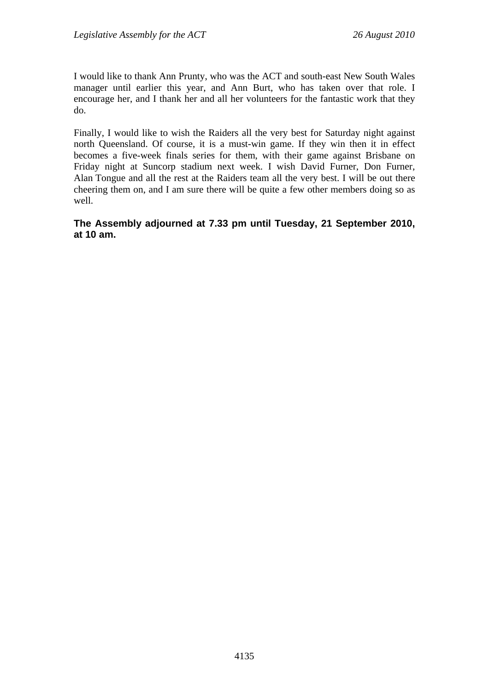I would like to thank Ann Prunty, who was the ACT and south-east New South Wales manager until earlier this year, and Ann Burt, who has taken over that role. I encourage her, and I thank her and all her volunteers for the fantastic work that they do.

Finally, I would like to wish the Raiders all the very best for Saturday night against north Queensland. Of course, it is a must-win game. If they win then it in effect becomes a five-week finals series for them, with their game against Brisbane on Friday night at Suncorp stadium next week. I wish David Furner, Don Furner, Alan Tongue and all the rest at the Raiders team all the very best. I will be out there cheering them on, and I am sure there will be quite a few other members doing so as well.

**The Assembly adjourned at 7.33 pm until Tuesday, 21 September 2010, at 10 am.**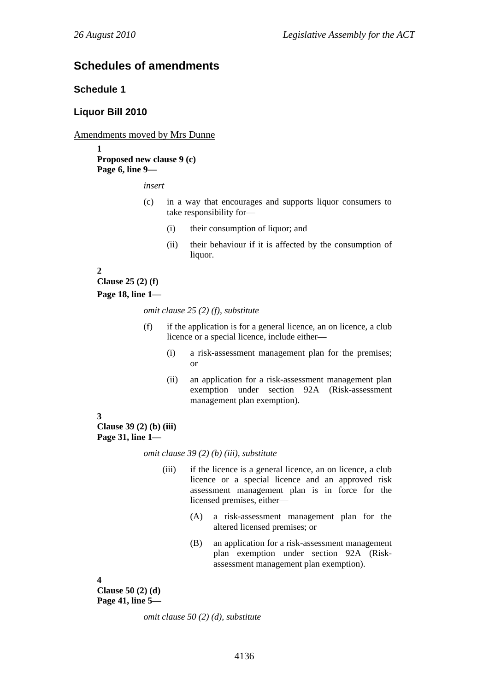# **Schedules of amendments**

# **Schedule 1**

## **Liquor Bill 2010**

## Amendments moved by Mrs Dunne

**1 Proposed new clause 9 (c) Page 6, line 9—** 

*insert* 

- (c) in a way that encourages and supports liquor consumers to take responsibility for—
	- (i) their consumption of liquor; and
	- (ii) their behaviour if it is affected by the consumption of liquor.

## **2**

**Clause 25 (2) (f)** 

**Page 18, line 1—** 

*omit clause 25 (2) (f), substitute* 

- (f) if the application is for a general licence, an on licence, a club licence or a special licence, include either—
	- (i) a risk-assessment management plan for the premises; or
	- (ii) an application for a risk-assessment management plan exemption under section 92A (Risk-assessment management plan exemption).

## **3**

**Clause 39 (2) (b) (iii) Page 31, line 1—** 

*omit clause 39 (2) (b) (iii), substitute* 

- (iii) if the licence is a general licence, an on licence, a club licence or a special licence and an approved risk assessment management plan is in force for the licensed premises, either—
	- (A) a risk-assessment management plan for the altered licensed premises; or
	- (B) an application for a risk-assessment management plan exemption under section 92A (Riskassessment management plan exemption).

#### **4**

**Clause 50 (2) (d) Page 41, line 5—** 

*omit clause 50 (2) (d), substitute*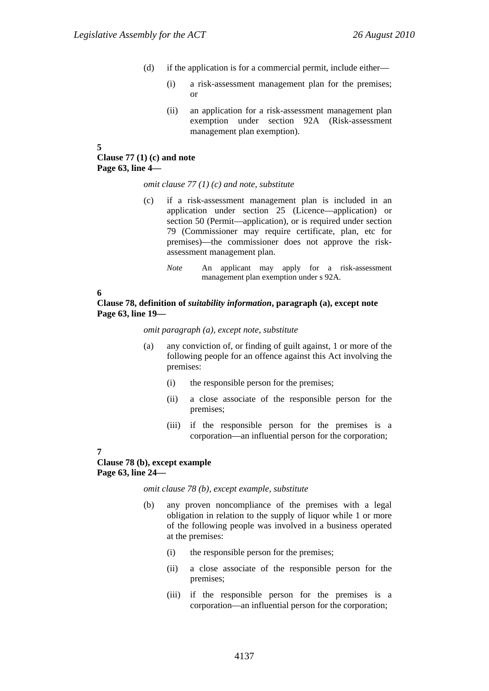- (d) if the application is for a commercial permit, include either—
	- (i) a risk-assessment management plan for the premises; or
	- (ii) an application for a risk-assessment management plan exemption under section 92A (Risk-assessment management plan exemption).
- **5**

## **Clause 77 (1) (c) and note Page 63, line 4—**

#### *omit clause 77 (1) (c) and note, substitute*

- (c) if a risk-assessment management plan is included in an application under section 25 (Licence—application) or section 50 (Permit—application), or is required under section 79 (Commissioner may require certificate, plan, etc for premises)—the commissioner does not approve the riskassessment management plan.
	- *Note* An applicant may apply for a risk-assessment management plan exemption under s 92A.

**6** 

## **Clause 78, definition of** *suitability information***, paragraph (a), except note Page 63, line 19—**

#### *omit paragraph (a), except note, substitute*

- (a) any conviction of, or finding of guilt against, 1 or more of the following people for an offence against this Act involving the premises:
	- (i) the responsible person for the premises;
	- (ii) a close associate of the responsible person for the premises;
	- (iii) if the responsible person for the premises is a corporation—an influential person for the corporation;

#### **7**

## **Clause 78 (b), except example Page 63, line 24—**

*omit clause 78 (b), except example, substitute* 

- (b) any proven noncompliance of the premises with a legal obligation in relation to the supply of liquor while 1 or more of the following people was involved in a business operated at the premises:
	- (i) the responsible person for the premises;
	- (ii) a close associate of the responsible person for the premises;
	- (iii) if the responsible person for the premises is a corporation—an influential person for the corporation;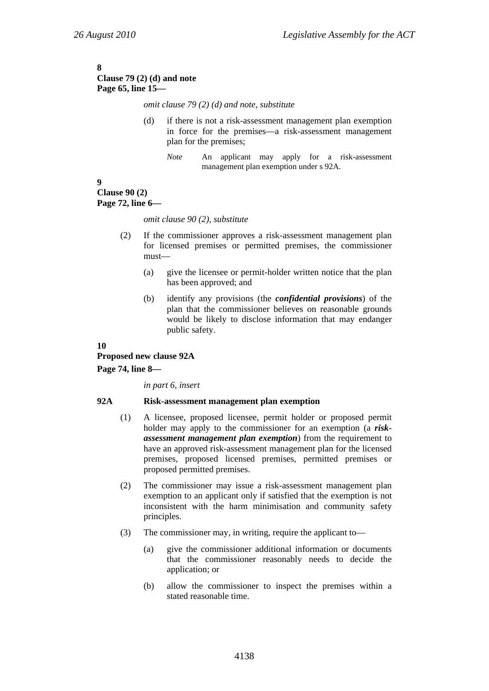#### **8 Clause 79 (2) (d) and note Page 65, line 15—**

*omit clause 79 (2) (d) and note, substitute* 

- (d) if there is not a risk-assessment management plan exemption in force for the premises—a risk-assessment management plan for the premises;
	- *Note* An applicant may apply for a risk-assessment management plan exemption under s 92A.

#### **9 Clause 90 (2) Page 72, line 6—**

*omit clause 90 (2), substitute* 

- (2) If the commissioner approves a risk-assessment management plan for licensed premises or permitted premises, the commissioner must—
	- (a) give the licensee or permit-holder written notice that the plan has been approved; and
	- (b) identify any provisions (the *confidential provisions*) of the plan that the commissioner believes on reasonable grounds would be likely to disclose information that may endanger public safety.

## **10**

**Proposed new clause 92A** 

## **Page 74, line 8—**

*in part 6, insert* 

## **92A Risk-assessment management plan exemption**

- (1) A licensee, proposed licensee, permit holder or proposed permit holder may apply to the commissioner for an exemption (a *riskassessment management plan exemption*) from the requirement to have an approved risk-assessment management plan for the licensed premises, proposed licensed premises, permitted premises or proposed permitted premises.
- (2) The commissioner may issue a risk-assessment management plan exemption to an applicant only if satisfied that the exemption is not inconsistent with the harm minimisation and community safety principles.
- (3) The commissioner may, in writing, require the applicant to—
	- (a) give the commissioner additional information or documents that the commissioner reasonably needs to decide the application; or
	- (b) allow the commissioner to inspect the premises within a stated reasonable time.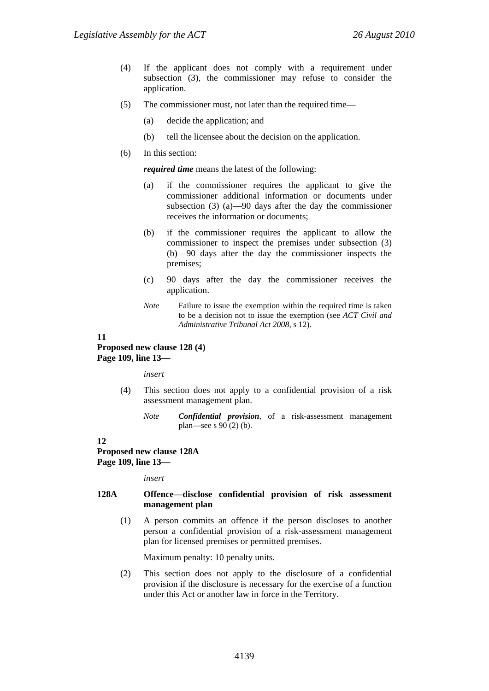- (4) If the applicant does not comply with a requirement under subsection (3), the commissioner may refuse to consider the application.
- (5) The commissioner must, not later than the required time—
	- (a) decide the application; and
	- (b) tell the licensee about the decision on the application.
- (6) In this section:

*required time* means the latest of the following:

- (a) if the commissioner requires the applicant to give the commissioner additional information or documents under subsection (3) (a)—90 days after the day the commissioner receives the information or documents;
- (b) if the commissioner requires the applicant to allow the commissioner to inspect the premises under subsection (3) (b)—90 days after the day the commissioner inspects the premises;
- (c) 90 days after the day the commissioner receives the application.
- *Note* Failure to issue the exemption within the required time is taken to be a decision not to issue the exemption (see *ACT Civil and Administrative Tribunal Act 2008*, s 12).

## **11**

#### **Proposed new clause 128 (4) Page 109, line 13—**

*insert* 

- (4) This section does not apply to a confidential provision of a risk assessment management plan.
	- *Note Confidential provision*, of a risk-assessment management plan—see s 90 (2) (b).

#### **12**

**Proposed new clause 128A Page 109, line 13—** 

#### *insert*

#### **128A Offence—disclose confidential provision of risk assessment management plan**

(1) A person commits an offence if the person discloses to another person a confidential provision of a risk-assessment management plan for licensed premises or permitted premises.

Maximum penalty: 10 penalty units.

(2) This section does not apply to the disclosure of a confidential provision if the disclosure is necessary for the exercise of a function under this Act or another law in force in the Territory.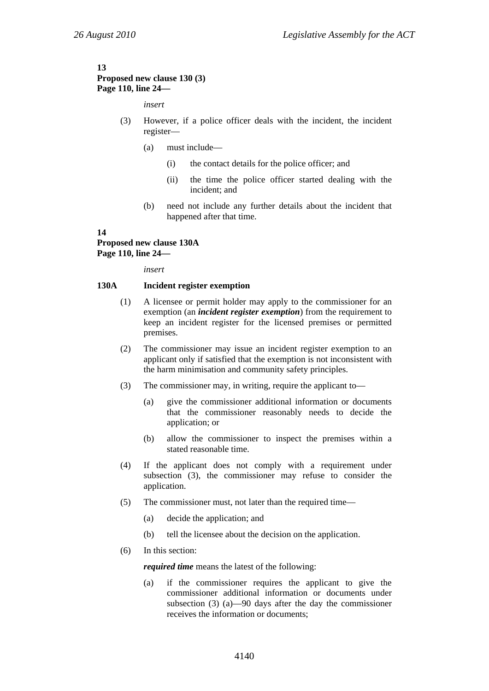#### **13 Proposed new clause 130 (3) Page 110, line 24—**

#### *insert*

- (3) However, if a police officer deals with the incident, the incident register—
	- (a) must include—
		- (i) the contact details for the police officer; and
		- (ii) the time the police officer started dealing with the incident; and
	- (b) need not include any further details about the incident that happened after that time.

#### **14**

### **Proposed new clause 130A Page 110, line 24—**

*insert* 

#### **130A Incident register exemption**

- (1) A licensee or permit holder may apply to the commissioner for an exemption (an *incident register exemption*) from the requirement to keep an incident register for the licensed premises or permitted premises.
- (2) The commissioner may issue an incident register exemption to an applicant only if satisfied that the exemption is not inconsistent with the harm minimisation and community safety principles.
- (3) The commissioner may, in writing, require the applicant to—
	- (a) give the commissioner additional information or documents that the commissioner reasonably needs to decide the application; or
	- (b) allow the commissioner to inspect the premises within a stated reasonable time.
- (4) If the applicant does not comply with a requirement under subsection (3), the commissioner may refuse to consider the application.
- (5) The commissioner must, not later than the required time—
	- (a) decide the application; and
	- (b) tell the licensee about the decision on the application.
- (6) In this section:

*required time* means the latest of the following:

(a) if the commissioner requires the applicant to give the commissioner additional information or documents under subsection (3) (a)—90 days after the day the commissioner receives the information or documents;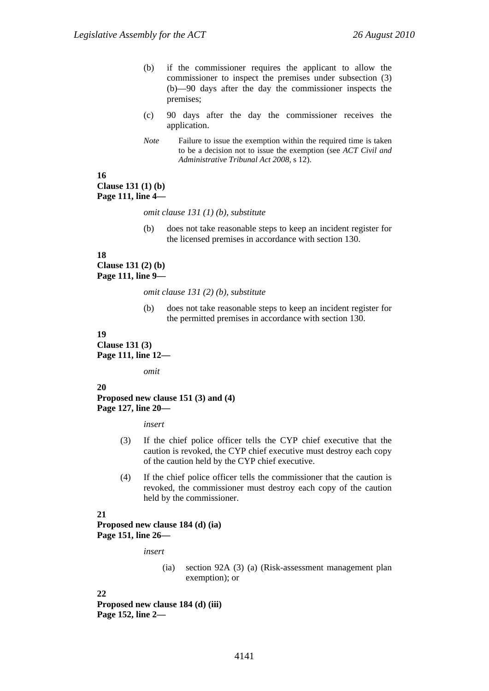- (b) if the commissioner requires the applicant to allow the commissioner to inspect the premises under subsection (3) (b)—90 days after the day the commissioner inspects the premises;
- (c) 90 days after the day the commissioner receives the application.
- *Note* Failure to issue the exemption within the required time is taken to be a decision not to issue the exemption (see *ACT Civil and Administrative Tribunal Act 2008*, s 12).

### **16 Clause 131 (1) (b) Page 111, line 4—**

*omit clause 131 (1) (b), substitute* 

(b) does not take reasonable steps to keep an incident register for the licensed premises in accordance with section 130.

## **18 Clause 131 (2) (b)**

**Page 111, line 9—** 

*omit clause 131 (2) (b), substitute* 

(b) does not take reasonable steps to keep an incident register for the permitted premises in accordance with section 130.

### **19 Clause 131 (3) Page 111, line 12—**

*omit* 

### **20**

#### **Proposed new clause 151 (3) and (4) Page 127, line 20—**

*insert* 

- (3) If the chief police officer tells the CYP chief executive that the caution is revoked, the CYP chief executive must destroy each copy of the caution held by the CYP chief executive.
- (4) If the chief police officer tells the commissioner that the caution is revoked, the commissioner must destroy each copy of the caution held by the commissioner.

#### **21**

**Proposed new clause 184 (d) (ia) Page 151, line 26—** 

*insert* 

(ia) section 92A (3) (a) (Risk-assessment management plan exemption); or

**22** 

**Proposed new clause 184 (d) (iii) Page 152, line 2—**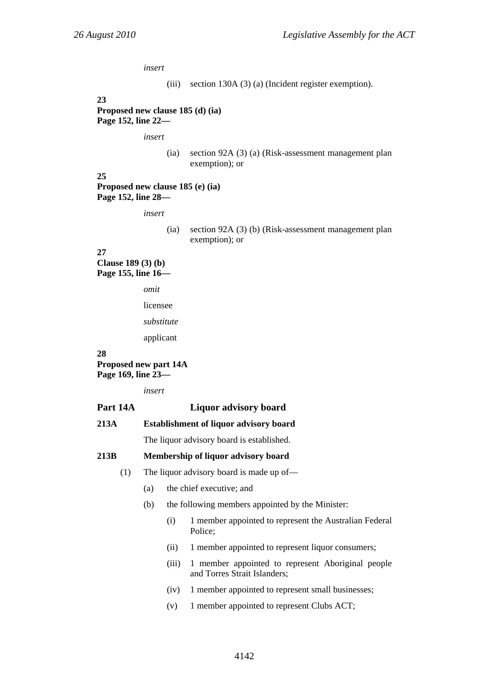*insert* 

(iii) section 130A (3) (a) (Incident register exemption).

**23** 

**Proposed new clause 185 (d) (ia) Page 152, line 22—** 

*insert* 

(ia) section 92A (3) (a) (Risk-assessment management plan exemption); or

**25 Proposed new clause 185 (e) (ia) Page 152, line 28—** 

*insert* 

(ia) section 92A (3) (b) (Risk-assessment management plan exemption); or

**27** 

**Clause 189 (3) (b) Page 155, line 16—** 

*omit* 

licensee

*substitute* 

applicant

#### **28**

**Proposed new part 14A Page 169, line 23—** 

*insert* 

#### **Part 14A Liquor advisory board**

```
213A Establishment of liquor advisory board
```
The liquor advisory board is established.

#### **213B Membership of liquor advisory board**

(1) The liquor advisory board is made up of—

- (a) the chief executive; and
- (b) the following members appointed by the Minister:
	- (i) 1 member appointed to represent the Australian Federal Police;
	- (ii) 1 member appointed to represent liquor consumers;
	- (iii) 1 member appointed to represent Aboriginal people and Torres Strait Islanders;
	- (iv) 1 member appointed to represent small businesses;
	- (v) 1 member appointed to represent Clubs ACT;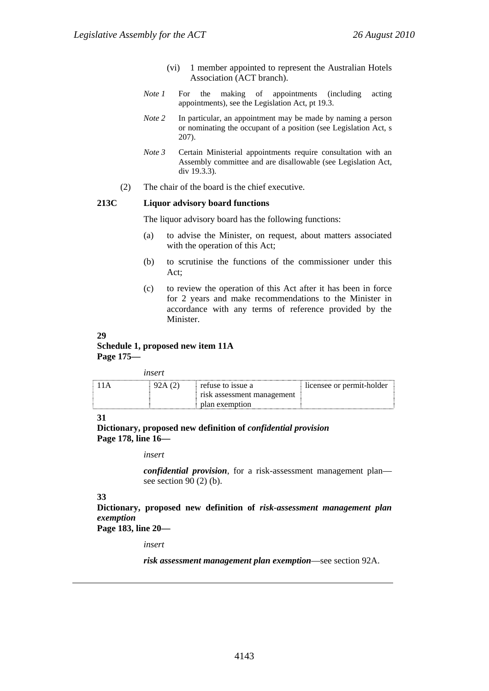- (vi) 1 member appointed to represent the Australian Hotels Association (ACT branch).
- *Note 1* For the making of appointments (including acting appointments), see the Legislation Act, pt 19.3.
- *Note 2* In particular, an appointment may be made by naming a person or nominating the occupant of a position (see Legislation Act, s 207).
- *Note 3* Certain Ministerial appointments require consultation with an Assembly committee and are disallowable (see Legislation Act, div 19.3.3).
- (2) The chair of the board is the chief executive.

#### **213C Liquor advisory board functions**

The liquor advisory board has the following functions:

- (a) to advise the Minister, on request, about matters associated with the operation of this Act;
- (b) to scrutinise the functions of the commissioner under this Act;
- (c) to review the operation of this Act after it has been in force for 2 years and make recommendations to the Minister in accordance with any terms of reference provided by the Minister.

## **29**

#### **Schedule 1, proposed new item 11A Page 175—**

#### *insert*

| 11 A | 92A(2) | refuse to issue a          | licensee or permit-holder |
|------|--------|----------------------------|---------------------------|
|      |        | risk assessment management |                           |
|      |        | plan exemption             |                           |

#### **31**

**Dictionary, proposed new definition of** *confidential provision* **Page 178, line 16—** 

#### *insert*

*confidential provision*, for a risk-assessment management plan see section  $90(2)$  (b).

#### **33**

**Dictionary, proposed new definition of** *risk-assessment management plan exemption*

**Page 183, line 20—** 

*insert* 

*risk assessment management plan exemption*—see section 92A.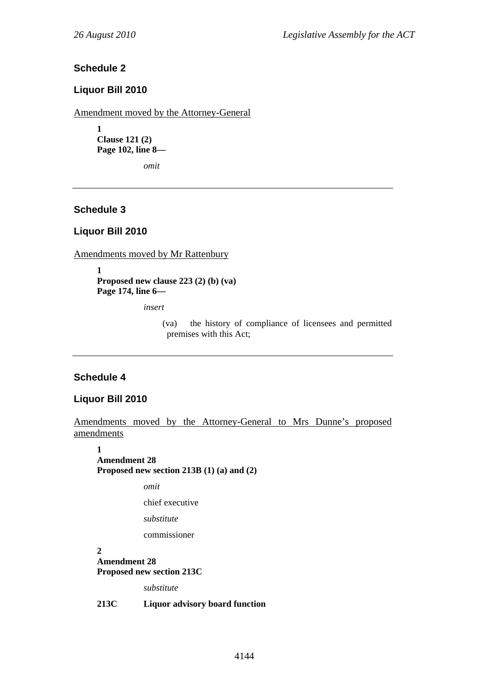### **Schedule 2**

### **Liquor Bill 2010**

Amendment moved by the Attorney-General

**1 Clause 121 (2) Page 102, line 8—** 

*omit* 

## **Schedule 3**

### **Liquor Bill 2010**

Amendments moved by Mr Rattenbury

**1 Proposed new clause 223 (2) (b) (va) Page 174, line 6—** 

*insert* 

(va) the history of compliance of licensees and permitted premises with this Act;

### **Schedule 4**

### **Liquor Bill 2010**

Amendments moved by the Attorney-General to Mrs Dunne's proposed amendments

**1 Amendment 28 Proposed new section 213B (1) (a) and (2)** 

*omit* 

chief executive

*substitute* 

commissioner

**2 Amendment 28 Proposed new section 213C** 

*substitute* 

**213C Liquor advisory board function**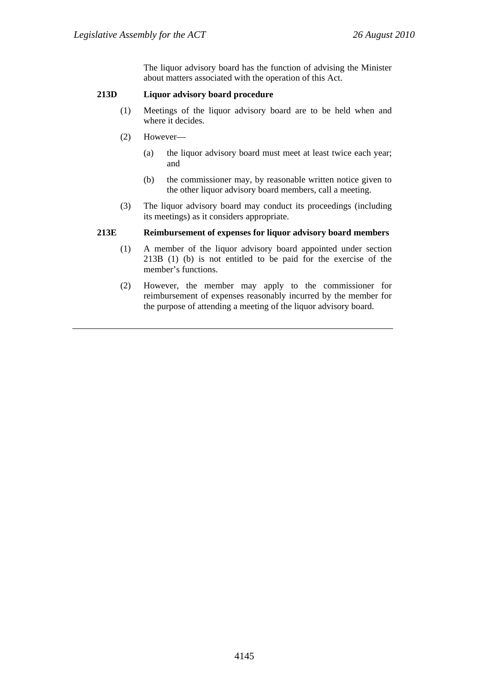The liquor advisory board has the function of advising the Minister about matters associated with the operation of this Act.

### **213D Liquor advisory board procedure**

- (1) Meetings of the liquor advisory board are to be held when and where it decides.
- (2) However—
	- (a) the liquor advisory board must meet at least twice each year; and
	- (b) the commissioner may, by reasonable written notice given to the other liquor advisory board members, call a meeting.
- (3) The liquor advisory board may conduct its proceedings (including its meetings) as it considers appropriate.

#### **213E Reimbursement of expenses for liquor advisory board members**

- (1) A member of the liquor advisory board appointed under section 213B (1) (b) is not entitled to be paid for the exercise of the member's functions.
- (2) However, the member may apply to the commissioner for reimbursement of expenses reasonably incurred by the member for the purpose of attending a meeting of the liquor advisory board.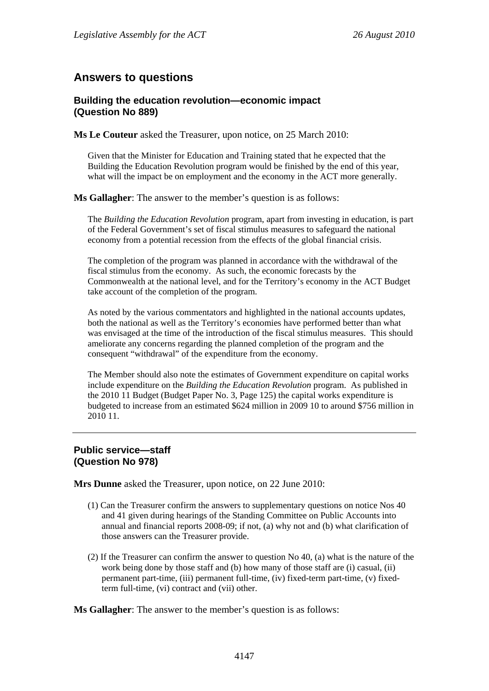# **Answers to questions**

## **Building the education revolution—economic impact (Question No 889)**

**Ms Le Couteur** asked the Treasurer, upon notice, on 25 March 2010:

Given that the Minister for Education and Training stated that he expected that the Building the Education Revolution program would be finished by the end of this year, what will the impact be on employment and the economy in the ACT more generally.

**Ms Gallagher**: The answer to the member's question is as follows:

The *Building the Education Revolution* program, apart from investing in education, is part of the Federal Government's set of fiscal stimulus measures to safeguard the national economy from a potential recession from the effects of the global financial crisis.

The completion of the program was planned in accordance with the withdrawal of the fiscal stimulus from the economy. As such, the economic forecasts by the Commonwealth at the national level, and for the Territory's economy in the ACT Budget take account of the completion of the program.

As noted by the various commentators and highlighted in the national accounts updates, both the national as well as the Territory's economies have performed better than what was envisaged at the time of the introduction of the fiscal stimulus measures. This should ameliorate any concerns regarding the planned completion of the program and the consequent "withdrawal" of the expenditure from the economy.

The Member should also note the estimates of Government expenditure on capital works include expenditure on the *Building the Education Revolution* program. As published in the 2010 11 Budget (Budget Paper No. 3, Page 125) the capital works expenditure is budgeted to increase from an estimated \$624 million in 2009 10 to around \$756 million in 2010 11.

### **Public service—staff (Question No 978)**

**Mrs Dunne** asked the Treasurer, upon notice, on 22 June 2010:

- (1) Can the Treasurer confirm the answers to supplementary questions on notice Nos 40 and 41 given during hearings of the Standing Committee on Public Accounts into annual and financial reports 2008-09; if not, (a) why not and (b) what clarification of those answers can the Treasurer provide.
- (2) If the Treasurer can confirm the answer to question No 40, (a) what is the nature of the work being done by those staff and (b) how many of those staff are (i) casual, (ii) permanent part-time, (iii) permanent full-time, (iv) fixed-term part-time, (v) fixedterm full-time, (vi) contract and (vii) other.

**Ms Gallagher**: The answer to the member's question is as follows: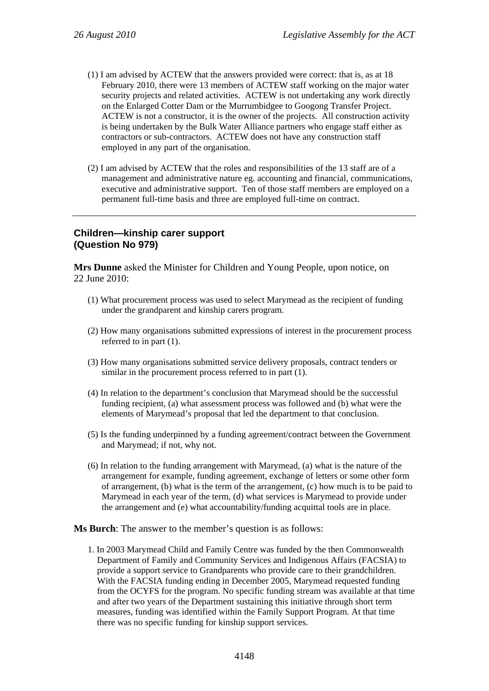- (1) I am advised by ACTEW that the answers provided were correct: that is, as at 18 February 2010, there were 13 members of ACTEW staff working on the major water security projects and related activities. ACTEW is not undertaking any work directly on the Enlarged Cotter Dam or the Murrumbidgee to Googong Transfer Project. ACTEW is not a constructor, it is the owner of the projects. All construction activity is being undertaken by the Bulk Water Alliance partners who engage staff either as contractors or sub-contractors. ACTEW does not have any construction staff employed in any part of the organisation.
- (2) I am advised by ACTEW that the roles and responsibilities of the 13 staff are of a management and administrative nature eg. accounting and financial, communications, executive and administrative support. Ten of those staff members are employed on a permanent full-time basis and three are employed full-time on contract.

### **Children—kinship carer support (Question No 979)**

**Mrs Dunne** asked the Minister for Children and Young People, upon notice, on 22 June 2010:

- (1) What procurement process was used to select Marymead as the recipient of funding under the grandparent and kinship carers program.
- (2) How many organisations submitted expressions of interest in the procurement process referred to in part (1).
- (3) How many organisations submitted service delivery proposals, contract tenders or similar in the procurement process referred to in part (1).
- (4) In relation to the department's conclusion that Marymead should be the successful funding recipient, (a) what assessment process was followed and (b) what were the elements of Marymead's proposal that led the department to that conclusion.
- (5) Is the funding underpinned by a funding agreement/contract between the Government and Marymead; if not, why not.
- (6) In relation to the funding arrangement with Marymead, (a) what is the nature of the arrangement for example, funding agreement, exchange of letters or some other form of arrangement, (b) what is the term of the arrangement, (c) how much is to be paid to Marymead in each year of the term, (d) what services is Marymead to provide under the arrangement and (e) what accountability/funding acquittal tools are in place.

**Ms Burch**: The answer to the member's question is as follows:

1. In 2003 Marymead Child and Family Centre was funded by the then Commonwealth Department of Family and Community Services and Indigenous Affairs (FACSIA) to provide a support service to Grandparents who provide care to their grandchildren. With the FACSIA funding ending in December 2005, Marymead requested funding from the OCYFS for the program. No specific funding stream was available at that time and after two years of the Department sustaining this initiative through short term measures, funding was identified within the Family Support Program. At that time there was no specific funding for kinship support services.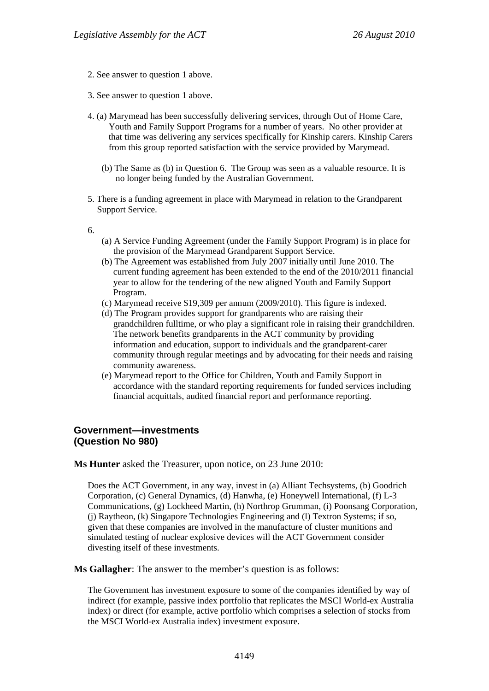- 2. See answer to question 1 above.
- 3. See answer to question 1 above.
- 4. (a) Marymead has been successfully delivering services, through Out of Home Care, Youth and Family Support Programs for a number of years. No other provider at that time was delivering any services specifically for Kinship carers. Kinship Carers from this group reported satisfaction with the service provided by Marymead.
	- (b) The Same as (b) in Question 6. The Group was seen as a valuable resource. It is no longer being funded by the Australian Government.
- 5. There is a funding agreement in place with Marymead in relation to the Grandparent Support Service.
- 6.
- (a) A Service Funding Agreement (under the Family Support Program) is in place for the provision of the Marymead Grandparent Support Service.
- (b) The Agreement was established from July 2007 initially until June 2010. The current funding agreement has been extended to the end of the 2010/2011 financial year to allow for the tendering of the new aligned Youth and Family Support Program.
- (c) Marymead receive \$19,309 per annum (2009/2010). This figure is indexed.
- (d) The Program provides support for grandparents who are raising their grandchildren fulltime, or who play a significant role in raising their grandchildren. The network benefits grandparents in the ACT community by providing information and education, support to individuals and the grandparent-carer community through regular meetings and by advocating for their needs and raising community awareness.
- (e) Marymead report to the Office for Children, Youth and Family Support in accordance with the standard reporting requirements for funded services including financial acquittals, audited financial report and performance reporting.

### **Government—investments (Question No 980)**

**Ms Hunter** asked the Treasurer, upon notice, on 23 June 2010:

Does the ACT Government, in any way, invest in (a) Alliant Techsystems, (b) Goodrich Corporation, (c) General Dynamics, (d) Hanwha, (e) Honeywell International, (f) L-3 Communications, (g) Lockheed Martin, (h) Northrop Grumman, (i) Poonsang Corporation, (j) Raytheon, (k) Singapore Technologies Engineering and (l) Textron Systems; if so, given that these companies are involved in the manufacture of cluster munitions and simulated testing of nuclear explosive devices will the ACT Government consider divesting itself of these investments.

**Ms Gallagher**: The answer to the member's question is as follows:

The Government has investment exposure to some of the companies identified by way of indirect (for example, passive index portfolio that replicates the MSCI World-ex Australia index) or direct (for example, active portfolio which comprises a selection of stocks from the MSCI World-ex Australia index) investment exposure.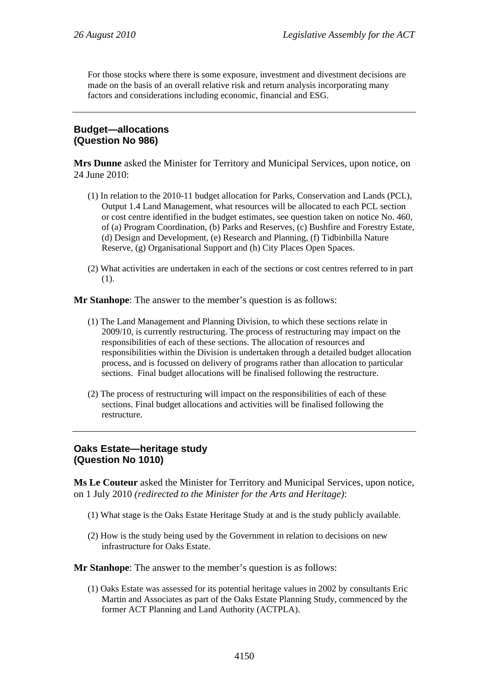For those stocks where there is some exposure, investment and divestment decisions are made on the basis of an overall relative risk and return analysis incorporating many factors and considerations including economic, financial and ESG.

### **Budget—allocations (Question No 986)**

**Mrs Dunne** asked the Minister for Territory and Municipal Services, upon notice, on 24 June 2010:

- (1) In relation to the 2010-11 budget allocation for Parks, Conservation and Lands (PCL), Output 1.4 Land Management, what resources will be allocated to each PCL section or cost centre identified in the budget estimates, see question taken on notice No. 460, of (a) Program Coordination, (b) Parks and Reserves, (c) Bushfire and Forestry Estate, (d) Design and Development, (e) Research and Planning, (f) Tidbinbilla Nature Reserve, (g) Organisational Support and (h) City Places Open Spaces.
- (2) What activities are undertaken in each of the sections or cost centres referred to in part (1).

**Mr Stanhope**: The answer to the member's question is as follows:

- (1) The Land Management and Planning Division, to which these sections relate in 2009/10, is currently restructuring. The process of restructuring may impact on the responsibilities of each of these sections. The allocation of resources and responsibilities within the Division is undertaken through a detailed budget allocation process, and is focussed on delivery of programs rather than allocation to particular sections. Final budget allocations will be finalised following the restructure.
- (2) The process of restructuring will impact on the responsibilities of each of these sections. Final budget allocations and activities will be finalised following the restructure.

## **Oaks Estate—heritage study (Question No 1010)**

**Ms Le Couteur** asked the Minister for Territory and Municipal Services, upon notice, on 1 July 2010 *(redirected to the Minister for the Arts and Heritage)*:

- (1) What stage is the Oaks Estate Heritage Study at and is the study publicly available.
- (2) How is the study being used by the Government in relation to decisions on new infrastructure for Oaks Estate.

**Mr Stanhope**: The answer to the member's question is as follows:

(1) Oaks Estate was assessed for its potential heritage values in 2002 by consultants Eric Martin and Associates as part of the Oaks Estate Planning Study, commenced by the former ACT Planning and Land Authority (ACTPLA).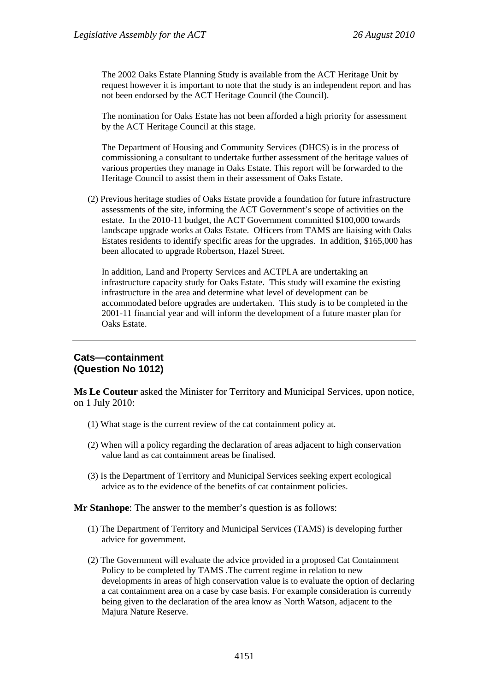The 2002 Oaks Estate Planning Study is available from the ACT Heritage Unit by request however it is important to note that the study is an independent report and has not been endorsed by the ACT Heritage Council (the Council).

The nomination for Oaks Estate has not been afforded a high priority for assessment by the ACT Heritage Council at this stage.

The Department of Housing and Community Services (DHCS) is in the process of commissioning a consultant to undertake further assessment of the heritage values of various properties they manage in Oaks Estate. This report will be forwarded to the Heritage Council to assist them in their assessment of Oaks Estate.

(2) Previous heritage studies of Oaks Estate provide a foundation for future infrastructure assessments of the site, informing the ACT Government's scope of activities on the estate. In the 2010-11 budget, the ACT Government committed \$100,000 towards landscape upgrade works at Oaks Estate. Officers from TAMS are liaising with Oaks Estates residents to identify specific areas for the upgrades. In addition, \$165,000 has been allocated to upgrade Robertson, Hazel Street.

In addition, Land and Property Services and ACTPLA are undertaking an infrastructure capacity study for Oaks Estate. This study will examine the existing infrastructure in the area and determine what level of development can be accommodated before upgrades are undertaken. This study is to be completed in the 2001-11 financial year and will inform the development of a future master plan for Oaks Estate.

### **Cats—containment (Question No 1012)**

**Ms Le Couteur** asked the Minister for Territory and Municipal Services, upon notice, on 1 July 2010:

- (1) What stage is the current review of the cat containment policy at.
- (2) When will a policy regarding the declaration of areas adjacent to high conservation value land as cat containment areas be finalised.
- (3) Is the Department of Territory and Municipal Services seeking expert ecological advice as to the evidence of the benefits of cat containment policies.

**Mr Stanhope**: The answer to the member's question is as follows:

- (1) The Department of Territory and Municipal Services (TAMS) is developing further advice for government.
- (2) The Government will evaluate the advice provided in a proposed Cat Containment Policy to be completed by TAMS .The current regime in relation to new developments in areas of high conservation value is to evaluate the option of declaring a cat containment area on a case by case basis. For example consideration is currently being given to the declaration of the area know as North Watson, adjacent to the Majura Nature Reserve.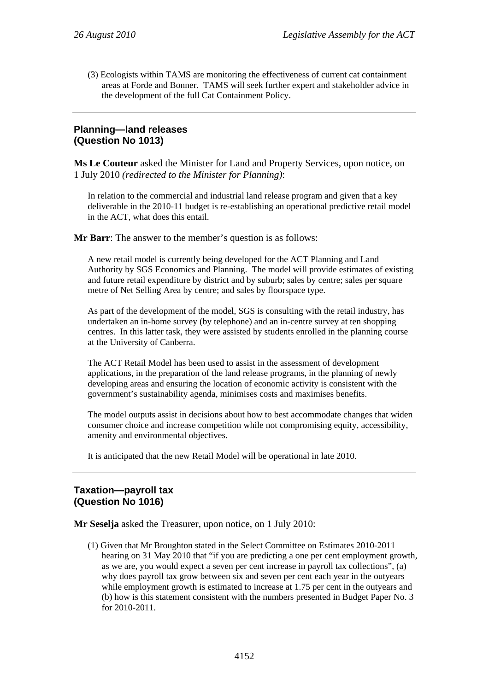(3) Ecologists within TAMS are monitoring the effectiveness of current cat containment areas at Forde and Bonner. TAMS will seek further expert and stakeholder advice in the development of the full Cat Containment Policy.

## **Planning—land releases (Question No 1013)**

**Ms Le Couteur** asked the Minister for Land and Property Services, upon notice, on 1 July 2010 *(redirected to the Minister for Planning)*:

In relation to the commercial and industrial land release program and given that a key deliverable in the 2010-11 budget is re-establishing an operational predictive retail model in the ACT, what does this entail.

**Mr Barr**: The answer to the member's question is as follows:

A new retail model is currently being developed for the ACT Planning and Land Authority by SGS Economics and Planning. The model will provide estimates of existing and future retail expenditure by district and by suburb; sales by centre; sales per square metre of Net Selling Area by centre; and sales by floorspace type.

As part of the development of the model, SGS is consulting with the retail industry, has undertaken an in-home survey (by telephone) and an in-centre survey at ten shopping centres. In this latter task, they were assisted by students enrolled in the planning course at the University of Canberra.

The ACT Retail Model has been used to assist in the assessment of development applications, in the preparation of the land release programs, in the planning of newly developing areas and ensuring the location of economic activity is consistent with the government's sustainability agenda, minimises costs and maximises benefits.

The model outputs assist in decisions about how to best accommodate changes that widen consumer choice and increase competition while not compromising equity, accessibility, amenity and environmental objectives.

It is anticipated that the new Retail Model will be operational in late 2010.

## **Taxation—payroll tax (Question No 1016)**

**Mr Seselja** asked the Treasurer, upon notice, on 1 July 2010:

(1) Given that Mr Broughton stated in the Select Committee on Estimates 2010-2011 hearing on 31 May 2010 that "if you are predicting a one per cent employment growth, as we are, you would expect a seven per cent increase in payroll tax collections", (a) why does payroll tax grow between six and seven per cent each year in the outyears while employment growth is estimated to increase at 1.75 per cent in the outyears and (b) how is this statement consistent with the numbers presented in Budget Paper No. 3 for 2010-2011.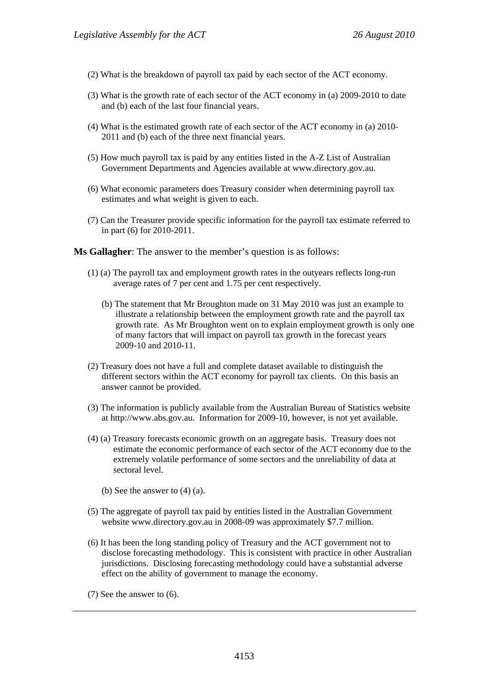- (2) What is the breakdown of payroll tax paid by each sector of the ACT economy.
- (3) What is the growth rate of each sector of the ACT economy in (a) 2009-2010 to date and (b) each of the last four financial years.
- (4) What is the estimated growth rate of each sector of the ACT economy in (a) 2010- 2011 and (b) each of the three next financial years.
- (5) How much payroll tax is paid by any entities listed in the A-Z List of Australian Government Departments and Agencies available at www.directory.gov.au.
- (6) What economic parameters does Treasury consider when determining payroll tax estimates and what weight is given to each.
- (7) Can the Treasurer provide specific information for the payroll tax estimate referred to in part (6) for 2010-2011.

**Ms Gallagher**: The answer to the member's question is as follows:

- (1) (a) The payroll tax and employment growth rates in the outyears reflects long-run average rates of 7 per cent and 1.75 per cent respectively.
	- (b) The statement that Mr Broughton made on 31 May 2010 was just an example to illustrate a relationship between the employment growth rate and the payroll tax growth rate. As Mr Broughton went on to explain employment growth is only one of many factors that will impact on payroll tax growth in the forecast years 2009-10 and 2010-11.
- (2) Treasury does not have a full and complete dataset available to distinguish the different sectors within the ACT economy for payroll tax clients. On this basis an answer cannot be provided.
- (3) The information is publicly available from the Australian Bureau of Statistics website at http://www.abs.gov.au. Information for 2009-10, however, is not yet available.
- (4) (a) Treasury forecasts economic growth on an aggregate basis. Treasury does not estimate the economic performance of each sector of the ACT economy due to the extremely volatile performance of some sectors and the unreliability of data at sectoral level.
	- (b) See the answer to (4) (a).
- (5) The aggregate of payroll tax paid by entities listed in the Australian Government website www.directory.gov.au in 2008-09 was approximately \$7.7 million.
- (6) It has been the long standing policy of Treasury and the ACT government not to disclose forecasting methodology. This is consistent with practice in other Australian jurisdictions. Disclosing forecasting methodology could have a substantial adverse effect on the ability of government to manage the economy.
- (7) See the answer to (6).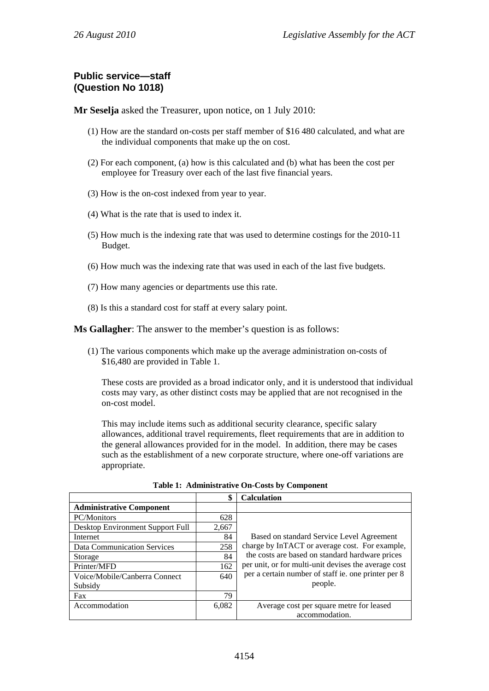## **Public service—staff (Question No 1018)**

**Mr Seselja** asked the Treasurer, upon notice, on 1 July 2010:

- (1) How are the standard on-costs per staff member of \$16 480 calculated, and what are the individual components that make up the on cost.
- (2) For each component, (a) how is this calculated and (b) what has been the cost per employee for Treasury over each of the last five financial years.
- (3) How is the on-cost indexed from year to year.
- (4) What is the rate that is used to index it.
- (5) How much is the indexing rate that was used to determine costings for the 2010-11 Budget.
- (6) How much was the indexing rate that was used in each of the last five budgets.
- (7) How many agencies or departments use this rate.
- (8) Is this a standard cost for staff at every salary point.

**Ms Gallagher**: The answer to the member's question is as follows:

(1) The various components which make up the average administration on-costs of \$16,480 are provided in Table 1.

These costs are provided as a broad indicator only, and it is understood that individual costs may vary, as other distinct costs may be applied that are not recognised in the on-cost model.

This may include items such as additional security clearance, specific salary allowances, additional travel requirements, fleet requirements that are in addition to the general allowances provided for in the model. In addition, there may be cases such as the establishment of a new corporate structure, where one-off variations are appropriate.

|                                    |       | <b>Calculation</b>                                   |
|------------------------------------|-------|------------------------------------------------------|
| <b>Administrative Component</b>    |       |                                                      |
| PC/Monitors                        | 628   |                                                      |
| Desktop Environment Support Full   | 2,667 |                                                      |
| Internet                           | 84    | Based on standard Service Level Agreement            |
| <b>Data Communication Services</b> | 258   | charge by InTACT or average cost. For example,       |
| Storage                            | 84    | the costs are based on standard hardware prices      |
| Printer/MFD                        | 162   | per unit, or for multi-unit devises the average cost |
| Voice/Mobile/Canberra Connect      | 640   | per a certain number of staff ie. one printer per 8  |
| Subsidy                            |       | people.                                              |
| Fax                                | 79    |                                                      |
| Accommodation                      | 6,082 | Average cost per square metre for leased             |
|                                    |       | accommodation.                                       |

**Table 1: Administrative On-Costs by Component**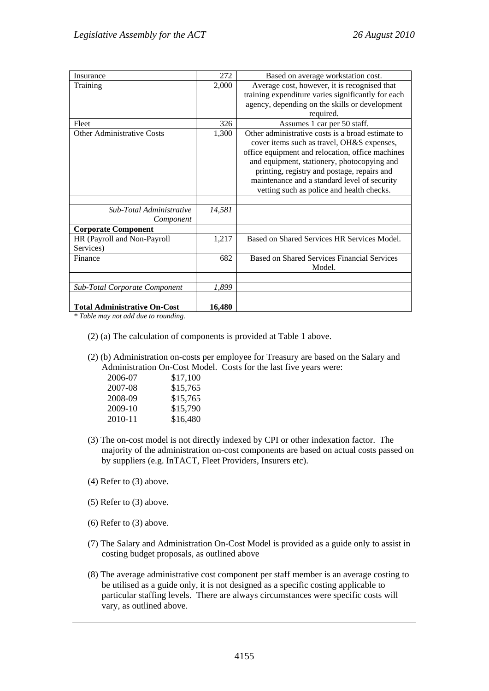| Insurance                            | 272    | Based on average workstation cost.                 |
|--------------------------------------|--------|----------------------------------------------------|
| Training                             | 2,000  | Average cost, however, it is recognised that       |
|                                      |        | training expenditure varies significantly for each |
|                                      |        | agency, depending on the skills or development     |
|                                      |        | required.                                          |
| Fleet                                | 326    | Assumes 1 car per 50 staff.                        |
| <b>Other Administrative Costs</b>    | 1,300  | Other administrative costs is a broad estimate to  |
|                                      |        | cover items such as travel, OH&S expenses,         |
|                                      |        | office equipment and relocation, office machines   |
|                                      |        | and equipment, stationery, photocopying and        |
|                                      |        | printing, registry and postage, repairs and        |
|                                      |        | maintenance and a standard level of security       |
|                                      |        | vetting such as police and health checks.          |
|                                      |        |                                                    |
| Sub-Total Administrative             | 14,581 |                                                    |
| Component                            |        |                                                    |
| <b>Corporate Component</b>           |        |                                                    |
| HR (Payroll and Non-Payroll          | 1,217  | Based on Shared Services HR Services Model.        |
| Services)                            |        |                                                    |
| Finance                              | 682    | <b>Based on Shared Services Financial Services</b> |
|                                      |        | Model.                                             |
|                                      |        |                                                    |
| <b>Sub-Total Corporate Component</b> | 1,899  |                                                    |
|                                      |        |                                                    |
| <b>Total Administrative On-Cost</b>  | 16,480 |                                                    |

*\* Table may not add due to rounding.* 

- (2) (a) The calculation of components is provided at Table 1 above.
- (2) (b) Administration on-costs per employee for Treasury are based on the Salary and Administration On-Cost Model. Costs for the last five years were:

| 2006-07 | \$17,100 |
|---------|----------|
| 2007-08 | \$15,765 |
| 2008-09 | \$15,765 |
| 2009-10 | \$15,790 |
| 2010-11 | \$16,480 |

- (3) The on-cost model is not directly indexed by CPI or other indexation factor. The majority of the administration on-cost components are based on actual costs passed on by suppliers (e.g. InTACT, Fleet Providers, Insurers etc).
- (4) Refer to (3) above.
- (5) Refer to (3) above.
- (6) Refer to (3) above.
- (7) The Salary and Administration On-Cost Model is provided as a guide only to assist in costing budget proposals, as outlined above
- (8) The average administrative cost component per staff member is an average costing to be utilised as a guide only, it is not designed as a specific costing applicable to particular staffing levels. There are always circumstances were specific costs will vary, as outlined above.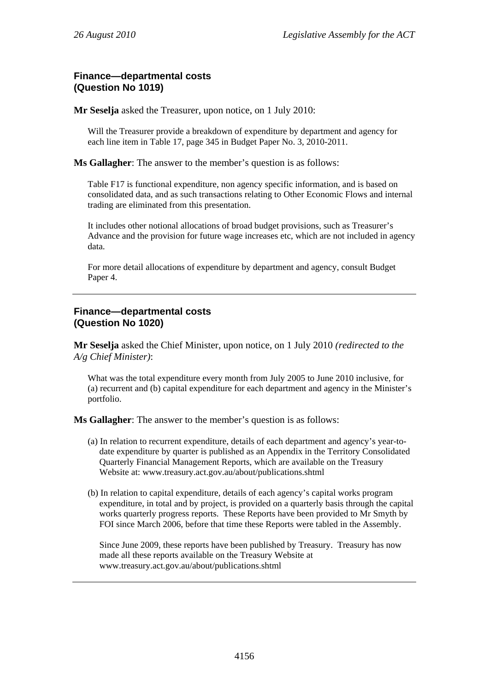## **Finance—departmental costs (Question No 1019)**

**Mr Seselja** asked the Treasurer, upon notice, on 1 July 2010:

Will the Treasurer provide a breakdown of expenditure by department and agency for each line item in Table 17, page 345 in Budget Paper No. 3, 2010-2011.

**Ms Gallagher**: The answer to the member's question is as follows:

Table F17 is functional expenditure, non agency specific information, and is based on consolidated data, and as such transactions relating to Other Economic Flows and internal trading are eliminated from this presentation.

It includes other notional allocations of broad budget provisions, such as Treasurer's Advance and the provision for future wage increases etc, which are not included in agency data.

For more detail allocations of expenditure by department and agency, consult Budget Paper 4.

### **Finance—departmental costs (Question No 1020)**

**Mr Seselja** asked the Chief Minister, upon notice, on 1 July 2010 *(redirected to the A/g Chief Minister)*:

What was the total expenditure every month from July 2005 to June 2010 inclusive, for (a) recurrent and (b) capital expenditure for each department and agency in the Minister's portfolio.

**Ms Gallagher**: The answer to the member's question is as follows:

- (a) In relation to recurrent expenditure, details of each department and agency's year-todate expenditure by quarter is published as an Appendix in the Territory Consolidated Quarterly Financial Management Reports, which are available on the Treasury Website at: www.treasury.act.gov.au/about/publications.shtml
- (b) In relation to capital expenditure, details of each agency's capital works program expenditure, in total and by project, is provided on a quarterly basis through the capital works quarterly progress reports. These Reports have been provided to Mr Smyth by FOI since March 2006, before that time these Reports were tabled in the Assembly.

Since June 2009, these reports have been published by Treasury. Treasury has now made all these reports available on the Treasury Website at www.treasury.act.gov.au/about/publications.shtml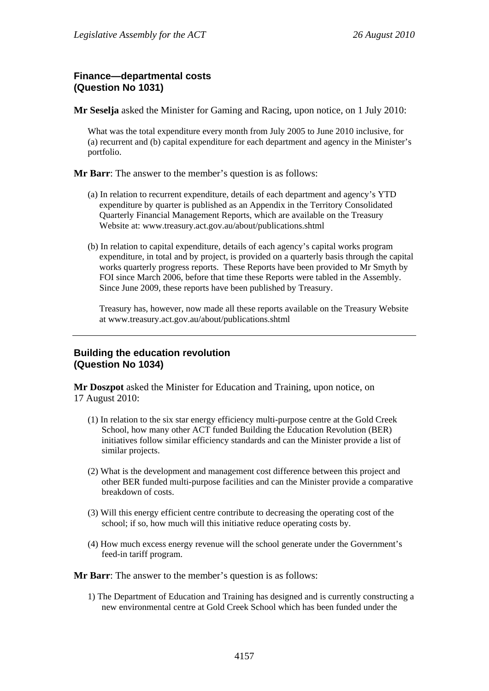## **Finance—departmental costs (Question No 1031)**

**Mr Seselja** asked the Minister for Gaming and Racing, upon notice, on 1 July 2010:

What was the total expenditure every month from July 2005 to June 2010 inclusive, for (a) recurrent and (b) capital expenditure for each department and agency in the Minister's portfolio.

**Mr Barr**: The answer to the member's question is as follows:

- (a) In relation to recurrent expenditure, details of each department and agency's YTD expenditure by quarter is published as an Appendix in the Territory Consolidated Quarterly Financial Management Reports, which are available on the Treasury Website at: www.treasury.act.gov.au/about/publications.shtml
- (b) In relation to capital expenditure, details of each agency's capital works program expenditure, in total and by project, is provided on a quarterly basis through the capital works quarterly progress reports. These Reports have been provided to Mr Smyth by FOI since March 2006, before that time these Reports were tabled in the Assembly. Since June 2009, these reports have been published by Treasury.

Treasury has, however, now made all these reports available on the Treasury Website at www.treasury.act.gov.au/about/publications.shtml

## **Building the education revolution (Question No 1034)**

**Mr Doszpot** asked the Minister for Education and Training, upon notice, on 17 August 2010:

- (1) In relation to the six star energy efficiency multi-purpose centre at the Gold Creek School, how many other ACT funded Building the Education Revolution (BER) initiatives follow similar efficiency standards and can the Minister provide a list of similar projects.
- (2) What is the development and management cost difference between this project and other BER funded multi-purpose facilities and can the Minister provide a comparative breakdown of costs.
- (3) Will this energy efficient centre contribute to decreasing the operating cost of the school; if so, how much will this initiative reduce operating costs by.
- (4) How much excess energy revenue will the school generate under the Government's feed-in tariff program.

**Mr Barr**: The answer to the member's question is as follows:

1) The Department of Education and Training has designed and is currently constructing a new environmental centre at Gold Creek School which has been funded under the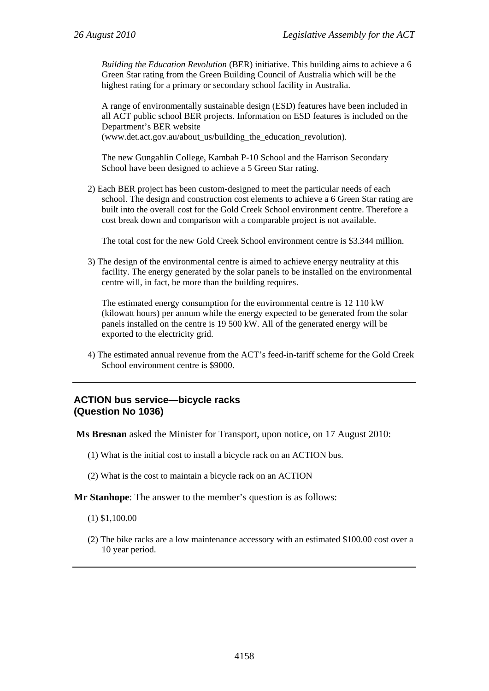*Building the Education Revolution* (BER) initiative. This building aims to achieve a 6 Green Star rating from the Green Building Council of Australia which will be the highest rating for a primary or secondary school facility in Australia.

A range of environmentally sustainable design (ESD) features have been included in all ACT public school BER projects. Information on ESD features is included on the Department's BER website

(www.det.act.gov.au/about\_us/building\_the\_education\_revolution).

The new Gungahlin College, Kambah P-10 School and the Harrison Secondary School have been designed to achieve a 5 Green Star rating.

2) Each BER project has been custom-designed to meet the particular needs of each school. The design and construction cost elements to achieve a 6 Green Star rating are built into the overall cost for the Gold Creek School environment centre. Therefore a cost break down and comparison with a comparable project is not available.

The total cost for the new Gold Creek School environment centre is \$3.344 million.

3) The design of the environmental centre is aimed to achieve energy neutrality at this facility. The energy generated by the solar panels to be installed on the environmental centre will, in fact, be more than the building requires.

The estimated energy consumption for the environmental centre is 12 110 kW (kilowatt hours) per annum while the energy expected to be generated from the solar panels installed on the centre is 19 500 kW. All of the generated energy will be exported to the electricity grid.

4) The estimated annual revenue from the ACT's feed-in-tariff scheme for the Gold Creek School environment centre is \$9000.

### **ACTION bus service—bicycle racks (Question No 1036)**

 **Ms Bresnan** asked the Minister for Transport, upon notice, on 17 August 2010:

- (1) What is the initial cost to install a bicycle rack on an ACTION bus.
- (2) What is the cost to maintain a bicycle rack on an ACTION

**Mr Stanhope**: The answer to the member's question is as follows:

(1) \$1,100.00

(2) The bike racks are a low maintenance accessory with an estimated \$100.00 cost over a 10 year period.